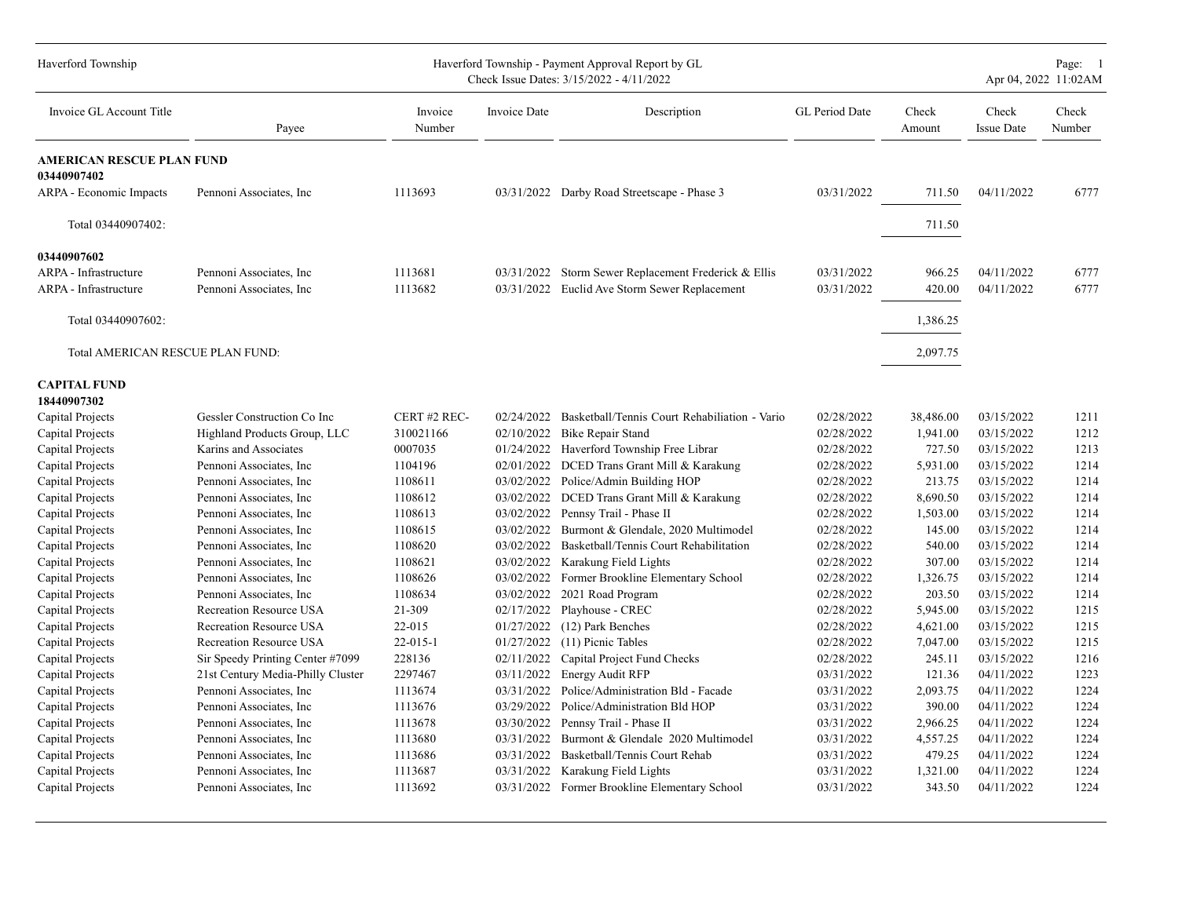| Haverford Township                              |                                   | Haverford Township - Payment Approval Report by GL<br>Check Issue Dates: 3/15/2022 - 4/11/2022 | Page: 1<br>Apr 04, 2022 11:02AM |                                                          |                |                 |                            |                 |
|-------------------------------------------------|-----------------------------------|------------------------------------------------------------------------------------------------|---------------------------------|----------------------------------------------------------|----------------|-----------------|----------------------------|-----------------|
| Invoice GL Account Title                        | Payee                             | Invoice<br>Number                                                                              | Invoice Date                    | Description                                              | GL Period Date | Check<br>Amount | Check<br><b>Issue Date</b> | Check<br>Number |
| <b>AMERICAN RESCUE PLAN FUND</b><br>03440907402 |                                   |                                                                                                |                                 |                                                          |                |                 |                            |                 |
| ARPA - Economic Impacts                         | Pennoni Associates, Inc.          | 1113693                                                                                        |                                 | 03/31/2022 Darby Road Streetscape - Phase 3              | 03/31/2022     | 711.50          | 04/11/2022                 | 6777            |
| Total 03440907402:                              |                                   |                                                                                                |                                 |                                                          |                | 711.50          |                            |                 |
| 03440907602                                     |                                   |                                                                                                |                                 |                                                          |                |                 |                            |                 |
| ARPA - Infrastructure                           | Pennoni Associates, Inc.          | 1113681                                                                                        | 03/31/2022                      | Storm Sewer Replacement Frederick & Ellis                | 03/31/2022     | 966.25          | 04/11/2022                 | 6777            |
| ARPA - Infrastructure                           | Pennoni Associates, Inc.          | 1113682                                                                                        |                                 | 03/31/2022 Euclid Ave Storm Sewer Replacement            | 03/31/2022     | 420.00          | 04/11/2022                 | 6777            |
| Total 03440907602:                              |                                   |                                                                                                |                                 |                                                          |                | 1,386.25        |                            |                 |
| Total AMERICAN RESCUE PLAN FUND:                |                                   |                                                                                                |                                 |                                                          |                | 2,097.75        |                            |                 |
| <b>CAPITAL FUND</b><br>18440907302              |                                   |                                                                                                |                                 |                                                          |                |                 |                            |                 |
| Capital Projects                                | Gessler Construction Co Inc       | CERT #2 REC-                                                                                   |                                 | 02/24/2022 Basketball/Tennis Court Rehabiliation - Vario | 02/28/2022     | 38,486.00       | 03/15/2022                 | 1211            |
| Capital Projects                                | Highland Products Group, LLC      | 310021166                                                                                      | 02/10/2022                      | <b>Bike Repair Stand</b>                                 | 02/28/2022     | 1,941.00        | 03/15/2022                 | 1212            |
| Capital Projects                                | Karins and Associates             | 0007035                                                                                        | 01/24/2022                      | Haverford Township Free Librar                           | 02/28/2022     | 727.50          | 03/15/2022                 | 1213            |
| Capital Projects                                | Pennoni Associates, Inc.          | 1104196                                                                                        | 02/01/2022                      | DCED Trans Grant Mill & Karakung                         | 02/28/2022     | 5,931.00        | 03/15/2022                 | 1214            |
| Capital Projects                                | Pennoni Associates, Inc.          | 1108611                                                                                        |                                 | 03/02/2022 Police/Admin Building HOP                     | 02/28/2022     | 213.75          | 03/15/2022                 | 1214            |
| Capital Projects                                | Pennoni Associates, Inc.          | 1108612                                                                                        |                                 | 03/02/2022 DCED Trans Grant Mill & Karakung              | 02/28/2022     | 8,690.50        | 03/15/2022                 | 1214            |
| Capital Projects                                | Pennoni Associates, Inc.          | 1108613                                                                                        | 03/02/2022                      | Pennsy Trail - Phase II                                  | 02/28/2022     | 1,503.00        | 03/15/2022                 | 1214            |
| Capital Projects                                | Pennoni Associates, Inc.          | 1108615                                                                                        | 03/02/2022                      | Burmont & Glendale, 2020 Multimodel                      | 02/28/2022     | 145.00          | 03/15/2022                 | 1214            |
| Capital Projects                                | Pennoni Associates, Inc           | 1108620                                                                                        | 03/02/2022                      | Basketball/Tennis Court Rehabilitation                   | 02/28/2022     | 540.00          | 03/15/2022                 | 1214            |
| Capital Projects                                | Pennoni Associates, Inc.          | 1108621                                                                                        | 03/02/2022                      | Karakung Field Lights                                    | 02/28/2022     | 307.00          | 03/15/2022                 | 1214            |
| Capital Projects                                | Pennoni Associates, Inc.          | 1108626                                                                                        |                                 | 03/02/2022 Former Brookline Elementary School            | 02/28/2022     | 1,326.75        | 03/15/2022                 | 1214            |
| Capital Projects                                | Pennoni Associates, Inc.          | 1108634                                                                                        | 03/02/2022                      | 2021 Road Program                                        | 02/28/2022     | 203.50          | 03/15/2022                 | 1214            |
| Capital Projects                                | <b>Recreation Resource USA</b>    | 21-309                                                                                         | 02/17/2022                      | Playhouse - CREC                                         | 02/28/2022     | 5,945.00        | 03/15/2022                 | 1215            |
| Capital Projects                                | Recreation Resource USA           | 22-015                                                                                         | 01/27/2022                      | (12) Park Benches                                        | 02/28/2022     | 4,621.00        | 03/15/2022                 | 1215            |
| Capital Projects                                | Recreation Resource USA           | $22 - 015 - 1$                                                                                 | 01/27/2022                      | (11) Picnic Tables                                       | 02/28/2022     | 7,047.00        | 03/15/2022                 | 1215            |
| Capital Projects                                | Sir Speedy Printing Center #7099  | 228136                                                                                         | 02/11/2022                      | Capital Project Fund Checks                              | 02/28/2022     | 245.11          | 03/15/2022                 | 1216            |
| Capital Projects                                | 21st Century Media-Philly Cluster | 2297467                                                                                        | 03/11/2022                      | <b>Energy Audit RFP</b>                                  | 03/31/2022     | 121.36          | 04/11/2022                 | 1223            |
| Capital Projects                                | Pennoni Associates, Inc.          | 1113674                                                                                        | 03/31/2022                      | Police/Administration Bld - Facade                       | 03/31/2022     | 2,093.75        | 04/11/2022                 | 1224            |
| Capital Projects                                | Pennoni Associates, Inc.          | 1113676                                                                                        | 03/29/2022                      | Police/Administration Bld HOP                            | 03/31/2022     | 390.00          | 04/11/2022                 | 1224            |
| Capital Projects                                | Pennoni Associates, Inc.          | 1113678                                                                                        | 03/30/2022                      | Pennsy Trail - Phase II                                  | 03/31/2022     | 2,966.25        | 04/11/2022                 | 1224            |
| Capital Projects                                | Pennoni Associates, Inc.          | 1113680                                                                                        | 03/31/2022                      | Burmont & Glendale 2020 Multimodel                       | 03/31/2022     | 4,557.25        | 04/11/2022                 | 1224            |
| Capital Projects                                | Pennoni Associates, Inc           | 1113686                                                                                        | 03/31/2022                      | Basketball/Tennis Court Rehab                            | 03/31/2022     | 479.25          | 04/11/2022                 | 1224            |
| Capital Projects                                | Pennoni Associates, Inc.          | 1113687                                                                                        | 03/31/2022                      | Karakung Field Lights                                    | 03/31/2022     | 1,321.00        | 04/11/2022                 | 1224            |
| Capital Projects                                | Pennoni Associates, Inc.          | 1113692                                                                                        |                                 | 03/31/2022 Former Brookline Elementary School            | 03/31/2022     | 343.50          | 04/11/2022                 | 1224            |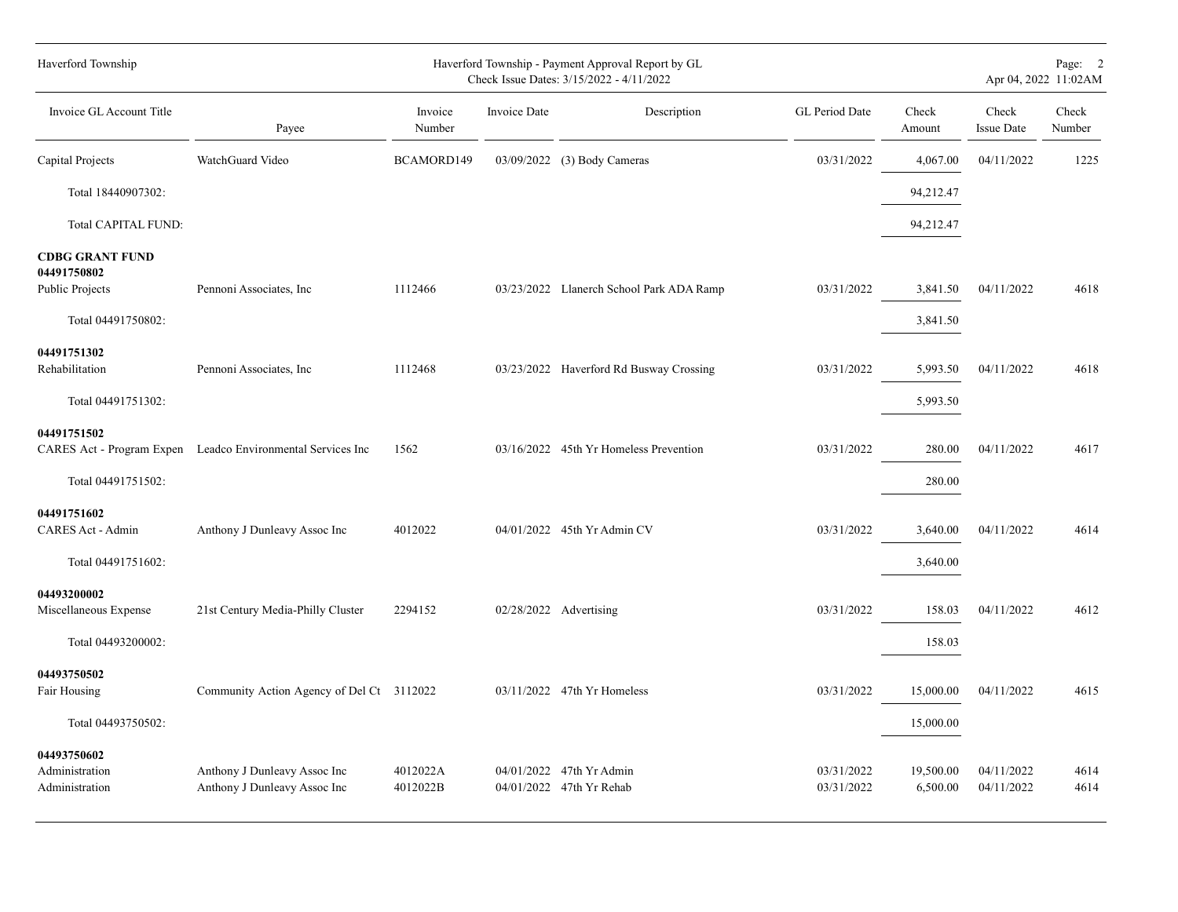| Haverford Township                              |                                                              |                      |              | Haverford Township - Payment Approval Report by GL<br>Check Issue Dates: 3/15/2022 - 4/11/2022 |                          |                       |                            | Page: 2<br>Apr 04, 2022 11:02AM |
|-------------------------------------------------|--------------------------------------------------------------|----------------------|--------------|------------------------------------------------------------------------------------------------|--------------------------|-----------------------|----------------------------|---------------------------------|
| Invoice GL Account Title                        | Payee                                                        | Invoice<br>Number    | Invoice Date | Description                                                                                    | GL Period Date           | Check<br>Amount       | Check<br><b>Issue Date</b> | Check<br>Number                 |
| Capital Projects                                | WatchGuard Video                                             | BCAMORD149           |              | 03/09/2022 (3) Body Cameras                                                                    | 03/31/2022               | 4,067.00              | 04/11/2022                 | 1225                            |
| Total 18440907302:                              |                                                              |                      |              |                                                                                                |                          | 94,212.47             |                            |                                 |
| Total CAPITAL FUND:                             |                                                              |                      |              |                                                                                                |                          | 94,212.47             |                            |                                 |
| <b>CDBG GRANT FUND</b><br>04491750802           | Pennoni Associates, Inc.                                     | 1112466              |              |                                                                                                | 03/31/2022               | 3,841.50              | 04/11/2022                 | 4618                            |
| Public Projects                                 |                                                              |                      |              | 03/23/2022 Llanerch School Park ADA Ramp                                                       |                          |                       |                            |                                 |
| Total 04491750802:                              |                                                              |                      |              |                                                                                                |                          | 3,841.50              |                            |                                 |
| 04491751302<br>Rehabilitation                   | Pennoni Associates, Inc.                                     | 1112468              |              | 03/23/2022 Haverford Rd Busway Crossing                                                        | 03/31/2022               | 5,993.50              | 04/11/2022                 | 4618                            |
| Total 04491751302:                              |                                                              |                      |              |                                                                                                |                          | 5,993.50              |                            |                                 |
| 04491751502                                     | CARES Act - Program Expen Leadco Environmental Services Inc  | 1562                 |              | 03/16/2022 45th Yr Homeless Prevention                                                         | 03/31/2022               | 280.00                | 04/11/2022                 | 4617                            |
| Total 04491751502:                              |                                                              |                      |              |                                                                                                |                          | 280.00                |                            |                                 |
| 04491751602<br>CARES Act - Admin                | Anthony J Dunleavy Assoc Inc                                 | 4012022              |              | 04/01/2022 45th Yr Admin CV                                                                    | 03/31/2022               | 3,640.00              | 04/11/2022                 | 4614                            |
| Total 04491751602:                              |                                                              |                      |              |                                                                                                |                          | 3,640.00              |                            |                                 |
| 04493200002<br>Miscellaneous Expense            | 21st Century Media-Philly Cluster                            | 2294152              |              | 02/28/2022 Advertising                                                                         | 03/31/2022               | 158.03                | 04/11/2022                 | 4612                            |
| Total 04493200002:                              |                                                              |                      |              |                                                                                                |                          | 158.03                |                            |                                 |
| 04493750502<br>Fair Housing                     | Community Action Agency of Del Ct 3112022                    |                      |              | 03/11/2022 47th Yr Homeless                                                                    | 03/31/2022               | 15,000.00             | 04/11/2022                 | 4615                            |
| Total 04493750502:                              |                                                              |                      |              |                                                                                                |                          | 15,000.00             |                            |                                 |
| 04493750602<br>Administration<br>Administration | Anthony J Dunleavy Assoc Inc<br>Anthony J Dunleavy Assoc Inc | 4012022A<br>4012022B |              | 04/01/2022 47th Yr Admin<br>04/01/2022 47th Yr Rehab                                           | 03/31/2022<br>03/31/2022 | 19,500.00<br>6,500.00 | 04/11/2022<br>04/11/2022   | 4614<br>4614                    |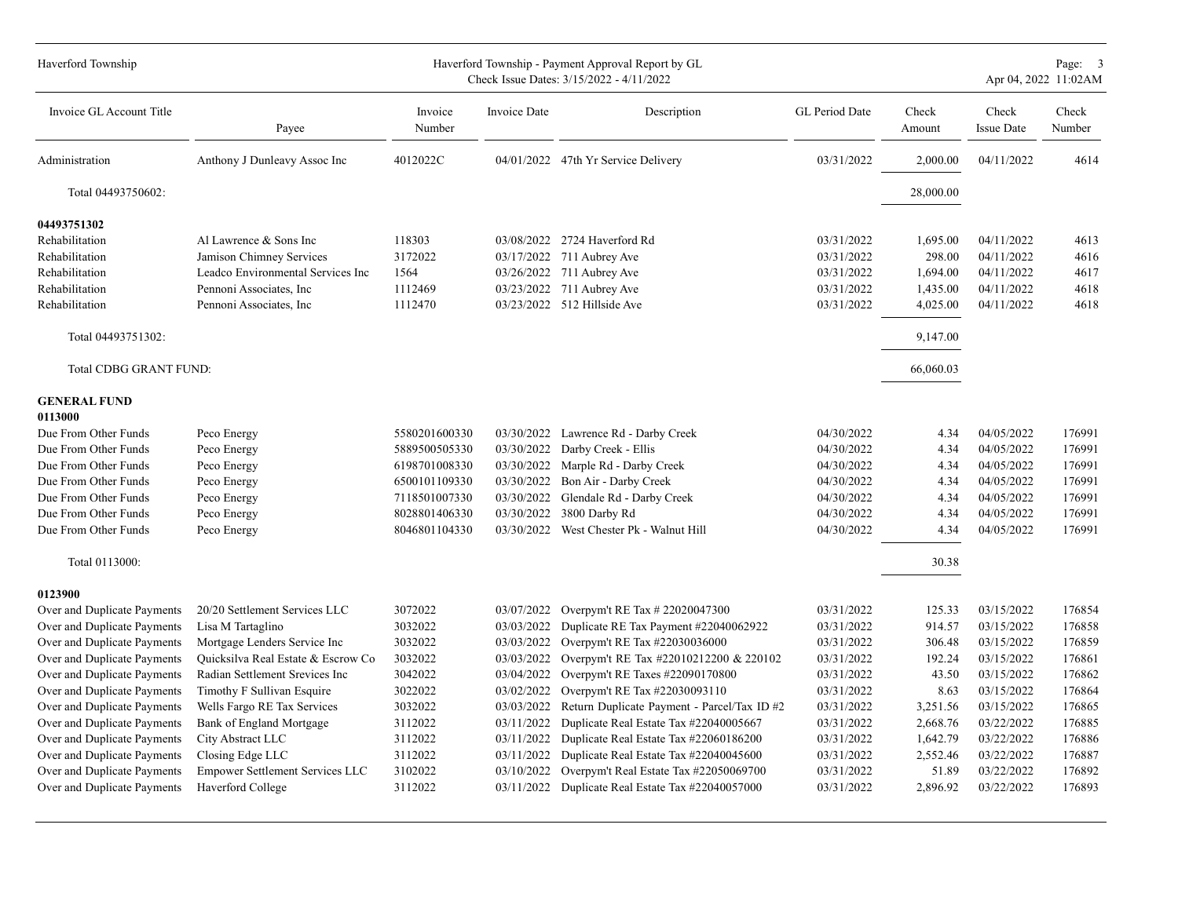| Haverford Township             |                                    |                   |              | Haverford Township - Payment Approval Report by GL<br>Check Issue Dates: 3/15/2022 - 4/11/2022 |                |                 |                            | Page: 3<br>Apr 04, 2022 11:02AM |
|--------------------------------|------------------------------------|-------------------|--------------|------------------------------------------------------------------------------------------------|----------------|-----------------|----------------------------|---------------------------------|
| Invoice GL Account Title       | Payee                              | Invoice<br>Number | Invoice Date | Description                                                                                    | GL Period Date | Check<br>Amount | Check<br><b>Issue Date</b> | Check<br>Number                 |
| Administration                 | Anthony J Dunleavy Assoc Inc       | 4012022C          |              | 04/01/2022 47th Yr Service Delivery                                                            | 03/31/2022     | 2,000.00        | 04/11/2022                 | 4614                            |
| Total 04493750602:             |                                    |                   |              |                                                                                                |                | 28,000.00       |                            |                                 |
| 04493751302                    |                                    |                   |              |                                                                                                |                |                 |                            |                                 |
| Rehabilitation                 | Al Lawrence & Sons Inc             | 118303            | 03/08/2022   | 2724 Haverford Rd                                                                              | 03/31/2022     | 1,695.00        | 04/11/2022                 | 4613                            |
| Rehabilitation                 | Jamison Chimney Services           | 3172022           |              | 03/17/2022 711 Aubrey Ave                                                                      | 03/31/2022     | 298.00          | 04/11/2022                 | 4616                            |
| Rehabilitation                 | Leadco Environmental Services Inc  | 1564              |              | 03/26/2022 711 Aubrey Ave                                                                      | 03/31/2022     | 1,694.00        | 04/11/2022                 | 4617                            |
| Rehabilitation                 | Pennoni Associates, Inc.           | 1112469           |              | 03/23/2022 711 Aubrey Ave                                                                      | 03/31/2022     | 1,435.00        | 04/11/2022                 | 4618                            |
| Rehabilitation                 | Pennoni Associates, Inc.           | 1112470           |              | 03/23/2022 512 Hillside Ave                                                                    | 03/31/2022     | 4,025.00        | 04/11/2022                 | 4618                            |
| Total 04493751302:             |                                    |                   |              |                                                                                                |                | 9,147.00        |                            |                                 |
| Total CDBG GRANT FUND:         |                                    |                   |              |                                                                                                |                | 66,060.03       |                            |                                 |
| <b>GENERAL FUND</b><br>0113000 |                                    |                   |              |                                                                                                |                |                 |                            |                                 |
| Due From Other Funds           | Peco Energy                        | 5580201600330     | 03/30/2022   | Lawrence Rd - Darby Creek                                                                      | 04/30/2022     | 4.34            | 04/05/2022                 | 176991                          |
| Due From Other Funds           | Peco Energy                        | 5889500505330     | 03/30/2022   | Darby Creek - Ellis                                                                            | 04/30/2022     | 4.34            | 04/05/2022                 | 176991                          |
| Due From Other Funds           | Peco Energy                        | 6198701008330     | 03/30/2022   | Marple Rd - Darby Creek                                                                        | 04/30/2022     | 4.34            | 04/05/2022                 | 176991                          |
| Due From Other Funds           | Peco Energy                        | 6500101109330     | 03/30/2022   | Bon Air - Darby Creek                                                                          | 04/30/2022     | 4.34            | 04/05/2022                 | 176991                          |
| Due From Other Funds           | Peco Energy                        | 7118501007330     | 03/30/2022   | Glendale Rd - Darby Creek                                                                      | 04/30/2022     | 4.34            | 04/05/2022                 | 176991                          |
| Due From Other Funds           | Peco Energy                        | 8028801406330     | 03/30/2022   | 3800 Darby Rd                                                                                  | 04/30/2022     | 4.34            | 04/05/2022                 | 176991                          |
| Due From Other Funds           | Peco Energy                        | 8046801104330     |              | 03/30/2022 West Chester Pk - Walnut Hill                                                       | 04/30/2022     | 4.34            | 04/05/2022                 | 176991                          |
| Total 0113000:                 |                                    |                   |              |                                                                                                |                | 30.38           |                            |                                 |
| 0123900                        |                                    |                   |              |                                                                                                |                |                 |                            |                                 |
| Over and Duplicate Payments    | 20/20 Settlement Services LLC      | 3072022           | 03/07/2022   | Overpym't RE Tax # 22020047300                                                                 | 03/31/2022     | 125.33          | 03/15/2022                 | 176854                          |
| Over and Duplicate Payments    | Lisa M Tartaglino                  | 3032022           | 03/03/2022   | Duplicate RE Tax Payment #22040062922                                                          | 03/31/2022     | 914.57          | 03/15/2022                 | 176858                          |
| Over and Duplicate Payments    | Mortgage Lenders Service Inc       | 3032022           | 03/03/2022   | Overpym't RE Tax #22030036000                                                                  | 03/31/2022     | 306.48          | 03/15/2022                 | 176859                          |
| Over and Duplicate Payments    | Quicksilva Real Estate & Escrow Co | 3032022           | 03/03/2022   | Overpym't RE Tax #22010212200 & 220102                                                         | 03/31/2022     | 192.24          | 03/15/2022                 | 176861                          |
| Over and Duplicate Payments    | Radian Settlement Srevices Inc     | 3042022           | 03/04/2022   | Overpym't RE Taxes #22090170800                                                                | 03/31/2022     | 43.50           | 03/15/2022                 | 176862                          |
| Over and Duplicate Payments    | Timothy F Sullivan Esquire         | 3022022           | 03/02/2022   | Overpym't RE Tax #22030093110                                                                  | 03/31/2022     | 8.63            | 03/15/2022                 | 176864                          |
| Over and Duplicate Payments    | Wells Fargo RE Tax Services        | 3032022           | 03/03/2022   | Return Duplicate Payment - Parcel/Tax ID #2                                                    | 03/31/2022     | 3,251.56        | 03/15/2022                 | 176865                          |
| Over and Duplicate Payments    | Bank of England Mortgage           | 3112022           | 03/11/2022   | Duplicate Real Estate Tax #22040005667                                                         | 03/31/2022     | 2,668.76        | 03/22/2022                 | 176885                          |
| Over and Duplicate Payments    | City Abstract LLC                  | 3112022           | 03/11/2022   | Duplicate Real Estate Tax #22060186200                                                         | 03/31/2022     | 1,642.79        | 03/22/2022                 | 176886                          |
| Over and Duplicate Payments    | Closing Edge LLC                   | 3112022           | 03/11/2022   | Duplicate Real Estate Tax #22040045600                                                         | 03/31/2022     | 2,552.46        | 03/22/2022                 | 176887                          |
| Over and Duplicate Payments    | Empower Settlement Services LLC    | 3102022           | 03/10/2022   | Overpym't Real Estate Tax #22050069700                                                         | 03/31/2022     | 51.89           | 03/22/2022                 | 176892                          |
| Over and Duplicate Payments    | Haverford College                  | 3112022           |              | 03/11/2022 Duplicate Real Estate Tax #22040057000                                              | 03/31/2022     | 2,896.92        | 03/22/2022                 | 176893                          |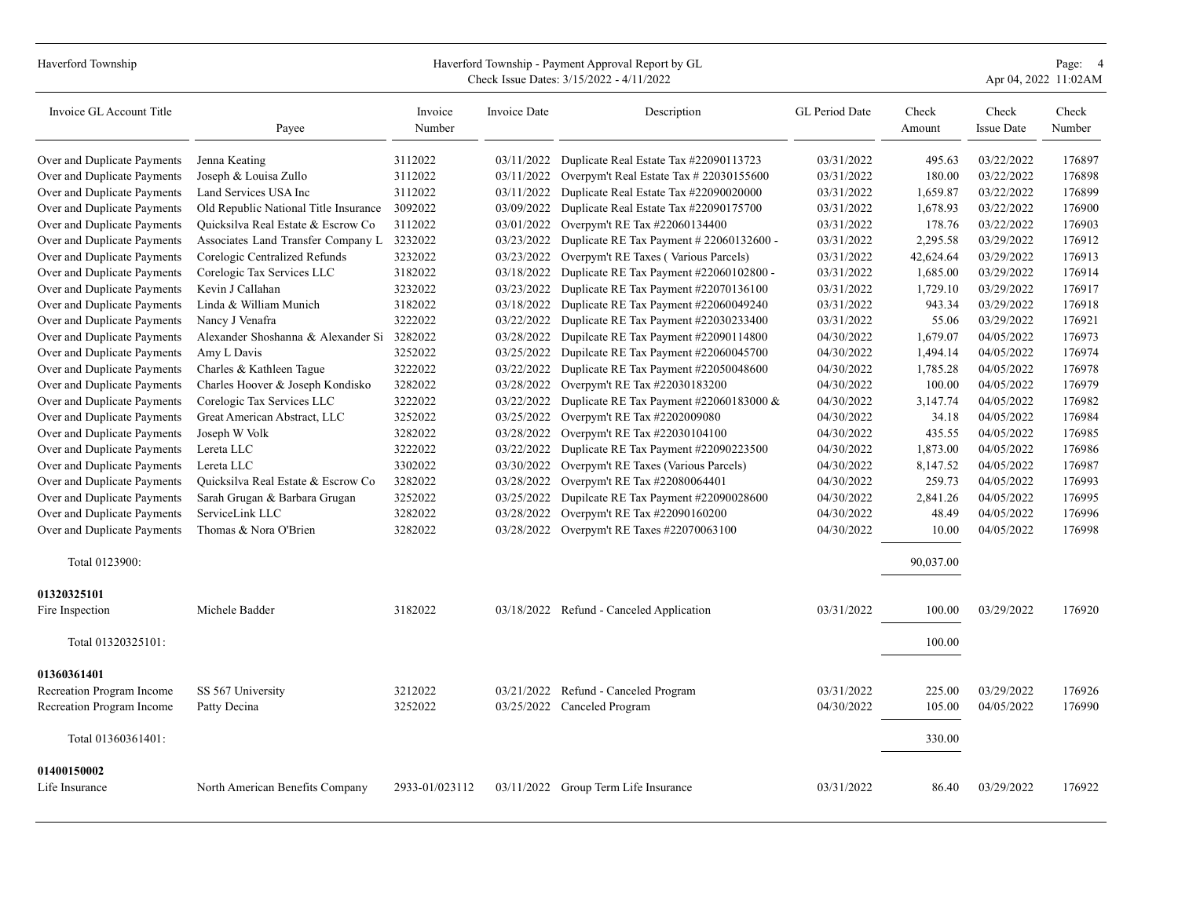## Haverford Township Payment Approval Report by GL Page: 4<br>Check Issue Dates: 3/15/2022 - 4/11/2022

Check Issue Dates:  $3/15/2022 - 4/11/2022$ 

| Invoice GL Account Title      | Payee                                      | Invoice<br>Number | Invoice Date | Description                              | GL Period Date | Check<br>Amount | Check<br><b>Issue Date</b> | Check<br>Number |
|-------------------------------|--------------------------------------------|-------------------|--------------|------------------------------------------|----------------|-----------------|----------------------------|-----------------|
| Over and Duplicate Payments   | Jenna Keating                              | 3112022           | 03/11/2022   | Duplicate Real Estate Tax #22090113723   | 03/31/2022     | 495.63          | 03/22/2022                 | 176897          |
| Over and Duplicate Payments   | Joseph & Louisa Zullo                      | 3112022           | 03/11/2022   | Overpym't Real Estate Tax # 22030155600  | 03/31/2022     | 180.00          | 03/22/2022                 | 176898          |
| Over and Duplicate Payments   | Land Services USA Inc                      | 3112022           | 03/11/2022   | Duplicate Real Estate Tax #22090020000   | 03/31/2022     | 1,659.87        | 03/22/2022                 | 176899          |
| Over and Duplicate Payments   | Old Republic National Title Insurance      | 3092022           | 03/09/2022   | Duplicate Real Estate Tax #22090175700   | 03/31/2022     | 1,678.93        | 03/22/2022                 | 176900          |
| Over and Duplicate Payments   | Quicksilva Real Estate & Escrow Co         | 3112022           | 03/01/2022   | Overpym't RE Tax #22060134400            | 03/31/2022     | 178.76          | 03/22/2022                 | 176903          |
| Over and Duplicate Payments   | Associates Land Transfer Company L 3232022 |                   | 03/23/2022   | Duplicate RE Tax Payment # 22060132600 - | 03/31/2022     | 2,295.58        | 03/29/2022                 | 176912          |
| Over and Duplicate Payments   | Corelogic Centralized Refunds              | 3232022           | 03/23/2022   | Overpym't RE Taxes (Various Parcels)     | 03/31/2022     | 42,624.64       | 03/29/2022                 | 176913          |
| Over and Duplicate Payments   | Corelogic Tax Services LLC                 | 3182022           | 03/18/2022   | Duplicate RE Tax Payment #22060102800 -  | 03/31/2022     | 1,685.00        | 03/29/2022                 | 176914          |
| Over and Duplicate Payments   | Kevin J Callahan                           | 3232022           | 03/23/2022   | Duplicate RE Tax Payment #22070136100    | 03/31/2022     | 1,729.10        | 03/29/2022                 | 176917          |
| Over and Duplicate Payments   | Linda & William Munich                     | 3182022           | 03/18/2022   | Duplicate RE Tax Payment #22060049240    | 03/31/2022     | 943.34          | 03/29/2022                 | 176918          |
| Over and Duplicate Payments   | Nancy J Venafra                            | 3222022           | 03/22/2022   | Duplicate RE Tax Payment #22030233400    | 03/31/2022     | 55.06           | 03/29/2022                 | 176921          |
| Over and Duplicate Payments   | Alexander Shoshanna & Alexander Si 3282022 |                   | 03/28/2022   | Dupilcate RE Tax Payment #22090114800    | 04/30/2022     | 1,679.07        | 04/05/2022                 | 176973          |
| Over and Duplicate Payments   | Amy L Davis                                | 3252022           | 03/25/2022   | Dupilcate RE Tax Payment #22060045700    | 04/30/2022     | 1,494.14        | 04/05/2022                 | 176974          |
| Over and Duplicate Payments   | Charles & Kathleen Tague                   | 3222022           | 03/22/2022   | Duplicate RE Tax Payment #22050048600    | 04/30/2022     | 1,785.28        | 04/05/2022                 | 176978          |
| Over and Duplicate Payments   | Charles Hoover & Joseph Kondisko           | 3282022           | 03/28/2022   | Overpym't RE Tax #22030183200            | 04/30/2022     | 100.00          | 04/05/2022                 | 176979          |
| Over and Duplicate Payments   | Corelogic Tax Services LLC                 | 3222022           | 03/22/2022   | Duplicate RE Tax Payment #22060183000 &  | 04/30/2022     | 3,147.74        | 04/05/2022                 | 176982          |
| Over and Duplicate Payments   | Great American Abstract, LLC               | 3252022           | 03/25/2022   | Overpym't RE Tax #2202009080             | 04/30/2022     | 34.18           | 04/05/2022                 | 176984          |
| Over and Duplicate Payments   | Joseph W Volk                              | 3282022           | 03/28/2022   | Overpym't RE Tax #22030104100            | 04/30/2022     | 435.55          | 04/05/2022                 | 176985          |
| Over and Duplicate Payments   | Lereta LLC                                 | 3222022           | 03/22/2022   | Duplicate RE Tax Payment #22090223500    | 04/30/2022     | 1,873.00        | 04/05/2022                 | 176986          |
| Over and Duplicate Payments   | Lereta LLC                                 | 3302022           | 03/30/2022   | Overpym't RE Taxes (Various Parcels)     | 04/30/2022     | 8,147.52        | 04/05/2022                 | 176987          |
| Over and Duplicate Payments   | Quicksilva Real Estate & Escrow Co         | 3282022           | 03/28/2022   | Overpym't RE Tax #22080064401            | 04/30/2022     | 259.73          | 04/05/2022                 | 176993          |
| Over and Duplicate Payments   | Sarah Grugan & Barbara Grugan              | 3252022           | 03/25/2022   | Dupilcate RE Tax Payment #22090028600    | 04/30/2022     | 2,841.26        | 04/05/2022                 | 176995          |
| Over and Duplicate Payments   | ServiceLink LLC                            | 3282022           | 03/28/2022   | Overpym't RE Tax #22090160200            | 04/30/2022     | 48.49           | 04/05/2022                 | 176996          |
| Over and Duplicate Payments   | Thomas & Nora O'Brien                      | 3282022           | 03/28/2022   | Overpym't RE Taxes #22070063100          | 04/30/2022     | 10.00           | 04/05/2022                 | 176998          |
| Total 0123900:                |                                            |                   |              |                                          |                | 90,037.00       |                            |                 |
| 01320325101                   |                                            |                   |              |                                          |                |                 |                            |                 |
| Fire Inspection               | Michele Badder                             | 3182022           |              | 03/18/2022 Refund - Canceled Application | 03/31/2022     | 100.00          | 03/29/2022                 | 176920          |
| Total 01320325101:            |                                            |                   |              |                                          |                | 100.00          |                            |                 |
| 01360361401                   |                                            |                   |              |                                          |                |                 |                            |                 |
| Recreation Program Income     | SS 567 University                          | 3212022           |              | 03/21/2022 Refund - Canceled Program     | 03/31/2022     | 225.00          | 03/29/2022                 | 176926          |
| Recreation Program Income     | Patty Decina                               | 3252022           |              | 03/25/2022 Canceled Program              | 04/30/2022     | 105.00          | 04/05/2022                 | 176990          |
| Total 01360361401:            |                                            |                   |              |                                          |                | 330.00          |                            |                 |
|                               |                                            |                   |              |                                          |                |                 |                            |                 |
| 01400150002<br>Life Insurance | North American Benefits Company            | 2933-01/023112    |              | 03/11/2022 Group Term Life Insurance     | 03/31/2022     | 86.40           | 03/29/2022                 | 176922          |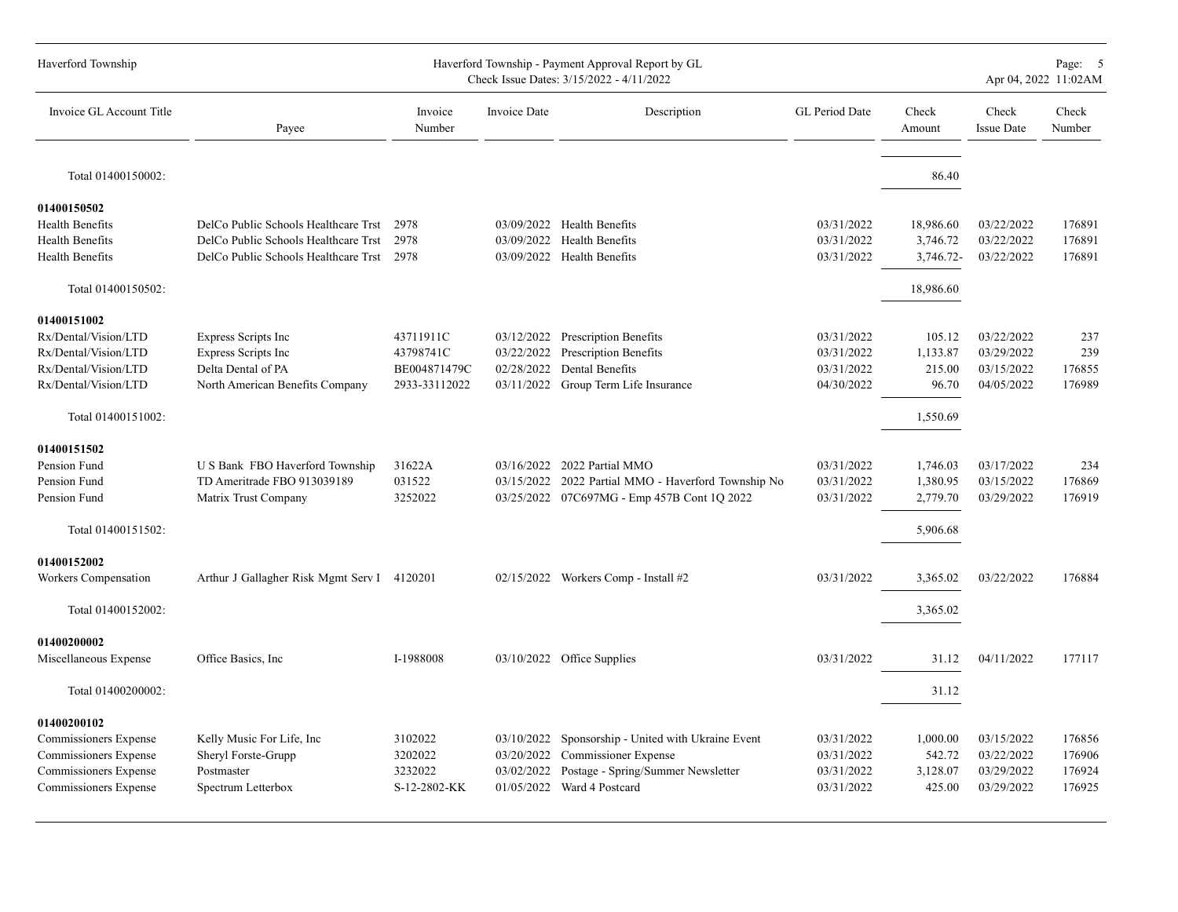| Haverford Township                                                                                                                |                                                                                                                      |                                                         |                          | Haverford Township - Payment Approval Report by GL<br>Check Issue Dates: 3/15/2022 - 4/11/2022                                                 |                                                      |                                                   |                                                      | Page: 5<br>Apr 04, 2022 11:02AM      |
|-----------------------------------------------------------------------------------------------------------------------------------|----------------------------------------------------------------------------------------------------------------------|---------------------------------------------------------|--------------------------|------------------------------------------------------------------------------------------------------------------------------------------------|------------------------------------------------------|---------------------------------------------------|------------------------------------------------------|--------------------------------------|
| Invoice GL Account Title                                                                                                          | Payee                                                                                                                | Invoice<br>Number                                       | Invoice Date             | Description                                                                                                                                    | GL Period Date                                       | Check<br>Amount                                   | Check<br><b>Issue Date</b>                           | Check<br>Number                      |
| Total 01400150002:                                                                                                                |                                                                                                                      |                                                         |                          |                                                                                                                                                |                                                      | 86.40                                             |                                                      |                                      |
| 01400150502<br>Health Benefits<br><b>Health Benefits</b><br><b>Health Benefits</b>                                                | DelCo Public Schools Healthcare Trst<br>DelCo Public Schools Healthcare Trst<br>DelCo Public Schools Healthcare Trst | 2978<br>2978<br>2978                                    |                          | 03/09/2022 Health Benefits<br>03/09/2022 Health Benefits<br>03/09/2022 Health Benefits                                                         | 03/31/2022<br>03/31/2022<br>03/31/2022               | 18,986.60<br>3,746.72<br>3,746.72-                | 03/22/2022<br>03/22/2022<br>03/22/2022               | 176891<br>176891<br>176891           |
| Total 01400150502:                                                                                                                |                                                                                                                      |                                                         |                          |                                                                                                                                                |                                                      | 18,986.60                                         |                                                      |                                      |
| 01400151002<br>Rx/Dental/Vision/LTD<br>Rx/Dental/Vision/LTD<br>Rx/Dental/Vision/LTD<br>Rx/Dental/Vision/LTD<br>Total 01400151002: | Express Scripts Inc<br>Express Scripts Inc<br>Delta Dental of PA<br>North American Benefits Company                  | 43711911C<br>43798741C<br>BE004871479C<br>2933-33112022 | 03/22/2022               | 03/12/2022 Prescription Benefits<br>Prescription Benefits<br>02/28/2022 Dental Benefits<br>03/11/2022 Group Term Life Insurance                | 03/31/2022<br>03/31/2022<br>03/31/2022<br>04/30/2022 | 105.12<br>1,133.87<br>215.00<br>96.70<br>1,550.69 | 03/22/2022<br>03/29/2022<br>03/15/2022<br>04/05/2022 | 237<br>239<br>176855<br>176989       |
| 01400151502<br>Pension Fund<br>Pension Fund<br>Pension Fund<br>Total 01400151502:                                                 | U S Bank FBO Haverford Township<br>TD Ameritrade FBO 913039189<br>Matrix Trust Company                               | 31622A<br>031522<br>3252022                             |                          | 03/16/2022 2022 Partial MMO<br>03/15/2022 2022 Partial MMO - Haverford Township No<br>03/25/2022 07C697MG - Emp 457B Cont 1Q 2022              | 03/31/2022<br>03/31/2022<br>03/31/2022               | 1,746.03<br>1,380.95<br>2,779.70<br>5,906.68      | 03/17/2022<br>03/15/2022<br>03/29/2022               | 234<br>176869<br>176919              |
| 01400152002<br>Workers Compensation<br>Total 01400152002:                                                                         | Arthur J Gallagher Risk Mgmt Serv I 4120201                                                                          |                                                         |                          | 02/15/2022 Workers Comp - Install #2                                                                                                           | 03/31/2022                                           | 3,365.02<br>3,365.02                              | 03/22/2022                                           | 176884                               |
| 01400200002<br>Miscellaneous Expense<br>Total 01400200002:                                                                        | Office Basics, Inc.                                                                                                  | I-1988008                                               |                          | 03/10/2022 Office Supplies                                                                                                                     | 03/31/2022                                           | 31.12<br>31.12                                    | 04/11/2022                                           | 177117                               |
| 01400200102<br>Commissioners Expense<br>Commissioners Expense<br>Commissioners Expense<br>Commissioners Expense                   | Kelly Music For Life, Inc<br>Sheryl Forste-Grupp<br>Postmaster<br>Spectrum Letterbox                                 | 3102022<br>3202022<br>3232022<br>S-12-2802-KK           | 03/10/2022<br>03/02/2022 | Sponsorship - United with Ukraine Event<br>03/20/2022 Commissioner Expense<br>Postage - Spring/Summer Newsletter<br>01/05/2022 Ward 4 Postcard | 03/31/2022<br>03/31/2022<br>03/31/2022<br>03/31/2022 | 1,000.00<br>542.72<br>3,128.07<br>425.00          | 03/15/2022<br>03/22/2022<br>03/29/2022<br>03/29/2022 | 176856<br>176906<br>176924<br>176925 |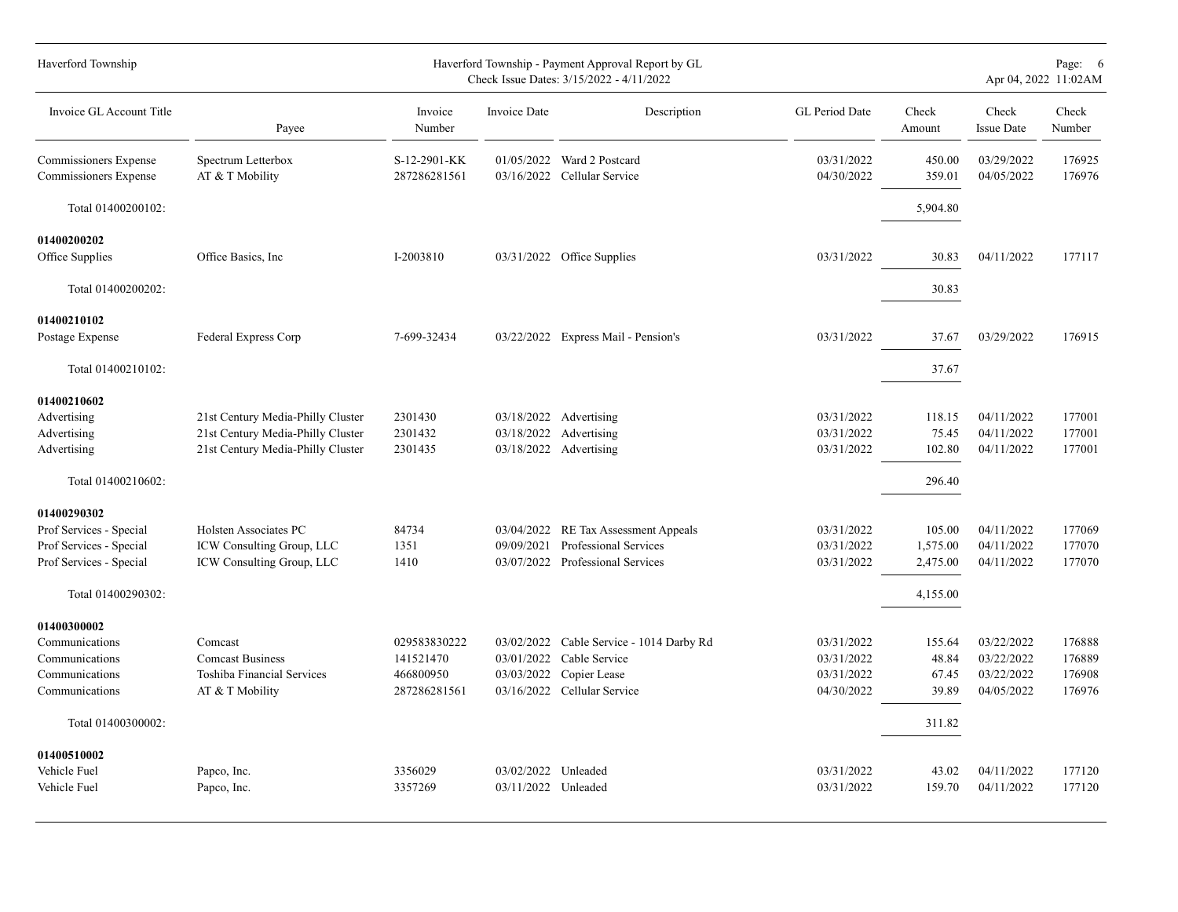| Haverford Township                                                                                                 |                                                                                                             |                                                        |                                   | Haverford Township - Payment Approval Report by GL<br>Check Issue Dates: 3/15/2022 - 4/11/2022           |                                                      |                                            |                                                      | Page: 6<br>Apr 04, 2022 11:02AM      |
|--------------------------------------------------------------------------------------------------------------------|-------------------------------------------------------------------------------------------------------------|--------------------------------------------------------|-----------------------------------|----------------------------------------------------------------------------------------------------------|------------------------------------------------------|--------------------------------------------|------------------------------------------------------|--------------------------------------|
| Invoice GL Account Title                                                                                           | Payee                                                                                                       | Invoice<br>Number                                      | Invoice Date                      | Description                                                                                              | GL Period Date                                       | Check<br>Amount                            | Check<br><b>Issue Date</b>                           | Check<br>Number                      |
| Commissioners Expense<br>Commissioners Expense                                                                     | Spectrum Letterbox<br>AT & T Mobility                                                                       | S-12-2901-KK<br>287286281561                           |                                   | 01/05/2022 Ward 2 Postcard<br>03/16/2022 Cellular Service                                                | 03/31/2022<br>04/30/2022                             | 450.00<br>359.01                           | 03/29/2022<br>04/05/2022                             | 176925<br>176976                     |
| Total 01400200102:                                                                                                 |                                                                                                             |                                                        |                                   |                                                                                                          |                                                      | 5,904.80                                   |                                                      |                                      |
| 01400200202<br>Office Supplies                                                                                     | Office Basics, Inc                                                                                          | I-2003810                                              |                                   | 03/31/2022 Office Supplies                                                                               | 03/31/2022                                           | 30.83                                      | 04/11/2022                                           | 177117                               |
| Total 01400200202:                                                                                                 |                                                                                                             |                                                        |                                   |                                                                                                          |                                                      | 30.83                                      |                                                      |                                      |
| 01400210102<br>Postage Expense                                                                                     | Federal Express Corp                                                                                        | 7-699-32434                                            |                                   | 03/22/2022 Express Mail - Pension's                                                                      | 03/31/2022                                           | 37.67                                      | 03/29/2022                                           | 176915                               |
| Total 01400210102:                                                                                                 |                                                                                                             |                                                        |                                   |                                                                                                          |                                                      | 37.67                                      |                                                      |                                      |
| 01400210602<br>Advertising<br>Advertising<br>Advertising<br>Total 01400210602:                                     | 21st Century Media-Philly Cluster<br>21st Century Media-Philly Cluster<br>21st Century Media-Philly Cluster | 2301430<br>2301432<br>2301435                          | 03/18/2022<br>03/18/2022          | 03/18/2022 Advertising<br>Advertising<br>Advertising                                                     | 03/31/2022<br>03/31/2022<br>03/31/2022               | 118.15<br>75.45<br>102.80<br>296.40        | 04/11/2022<br>04/11/2022<br>04/11/2022               | 177001<br>177001<br>177001           |
| 01400290302<br>Prof Services - Special<br>Prof Services - Special<br>Prof Services - Special<br>Total 01400290302: | Holsten Associates PC<br>ICW Consulting Group, LLC<br>ICW Consulting Group, LLC                             | 84734<br>1351<br>1410                                  | 09/09/2021                        | 03/04/2022 RE Tax Assessment Appeals<br>Professional Services<br>03/07/2022 Professional Services        | 03/31/2022<br>03/31/2022<br>03/31/2022               | 105.00<br>1,575.00<br>2,475.00<br>4,155.00 | 04/11/2022<br>04/11/2022<br>04/11/2022               | 177069<br>177070<br>177070           |
| 01400300002<br>Communications<br>Communications<br>Communications<br>Communications                                | Comcast<br><b>Comcast Business</b><br>Toshiba Financial Services<br>AT & T Mobility                         | 029583830222<br>141521470<br>466800950<br>287286281561 | 03/01/2022<br>03/03/2022          | 03/02/2022 Cable Service - 1014 Darby Rd<br>Cable Service<br>Copier Lease<br>03/16/2022 Cellular Service | 03/31/2022<br>03/31/2022<br>03/31/2022<br>04/30/2022 | 155.64<br>48.84<br>67.45<br>39.89          | 03/22/2022<br>03/22/2022<br>03/22/2022<br>04/05/2022 | 176888<br>176889<br>176908<br>176976 |
| Total 01400300002:                                                                                                 |                                                                                                             |                                                        |                                   |                                                                                                          |                                                      | 311.82                                     |                                                      |                                      |
| 01400510002<br>Vehicle Fuel<br>Vehicle Fuel                                                                        | Papco, Inc.<br>Papco, Inc.                                                                                  | 3356029<br>3357269                                     | 03/02/2022<br>03/11/2022 Unleaded | Unleaded                                                                                                 | 03/31/2022<br>03/31/2022                             | 43.02<br>159.70                            | 04/11/2022<br>04/11/2022                             | 177120<br>177120                     |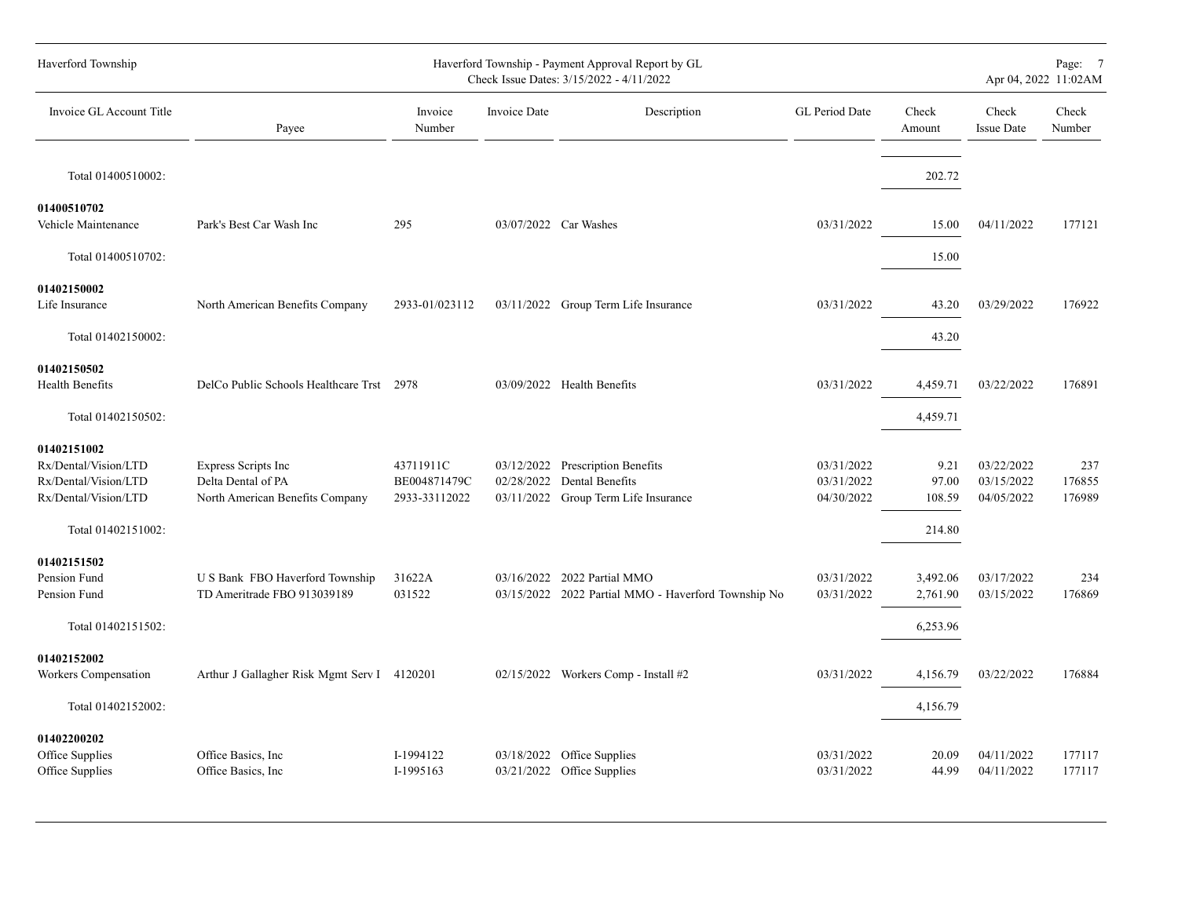| Haverford Township                                                                                        |                                                                              |                                            |              | Haverford Township - Payment Approval Report by GL<br>Check Issue Dates: 3/15/2022 - 4/11/2022 |                                        |                                   |                                        | Page: 7<br>Apr 04, 2022 11:02AM |
|-----------------------------------------------------------------------------------------------------------|------------------------------------------------------------------------------|--------------------------------------------|--------------|------------------------------------------------------------------------------------------------|----------------------------------------|-----------------------------------|----------------------------------------|---------------------------------|
| Invoice GL Account Title                                                                                  | Payee                                                                        | Invoice<br>Number                          | Invoice Date | Description                                                                                    | <b>GL Period Date</b>                  | Check<br>Amount                   | Check<br><b>Issue Date</b>             | Check<br>Number                 |
| Total 01400510002:                                                                                        |                                                                              |                                            |              |                                                                                                |                                        | 202.72                            |                                        |                                 |
| 01400510702<br>Vehicle Maintenance                                                                        | Park's Best Car Wash Inc                                                     | 295                                        |              | 03/07/2022 Car Washes                                                                          | 03/31/2022                             | 15.00                             | 04/11/2022                             | 177121                          |
| Total 01400510702:                                                                                        |                                                                              |                                            |              |                                                                                                |                                        | 15.00                             |                                        |                                 |
| 01402150002<br>Life Insurance                                                                             | North American Benefits Company                                              | 2933-01/023112                             |              | 03/11/2022 Group Term Life Insurance                                                           | 03/31/2022                             | 43.20                             | 03/29/2022                             | 176922                          |
| Total 01402150002:                                                                                        |                                                                              |                                            |              |                                                                                                |                                        | 43.20                             |                                        |                                 |
| 01402150502<br>Health Benefits                                                                            | DelCo Public Schools Healthcare Trst 2978                                    |                                            |              | 03/09/2022 Health Benefits                                                                     | 03/31/2022                             | 4,459.71                          | 03/22/2022                             | 176891                          |
| Total 01402150502:                                                                                        |                                                                              |                                            |              |                                                                                                |                                        | 4,459.71                          |                                        |                                 |
| 01402151002<br>Rx/Dental/Vision/LTD<br>Rx/Dental/Vision/LTD<br>Rx/Dental/Vision/LTD<br>Total 01402151002: | Express Scripts Inc<br>Delta Dental of PA<br>North American Benefits Company | 43711911C<br>BE004871479C<br>2933-33112022 | 02/28/2022   | 03/12/2022 Prescription Benefits<br>Dental Benefits<br>03/11/2022 Group Term Life Insurance    | 03/31/2022<br>03/31/2022<br>04/30/2022 | 9.21<br>97.00<br>108.59<br>214.80 | 03/22/2022<br>03/15/2022<br>04/05/2022 | 237<br>176855<br>176989         |
| 01402151502<br>Pension Fund<br>Pension Fund                                                               | U S Bank FBO Haverford Township<br>TD Ameritrade FBO 913039189               | 31622A<br>031522                           |              | 03/16/2022 2022 Partial MMO<br>03/15/2022 2022 Partial MMO - Haverford Township No             | 03/31/2022<br>03/31/2022               | 3,492.06<br>2,761.90              | 03/17/2022<br>03/15/2022               | 234<br>176869                   |
| Total 01402151502:                                                                                        |                                                                              |                                            |              |                                                                                                |                                        | 6,253.96                          |                                        |                                 |
| 01402152002<br>Workers Compensation                                                                       | Arthur J Gallagher Risk Mgmt Serv I 4120201                                  |                                            |              | 02/15/2022 Workers Comp - Install #2                                                           | 03/31/2022                             | 4,156.79                          | 03/22/2022                             | 176884                          |
| Total 01402152002:                                                                                        |                                                                              |                                            |              |                                                                                                |                                        | 4,156.79                          |                                        |                                 |
| 01402200202<br>Office Supplies<br>Office Supplies                                                         | Office Basics, Inc.<br>Office Basics, Inc.                                   | I-1994122<br>I-1995163                     |              | 03/18/2022 Office Supplies<br>03/21/2022 Office Supplies                                       | 03/31/2022<br>03/31/2022               | 20.09<br>44.99                    | 04/11/2022<br>04/11/2022               | 177117<br>177117                |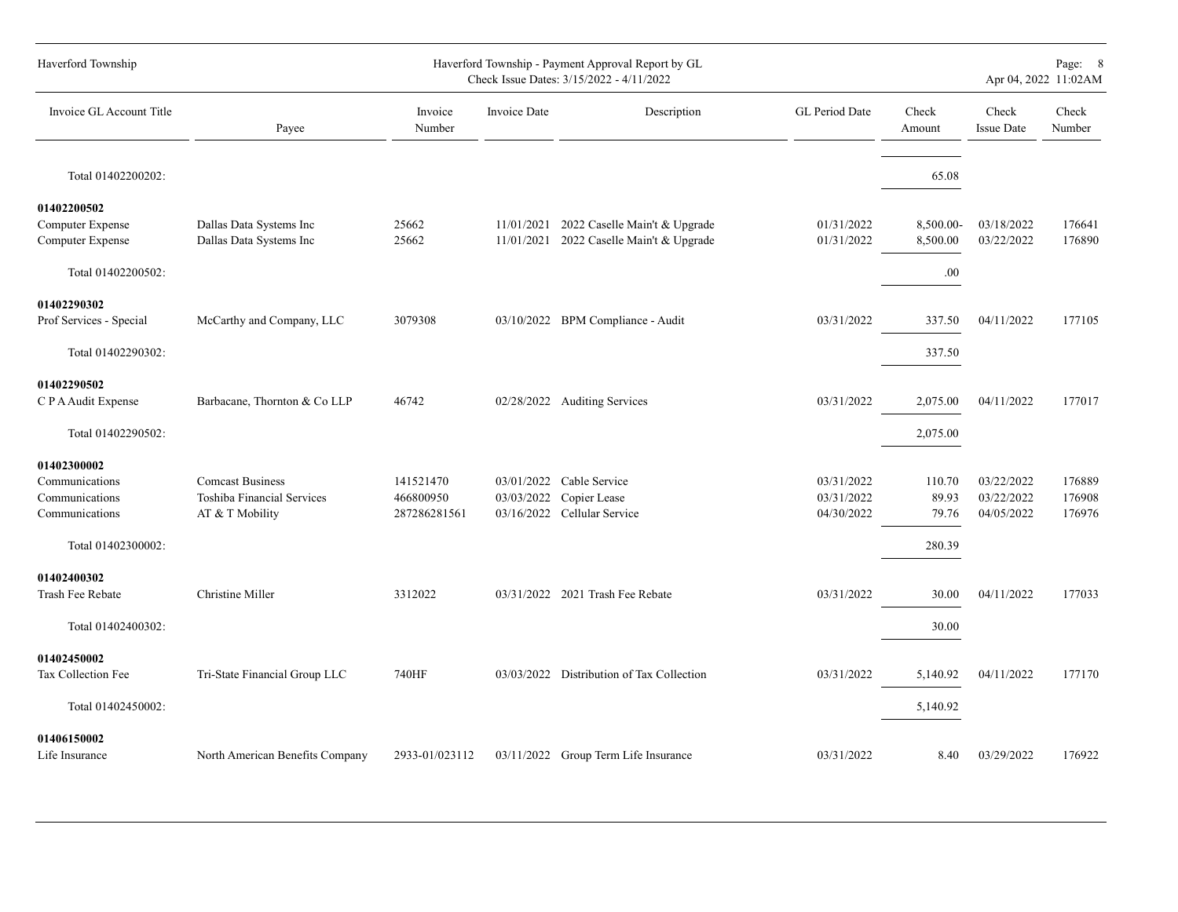| Haverford Township               |                                               |                           |              | Haverford Township - Payment Approval Report by GL<br>Check Issue Dates: 3/15/2022 - 4/11/2022 |                          |                 |                            | Page: 8<br>Apr 04, 2022 11:02AM |
|----------------------------------|-----------------------------------------------|---------------------------|--------------|------------------------------------------------------------------------------------------------|--------------------------|-----------------|----------------------------|---------------------------------|
| Invoice GL Account Title         | Payee                                         | Invoice<br>Number         | Invoice Date | Description                                                                                    | GL Period Date           | Check<br>Amount | Check<br><b>Issue Date</b> | Check<br>Number                 |
| Total 01402200202:               |                                               |                           |              |                                                                                                |                          | 65.08           |                            |                                 |
| 01402200502<br>Computer Expense  | Dallas Data Systems Inc                       | 25662                     | 11/01/2021   | 2022 Caselle Main't & Upgrade                                                                  | 01/31/2022               | 8,500.00-       | 03/18/2022                 | 176641                          |
| Computer Expense                 | Dallas Data Systems Inc                       | 25662                     | 11/01/2021   | 2022 Caselle Main't & Upgrade                                                                  | 01/31/2022               | 8,500.00        | 03/22/2022                 | 176890                          |
| Total 01402200502:               |                                               |                           |              |                                                                                                |                          | .00.            |                            |                                 |
| 01402290302                      |                                               |                           |              |                                                                                                |                          |                 |                            |                                 |
| Prof Services - Special          | McCarthy and Company, LLC                     | 3079308                   |              | 03/10/2022 BPM Compliance - Audit                                                              | 03/31/2022               | 337.50          | 04/11/2022                 | 177105                          |
| Total 01402290302:               |                                               |                           |              |                                                                                                |                          | 337.50          |                            |                                 |
| 01402290502                      |                                               |                           |              |                                                                                                |                          |                 |                            |                                 |
| C P A Audit Expense              | Barbacane, Thornton & Co LLP                  | 46742                     |              | 02/28/2022 Auditing Services                                                                   | 03/31/2022               | 2,075.00        | 04/11/2022                 | 177017                          |
| Total 01402290502:               |                                               |                           |              |                                                                                                |                          | 2,075.00        |                            |                                 |
| 01402300002                      |                                               |                           |              |                                                                                                |                          |                 |                            |                                 |
| Communications                   | <b>Comcast Business</b>                       | 141521470                 | 03/01/2022   | Cable Service                                                                                  | 03/31/2022               | 110.70          | 03/22/2022                 | 176889                          |
| Communications<br>Communications | Toshiba Financial Services<br>AT & T Mobility | 466800950<br>287286281561 | 03/03/2022   | Copier Lease<br>03/16/2022 Cellular Service                                                    | 03/31/2022<br>04/30/2022 | 89.93<br>79.76  | 03/22/2022<br>04/05/2022   | 176908<br>176976                |
|                                  |                                               |                           |              |                                                                                                |                          |                 |                            |                                 |
| Total 01402300002:               |                                               |                           |              |                                                                                                |                          | 280.39          |                            |                                 |
| 01402400302                      |                                               |                           |              |                                                                                                |                          |                 |                            |                                 |
| Trash Fee Rebate                 | Christine Miller                              | 3312022                   |              | 03/31/2022 2021 Trash Fee Rebate                                                               | 03/31/2022               | 30.00           | 04/11/2022                 | 177033                          |
| Total 01402400302:               |                                               |                           |              |                                                                                                |                          | 30.00           |                            |                                 |
| 01402450002                      |                                               |                           |              |                                                                                                |                          |                 |                            |                                 |
| Tax Collection Fee               | Tri-State Financial Group LLC                 | 740HF                     | 03/03/2022   | Distribution of Tax Collection                                                                 | 03/31/2022               | 5,140.92        | 04/11/2022                 | 177170                          |
| Total 01402450002:               |                                               |                           |              |                                                                                                |                          | 5,140.92        |                            |                                 |
| 01406150002<br>Life Insurance    | North American Benefits Company               | 2933-01/023112            |              | 03/11/2022 Group Term Life Insurance                                                           | 03/31/2022               | 8.40            | 03/29/2022                 | 176922                          |
|                                  |                                               |                           |              |                                                                                                |                          |                 |                            |                                 |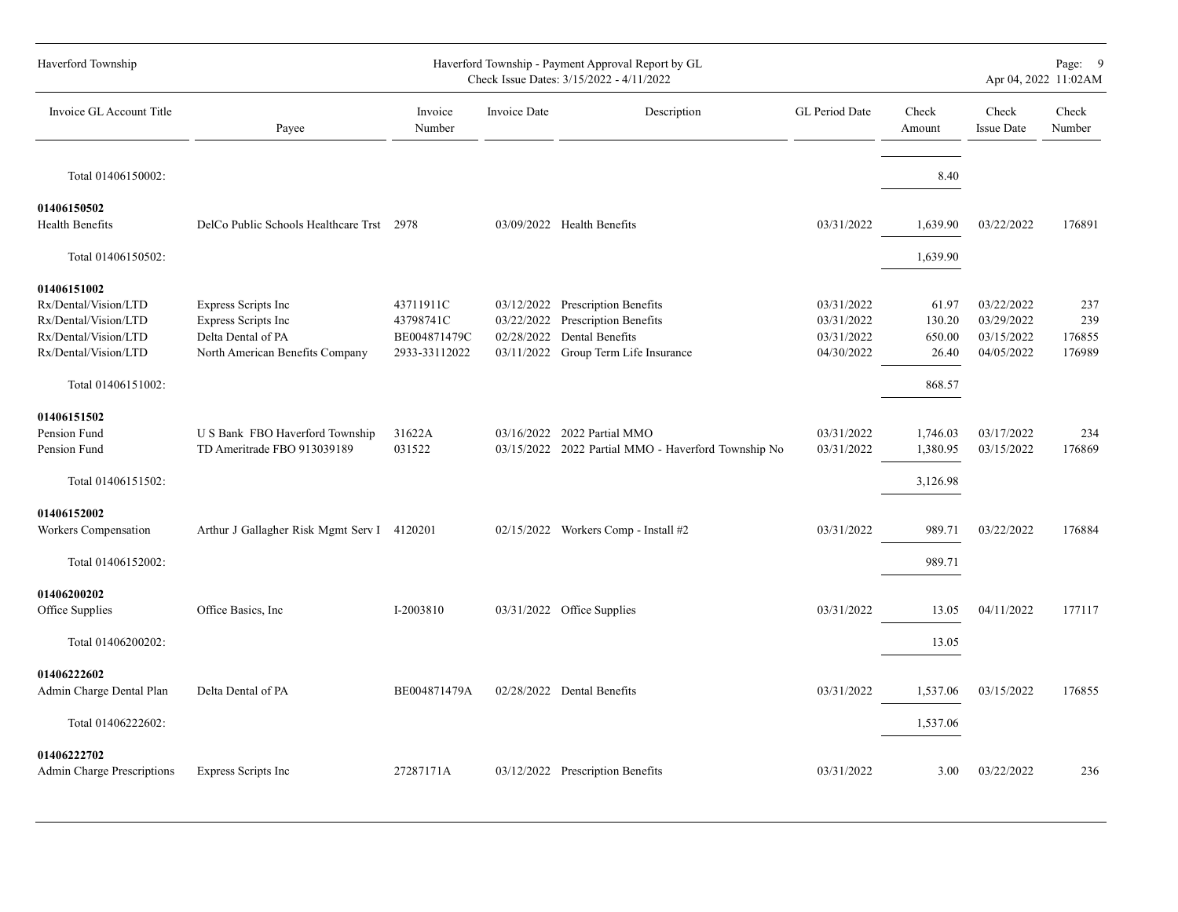| Haverford Township                                                                                          |                                                                                                            |                                                         |                          | Haverford Township - Payment Approval Report by GL<br>Check Issue Dates: 3/15/2022 - 4/11/2022                       |                                                      |                                    |                                                      | Page: 9<br>Apr 04, 2022 11:02AM |
|-------------------------------------------------------------------------------------------------------------|------------------------------------------------------------------------------------------------------------|---------------------------------------------------------|--------------------------|----------------------------------------------------------------------------------------------------------------------|------------------------------------------------------|------------------------------------|------------------------------------------------------|---------------------------------|
| Invoice GL Account Title                                                                                    | Payee                                                                                                      | Invoice<br>Number                                       | <b>Invoice Date</b>      | Description                                                                                                          | GL Period Date                                       | Check<br>Amount                    | Check<br><b>Issue Date</b>                           | Check<br>Number                 |
| Total 01406150002:                                                                                          |                                                                                                            |                                                         |                          |                                                                                                                      |                                                      | 8.40                               |                                                      |                                 |
| 01406150502                                                                                                 |                                                                                                            |                                                         |                          |                                                                                                                      |                                                      |                                    |                                                      |                                 |
| Health Benefits                                                                                             | DelCo Public Schools Healthcare Trst 2978                                                                  |                                                         |                          | 03/09/2022 Health Benefits                                                                                           | 03/31/2022                                           | 1,639.90                           | 03/22/2022                                           | 176891                          |
| Total 01406150502:                                                                                          |                                                                                                            |                                                         |                          |                                                                                                                      |                                                      | 1,639.90                           |                                                      |                                 |
| 01406151002<br>Rx/Dental/Vision/LTD<br>Rx/Dental/Vision/LTD<br>Rx/Dental/Vision/LTD<br>Rx/Dental/Vision/LTD | <b>Express Scripts Inc</b><br>Express Scripts Inc<br>Delta Dental of PA<br>North American Benefits Company | 43711911C<br>43798741C<br>BE004871479C<br>2933-33112022 | 03/22/2022<br>02/28/2022 | 03/12/2022 Prescription Benefits<br>Prescription Benefits<br>Dental Benefits<br>03/11/2022 Group Term Life Insurance | 03/31/2022<br>03/31/2022<br>03/31/2022<br>04/30/2022 | 61.97<br>130.20<br>650.00<br>26.40 | 03/22/2022<br>03/29/2022<br>03/15/2022<br>04/05/2022 | 237<br>239<br>176855<br>176989  |
| Total 01406151002:                                                                                          |                                                                                                            |                                                         |                          |                                                                                                                      |                                                      | 868.57                             |                                                      |                                 |
| 01406151502<br>Pension Fund<br>Pension Fund                                                                 | U S Bank FBO Haverford Township<br>TD Ameritrade FBO 913039189                                             | 31622A<br>031522                                        |                          | 03/16/2022 2022 Partial MMO<br>03/15/2022 2022 Partial MMO - Haverford Township No                                   | 03/31/2022<br>03/31/2022                             | 1,746.03<br>1,380.95               | 03/17/2022<br>03/15/2022                             | 234<br>176869                   |
| Total 01406151502:                                                                                          |                                                                                                            |                                                         |                          |                                                                                                                      |                                                      | 3,126.98                           |                                                      |                                 |
| 01406152002<br>Workers Compensation<br>Total 01406152002:                                                   | Arthur J Gallagher Risk Mgmt Serv I 4120201                                                                |                                                         |                          | 02/15/2022 Workers Comp - Install #2                                                                                 | 03/31/2022                                           | 989.71<br>989.71                   | 03/22/2022                                           | 176884                          |
| 01406200202<br>Office Supplies                                                                              | Office Basics, Inc.                                                                                        | I-2003810                                               |                          | 03/31/2022 Office Supplies                                                                                           | 03/31/2022                                           | 13.05                              | 04/11/2022                                           | 177117                          |
| Total 01406200202:                                                                                          |                                                                                                            |                                                         |                          |                                                                                                                      |                                                      | 13.05                              |                                                      |                                 |
| 01406222602<br>Admin Charge Dental Plan                                                                     | Delta Dental of PA                                                                                         | BE004871479A                                            |                          | 02/28/2022 Dental Benefits                                                                                           | 03/31/2022                                           | 1,537.06                           | 03/15/2022                                           | 176855                          |
| Total 01406222602:                                                                                          |                                                                                                            |                                                         |                          |                                                                                                                      |                                                      | 1,537.06                           |                                                      |                                 |
| 01406222702<br><b>Admin Charge Prescriptions</b>                                                            | Express Scripts Inc                                                                                        | 27287171A                                               |                          | 03/12/2022 Prescription Benefits                                                                                     | 03/31/2022                                           | 3.00                               | 03/22/2022                                           | 236                             |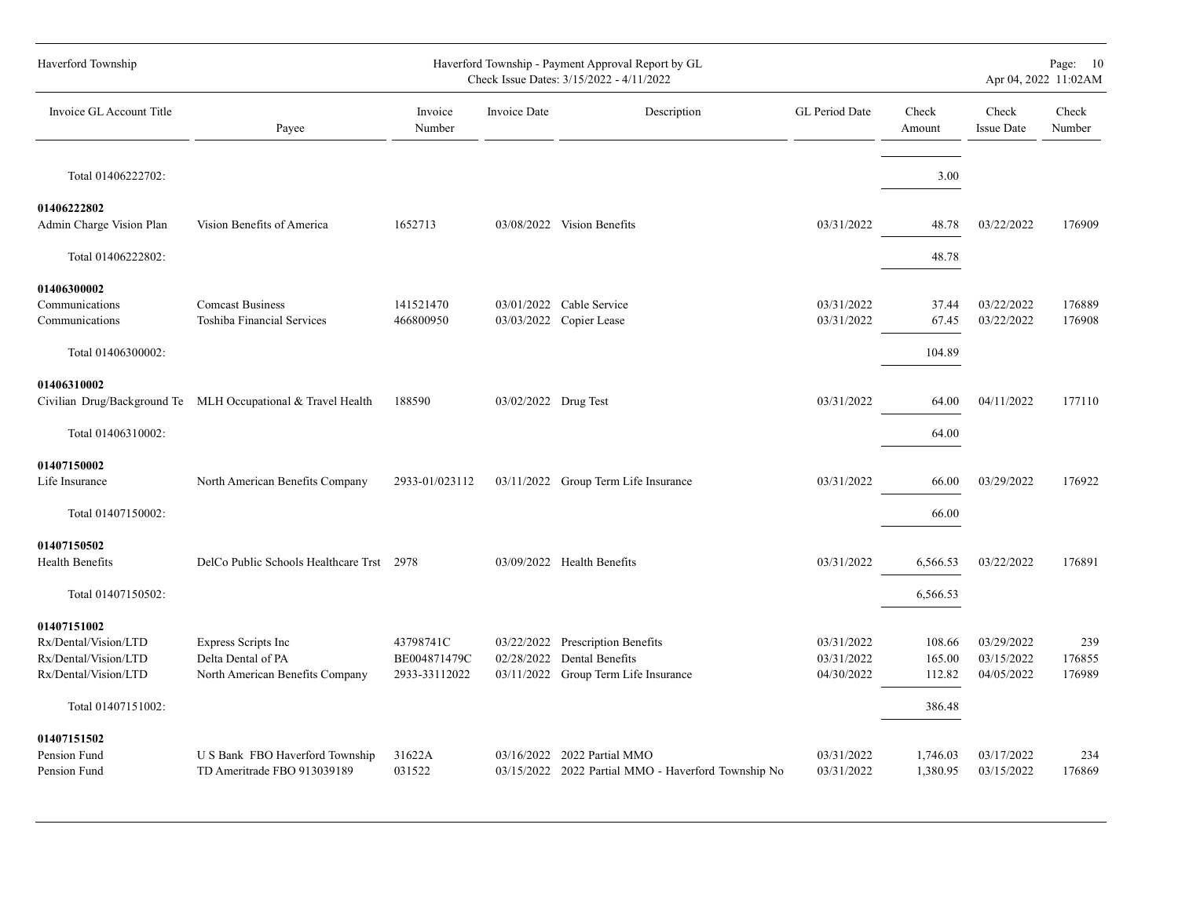| Haverford Township                                                                                        |                                                                              |                                            |                      | Haverford Township - Payment Approval Report by GL<br>Check Issue Dates: 3/15/2022 - 4/11/2022         |                                        |                                      | Apr 04, 2022 11:02AM                   | Page: 10                |
|-----------------------------------------------------------------------------------------------------------|------------------------------------------------------------------------------|--------------------------------------------|----------------------|--------------------------------------------------------------------------------------------------------|----------------------------------------|--------------------------------------|----------------------------------------|-------------------------|
| Invoice GL Account Title                                                                                  | Payee                                                                        | Invoice<br>Number                          | Invoice Date         | Description                                                                                            | GL Period Date                         | Check<br>Amount                      | Check<br><b>Issue Date</b>             | Check<br>Number         |
| Total 01406222702:                                                                                        |                                                                              |                                            |                      |                                                                                                        |                                        | 3.00                                 |                                        |                         |
| 01406222802<br>Admin Charge Vision Plan                                                                   | Vision Benefits of America                                                   | 1652713                                    |                      | 03/08/2022 Vision Benefits                                                                             | 03/31/2022                             | 48.78                                | 03/22/2022                             | 176909                  |
| Total 01406222802:                                                                                        |                                                                              |                                            |                      |                                                                                                        |                                        | 48.78                                |                                        |                         |
| 01406300002<br>Communications<br>Communications<br>Total 01406300002:                                     | <b>Comcast Business</b><br>Toshiba Financial Services                        | 141521470<br>466800950                     |                      | 03/01/2022 Cable Service<br>03/03/2022 Copier Lease                                                    | 03/31/2022<br>03/31/2022               | 37.44<br>67.45<br>104.89             | 03/22/2022<br>03/22/2022               | 176889<br>176908        |
| 01406310002<br>Total 01406310002:                                                                         | Civilian Drug/Background Te MLH Occupational & Travel Health                 | 188590                                     | 03/02/2022 Drug Test |                                                                                                        | 03/31/2022                             | 64.00<br>64.00                       | 04/11/2022                             | 177110                  |
| 01407150002<br>Life Insurance<br>Total 01407150002:                                                       | North American Benefits Company                                              | 2933-01/023112                             |                      | 03/11/2022 Group Term Life Insurance                                                                   | 03/31/2022                             | 66.00<br>66.00                       | 03/29/2022                             | 176922                  |
| 01407150502<br><b>Health Benefits</b><br>Total 01407150502:                                               | DelCo Public Schools Healthcare Trst 2978                                    |                                            |                      | 03/09/2022 Health Benefits                                                                             | 03/31/2022                             | 6,566.53<br>6,566.53                 | 03/22/2022                             | 176891                  |
| 01407151002<br>Rx/Dental/Vision/LTD<br>Rx/Dental/Vision/LTD<br>Rx/Dental/Vision/LTD<br>Total 01407151002: | Express Scripts Inc<br>Delta Dental of PA<br>North American Benefits Company | 43798741C<br>BE004871479C<br>2933-33112022 |                      | 03/22/2022 Prescription Benefits<br>02/28/2022 Dental Benefits<br>03/11/2022 Group Term Life Insurance | 03/31/2022<br>03/31/2022<br>04/30/2022 | 108.66<br>165.00<br>112.82<br>386.48 | 03/29/2022<br>03/15/2022<br>04/05/2022 | 239<br>176855<br>176989 |
| 01407151502<br>Pension Fund<br>Pension Fund                                                               | U S Bank FBO Haverford Township<br>TD Ameritrade FBO 913039189               | 31622A<br>031522                           |                      | 03/16/2022 2022 Partial MMO<br>03/15/2022 2022 Partial MMO - Haverford Township No                     | 03/31/2022<br>03/31/2022               | 1,746.03<br>1,380.95                 | 03/17/2022<br>03/15/2022               | 234<br>176869           |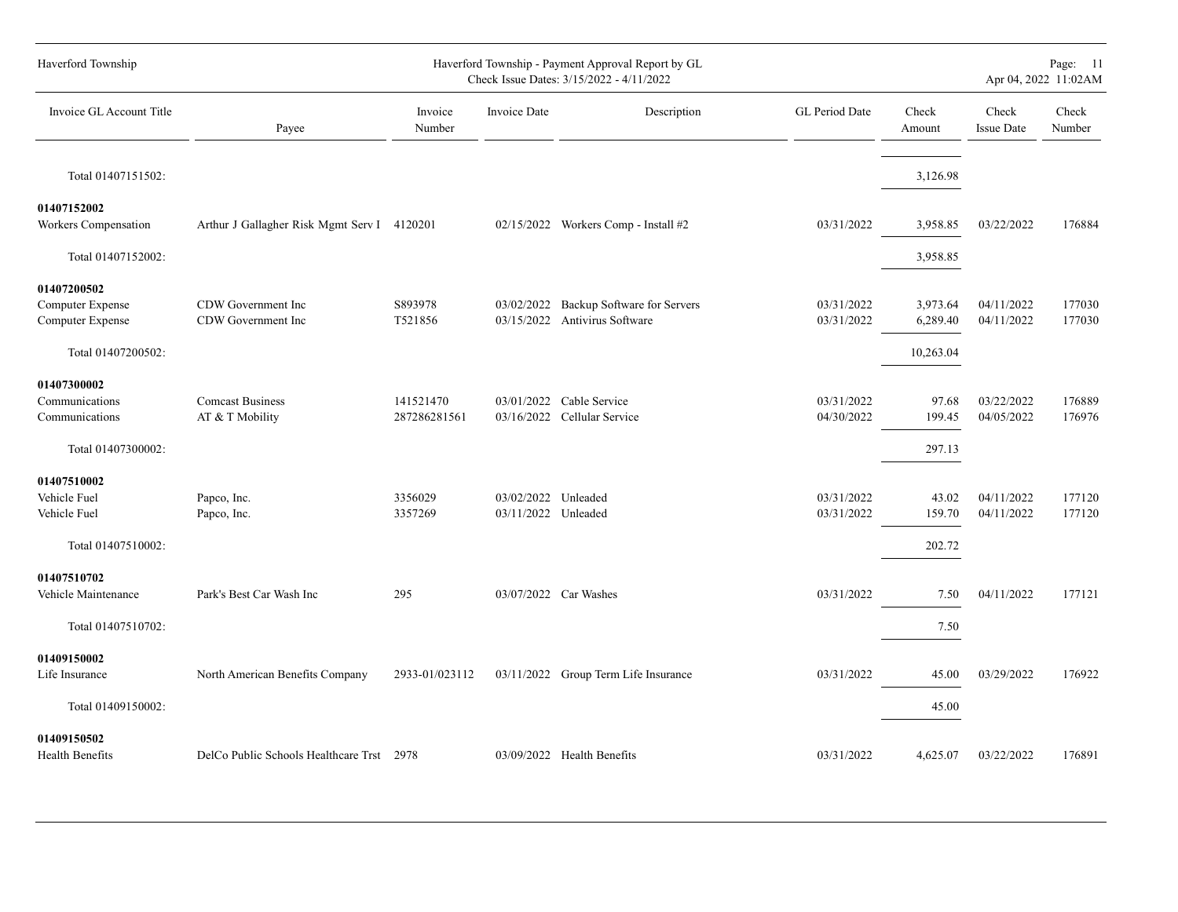| Haverford Township                                                |                                             |                           |                                            | Haverford Township - Payment Approval Report by GL<br>Check Issue Dates: 3/15/2022 - 4/11/2022 |                          |                           |                            | Page: 11<br>Apr 04, 2022 11:02AM |
|-------------------------------------------------------------------|---------------------------------------------|---------------------------|--------------------------------------------|------------------------------------------------------------------------------------------------|--------------------------|---------------------------|----------------------------|----------------------------------|
| Invoice GL Account Title                                          | Payee                                       | Invoice<br>Number         | Invoice Date                               | Description                                                                                    | GL Period Date           | Check<br>Amount           | Check<br><b>Issue Date</b> | Check<br>Number                  |
| Total 01407151502:                                                |                                             |                           |                                            |                                                                                                |                          | 3,126.98                  |                            |                                  |
| 01407152002<br>Workers Compensation                               | Arthur J Gallagher Risk Mgmt Serv I 4120201 |                           |                                            | 02/15/2022 Workers Comp - Install #2                                                           | 03/31/2022               | 3,958.85                  | 03/22/2022                 | 176884                           |
| Total 01407152002:                                                |                                             |                           |                                            |                                                                                                |                          | 3,958.85                  |                            |                                  |
| 01407200502<br>Computer Expense<br>Computer Expense               | CDW Government Inc<br>CDW Government Inc    | S893978<br>T521856        | 03/02/2022                                 | Backup Software for Servers<br>03/15/2022 Antivirus Software                                   | 03/31/2022<br>03/31/2022 | 3,973.64<br>6,289.40      | 04/11/2022<br>04/11/2022   | 177030<br>177030                 |
| Total 01407200502:                                                |                                             |                           |                                            |                                                                                                |                          | 10,263.04                 |                            |                                  |
| 01407300002<br>Communications<br>Communications                   | <b>Comcast Business</b><br>AT & T Mobility  | 141521470<br>287286281561 |                                            | 03/01/2022 Cable Service<br>03/16/2022 Cellular Service                                        | 03/31/2022<br>04/30/2022 | 97.68<br>199.45           | 03/22/2022<br>04/05/2022   | 176889<br>176976                 |
| Total 01407300002:                                                |                                             |                           |                                            |                                                                                                |                          | 297.13                    |                            |                                  |
| 01407510002<br>Vehicle Fuel<br>Vehicle Fuel<br>Total 01407510002: | Papco, Inc.<br>Papco, Inc.                  | 3356029<br>3357269        | 03/02/2022 Unleaded<br>03/11/2022 Unleaded |                                                                                                | 03/31/2022<br>03/31/2022 | 43.02<br>159.70<br>202.72 | 04/11/2022<br>04/11/2022   | 177120<br>177120                 |
| 01407510702<br>Vehicle Maintenance                                | Park's Best Car Wash Inc                    | 295                       |                                            | 03/07/2022 Car Washes                                                                          | 03/31/2022               | 7.50                      | 04/11/2022                 | 177121                           |
| Total 01407510702:                                                |                                             |                           |                                            |                                                                                                |                          | 7.50                      |                            |                                  |
| 01409150002<br>Life Insurance                                     | North American Benefits Company             | 2933-01/023112            |                                            | 03/11/2022 Group Term Life Insurance                                                           | 03/31/2022               | 45.00                     | 03/29/2022                 | 176922                           |
| Total 01409150002:                                                |                                             |                           |                                            |                                                                                                |                          | 45.00                     |                            |                                  |
| 01409150502<br>Health Benefits                                    | DelCo Public Schools Healthcare Trst 2978   |                           |                                            | 03/09/2022 Health Benefits                                                                     | 03/31/2022               | 4,625.07                  | 03/22/2022                 | 176891                           |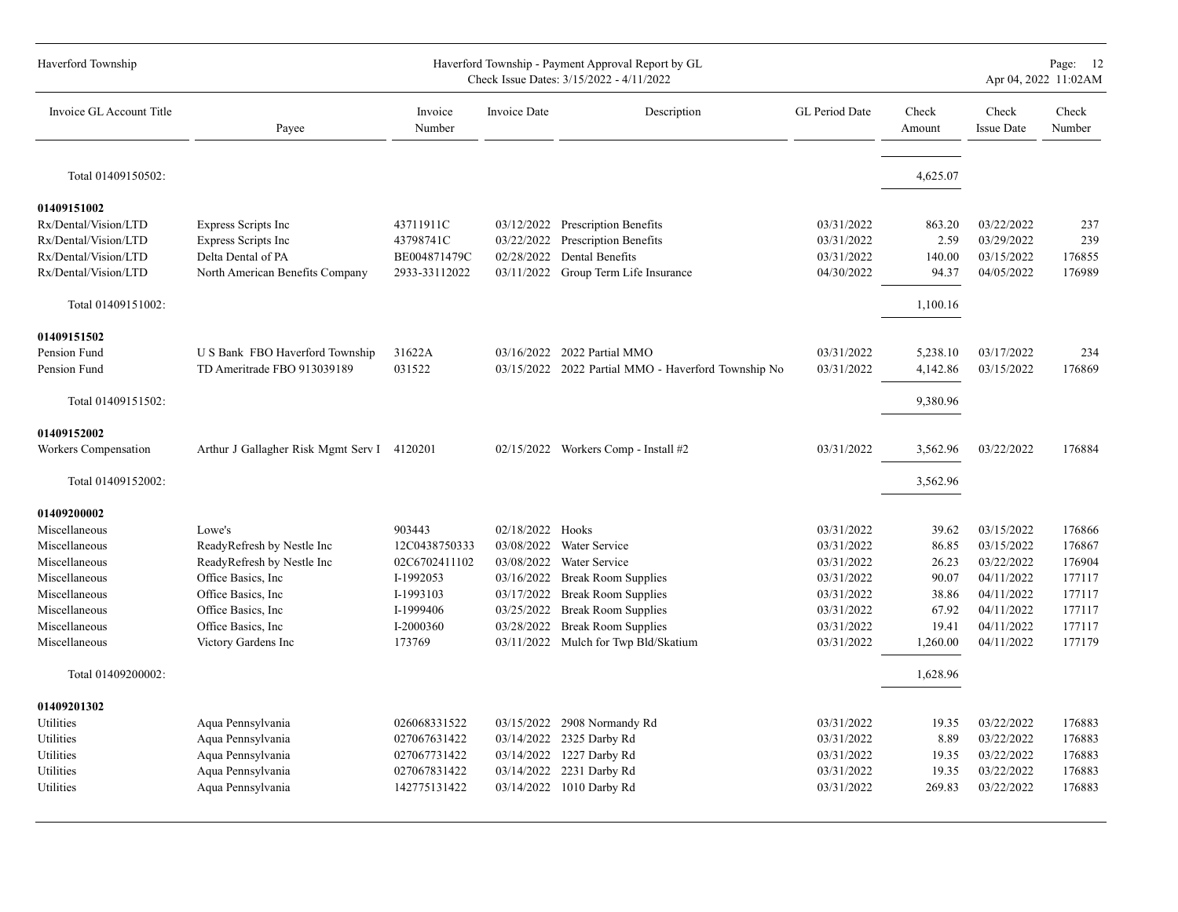| Haverford Township                                                                  |                                                                  |                                        |                                        | Haverford Township - Payment Approval Report by GL<br>Check Issue Dates: 3/15/2022 - 4/11/2022 |                                        |                          |                                        | Page: 12<br>Apr 04, 2022 11:02AM |
|-------------------------------------------------------------------------------------|------------------------------------------------------------------|----------------------------------------|----------------------------------------|------------------------------------------------------------------------------------------------|----------------------------------------|--------------------------|----------------------------------------|----------------------------------|
| Invoice GL Account Title                                                            | Payee                                                            | Invoice<br>Number                      | Invoice Date                           | Description                                                                                    | GL Period Date                         | Check<br>Amount          | Check<br><b>Issue Date</b>             | Check<br>Number                  |
| Total 01409150502:                                                                  |                                                                  |                                        |                                        |                                                                                                |                                        | 4,625.07                 |                                        |                                  |
| 01409151002<br>Rx/Dental/Vision/LTD<br>Rx/Dental/Vision/LTD<br>Rx/Dental/Vision/LTD | Express Scripts Inc<br>Express Scripts Inc<br>Delta Dental of PA | 43711911C<br>43798741C<br>BE004871479C | 03/12/2022<br>03/22/2022<br>02/28/2022 | <b>Prescription Benefits</b><br><b>Prescription Benefits</b><br>Dental Benefits                | 03/31/2022<br>03/31/2022<br>03/31/2022 | 863.20<br>2.59<br>140.00 | 03/22/2022<br>03/29/2022<br>03/15/2022 | 237<br>239<br>176855             |
| Rx/Dental/Vision/LTD                                                                | North American Benefits Company                                  | 2933-33112022                          | 03/11/2022                             | Group Term Life Insurance                                                                      | 04/30/2022                             | 94.37                    | 04/05/2022                             | 176989                           |
| Total 01409151002:                                                                  |                                                                  |                                        |                                        |                                                                                                |                                        | 1,100.16                 |                                        |                                  |
| 01409151502<br>Pension Fund<br>Pension Fund                                         | U S Bank FBO Haverford Township<br>TD Ameritrade FBO 913039189   | 31622A<br>031522                       | 03/16/2022                             | 2022 Partial MMO<br>03/15/2022 2022 Partial MMO - Haverford Township No                        | 03/31/2022<br>03/31/2022               | 5,238.10<br>4,142.86     | 03/17/2022<br>03/15/2022               | 234<br>176869                    |
| Total 01409151502:                                                                  |                                                                  |                                        |                                        |                                                                                                |                                        | 9,380.96                 |                                        |                                  |
| 01409152002<br>Workers Compensation                                                 | Arthur J Gallagher Risk Mgmt Serv I 4120201                      |                                        |                                        | 02/15/2022 Workers Comp - Install #2                                                           | 03/31/2022                             | 3,562.96                 | 03/22/2022                             | 176884                           |
| Total 01409152002:                                                                  |                                                                  |                                        |                                        |                                                                                                |                                        | 3,562.96                 |                                        |                                  |
| 01409200002<br>Miscellaneous                                                        | Lowe's                                                           | 903443                                 | 02/18/2022 Hooks                       |                                                                                                | 03/31/2022                             | 39.62                    | 03/15/2022                             | 176866                           |
| Miscellaneous                                                                       | ReadyRefresh by Nestle Inc                                       | 12C0438750333                          | 03/08/2022                             | Water Service                                                                                  | 03/31/2022                             | 86.85                    | 03/15/2022                             | 176867                           |
| Miscellaneous                                                                       | ReadyRefresh by Nestle Inc                                       | 02C6702411102                          | 03/08/2022                             | Water Service                                                                                  | 03/31/2022                             | 26.23                    | 03/22/2022                             | 176904                           |
| Miscellaneous                                                                       | Office Basics, Inc.                                              | I-1992053                              | 03/16/2022                             | <b>Break Room Supplies</b>                                                                     | 03/31/2022                             | 90.07                    | 04/11/2022                             | 177117                           |
| Miscellaneous                                                                       | Office Basics, Inc.                                              | I-1993103                              | 03/17/2022                             | <b>Break Room Supplies</b>                                                                     | 03/31/2022                             | 38.86                    | 04/11/2022                             | 177117                           |
| Miscellaneous                                                                       | Office Basics, Inc.                                              | I-1999406                              | 03/25/2022                             | <b>Break Room Supplies</b>                                                                     | 03/31/2022                             | 67.92                    | 04/11/2022                             | 177117                           |
| Miscellaneous                                                                       | Office Basics, Inc.                                              | I-2000360                              | 03/28/2022                             | <b>Break Room Supplies</b>                                                                     | 03/31/2022                             | 19.41                    | 04/11/2022                             | 177117                           |
| Miscellaneous                                                                       | Victory Gardens Inc                                              | 173769                                 |                                        | 03/11/2022 Mulch for Twp Bld/Skatium                                                           | 03/31/2022                             | 1,260.00                 | 04/11/2022                             | 177179                           |
| Total 01409200002:                                                                  |                                                                  |                                        |                                        |                                                                                                |                                        | 1,628.96                 |                                        |                                  |
| 01409201302                                                                         |                                                                  |                                        |                                        |                                                                                                |                                        |                          |                                        |                                  |
| Utilities                                                                           | Aqua Pennsylvania                                                | 026068331522                           |                                        | 03/15/2022 2908 Normandy Rd                                                                    | 03/31/2022                             | 19.35                    | 03/22/2022                             | 176883                           |
| Utilities                                                                           | Aqua Pennsylvania                                                | 027067631422                           |                                        | 03/14/2022 2325 Darby Rd                                                                       | 03/31/2022                             | 8.89                     | 03/22/2022                             | 176883                           |
| Utilities                                                                           | Aqua Pennsylvania                                                | 027067731422                           | 03/14/2022                             | 1227 Darby Rd                                                                                  | 03/31/2022                             | 19.35                    | 03/22/2022                             | 176883                           |
| Utilities                                                                           | Aqua Pennsylvania                                                | 027067831422                           | 03/14/2022                             | 2231 Darby Rd                                                                                  | 03/31/2022                             | 19.35                    | 03/22/2022                             | 176883                           |
| Utilities                                                                           | Aqua Pennsylvania                                                | 142775131422                           | 03/14/2022                             | 1010 Darby Rd                                                                                  | 03/31/2022                             | 269.83                   | 03/22/2022                             | 176883                           |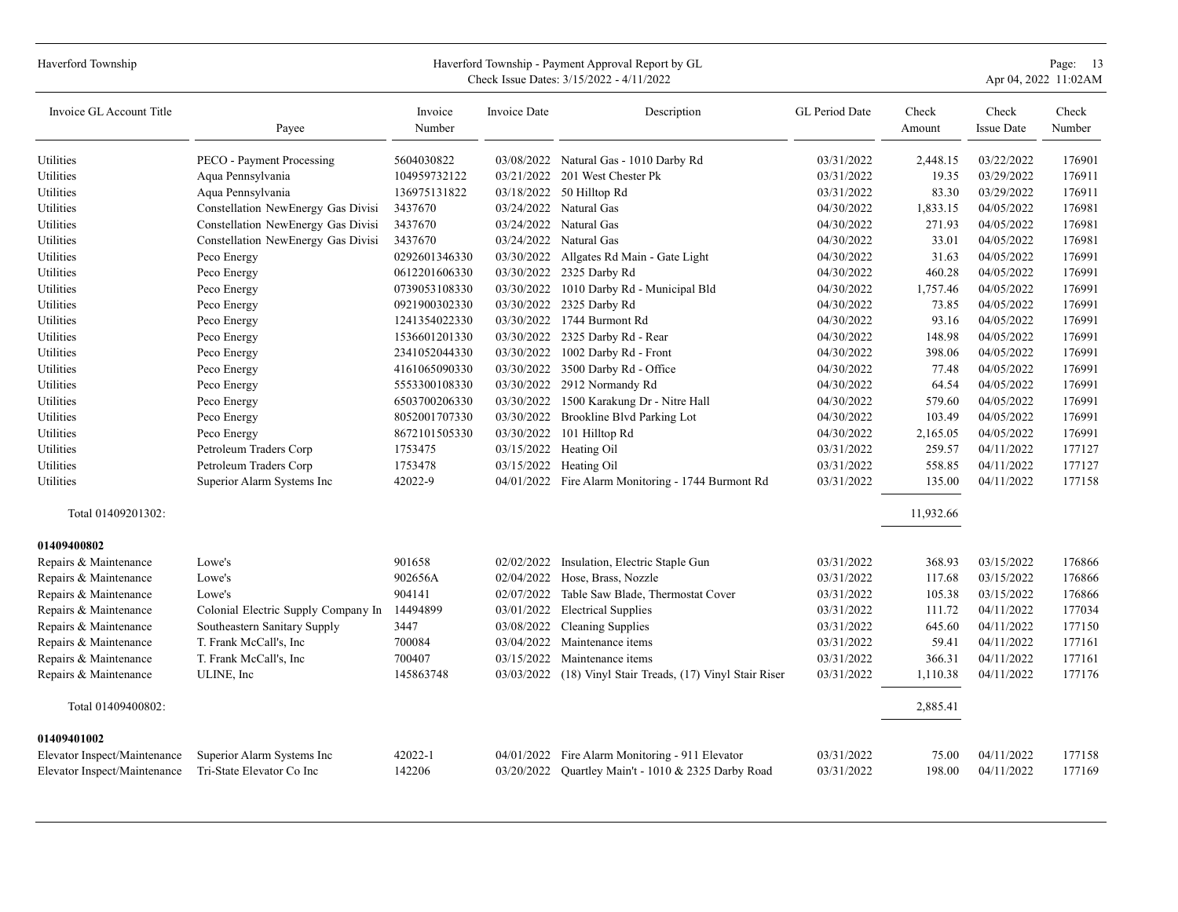| Haverford Township           |                                     |                   |              | Haverford Township - Payment Approval Report by GL<br>Check Issue Dates: 3/15/2022 - 4/11/2022 |                |                 |                            | Page: 13<br>Apr 04, 2022 11:02AM |
|------------------------------|-------------------------------------|-------------------|--------------|------------------------------------------------------------------------------------------------|----------------|-----------------|----------------------------|----------------------------------|
| Invoice GL Account Title     | Payee                               | Invoice<br>Number | Invoice Date | Description                                                                                    | GL Period Date | Check<br>Amount | Check<br><b>Issue Date</b> | Check<br>Number                  |
| Utilities                    | PECO - Payment Processing           | 5604030822        |              | 03/08/2022 Natural Gas - 1010 Darby Rd                                                         | 03/31/2022     | 2,448.15        | 03/22/2022                 | 176901                           |
| Utilities                    | Aqua Pennsylvania                   | 104959732122      |              | 03/21/2022 201 West Chester Pk                                                                 | 03/31/2022     | 19.35           | 03/29/2022                 | 176911                           |
| Utilities                    | Aqua Pennsylvania                   | 136975131822      |              | 03/18/2022 50 Hilltop Rd                                                                       | 03/31/2022     | 83.30           | 03/29/2022                 | 176911                           |
| Utilities                    | Constellation NewEnergy Gas Divisi  | 3437670           |              | 03/24/2022 Natural Gas                                                                         | 04/30/2022     | 1,833.15        | 04/05/2022                 | 176981                           |
| Utilities                    | Constellation NewEnergy Gas Divisi  | 3437670           | 03/24/2022   | Natural Gas                                                                                    | 04/30/2022     | 271.93          | 04/05/2022                 | 176981                           |
| Utilities                    | Constellation NewEnergy Gas Divisi  | 3437670           |              | 03/24/2022 Natural Gas                                                                         | 04/30/2022     | 33.01           | 04/05/2022                 | 176981                           |
| Utilities                    | Peco Energy                         | 0292601346330     |              | 03/30/2022 Allgates Rd Main - Gate Light                                                       | 04/30/2022     | 31.63           | 04/05/2022                 | 176991                           |
| Utilities                    | Peco Energy                         | 0612201606330     |              | 03/30/2022 2325 Darby Rd                                                                       | 04/30/2022     | 460.28          | 04/05/2022                 | 176991                           |
| Utilities                    | Peco Energy                         | 0739053108330     |              | 03/30/2022 1010 Darby Rd - Municipal Bld                                                       | 04/30/2022     | 1,757.46        | 04/05/2022                 | 176991                           |
| Utilities                    | Peco Energy                         | 0921900302330     | 03/30/2022   | 2325 Darby Rd                                                                                  | 04/30/2022     | 73.85           | 04/05/2022                 | 176991                           |
| Utilities                    | Peco Energy                         | 1241354022330     |              | 03/30/2022 1744 Burmont Rd                                                                     | 04/30/2022     | 93.16           | 04/05/2022                 | 176991                           |
| Utilities                    | Peco Energy                         | 1536601201330     | 03/30/2022   | 2325 Darby Rd - Rear                                                                           | 04/30/2022     | 148.98          | 04/05/2022                 | 176991                           |
| Utilities                    | Peco Energy                         | 2341052044330     | 03/30/2022   | 1002 Darby Rd - Front                                                                          | 04/30/2022     | 398.06          | 04/05/2022                 | 176991                           |
| Utilities                    | Peco Energy                         | 4161065090330     |              | 03/30/2022 3500 Darby Rd - Office                                                              | 04/30/2022     | 77.48           | 04/05/2022                 | 176991                           |
| Utilities                    | Peco Energy                         | 5553300108330     | 03/30/2022   | 2912 Normandy Rd                                                                               | 04/30/2022     | 64.54           | 04/05/2022                 | 176991                           |
| Utilities                    | Peco Energy                         | 6503700206330     | 03/30/2022   | 1500 Karakung Dr - Nitre Hall                                                                  | 04/30/2022     | 579.60          | 04/05/2022                 | 176991                           |
| Utilities                    | Peco Energy                         | 8052001707330     |              | 03/30/2022 Brookline Blvd Parking Lot                                                          | 04/30/2022     | 103.49          | 04/05/2022                 | 176991                           |
| Utilities                    | Peco Energy                         | 8672101505330     | 03/30/2022   | 101 Hilltop Rd                                                                                 | 04/30/2022     | 2,165.05        | 04/05/2022                 | 176991                           |
| Utilities                    | Petroleum Traders Corp              | 1753475           |              | 03/15/2022 Heating Oil                                                                         | 03/31/2022     | 259.57          | 04/11/2022                 | 177127                           |
| Utilities                    | Petroleum Traders Corp              | 1753478           |              | 03/15/2022 Heating Oil                                                                         | 03/31/2022     | 558.85          | 04/11/2022                 | 177127                           |
| Utilities                    | Superior Alarm Systems Inc          | 42022-9           |              | 04/01/2022 Fire Alarm Monitoring - 1744 Burmont Rd                                             | 03/31/2022     | 135.00          | 04/11/2022                 | 177158                           |
| Total 01409201302:           |                                     |                   |              |                                                                                                |                | 11,932.66       |                            |                                  |
| 01409400802                  |                                     |                   |              |                                                                                                |                |                 |                            |                                  |
| Repairs & Maintenance        | Lowe's                              | 901658            | 02/02/2022   | Insulation, Electric Staple Gun                                                                | 03/31/2022     | 368.93          | 03/15/2022                 | 176866                           |
| Repairs & Maintenance        | Lowe's                              | 902656A           | 02/04/2022   | Hose, Brass, Nozzle                                                                            | 03/31/2022     | 117.68          | 03/15/2022                 | 176866                           |
| Repairs & Maintenance        | Lowe's                              | 904141            |              | 02/07/2022 Table Saw Blade, Thermostat Cover                                                   | 03/31/2022     | 105.38          | 03/15/2022                 | 176866                           |
| Repairs & Maintenance        | Colonial Electric Supply Company In | 14494899          | 03/01/2022   | <b>Electrical Supplies</b>                                                                     | 03/31/2022     | 111.72          | 04/11/2022                 | 177034                           |
| Repairs & Maintenance        | Southeastern Sanitary Supply        | 3447              | 03/08/2022   | <b>Cleaning Supplies</b>                                                                       | 03/31/2022     | 645.60          | 04/11/2022                 | 177150                           |
| Repairs & Maintenance        | T. Frank McCall's, Inc              | 700084            | 03/04/2022   | Maintenance items                                                                              | 03/31/2022     | 59.41           | 04/11/2022                 | 177161                           |
| Repairs & Maintenance        | T. Frank McCall's, Inc              | 700407            | 03/15/2022   | Maintenance items                                                                              | 03/31/2022     | 366.31          | 04/11/2022                 | 177161                           |
| Repairs & Maintenance        | ULINE, Inc                          | 145863748         | 03/03/2022   | (18) Vinyl Stair Treads, (17) Vinyl Stair Riser                                                | 03/31/2022     | 1,110.38        | 04/11/2022                 | 177176                           |
| Total 01409400802:           |                                     |                   |              |                                                                                                |                | 2,885.41        |                            |                                  |
| 01409401002                  |                                     |                   |              |                                                                                                |                |                 |                            |                                  |
| Elevator Inspect/Maintenance | Superior Alarm Systems Inc          | 42022-1           |              | 04/01/2022 Fire Alarm Monitoring - 911 Elevator                                                | 03/31/2022     | 75.00           | 04/11/2022                 | 177158                           |
| Elevator Inspect/Maintenance | Tri-State Elevator Co Inc           | 142206            |              | 03/20/2022 Quartley Main't - 1010 & 2325 Darby Road                                            | 03/31/2022     | 198.00          | 04/11/2022                 | 177169                           |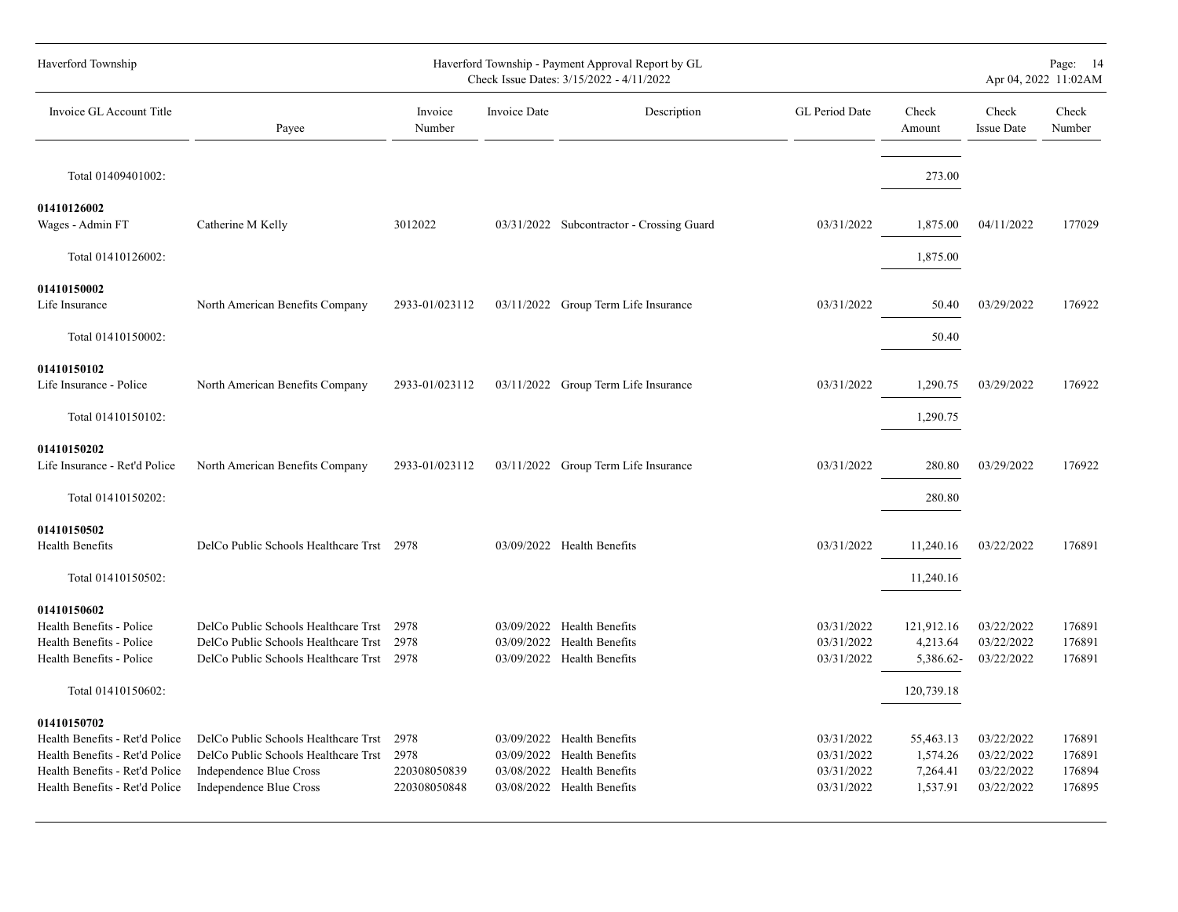| Haverford Township                                                                                                                                  |                                                                                                                                    |                                              |              | Haverford Township - Payment Approval Report by GL<br>Check Issue Dates: 3/15/2022 - 4/11/2022                       |                                                      |                                               |                                                      | Page: 14<br>Apr 04, 2022 11:02AM     |
|-----------------------------------------------------------------------------------------------------------------------------------------------------|------------------------------------------------------------------------------------------------------------------------------------|----------------------------------------------|--------------|----------------------------------------------------------------------------------------------------------------------|------------------------------------------------------|-----------------------------------------------|------------------------------------------------------|--------------------------------------|
| Invoice GL Account Title                                                                                                                            | Payee                                                                                                                              | Invoice<br>Number                            | Invoice Date | Description                                                                                                          | GL Period Date                                       | Check<br>Amount                               | Check<br><b>Issue Date</b>                           | Check<br>Number                      |
| Total 01409401002:                                                                                                                                  |                                                                                                                                    |                                              |              |                                                                                                                      |                                                      | 273.00                                        |                                                      |                                      |
| 01410126002<br>Wages - Admin FT                                                                                                                     | Catherine M Kelly                                                                                                                  | 3012022                                      |              | 03/31/2022 Subcontractor - Crossing Guard                                                                            | 03/31/2022                                           | 1,875.00                                      | 04/11/2022                                           | 177029                               |
| Total 01410126002:                                                                                                                                  |                                                                                                                                    |                                              |              |                                                                                                                      |                                                      | 1,875.00                                      |                                                      |                                      |
| 01410150002<br>Life Insurance                                                                                                                       | North American Benefits Company                                                                                                    | 2933-01/023112                               |              | 03/11/2022 Group Term Life Insurance                                                                                 | 03/31/2022                                           | 50.40                                         | 03/29/2022                                           | 176922                               |
| Total 01410150002:                                                                                                                                  |                                                                                                                                    |                                              |              |                                                                                                                      |                                                      | 50.40                                         |                                                      |                                      |
| 01410150102<br>Life Insurance - Police                                                                                                              | North American Benefits Company                                                                                                    | 2933-01/023112                               |              | 03/11/2022 Group Term Life Insurance                                                                                 | 03/31/2022                                           | 1,290.75                                      | 03/29/2022                                           | 176922                               |
| Total 01410150102:                                                                                                                                  |                                                                                                                                    |                                              |              |                                                                                                                      |                                                      | 1,290.75                                      |                                                      |                                      |
| 01410150202<br>Life Insurance - Ret'd Police                                                                                                        | North American Benefits Company                                                                                                    | 2933-01/023112                               |              | 03/11/2022 Group Term Life Insurance                                                                                 | 03/31/2022                                           | 280.80                                        | 03/29/2022                                           | 176922                               |
| Total 01410150202:                                                                                                                                  |                                                                                                                                    |                                              |              |                                                                                                                      |                                                      | 280.80                                        |                                                      |                                      |
| 01410150502<br>Health Benefits                                                                                                                      | DelCo Public Schools Healthcare Trst 2978                                                                                          |                                              |              | 03/09/2022 Health Benefits                                                                                           | 03/31/2022                                           | 11,240.16                                     | 03/22/2022                                           | 176891                               |
| Total 01410150502:                                                                                                                                  |                                                                                                                                    |                                              |              |                                                                                                                      |                                                      | 11,240.16                                     |                                                      |                                      |
| 01410150602<br>Health Benefits - Police<br>Health Benefits - Police<br>Health Benefits - Police                                                     | DelCo Public Schools Healthcare Trst<br>DelCo Public Schools Healthcare Trst<br>DelCo Public Schools Healthcare Trst 2978          | 2978<br>2978                                 |              | 03/09/2022 Health Benefits<br>03/09/2022 Health Benefits<br>03/09/2022 Health Benefits                               | 03/31/2022<br>03/31/2022<br>03/31/2022               | 121,912.16<br>4,213.64<br>5,386.62-           | 03/22/2022<br>03/22/2022<br>03/22/2022               | 176891<br>176891<br>176891           |
| Total 01410150602:                                                                                                                                  |                                                                                                                                    |                                              |              |                                                                                                                      |                                                      | 120,739.18                                    |                                                      |                                      |
| 01410150702<br>Health Benefits - Ret'd Police<br>Health Benefits - Ret'd Police<br>Health Benefits - Ret'd Police<br>Health Benefits - Ret'd Police | DelCo Public Schools Healthcare Trst<br>DelCo Public Schools Healthcare Trst<br>Independence Blue Cross<br>Independence Blue Cross | 2978<br>2978<br>220308050839<br>220308050848 |              | 03/09/2022 Health Benefits<br>03/09/2022 Health Benefits<br>03/08/2022 Health Benefits<br>03/08/2022 Health Benefits | 03/31/2022<br>03/31/2022<br>03/31/2022<br>03/31/2022 | 55,463.13<br>1,574.26<br>7,264.41<br>1,537.91 | 03/22/2022<br>03/22/2022<br>03/22/2022<br>03/22/2022 | 176891<br>176891<br>176894<br>176895 |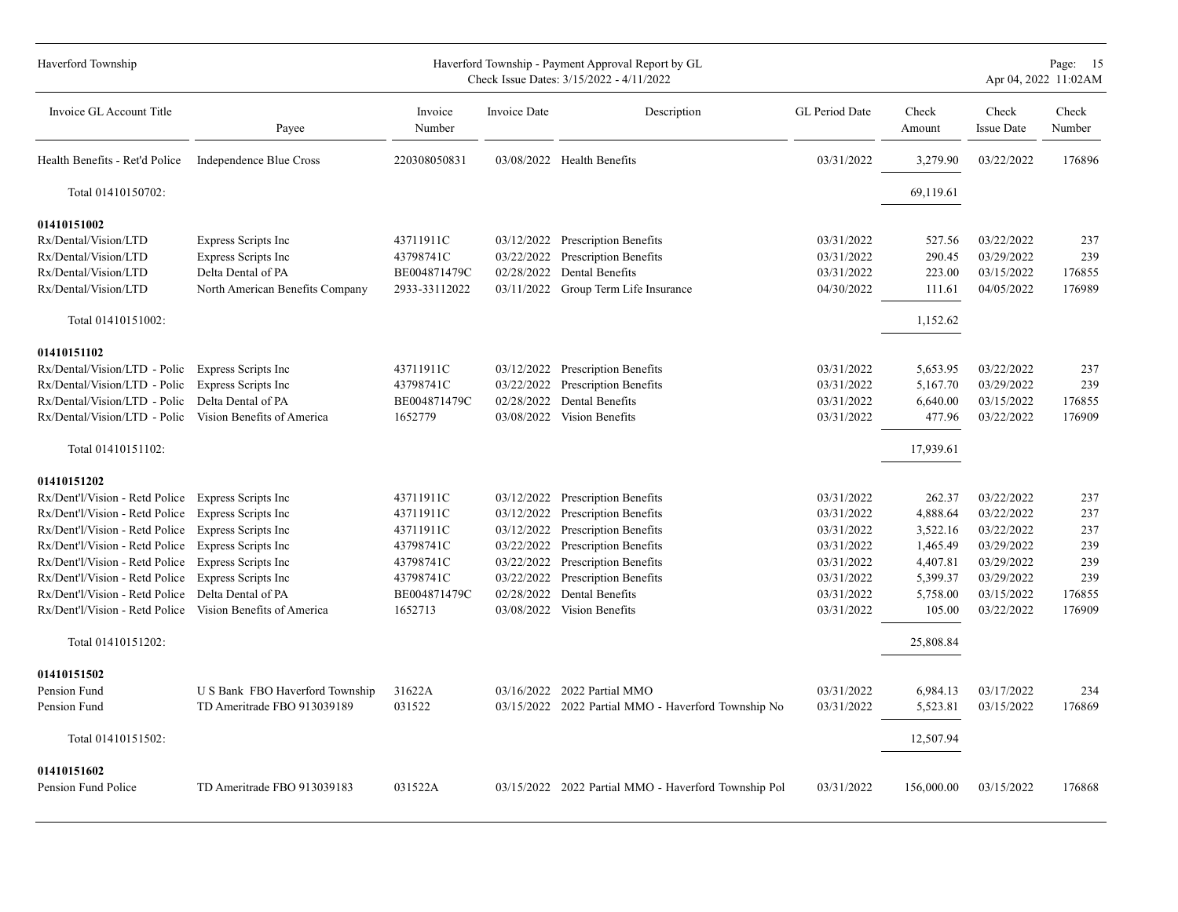| Haverford Township                                                                                                                                                                                                                                                                                                                                                                                                                                   |                                                                                                     |                                                                                                       |                                                                                  | Haverford Township - Payment Approval Report by GL<br>Check Issue Dates: 3/15/2022 - 4/11/2022                                                                                                                                                    |                                                                                                              |                                                                                                       |                                                                                                              | Page: 15<br>Apr 04, 2022 11:02AM                           |
|------------------------------------------------------------------------------------------------------------------------------------------------------------------------------------------------------------------------------------------------------------------------------------------------------------------------------------------------------------------------------------------------------------------------------------------------------|-----------------------------------------------------------------------------------------------------|-------------------------------------------------------------------------------------------------------|----------------------------------------------------------------------------------|---------------------------------------------------------------------------------------------------------------------------------------------------------------------------------------------------------------------------------------------------|--------------------------------------------------------------------------------------------------------------|-------------------------------------------------------------------------------------------------------|--------------------------------------------------------------------------------------------------------------|------------------------------------------------------------|
| Invoice GL Account Title                                                                                                                                                                                                                                                                                                                                                                                                                             | Payee                                                                                               | Invoice<br>Number                                                                                     | Invoice Date                                                                     | Description                                                                                                                                                                                                                                       | GL Period Date                                                                                               | Check<br>Amount                                                                                       | Check<br><b>Issue Date</b>                                                                                   | Check<br>Number                                            |
| Health Benefits - Ret'd Police Independence Blue Cross                                                                                                                                                                                                                                                                                                                                                                                               |                                                                                                     | 220308050831                                                                                          |                                                                                  | 03/08/2022 Health Benefits                                                                                                                                                                                                                        | 03/31/2022                                                                                                   | 3,279.90                                                                                              | 03/22/2022                                                                                                   | 176896                                                     |
| Total 01410150702:                                                                                                                                                                                                                                                                                                                                                                                                                                   |                                                                                                     |                                                                                                       |                                                                                  |                                                                                                                                                                                                                                                   |                                                                                                              | 69,119.61                                                                                             |                                                                                                              |                                                            |
| 01410151002<br>Rx/Dental/Vision/LTD<br>Rx/Dental/Vision/LTD<br>Rx/Dental/Vision/LTD<br>Rx/Dental/Vision/LTD                                                                                                                                                                                                                                                                                                                                          | Express Scripts Inc<br>Express Scripts Inc<br>Delta Dental of PA<br>North American Benefits Company | 43711911C<br>43798741C<br>BE004871479C<br>2933-33112022                                               | 02/28/2022                                                                       | 03/12/2022 Prescription Benefits<br>03/22/2022 Prescription Benefits<br>Dental Benefits<br>03/11/2022 Group Term Life Insurance                                                                                                                   | 03/31/2022<br>03/31/2022<br>03/31/2022<br>04/30/2022                                                         | 527.56<br>290.45<br>223.00<br>111.61                                                                  | 03/22/2022<br>03/29/2022<br>03/15/2022<br>04/05/2022                                                         | 237<br>239<br>176855<br>176989                             |
| Total 01410151002:                                                                                                                                                                                                                                                                                                                                                                                                                                   |                                                                                                     |                                                                                                       |                                                                                  |                                                                                                                                                                                                                                                   |                                                                                                              | 1,152.62                                                                                              |                                                                                                              |                                                            |
| 01410151102<br>Rx/Dental/Vision/LTD - Polic Express Scripts Inc<br>Rx/Dental/Vision/LTD - Polic<br>Rx/Dental/Vision/LTD - Polic<br>Rx/Dental/Vision/LTD - Polic Vision Benefits of America<br>Total 01410151102:                                                                                                                                                                                                                                     | Express Scripts Inc<br>Delta Dental of PA                                                           | 43711911C<br>43798741C<br>BE004871479C<br>1652779                                                     | 03/22/2022<br>02/28/2022                                                         | 03/12/2022 Prescription Benefits<br><b>Prescription Benefits</b><br>Dental Benefits<br>03/08/2022 Vision Benefits                                                                                                                                 | 03/31/2022<br>03/31/2022<br>03/31/2022<br>03/31/2022                                                         | 5,653.95<br>5,167.70<br>6,640.00<br>477.96<br>17,939.61                                               | 03/22/2022<br>03/29/2022<br>03/15/2022<br>03/22/2022                                                         | 237<br>239<br>176855<br>176909                             |
| 01410151202                                                                                                                                                                                                                                                                                                                                                                                                                                          |                                                                                                     |                                                                                                       |                                                                                  |                                                                                                                                                                                                                                                   |                                                                                                              |                                                                                                       |                                                                                                              |                                                            |
| Rx/Dent'l/Vision - Retd Police Express Scripts Inc<br>Rx/Dent'l/Vision - Retd Police Express Scripts Inc<br>Rx/Dent'l/Vision - Retd Police Express Scripts Inc<br>Rx/Dent'l/Vision - Retd Police Express Scripts Inc<br>Rx/Dent'l/Vision - Retd Police<br>Rx/Dent'l/Vision - Retd Police Express Scripts Inc<br>Rx/Dent'l/Vision - Retd Police Delta Dental of PA<br>Rx/Dent'l/Vision - Retd Police Vision Benefits of America<br>Total 01410151202: | Express Scripts Inc                                                                                 | 43711911C<br>43711911C<br>43711911C<br>43798741C<br>43798741C<br>43798741C<br>BE004871479C<br>1652713 | 03/12/2022<br>03/12/2022<br>03/22/2022<br>03/22/2022<br>03/22/2022<br>02/28/2022 | <b>Prescription Benefits</b><br><b>Prescription Benefits</b><br>03/12/2022 Prescription Benefits<br><b>Prescription Benefits</b><br><b>Prescription Benefits</b><br><b>Prescription Benefits</b><br>Dental Benefits<br>03/08/2022 Vision Benefits | 03/31/2022<br>03/31/2022<br>03/31/2022<br>03/31/2022<br>03/31/2022<br>03/31/2022<br>03/31/2022<br>03/31/2022 | 262.37<br>4,888.64<br>3,522.16<br>1,465.49<br>4,407.81<br>5,399.37<br>5,758.00<br>105.00<br>25,808.84 | 03/22/2022<br>03/22/2022<br>03/22/2022<br>03/29/2022<br>03/29/2022<br>03/29/2022<br>03/15/2022<br>03/22/2022 | 237<br>237<br>237<br>239<br>239<br>239<br>176855<br>176909 |
| 01410151502                                                                                                                                                                                                                                                                                                                                                                                                                                          |                                                                                                     |                                                                                                       |                                                                                  |                                                                                                                                                                                                                                                   |                                                                                                              |                                                                                                       |                                                                                                              |                                                            |
| Pension Fund<br>Pension Fund                                                                                                                                                                                                                                                                                                                                                                                                                         | U S Bank FBO Haverford Township<br>TD Ameritrade FBO 913039189                                      | 31622A<br>031522                                                                                      |                                                                                  | 03/16/2022 2022 Partial MMO<br>03/15/2022 2022 Partial MMO - Haverford Township No                                                                                                                                                                | 03/31/2022<br>03/31/2022                                                                                     | 6,984.13<br>5,523.81                                                                                  | 03/17/2022<br>03/15/2022                                                                                     | 234<br>176869                                              |
| Total 01410151502:                                                                                                                                                                                                                                                                                                                                                                                                                                   |                                                                                                     |                                                                                                       |                                                                                  |                                                                                                                                                                                                                                                   |                                                                                                              | 12,507.94                                                                                             |                                                                                                              |                                                            |
| 01410151602<br>Pension Fund Police                                                                                                                                                                                                                                                                                                                                                                                                                   | TD Ameritrade FBO 913039183                                                                         | 031522A                                                                                               |                                                                                  | 03/15/2022 2022 Partial MMO - Haverford Township Pol                                                                                                                                                                                              | 03/31/2022                                                                                                   | 156,000.00                                                                                            | 03/15/2022                                                                                                   | 176868                                                     |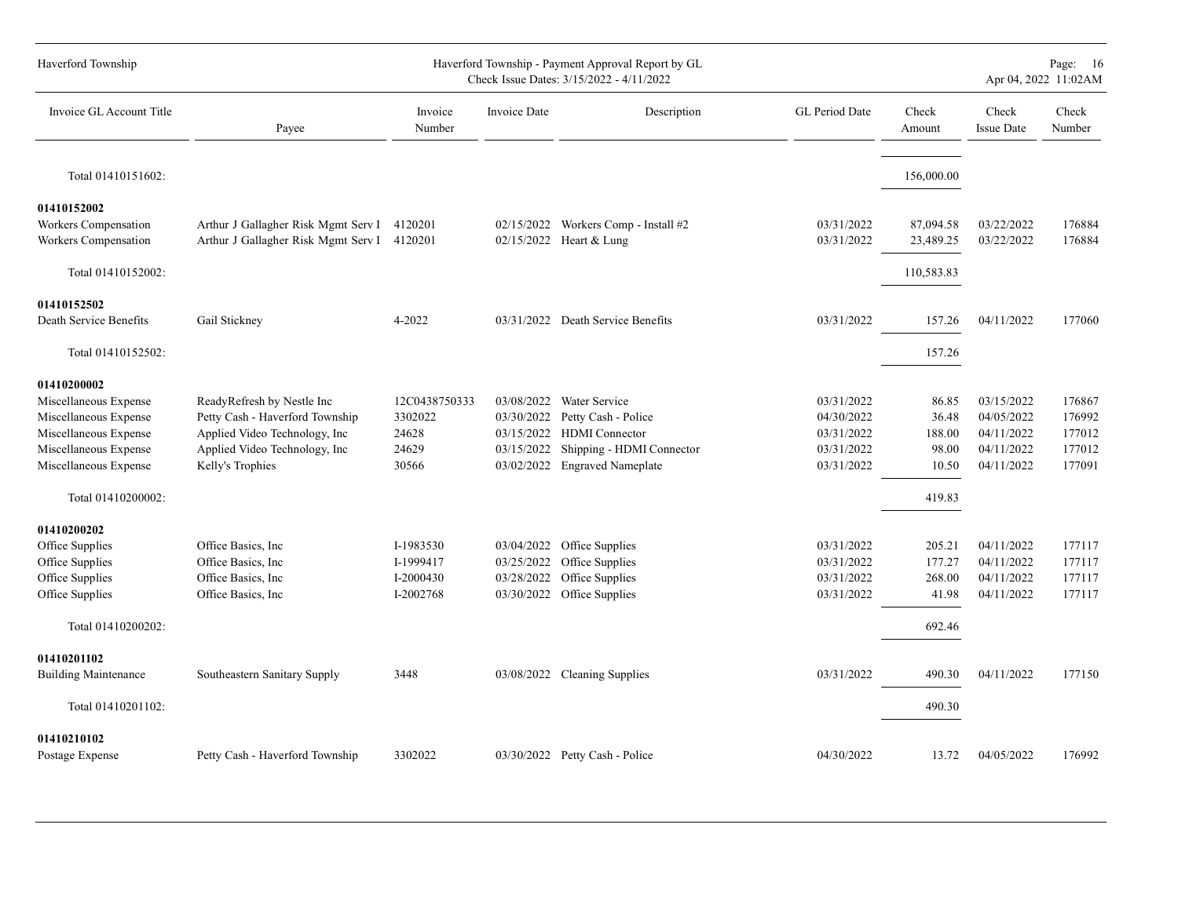| Haverford Township                           |                                                                            |                    |              | Haverford Township - Payment Approval Report by GL<br>Check Issue Dates: 3/15/2022 - 4/11/2022 |                          |                        |                            | Page: 16<br>Apr 04, 2022 11:02AM |
|----------------------------------------------|----------------------------------------------------------------------------|--------------------|--------------|------------------------------------------------------------------------------------------------|--------------------------|------------------------|----------------------------|----------------------------------|
| Invoice GL Account Title                     | Payee                                                                      | Invoice<br>Number  | Invoice Date | Description                                                                                    | <b>GL</b> Period Date    | Check<br>Amount        | Check<br><b>Issue Date</b> | Check<br>Number                  |
| Total 01410151602:                           |                                                                            |                    |              |                                                                                                |                          | 156,000.00             |                            |                                  |
| 01410152002                                  |                                                                            |                    |              |                                                                                                |                          |                        |                            |                                  |
| Workers Compensation<br>Workers Compensation | Arthur J Gallagher Risk Mgmt Serv I<br>Arthur J Gallagher Risk Mgmt Serv I | 4120201<br>4120201 |              | 02/15/2022 Workers Comp - Install #2<br>02/15/2022 Heart & Lung                                | 03/31/2022<br>03/31/2022 | 87,094.58<br>23,489.25 | 03/22/2022<br>03/22/2022   | 176884<br>176884                 |
| Total 01410152002:                           |                                                                            |                    |              |                                                                                                |                          | 110,583.83             |                            |                                  |
| 01410152502                                  |                                                                            |                    |              |                                                                                                |                          |                        |                            |                                  |
| Death Service Benefits                       | Gail Stickney                                                              | 4-2022             |              | 03/31/2022 Death Service Benefits                                                              | 03/31/2022               | 157.26                 | 04/11/2022                 | 177060                           |
| Total 01410152502:                           |                                                                            |                    |              |                                                                                                |                          | 157.26                 |                            |                                  |
| 01410200002                                  |                                                                            |                    |              |                                                                                                |                          |                        |                            |                                  |
| Miscellaneous Expense                        | ReadyRefresh by Nestle Inc                                                 | 12C0438750333      |              | 03/08/2022 Water Service                                                                       | 03/31/2022               | 86.85                  | 03/15/2022                 | 176867                           |
| Miscellaneous Expense                        | Petty Cash - Haverford Township                                            | 3302022            | 03/30/2022   | Petty Cash - Police                                                                            | 04/30/2022               | 36.48                  | 04/05/2022                 | 176992                           |
| Miscellaneous Expense                        | Applied Video Technology, Inc                                              | 24628              |              | 03/15/2022 HDMI Connector                                                                      | 03/31/2022               | 188.00                 | 04/11/2022                 | 177012                           |
| Miscellaneous Expense                        | Applied Video Technology, Inc                                              | 24629              |              | 03/15/2022 Shipping - HDMI Connector                                                           | 03/31/2022               | 98.00                  | 04/11/2022                 | 177012                           |
| Miscellaneous Expense                        | Kelly's Trophies                                                           | 30566              |              | 03/02/2022 Engraved Nameplate                                                                  | 03/31/2022               | 10.50                  | 04/11/2022                 | 177091                           |
| Total 01410200002:                           |                                                                            |                    |              |                                                                                                |                          | 419.83                 |                            |                                  |
| 01410200202                                  |                                                                            |                    |              |                                                                                                |                          |                        |                            |                                  |
| Office Supplies                              | Office Basics, Inc.                                                        | I-1983530          |              | 03/04/2022 Office Supplies                                                                     | 03/31/2022               | 205.21                 | 04/11/2022                 | 177117                           |
| Office Supplies                              | Office Basics, Inc.                                                        | I-1999417          | 03/25/2022   | Office Supplies                                                                                | 03/31/2022               | 177.27                 | 04/11/2022                 | 177117                           |
| Office Supplies                              | Office Basics, Inc.                                                        | I-2000430          | 03/28/2022   | Office Supplies                                                                                | 03/31/2022               | 268.00                 | 04/11/2022                 | 177117                           |
| Office Supplies                              | Office Basics, Inc.                                                        | I-2002768          | 03/30/2022   | Office Supplies                                                                                | 03/31/2022               | 41.98                  | 04/11/2022                 | 177117                           |
| Total 01410200202:                           |                                                                            |                    |              |                                                                                                |                          | 692.46                 |                            |                                  |
| 01410201102                                  |                                                                            |                    |              |                                                                                                |                          |                        |                            |                                  |
| <b>Building Maintenance</b>                  | Southeastern Sanitary Supply                                               | 3448               |              | 03/08/2022 Cleaning Supplies                                                                   | 03/31/2022               | 490.30                 | 04/11/2022                 | 177150                           |
| Total 01410201102:                           |                                                                            |                    |              |                                                                                                |                          | 490.30                 |                            |                                  |
| 01410210102                                  |                                                                            |                    |              |                                                                                                |                          |                        |                            |                                  |
| Postage Expense                              | Petty Cash - Haverford Township                                            | 3302022            |              | 03/30/2022 Petty Cash - Police                                                                 | 04/30/2022               | 13.72                  | 04/05/2022                 | 176992                           |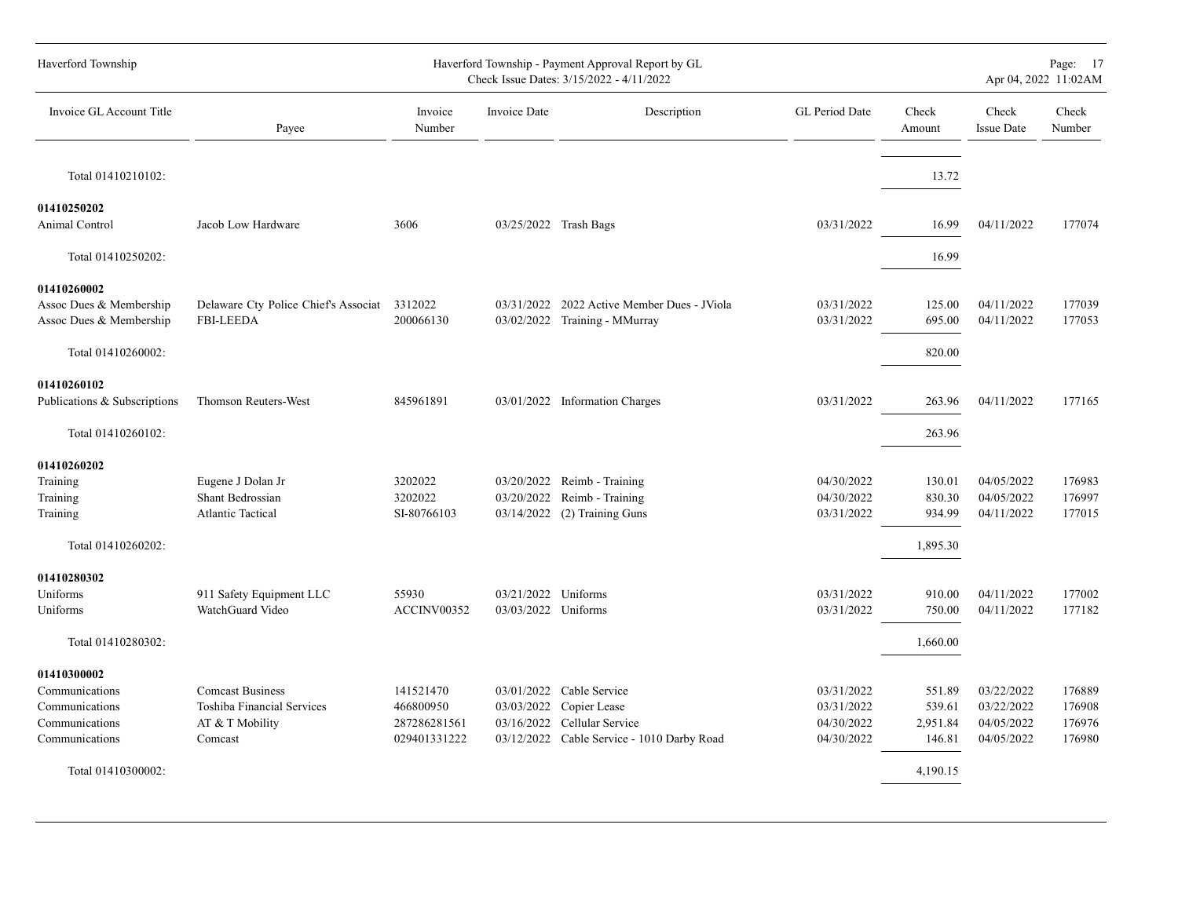| Haverford Township           |                                              |                   |                     | Haverford Township - Payment Approval Report by GL<br>Check Issue Dates: 3/15/2022 - 4/11/2022 |                |                 |                            | Page: 17<br>Apr 04, 2022 11:02AM |
|------------------------------|----------------------------------------------|-------------------|---------------------|------------------------------------------------------------------------------------------------|----------------|-----------------|----------------------------|----------------------------------|
| Invoice GL Account Title     | Payee                                        | Invoice<br>Number | Invoice Date        | Description                                                                                    | GL Period Date | Check<br>Amount | Check<br><b>Issue Date</b> | Check<br>Number                  |
| Total 01410210102:           |                                              |                   |                     |                                                                                                |                | 13.72           |                            |                                  |
| 01410250202                  |                                              |                   |                     |                                                                                                |                |                 |                            |                                  |
| Animal Control               | Jacob Low Hardware                           | 3606              |                     | 03/25/2022 Trash Bags                                                                          | 03/31/2022     | 16.99           | 04/11/2022                 | 177074                           |
| Total 01410250202:           |                                              |                   |                     |                                                                                                |                | 16.99           |                            |                                  |
| 01410260002                  |                                              |                   |                     |                                                                                                |                |                 |                            |                                  |
| Assoc Dues & Membership      | Delaware Cty Police Chief's Associat 3312022 |                   |                     | 03/31/2022 2022 Active Member Dues - JViola                                                    | 03/31/2022     | 125.00          | 04/11/2022                 | 177039                           |
| Assoc Dues & Membership      | <b>FBI-LEEDA</b>                             | 200066130         |                     | 03/02/2022 Training - MMurray                                                                  | 03/31/2022     | 695.00          | 04/11/2022                 | 177053                           |
| Total 01410260002:           |                                              |                   |                     |                                                                                                |                | 820.00          |                            |                                  |
| 01410260102                  |                                              |                   |                     |                                                                                                |                |                 |                            |                                  |
| Publications & Subscriptions | Thomson Reuters-West                         | 845961891         |                     | 03/01/2022 Information Charges                                                                 | 03/31/2022     | 263.96          | 04/11/2022                 | 177165                           |
| Total 01410260102:           |                                              |                   |                     |                                                                                                |                | 263.96          |                            |                                  |
| 01410260202                  |                                              |                   |                     |                                                                                                |                |                 |                            |                                  |
| Training                     | Eugene J Dolan Jr                            | 3202022           |                     | 03/20/2022 Reimb - Training                                                                    | 04/30/2022     | 130.01          | 04/05/2022                 | 176983                           |
| Training                     | Shant Bedrossian                             | 3202022           | 03/20/2022          | Reimb - Training                                                                               | 04/30/2022     | 830.30          | 04/05/2022                 | 176997                           |
| Training                     | <b>Atlantic Tactical</b>                     | SI-80766103       |                     | 03/14/2022 (2) Training Guns                                                                   | 03/31/2022     | 934.99          | 04/11/2022                 | 177015                           |
| Total 01410260202:           |                                              |                   |                     |                                                                                                |                | 1,895.30        |                            |                                  |
| 01410280302                  |                                              |                   |                     |                                                                                                |                |                 |                            |                                  |
| Uniforms                     | 911 Safety Equipment LLC                     | 55930             | 03/21/2022 Uniforms |                                                                                                | 03/31/2022     | 910.00          | 04/11/2022                 | 177002                           |
| Uniforms                     | WatchGuard Video                             | ACCINV00352       | 03/03/2022 Uniforms |                                                                                                | 03/31/2022     | 750.00          | 04/11/2022                 | 177182                           |
| Total 01410280302:           |                                              |                   |                     |                                                                                                |                | 1,660.00        |                            |                                  |
| 01410300002                  |                                              |                   |                     |                                                                                                |                |                 |                            |                                  |
| Communications               | <b>Comcast Business</b>                      | 141521470         |                     | 03/01/2022 Cable Service                                                                       | 03/31/2022     | 551.89          | 03/22/2022                 | 176889                           |
| Communications               | Toshiba Financial Services                   | 466800950         |                     | 03/03/2022 Copier Lease                                                                        | 03/31/2022     | 539.61          | 03/22/2022                 | 176908                           |
| Communications               | AT & T Mobility                              | 287286281561      |                     | 03/16/2022 Cellular Service                                                                    | 04/30/2022     | 2,951.84        | 04/05/2022                 | 176976                           |
| Communications               | Comcast                                      | 029401331222      |                     | 03/12/2022 Cable Service - 1010 Darby Road                                                     | 04/30/2022     | 146.81          | 04/05/2022                 | 176980                           |
| Total 01410300002:           |                                              |                   |                     |                                                                                                |                | 4,190.15        |                            |                                  |
|                              |                                              |                   |                     |                                                                                                |                |                 |                            |                                  |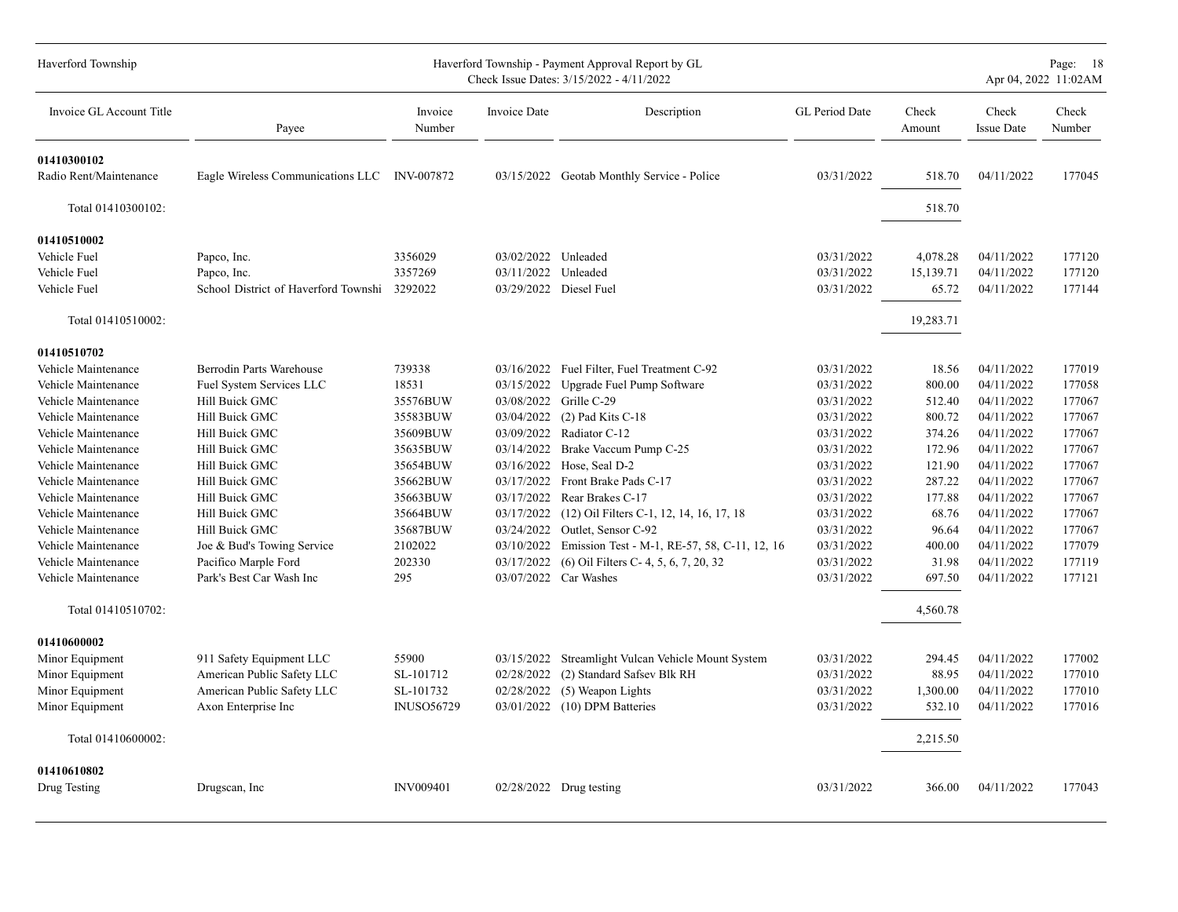| Haverford Township                    |                                              |                   |                        | Haverford Township - Payment Approval Report by GL<br>Check Issue Dates: 3/15/2022 - 4/11/2022 |                |                 |                            | Page: 18<br>Apr 04, 2022 11:02AM |
|---------------------------------------|----------------------------------------------|-------------------|------------------------|------------------------------------------------------------------------------------------------|----------------|-----------------|----------------------------|----------------------------------|
| Invoice GL Account Title              | Payee                                        | Invoice<br>Number | Invoice Date           | Description                                                                                    | GL Period Date | Check<br>Amount | Check<br><b>Issue Date</b> | Check<br>Number                  |
| 01410300102<br>Radio Rent/Maintenance | Eagle Wireless Communications LLC INV-007872 |                   |                        | 03/15/2022 Geotab Monthly Service - Police                                                     | 03/31/2022     | 518.70          | 04/11/2022                 | 177045                           |
| Total 01410300102:                    |                                              |                   |                        |                                                                                                |                | 518.70          |                            |                                  |
| 01410510002                           |                                              |                   |                        |                                                                                                |                |                 |                            |                                  |
| Vehicle Fuel                          | Papco, Inc.                                  | 3356029           | 03/02/2022 Unleaded    |                                                                                                | 03/31/2022     | 4,078.28        | 04/11/2022                 | 177120                           |
| Vehicle Fuel                          | Papco, Inc.                                  | 3357269           | 03/11/2022             | Unleaded                                                                                       | 03/31/2022     | 15,139.71       | 04/11/2022                 | 177120                           |
| Vehicle Fuel                          | School District of Haverford Townshi 3292022 |                   | 03/29/2022 Diesel Fuel |                                                                                                | 03/31/2022     | 65.72           | 04/11/2022                 | 177144                           |
| Total 01410510002:                    |                                              |                   |                        |                                                                                                |                | 19,283.71       |                            |                                  |
| 01410510702                           |                                              |                   |                        |                                                                                                |                |                 |                            |                                  |
| Vehicle Maintenance                   | Berrodin Parts Warehouse                     | 739338            |                        | 03/16/2022 Fuel Filter, Fuel Treatment C-92                                                    | 03/31/2022     | 18.56           | 04/11/2022                 | 177019                           |
| Vehicle Maintenance                   | Fuel System Services LLC                     | 18531             | 03/15/2022             | Upgrade Fuel Pump Software                                                                     | 03/31/2022     | 800.00          | 04/11/2022                 | 177058                           |
| Vehicle Maintenance                   | Hill Buick GMC                               | 35576BUW          | 03/08/2022             | Grille C-29                                                                                    | 03/31/2022     | 512.40          | 04/11/2022                 | 177067                           |
| Vehicle Maintenance                   | Hill Buick GMC                               | 35583BUW          | 03/04/2022             | $(2)$ Pad Kits C-18                                                                            | 03/31/2022     | 800.72          | 04/11/2022                 | 177067                           |
| Vehicle Maintenance                   | Hill Buick GMC                               | 35609BUW          | 03/09/2022             | Radiator C-12                                                                                  | 03/31/2022     | 374.26          | 04/11/2022                 | 177067                           |
| Vehicle Maintenance                   | Hill Buick GMC                               | 35635BUW          | 03/14/2022             | Brake Vaccum Pump C-25                                                                         | 03/31/2022     | 172.96          | 04/11/2022                 | 177067                           |
| Vehicle Maintenance                   | Hill Buick GMC                               | 35654BUW          | 03/16/2022             | Hose, Seal D-2                                                                                 | 03/31/2022     | 121.90          | 04/11/2022                 | 177067                           |
| Vehicle Maintenance                   | Hill Buick GMC                               | 35662BUW          | 03/17/2022             | Front Brake Pads C-17                                                                          | 03/31/2022     | 287.22          | 04/11/2022                 | 177067                           |
| Vehicle Maintenance                   | Hill Buick GMC                               | 35663BUW          | 03/17/2022             | Rear Brakes C-17                                                                               | 03/31/2022     | 177.88          | 04/11/2022                 | 177067                           |
| Vehicle Maintenance                   | Hill Buick GMC                               | 35664BUW          | 03/17/2022             | (12) Oil Filters C-1, 12, 14, 16, 17, 18                                                       | 03/31/2022     | 68.76           | 04/11/2022                 | 177067                           |
| Vehicle Maintenance                   | Hill Buick GMC                               | 35687BUW          |                        | 03/24/2022 Outlet, Sensor C-92                                                                 | 03/31/2022     | 96.64           | 04/11/2022                 | 177067                           |
| Vehicle Maintenance                   | Joe & Bud's Towing Service                   | 2102022           | 03/10/2022             | Emission Test - M-1, RE-57, 58, C-11, 12, 16                                                   | 03/31/2022     | 400.00          | 04/11/2022                 | 177079                           |
| Vehicle Maintenance                   | Pacifico Marple Ford                         | 202330            | 03/17/2022             | (6) Oil Filters C- 4, 5, 6, 7, 20, 32                                                          | 03/31/2022     | 31.98           | 04/11/2022                 | 177119                           |
| Vehicle Maintenance                   | Park's Best Car Wash Inc                     | 295               |                        | 03/07/2022 Car Washes                                                                          | 03/31/2022     | 697.50          | 04/11/2022                 | 177121                           |
| Total 01410510702:                    |                                              |                   |                        |                                                                                                |                | 4,560.78        |                            |                                  |
| 01410600002                           |                                              |                   |                        |                                                                                                |                |                 |                            |                                  |
| Minor Equipment                       | 911 Safety Equipment LLC                     | 55900             | 03/15/2022             | Streamlight Vulcan Vehicle Mount System                                                        | 03/31/2022     | 294.45          | 04/11/2022                 | 177002                           |
| Minor Equipment                       | American Public Safety LLC                   | SL-101712         | 02/28/2022             | (2) Standard Safsey Blk RH                                                                     | 03/31/2022     | 88.95           | 04/11/2022                 | 177010                           |
| Minor Equipment                       | American Public Safety LLC                   | SL-101732         | 02/28/2022             | (5) Weapon Lights                                                                              | 03/31/2022     | 1,300.00        | 04/11/2022                 | 177010                           |
| Minor Equipment                       | Axon Enterprise Inc                          | <b>INUSO56729</b> |                        | 03/01/2022 (10) DPM Batteries                                                                  | 03/31/2022     | 532.10          | 04/11/2022                 | 177016                           |
| Total 01410600002:                    |                                              |                   |                        |                                                                                                |                | 2,215.50        |                            |                                  |
| 01410610802                           |                                              |                   |                        |                                                                                                |                |                 |                            |                                  |
| Drug Testing                          | Drugscan, Inc.                               | <b>INV009401</b>  |                        | $02/28/2022$ Drug testing                                                                      | 03/31/2022     | 366.00          | 04/11/2022                 | 177043                           |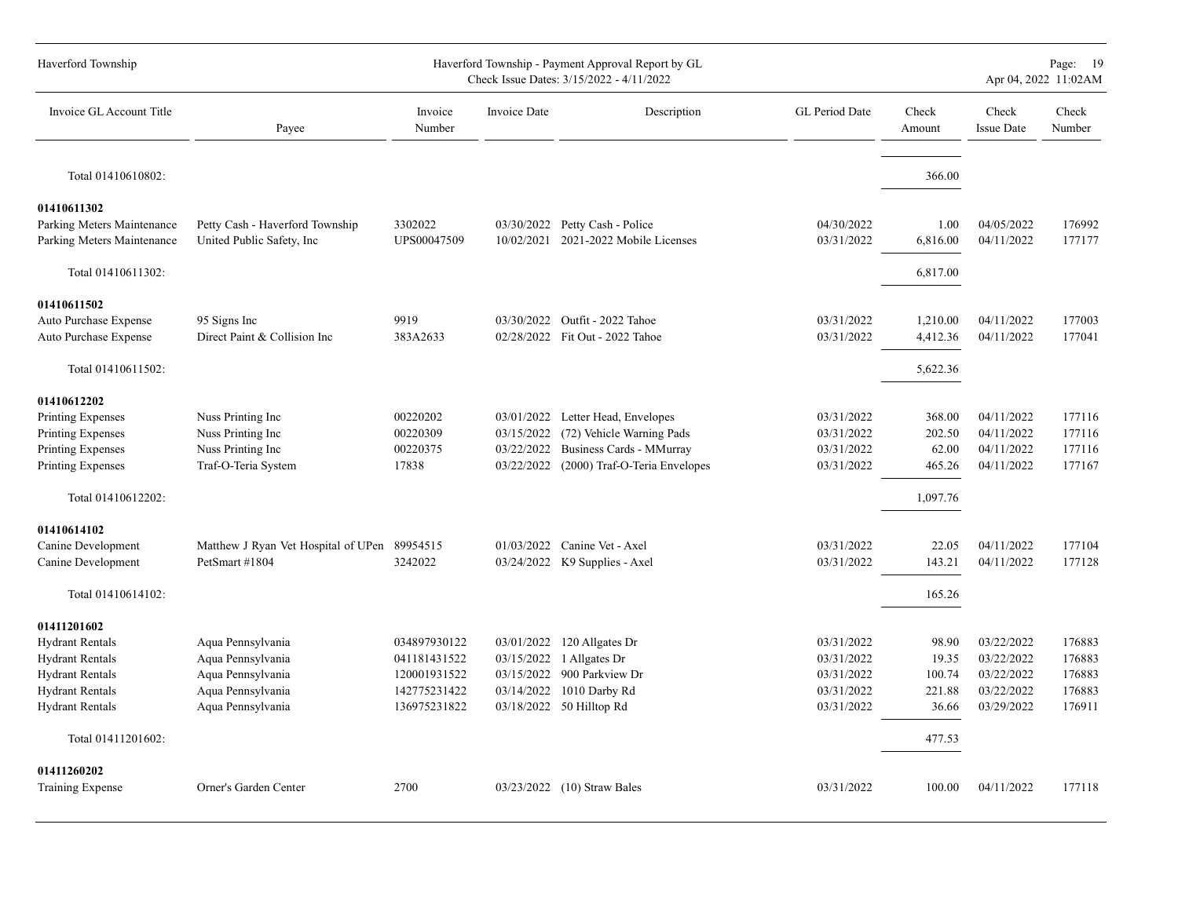| Haverford Township                                                                                                                            |                                                                                                       |                                                                              |                                        | Haverford Township - Payment Approval Report by GL<br>Check Issue Dates: 3/15/2022 - 4/11/2022                                               |                                                                    |                                             |                                                                    | Page: 19<br>Apr 04, 2022 11:02AM               |
|-----------------------------------------------------------------------------------------------------------------------------------------------|-------------------------------------------------------------------------------------------------------|------------------------------------------------------------------------------|----------------------------------------|----------------------------------------------------------------------------------------------------------------------------------------------|--------------------------------------------------------------------|---------------------------------------------|--------------------------------------------------------------------|------------------------------------------------|
| Invoice GL Account Title                                                                                                                      | Payee                                                                                                 | Invoice<br>Number                                                            | <b>Invoice Date</b>                    | Description                                                                                                                                  | GL Period Date                                                     | Check<br>Amount                             | Check<br><b>Issue Date</b>                                         | Check<br>Number                                |
| Total 01410610802:                                                                                                                            |                                                                                                       |                                                                              |                                        |                                                                                                                                              |                                                                    | 366.00                                      |                                                                    |                                                |
| 01410611302<br>Parking Meters Maintenance<br>Parking Meters Maintenance                                                                       | Petty Cash - Haverford Township<br>United Public Safety, Inc.                                         | 3302022<br>UPS00047509                                                       |                                        | 03/30/2022 Petty Cash - Police<br>10/02/2021 2021-2022 Mobile Licenses                                                                       | 04/30/2022<br>03/31/2022                                           | 1.00<br>6,816.00                            | 04/05/2022<br>04/11/2022                                           | 176992<br>177177                               |
| Total 01410611302:                                                                                                                            |                                                                                                       |                                                                              |                                        |                                                                                                                                              |                                                                    | 6,817.00                                    |                                                                    |                                                |
| 01410611502<br>Auto Purchase Expense<br>Auto Purchase Expense                                                                                 | 95 Signs Inc<br>Direct Paint & Collision Inc                                                          | 9919<br>383A2633                                                             | 03/30/2022                             | Outfit - 2022 Tahoe<br>02/28/2022 Fit Out - 2022 Tahoe                                                                                       | 03/31/2022<br>03/31/2022                                           | 1,210.00<br>4,412.36                        | 04/11/2022<br>04/11/2022                                           | 177003<br>177041                               |
| Total 01410611502:                                                                                                                            |                                                                                                       |                                                                              |                                        |                                                                                                                                              |                                                                    | 5,622.36                                    |                                                                    |                                                |
| 01410612202<br>Printing Expenses<br>Printing Expenses<br>Printing Expenses<br>Printing Expenses                                               | Nuss Printing Inc<br>Nuss Printing Inc<br>Nuss Printing Inc<br>Traf-O-Teria System                    | 00220202<br>00220309<br>00220375<br>17838                                    | 03/15/2022<br>03/22/2022<br>03/22/2022 | 03/01/2022 Letter Head, Envelopes<br>(72) Vehicle Warning Pads<br>Business Cards - MMurray<br>(2000) Traf-O-Teria Envelopes                  | 03/31/2022<br>03/31/2022<br>03/31/2022<br>03/31/2022               | 368.00<br>202.50<br>62.00<br>465.26         | 04/11/2022<br>04/11/2022<br>04/11/2022<br>04/11/2022               | 177116<br>177116<br>177116<br>177167           |
| Total 01410612202:                                                                                                                            |                                                                                                       |                                                                              |                                        |                                                                                                                                              |                                                                    | 1,097.76                                    |                                                                    |                                                |
| 01410614102<br>Canine Development<br>Canine Development                                                                                       | Matthew J Ryan Vet Hospital of UPen 89954515<br>PetSmart #1804                                        | 3242022                                                                      |                                        | 01/03/2022 Canine Vet - Axel<br>03/24/2022 K9 Supplies - Axel                                                                                | 03/31/2022<br>03/31/2022                                           | 22.05<br>143.21                             | 04/11/2022<br>04/11/2022                                           | 177104<br>177128                               |
| Total 01410614102:                                                                                                                            |                                                                                                       |                                                                              |                                        |                                                                                                                                              |                                                                    | 165.26                                      |                                                                    |                                                |
| 01411201602<br><b>Hydrant Rentals</b><br><b>Hydrant Rentals</b><br><b>Hydrant Rentals</b><br><b>Hydrant Rentals</b><br><b>Hydrant Rentals</b> | Aqua Pennsylvania<br>Aqua Pennsylvania<br>Aqua Pennsylvania<br>Aqua Pennsylvania<br>Aqua Pennsylvania | 034897930122<br>041181431522<br>120001931522<br>142775231422<br>136975231822 |                                        | 03/01/2022 120 Allgates Dr<br>03/15/2022 1 Allgates Dr<br>03/15/2022 900 Parkview Dr<br>03/14/2022 1010 Darby Rd<br>03/18/2022 50 Hilltop Rd | 03/31/2022<br>03/31/2022<br>03/31/2022<br>03/31/2022<br>03/31/2022 | 98.90<br>19.35<br>100.74<br>221.88<br>36.66 | 03/22/2022<br>03/22/2022<br>03/22/2022<br>03/22/2022<br>03/29/2022 | 176883<br>176883<br>176883<br>176883<br>176911 |
| Total 01411201602:                                                                                                                            |                                                                                                       |                                                                              |                                        |                                                                                                                                              |                                                                    | 477.53                                      |                                                                    |                                                |
| 01411260202<br>Training Expense                                                                                                               | Orner's Garden Center                                                                                 | 2700                                                                         |                                        | 03/23/2022 (10) Straw Bales                                                                                                                  | 03/31/2022                                                         | 100.00                                      | 04/11/2022                                                         | 177118                                         |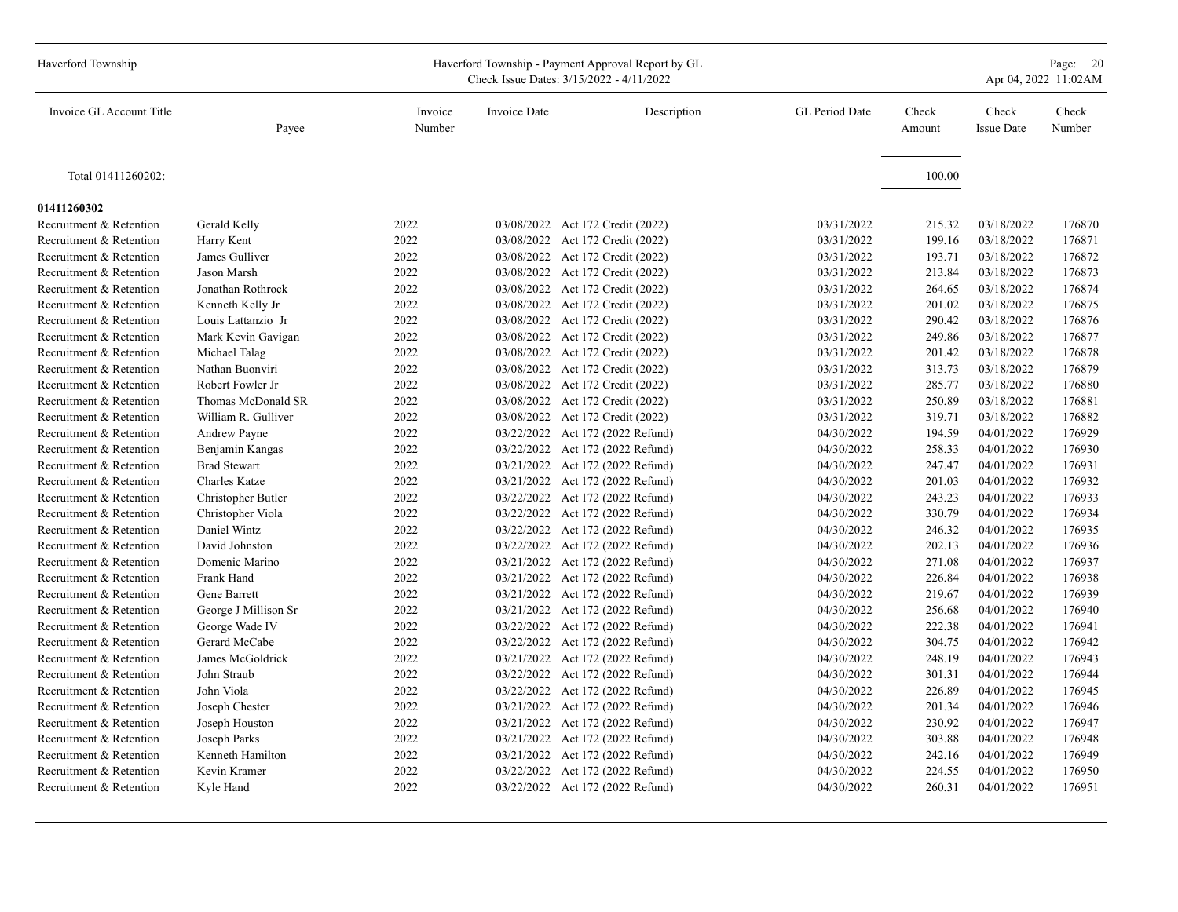| Haverford Township       |                      |                   |              | Haverford Township - Payment Approval Report by GL<br>Check Issue Dates: 3/15/2022 - 4/11/2022 |                |                 |                            | Page: 20<br>Apr 04, 2022 11:02AM |
|--------------------------|----------------------|-------------------|--------------|------------------------------------------------------------------------------------------------|----------------|-----------------|----------------------------|----------------------------------|
| Invoice GL Account Title | Payee                | Invoice<br>Number | Invoice Date | Description                                                                                    | GL Period Date | Check<br>Amount | Check<br><b>Issue Date</b> | Check<br>Number                  |
| Total 01411260202:       |                      |                   |              |                                                                                                |                | 100.00          |                            |                                  |
| 01411260302              |                      |                   |              |                                                                                                |                |                 |                            |                                  |
| Recruitment & Retention  | Gerald Kelly         | 2022              |              | 03/08/2022 Act 172 Credit (2022)                                                               | 03/31/2022     | 215.32          | 03/18/2022                 | 176870                           |
| Recruitment & Retention  | Harry Kent           | 2022              |              | 03/08/2022 Act 172 Credit (2022)                                                               | 03/31/2022     | 199.16          | 03/18/2022                 | 176871                           |
| Recruitment & Retention  | James Gulliver       | 2022              |              | 03/08/2022 Act 172 Credit (2022)                                                               | 03/31/2022     | 193.71          | 03/18/2022                 | 176872                           |
| Recruitment & Retention  | Jason Marsh          | 2022              |              | 03/08/2022 Act 172 Credit (2022)                                                               | 03/31/2022     | 213.84          | 03/18/2022                 | 176873                           |
| Recruitment & Retention  | Jonathan Rothrock    | 2022              |              | 03/08/2022 Act 172 Credit (2022)                                                               | 03/31/2022     | 264.65          | 03/18/2022                 | 176874                           |
| Recruitment & Retention  | Kenneth Kelly Jr     | 2022              |              | 03/08/2022 Act 172 Credit (2022)                                                               | 03/31/2022     | 201.02          | 03/18/2022                 | 176875                           |
| Recruitment & Retention  | Louis Lattanzio Jr   | 2022              |              | 03/08/2022 Act 172 Credit (2022)                                                               | 03/31/2022     | 290.42          | 03/18/2022                 | 176876                           |
| Recruitment & Retention  | Mark Kevin Gavigan   | 2022              |              | 03/08/2022 Act 172 Credit (2022)                                                               | 03/31/2022     | 249.86          | 03/18/2022                 | 176877                           |
| Recruitment & Retention  | Michael Talag        | 2022              |              | 03/08/2022 Act 172 Credit (2022)                                                               | 03/31/2022     | 201.42          | 03/18/2022                 | 176878                           |
| Recruitment & Retention  | Nathan Buonviri      | 2022              |              | 03/08/2022 Act 172 Credit (2022)                                                               | 03/31/2022     | 313.73          | 03/18/2022                 | 176879                           |
| Recruitment & Retention  | Robert Fowler Jr     | 2022              |              | 03/08/2022 Act 172 Credit (2022)                                                               | 03/31/2022     | 285.77          | 03/18/2022                 | 176880                           |
| Recruitment & Retention  | Thomas McDonald SR   | 2022              |              | 03/08/2022 Act 172 Credit (2022)                                                               | 03/31/2022     | 250.89          | 03/18/2022                 | 176881                           |
| Recruitment & Retention  | William R. Gulliver  | 2022              |              | 03/08/2022 Act 172 Credit (2022)                                                               | 03/31/2022     | 319.71          | 03/18/2022                 | 176882                           |
| Recruitment & Retention  | Andrew Payne         | 2022              |              | 03/22/2022 Act 172 (2022 Refund)                                                               | 04/30/2022     | 194.59          | 04/01/2022                 | 176929                           |
| Recruitment & Retention  | Benjamin Kangas      | 2022              |              | 03/22/2022 Act 172 (2022 Refund)                                                               | 04/30/2022     | 258.33          | 04/01/2022                 | 176930                           |
| Recruitment & Retention  | <b>Brad Stewart</b>  | 2022              |              | 03/21/2022 Act 172 (2022 Refund)                                                               | 04/30/2022     | 247.47          | 04/01/2022                 | 176931                           |
| Recruitment & Retention  | <b>Charles Katze</b> | 2022              |              | 03/21/2022 Act 172 (2022 Refund)                                                               | 04/30/2022     | 201.03          | 04/01/2022                 | 176932                           |
| Recruitment & Retention  | Christopher Butler   | 2022              |              | 03/22/2022 Act 172 (2022 Refund)                                                               | 04/30/2022     | 243.23          | 04/01/2022                 | 176933                           |
| Recruitment & Retention  | Christopher Viola    | 2022              |              | 03/22/2022 Act 172 (2022 Refund)                                                               | 04/30/2022     | 330.79          | 04/01/2022                 | 176934                           |
| Recruitment & Retention  | Daniel Wintz         | 2022              |              | 03/22/2022 Act 172 (2022 Refund)                                                               | 04/30/2022     | 246.32          | 04/01/2022                 | 176935                           |
| Recruitment & Retention  | David Johnston       | 2022              |              | 03/22/2022 Act 172 (2022 Refund)                                                               | 04/30/2022     | 202.13          | 04/01/2022                 | 176936                           |
| Recruitment & Retention  | Domenic Marino       | 2022              |              | 03/21/2022 Act 172 (2022 Refund)                                                               | 04/30/2022     | 271.08          | 04/01/2022                 | 176937                           |
| Recruitment & Retention  | Frank Hand           | 2022              |              | 03/21/2022 Act 172 (2022 Refund)                                                               | 04/30/2022     | 226.84          | 04/01/2022                 | 176938                           |
| Recruitment & Retention  | Gene Barrett         | 2022              |              | 03/21/2022 Act 172 (2022 Refund)                                                               | 04/30/2022     | 219.67          | 04/01/2022                 | 176939                           |
| Recruitment & Retention  | George J Millison Sr | 2022              |              | 03/21/2022 Act 172 (2022 Refund)                                                               | 04/30/2022     | 256.68          | 04/01/2022                 | 176940                           |
| Recruitment & Retention  | George Wade IV       | 2022              |              | 03/22/2022 Act 172 (2022 Refund)                                                               | 04/30/2022     | 222.38          | 04/01/2022                 | 176941                           |
| Recruitment & Retention  | Gerard McCabe        | 2022              |              | 03/22/2022 Act 172 (2022 Refund)                                                               | 04/30/2022     | 304.75          | 04/01/2022                 | 176942                           |
| Recruitment & Retention  | James McGoldrick     | 2022              |              | 03/21/2022 Act 172 (2022 Refund)                                                               | 04/30/2022     | 248.19          | 04/01/2022                 | 176943                           |
| Recruitment & Retention  | John Straub          | 2022              |              | 03/22/2022 Act 172 (2022 Refund)                                                               | 04/30/2022     | 301.31          | 04/01/2022                 | 176944                           |
| Recruitment & Retention  | John Viola           | 2022              |              | 03/22/2022 Act 172 (2022 Refund)                                                               | 04/30/2022     | 226.89          | 04/01/2022                 | 176945                           |
| Recruitment & Retention  | Joseph Chester       | 2022              |              | 03/21/2022 Act 172 (2022 Refund)                                                               | 04/30/2022     | 201.34          | 04/01/2022                 | 176946                           |
| Recruitment & Retention  | Joseph Houston       | 2022              |              | 03/21/2022 Act 172 (2022 Refund)                                                               | 04/30/2022     | 230.92          | 04/01/2022                 | 176947                           |
| Recruitment & Retention  | Joseph Parks         | 2022              |              | 03/21/2022 Act 172 (2022 Refund)                                                               | 04/30/2022     | 303.88          | 04/01/2022                 | 176948                           |
| Recruitment & Retention  | Kenneth Hamilton     | 2022              |              | 03/21/2022 Act 172 (2022 Refund)                                                               | 04/30/2022     | 242.16          | 04/01/2022                 | 176949                           |
| Recruitment & Retention  | Kevin Kramer         | 2022              |              | 03/22/2022 Act 172 (2022 Refund)                                                               | 04/30/2022     | 224.55          | 04/01/2022                 | 176950                           |
| Recruitment & Retention  | Kyle Hand            | 2022              |              | 03/22/2022 Act 172 (2022 Refund)                                                               | 04/30/2022     | 260.31          | 04/01/2022                 | 176951                           |
|                          |                      |                   |              |                                                                                                |                |                 |                            |                                  |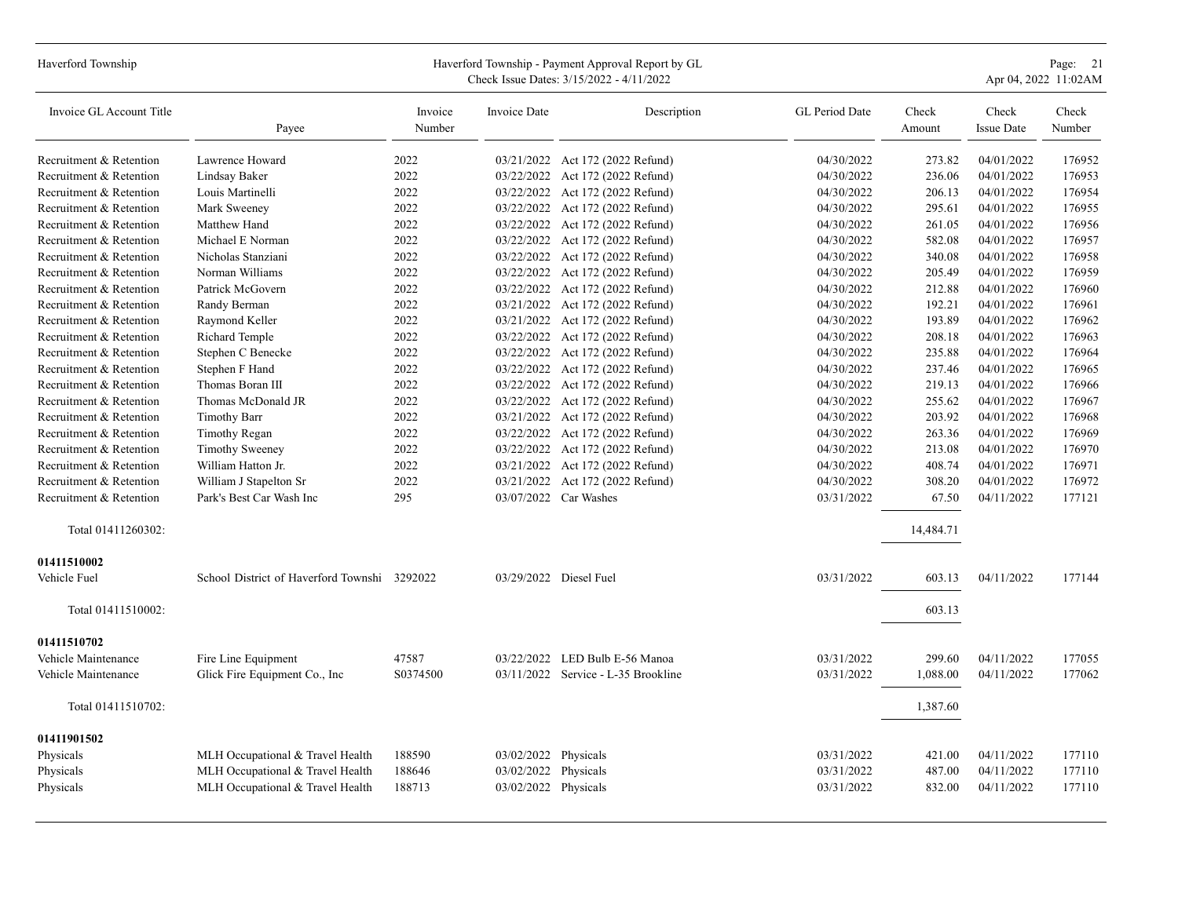| Haverford Township          |                                              |                   |                      | Haverford Township - Payment Approval Report by GL<br>Check Issue Dates: 3/15/2022 - 4/11/2022 |                |                 |                            | Page: 21<br>Apr 04, 2022 11:02AM |
|-----------------------------|----------------------------------------------|-------------------|----------------------|------------------------------------------------------------------------------------------------|----------------|-----------------|----------------------------|----------------------------------|
| Invoice GL Account Title    | Payee                                        | Invoice<br>Number | <b>Invoice Date</b>  | Description                                                                                    | GL Period Date | Check<br>Amount | Check<br><b>Issue Date</b> | Check<br>Number                  |
| Recruitment & Retention     | Lawrence Howard                              | 2022              |                      | 03/21/2022 Act 172 (2022 Refund)                                                               | 04/30/2022     | 273.82          | 04/01/2022                 | 176952                           |
| Recruitment & Retention     | Lindsay Baker                                | 2022              |                      | 03/22/2022 Act 172 (2022 Refund)                                                               | 04/30/2022     | 236.06          | 04/01/2022                 | 176953                           |
| Recruitment & Retention     | Louis Martinelli                             | 2022              |                      | 03/22/2022 Act 172 (2022 Refund)                                                               | 04/30/2022     | 206.13          | 04/01/2022                 | 176954                           |
| Recruitment & Retention     | Mark Sweeney                                 | 2022              |                      | 03/22/2022 Act 172 (2022 Refund)                                                               | 04/30/2022     | 295.61          | 04/01/2022                 | 176955                           |
| Recruitment & Retention     | Matthew Hand                                 | 2022              |                      | 03/22/2022 Act 172 (2022 Refund)                                                               | 04/30/2022     | 261.05          | 04/01/2022                 | 176956                           |
| Recruitment & Retention     | Michael E Norman                             | 2022              |                      | 03/22/2022 Act 172 (2022 Refund)                                                               | 04/30/2022     | 582.08          | 04/01/2022                 | 176957                           |
| Recruitment & Retention     | Nicholas Stanziani                           | 2022              |                      | 03/22/2022 Act 172 (2022 Refund)                                                               | 04/30/2022     | 340.08          | 04/01/2022                 | 176958                           |
| Recruitment & Retention     | Norman Williams                              | 2022              |                      | 03/22/2022 Act 172 (2022 Refund)                                                               | 04/30/2022     | 205.49          | 04/01/2022                 | 176959                           |
| Recruitment & Retention     | Patrick McGovern                             | 2022              |                      | 03/22/2022 Act 172 (2022 Refund)                                                               | 04/30/2022     | 212.88          | 04/01/2022                 | 176960                           |
| Recruitment & Retention     | Randy Berman                                 | 2022              |                      | 03/21/2022 Act 172 (2022 Refund)                                                               | 04/30/2022     | 192.21          | 04/01/2022                 | 176961                           |
| Recruitment & Retention     | Raymond Keller                               | 2022              |                      | 03/21/2022 Act 172 (2022 Refund)                                                               | 04/30/2022     | 193.89          | 04/01/2022                 | 176962                           |
| Recruitment & Retention     | Richard Temple                               | 2022              |                      | 03/22/2022 Act 172 (2022 Refund)                                                               | 04/30/2022     | 208.18          | 04/01/2022                 | 176963                           |
| Recruitment & Retention     | Stephen C Benecke                            | 2022              |                      | 03/22/2022 Act 172 (2022 Refund)                                                               | 04/30/2022     | 235.88          | 04/01/2022                 | 176964                           |
| Recruitment & Retention     | Stephen F Hand                               | 2022              |                      | 03/22/2022 Act 172 (2022 Refund)                                                               | 04/30/2022     | 237.46          | 04/01/2022                 | 176965                           |
| Recruitment & Retention     | Thomas Boran III                             | 2022              |                      | 03/22/2022 Act 172 (2022 Refund)                                                               | 04/30/2022     | 219.13          | 04/01/2022                 | 176966                           |
| Recruitment & Retention     | Thomas McDonald JR                           | 2022              |                      | 03/22/2022 Act 172 (2022 Refund)                                                               | 04/30/2022     | 255.62          | 04/01/2022                 | 176967                           |
| Recruitment & Retention     | <b>Timothy Barr</b>                          | 2022              |                      | 03/21/2022 Act 172 (2022 Refund)                                                               | 04/30/2022     | 203.92          | 04/01/2022                 | 176968                           |
| Recruitment & Retention     | Timothy Regan                                | 2022              |                      | 03/22/2022 Act 172 (2022 Refund)                                                               | 04/30/2022     | 263.36          | 04/01/2022                 | 176969                           |
| Recruitment & Retention     | <b>Timothy Sweeney</b>                       | 2022              |                      | 03/22/2022 Act 172 (2022 Refund)                                                               | 04/30/2022     | 213.08          | 04/01/2022                 | 176970                           |
| Recruitment & Retention     | William Hatton Jr.                           | 2022              |                      | 03/21/2022 Act 172 (2022 Refund)                                                               | 04/30/2022     | 408.74          | 04/01/2022                 | 176971                           |
| Recruitment & Retention     | William J Stapelton Sr                       | 2022              |                      | 03/21/2022 Act 172 (2022 Refund)                                                               | 04/30/2022     | 308.20          | 04/01/2022                 | 176972                           |
| Recruitment & Retention     | Park's Best Car Wash Inc                     | 295               |                      | 03/07/2022 Car Washes                                                                          | 03/31/2022     | 67.50           | 04/11/2022                 | 177121                           |
| Total 01411260302:          |                                              |                   |                      |                                                                                                |                | 14,484.71       |                            |                                  |
| 01411510002<br>Vehicle Fuel | School District of Haverford Townshi 3292022 |                   |                      | 03/29/2022 Diesel Fuel                                                                         | 03/31/2022     | 603.13          | 04/11/2022                 | 177144                           |
| Total 01411510002:          |                                              |                   |                      |                                                                                                |                | 603.13          |                            |                                  |
| 01411510702                 |                                              |                   |                      |                                                                                                |                |                 |                            |                                  |
| Vehicle Maintenance         | Fire Line Equipment                          | 47587             | 03/22/2022           | LED Bulb E-56 Manoa                                                                            | 03/31/2022     | 299.60          | 04/11/2022                 | 177055                           |
| Vehicle Maintenance         | Glick Fire Equipment Co., Inc.               | S0374500          |                      | 03/11/2022 Service - L-35 Brookline                                                            | 03/31/2022     | 1,088.00        | 04/11/2022                 | 177062                           |
|                             |                                              |                   |                      |                                                                                                |                |                 |                            |                                  |
| Total 01411510702:          |                                              |                   |                      |                                                                                                |                | 1,387.60        |                            |                                  |
| 01411901502                 |                                              |                   |                      |                                                                                                |                |                 |                            |                                  |
| Physicals                   | MLH Occupational & Travel Health             | 188590            | 03/02/2022 Physicals |                                                                                                | 03/31/2022     | 421.00          | 04/11/2022                 | 177110                           |
| Physicals                   | MLH Occupational & Travel Health             | 188646            | 03/02/2022           | Physicals                                                                                      | 03/31/2022     | 487.00          | 04/11/2022                 | 177110                           |
| Physicals                   | MLH Occupational & Travel Health             | 188713            | 03/02/2022 Physicals |                                                                                                | 03/31/2022     | 832.00          | 04/11/2022                 | 177110                           |
|                             |                                              |                   |                      |                                                                                                |                |                 |                            |                                  |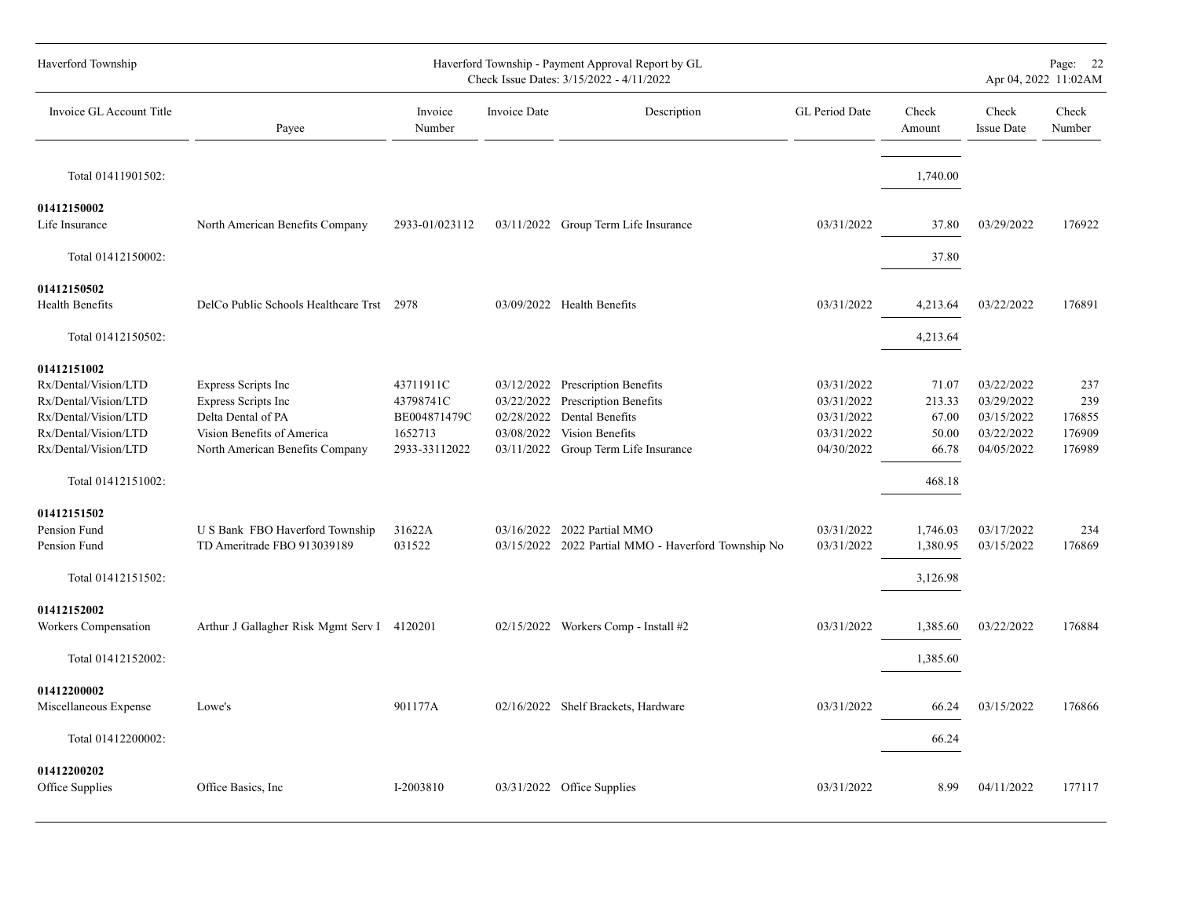| Haverford Township                                                                                                                                        |                                                                                                                                   |                                                                    |              | Haverford Township - Payment Approval Report by GL<br>Check Issue Dates: 3/15/2022 - 4/11/2022                                                                |                                                                    |                                                      |                                                                    | Page: 22<br>Apr 04, 2022 11:02AM         |
|-----------------------------------------------------------------------------------------------------------------------------------------------------------|-----------------------------------------------------------------------------------------------------------------------------------|--------------------------------------------------------------------|--------------|---------------------------------------------------------------------------------------------------------------------------------------------------------------|--------------------------------------------------------------------|------------------------------------------------------|--------------------------------------------------------------------|------------------------------------------|
| Invoice GL Account Title                                                                                                                                  | Payee                                                                                                                             | Invoice<br>Number                                                  | Invoice Date | Description                                                                                                                                                   | GL Period Date                                                     | Check<br>Amount                                      | Check<br><b>Issue Date</b>                                         | Check<br>Number                          |
| Total 01411901502:                                                                                                                                        |                                                                                                                                   |                                                                    |              |                                                                                                                                                               |                                                                    | 1,740.00                                             |                                                                    |                                          |
| 01412150002<br>Life Insurance                                                                                                                             | North American Benefits Company                                                                                                   | 2933-01/023112                                                     |              | 03/11/2022 Group Term Life Insurance                                                                                                                          | 03/31/2022                                                         | 37.80                                                | 03/29/2022                                                         | 176922                                   |
| Total 01412150002:                                                                                                                                        |                                                                                                                                   |                                                                    |              |                                                                                                                                                               |                                                                    | 37.80                                                |                                                                    |                                          |
| 01412150502<br>Health Benefits                                                                                                                            | DelCo Public Schools Healthcare Trst 2978                                                                                         |                                                                    |              | 03/09/2022 Health Benefits                                                                                                                                    | 03/31/2022                                                         | 4,213.64                                             | 03/22/2022                                                         | 176891                                   |
| Total 01412150502:                                                                                                                                        |                                                                                                                                   |                                                                    |              |                                                                                                                                                               |                                                                    | 4,213.64                                             |                                                                    |                                          |
| 01412151002<br>Rx/Dental/Vision/LTD<br>Rx/Dental/Vision/LTD<br>Rx/Dental/Vision/LTD<br>Rx/Dental/Vision/LTD<br>Rx/Dental/Vision/LTD<br>Total 01412151002: | Express Scripts Inc<br>Express Scripts Inc<br>Delta Dental of PA<br>Vision Benefits of America<br>North American Benefits Company | 43711911C<br>43798741C<br>BE004871479C<br>1652713<br>2933-33112022 | 02/28/2022   | 03/12/2022 Prescription Benefits<br>03/22/2022 Prescription Benefits<br>Dental Benefits<br>03/08/2022 Vision Benefits<br>03/11/2022 Group Term Life Insurance | 03/31/2022<br>03/31/2022<br>03/31/2022<br>03/31/2022<br>04/30/2022 | 71.07<br>213.33<br>67.00<br>50.00<br>66.78<br>468.18 | 03/22/2022<br>03/29/2022<br>03/15/2022<br>03/22/2022<br>04/05/2022 | 237<br>239<br>176855<br>176909<br>176989 |
| 01412151502<br>Pension Fund<br>Pension Fund<br>Total 01412151502:                                                                                         | U S Bank FBO Haverford Township<br>TD Ameritrade FBO 913039189                                                                    | 31622A<br>031522                                                   |              | 03/16/2022 2022 Partial MMO<br>03/15/2022 2022 Partial MMO - Haverford Township No                                                                            | 03/31/2022<br>03/31/2022                                           | 1,746.03<br>1,380.95<br>3,126.98                     | 03/17/2022<br>03/15/2022                                           | 234<br>176869                            |
| 01412152002<br>Workers Compensation                                                                                                                       | Arthur J Gallagher Risk Mgmt Serv I 4120201                                                                                       |                                                                    |              | 02/15/2022 Workers Comp - Install #2                                                                                                                          | 03/31/2022                                                         | 1,385.60                                             | 03/22/2022                                                         | 176884                                   |
| Total 01412152002:                                                                                                                                        |                                                                                                                                   |                                                                    |              |                                                                                                                                                               |                                                                    | 1,385.60                                             |                                                                    |                                          |
| 01412200002<br>Miscellaneous Expense                                                                                                                      | Lowe's                                                                                                                            | 901177A                                                            |              | 02/16/2022 Shelf Brackets, Hardware                                                                                                                           | 03/31/2022                                                         | 66.24                                                | 03/15/2022                                                         | 176866                                   |
| Total 01412200002:                                                                                                                                        |                                                                                                                                   |                                                                    |              |                                                                                                                                                               |                                                                    | 66.24                                                |                                                                    |                                          |
| 01412200202<br>Office Supplies                                                                                                                            | Office Basics, Inc.                                                                                                               | I-2003810                                                          |              | 03/31/2022 Office Supplies                                                                                                                                    | 03/31/2022                                                         | 8.99                                                 | 04/11/2022                                                         | 177117                                   |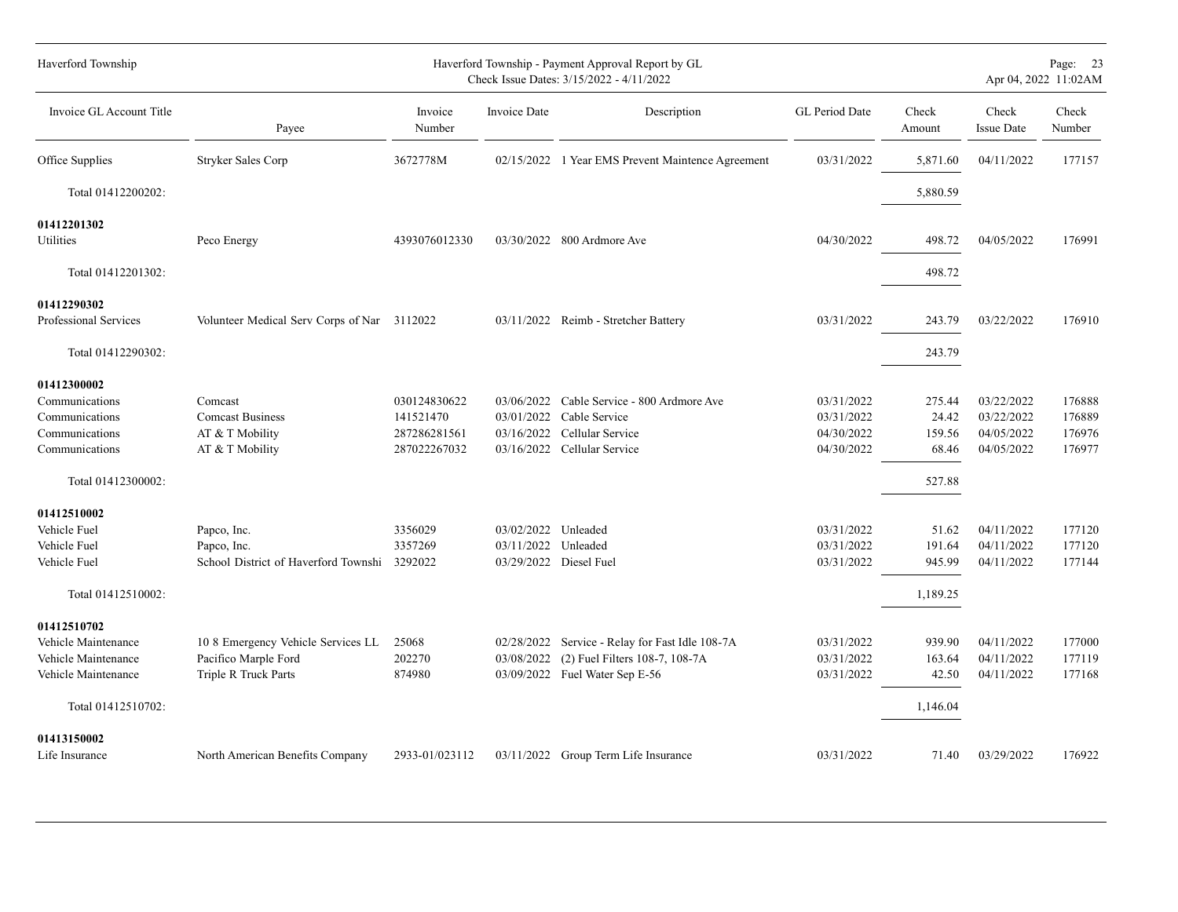| Haverford Township       |                                              | Haverford Township - Payment Approval Report by GL<br>Check Issue Dates: 3/15/2022 - 4/11/2022 |                     |                                                   |                |                 |                            | Page: 23<br>Apr 04, 2022 11:02AM |
|--------------------------|----------------------------------------------|------------------------------------------------------------------------------------------------|---------------------|---------------------------------------------------|----------------|-----------------|----------------------------|----------------------------------|
| Invoice GL Account Title | Payee                                        | Invoice<br>Number                                                                              | Invoice Date        | Description                                       | GL Period Date | Check<br>Amount | Check<br><b>Issue Date</b> | Check<br>Number                  |
| Office Supplies          | Stryker Sales Corp                           | 3672778M                                                                                       |                     | 02/15/2022 1 Year EMS Prevent Maintence Agreement | 03/31/2022     | 5,871.60        | 04/11/2022                 | 177157                           |
| Total 01412200202:       |                                              |                                                                                                |                     |                                                   |                | 5,880.59        |                            |                                  |
| 01412201302              |                                              |                                                                                                |                     |                                                   |                |                 |                            |                                  |
| Utilities                | Peco Energy                                  | 4393076012330                                                                                  |                     | 03/30/2022 800 Ardmore Ave                        | 04/30/2022     | 498.72          | 04/05/2022                 | 176991                           |
| Total 01412201302:       |                                              |                                                                                                |                     |                                                   |                | 498.72          |                            |                                  |
| 01412290302              |                                              |                                                                                                |                     |                                                   |                |                 |                            |                                  |
| Professional Services    | Volunteer Medical Serv Corps of Nar 3112022  |                                                                                                |                     | 03/11/2022 Reimb - Stretcher Battery              | 03/31/2022     | 243.79          | 03/22/2022                 | 176910                           |
| Total 01412290302:       |                                              |                                                                                                |                     |                                                   |                | 243.79          |                            |                                  |
| 01412300002              |                                              |                                                                                                |                     |                                                   |                |                 |                            |                                  |
| Communications           | Comcast                                      | 030124830622                                                                                   | 03/06/2022          | Cable Service - 800 Ardmore Ave                   | 03/31/2022     | 275.44          | 03/22/2022                 | 176888                           |
| Communications           | <b>Comcast Business</b>                      | 141521470                                                                                      |                     | 03/01/2022 Cable Service                          | 03/31/2022     | 24.42           | 03/22/2022                 | 176889                           |
| Communications           | AT & T Mobility                              | 287286281561                                                                                   | 03/16/2022          | Cellular Service                                  | 04/30/2022     | 159.56          | 04/05/2022                 | 176976                           |
| Communications           | AT & T Mobility                              | 287022267032                                                                                   |                     | 03/16/2022 Cellular Service                       | 04/30/2022     | 68.46           | 04/05/2022                 | 176977                           |
| Total 01412300002:       |                                              |                                                                                                |                     |                                                   |                | 527.88          |                            |                                  |
| 01412510002              |                                              |                                                                                                |                     |                                                   |                |                 |                            |                                  |
| Vehicle Fuel             | Papco, Inc.                                  | 3356029                                                                                        | 03/02/2022 Unleaded |                                                   | 03/31/2022     | 51.62           | 04/11/2022                 | 177120                           |
| Vehicle Fuel             | Papco, Inc.                                  | 3357269                                                                                        | 03/11/2022          | Unleaded                                          | 03/31/2022     | 191.64          | 04/11/2022                 | 177120                           |
| Vehicle Fuel             | School District of Haverford Townshi 3292022 |                                                                                                |                     | 03/29/2022 Diesel Fuel                            | 03/31/2022     | 945.99          | 04/11/2022                 | 177144                           |
| Total 01412510002:       |                                              |                                                                                                |                     |                                                   |                | 1,189.25        |                            |                                  |
| 01412510702              |                                              |                                                                                                |                     |                                                   |                |                 |                            |                                  |
| Vehicle Maintenance      | 10 8 Emergency Vehicle Services LL           | 25068                                                                                          | 02/28/2022          | Service - Relay for Fast Idle 108-7A              | 03/31/2022     | 939.90          | 04/11/2022                 | 177000                           |
| Vehicle Maintenance      | Pacifico Marple Ford                         | 202270                                                                                         | 03/08/2022          | (2) Fuel Filters 108-7, 108-7A                    | 03/31/2022     | 163.64          | 04/11/2022                 | 177119                           |
| Vehicle Maintenance      | Triple R Truck Parts                         | 874980                                                                                         |                     | 03/09/2022 Fuel Water Sep E-56                    | 03/31/2022     | 42.50           | 04/11/2022                 | 177168                           |
| Total 01412510702:       |                                              |                                                                                                |                     |                                                   |                | 1,146.04        |                            |                                  |
| 01413150002              |                                              |                                                                                                |                     |                                                   |                |                 |                            |                                  |
| Life Insurance           | North American Benefits Company              | 2933-01/023112                                                                                 |                     | 03/11/2022 Group Term Life Insurance              | 03/31/2022     | 71.40           | 03/29/2022                 | 176922                           |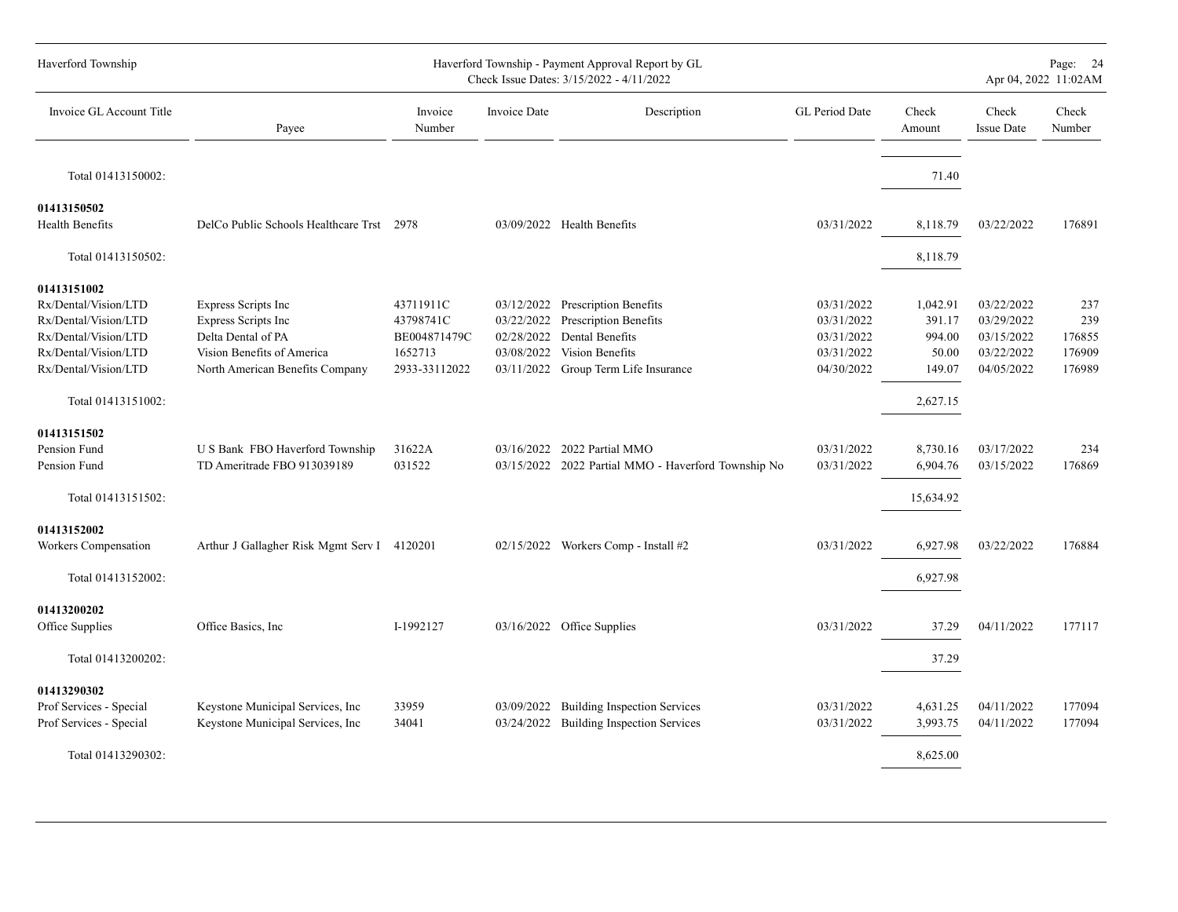| Haverford Township                                                                                                                                        |                                                                                                                                   |                                                                    |                                        | Haverford Township - Payment Approval Report by GL<br>Check Issue Dates: 3/15/2022 - 4/11/2022                                          |                                                                    |                                                             |                                                                    | Page: 24<br>Apr 04, 2022 11:02AM         |
|-----------------------------------------------------------------------------------------------------------------------------------------------------------|-----------------------------------------------------------------------------------------------------------------------------------|--------------------------------------------------------------------|----------------------------------------|-----------------------------------------------------------------------------------------------------------------------------------------|--------------------------------------------------------------------|-------------------------------------------------------------|--------------------------------------------------------------------|------------------------------------------|
| Invoice GL Account Title                                                                                                                                  | Payee                                                                                                                             | Invoice<br>Number                                                  | Invoice Date                           | Description                                                                                                                             | GL Period Date                                                     | Check<br>Amount                                             | Check<br><b>Issue Date</b>                                         | Check<br>Number                          |
| Total 01413150002:                                                                                                                                        |                                                                                                                                   |                                                                    |                                        |                                                                                                                                         |                                                                    | 71.40                                                       |                                                                    |                                          |
| 01413150502<br>Health Benefits                                                                                                                            | DelCo Public Schools Healthcare Trst 2978                                                                                         |                                                                    |                                        | 03/09/2022 Health Benefits                                                                                                              | 03/31/2022                                                         | 8,118.79                                                    | 03/22/2022                                                         | 176891                                   |
| Total 01413150502:                                                                                                                                        |                                                                                                                                   |                                                                    |                                        |                                                                                                                                         |                                                                    | 8,118.79                                                    |                                                                    |                                          |
| 01413151002<br>Rx/Dental/Vision/LTD<br>Rx/Dental/Vision/LTD<br>Rx/Dental/Vision/LTD<br>Rx/Dental/Vision/LTD<br>Rx/Dental/Vision/LTD<br>Total 01413151002: | Express Scripts Inc<br>Express Scripts Inc<br>Delta Dental of PA<br>Vision Benefits of America<br>North American Benefits Company | 43711911C<br>43798741C<br>BE004871479C<br>1652713<br>2933-33112022 | 03/22/2022<br>02/28/2022<br>03/08/2022 | 03/12/2022 Prescription Benefits<br>Prescription Benefits<br>Dental Benefits<br>Vision Benefits<br>03/11/2022 Group Term Life Insurance | 03/31/2022<br>03/31/2022<br>03/31/2022<br>03/31/2022<br>04/30/2022 | 1,042.91<br>391.17<br>994.00<br>50.00<br>149.07<br>2,627.15 | 03/22/2022<br>03/29/2022<br>03/15/2022<br>03/22/2022<br>04/05/2022 | 237<br>239<br>176855<br>176909<br>176989 |
| 01413151502<br>Pension Fund<br>Pension Fund<br>Total 01413151502:                                                                                         | U S Bank FBO Haverford Township<br>TD Ameritrade FBO 913039189                                                                    | 31622A<br>031522                                                   |                                        | 03/16/2022 2022 Partial MMO<br>03/15/2022 2022 Partial MMO - Haverford Township No                                                      | 03/31/2022<br>03/31/2022                                           | 8,730.16<br>6,904.76<br>15,634.92                           | 03/17/2022<br>03/15/2022                                           | 234<br>176869                            |
| 01413152002<br>Workers Compensation<br>Total 01413152002:                                                                                                 | Arthur J Gallagher Risk Mgmt Serv I 4120201                                                                                       |                                                                    |                                        | 02/15/2022 Workers Comp - Install #2                                                                                                    | 03/31/2022                                                         | 6,927.98<br>6,927.98                                        | 03/22/2022                                                         | 176884                                   |
| 01413200202<br>Office Supplies                                                                                                                            | Office Basics, Inc.                                                                                                               | I-1992127                                                          |                                        | 03/16/2022 Office Supplies                                                                                                              | 03/31/2022                                                         | 37.29                                                       | 04/11/2022                                                         | 177117                                   |
| Total 01413200202:<br>01413290302<br>Prof Services - Special<br>Prof Services - Special<br>Total 01413290302:                                             | Keystone Municipal Services, Inc<br>Keystone Municipal Services, Inc                                                              | 33959<br>34041                                                     | 03/09/2022                             | <b>Building Inspection Services</b><br>03/24/2022 Building Inspection Services                                                          | 03/31/2022<br>03/31/2022                                           | 37.29<br>4,631.25<br>3,993.75<br>8,625.00                   | 04/11/2022<br>04/11/2022                                           | 177094<br>177094                         |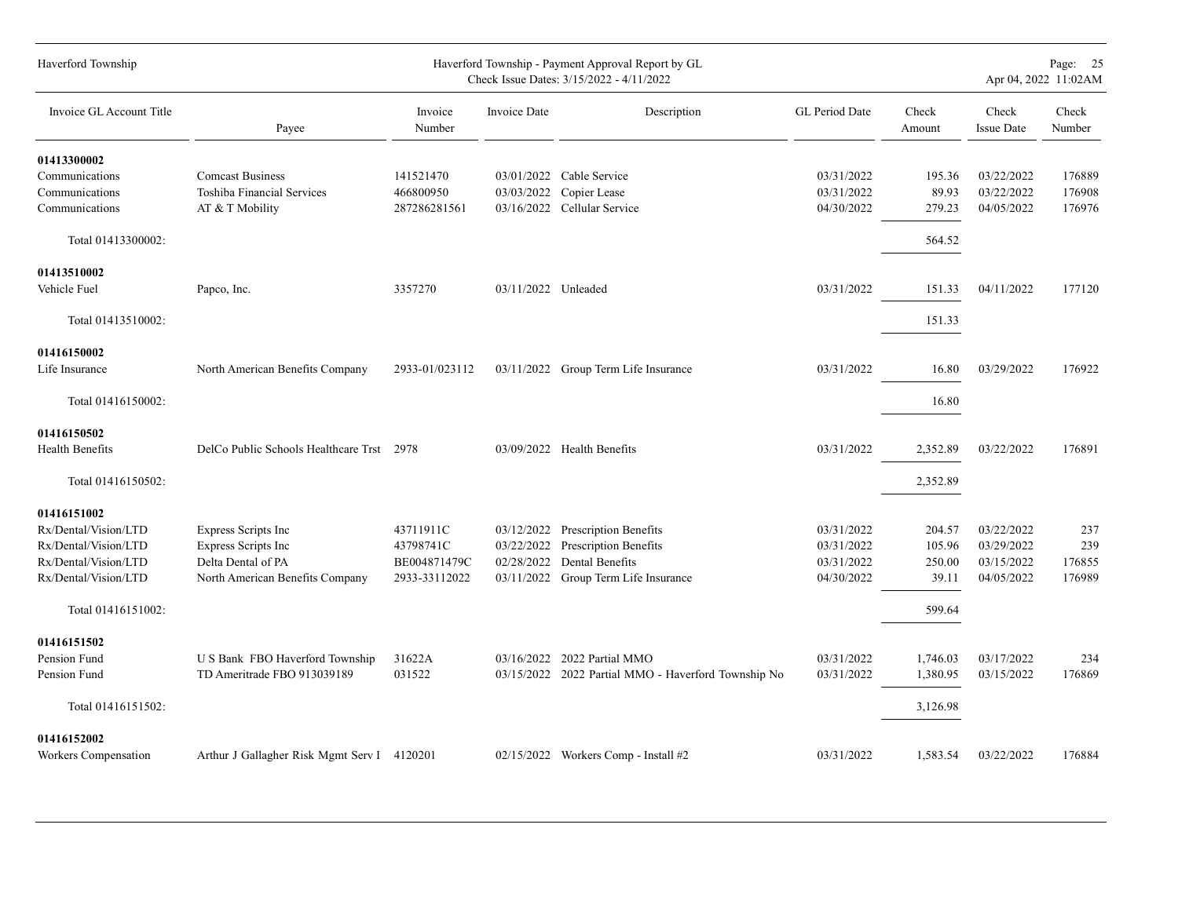| Haverford Township       |                                             |                   |                     | Haverford Township - Payment Approval Report by GL<br>Check Issue Dates: 3/15/2022 - 4/11/2022 |                |                 |                            | Page: 25<br>Apr 04, 2022 11:02AM |
|--------------------------|---------------------------------------------|-------------------|---------------------|------------------------------------------------------------------------------------------------|----------------|-----------------|----------------------------|----------------------------------|
| Invoice GL Account Title | Payee                                       | Invoice<br>Number | <b>Invoice Date</b> | Description                                                                                    | GL Period Date | Check<br>Amount | Check<br><b>Issue Date</b> | Check<br>Number                  |
| 01413300002              |                                             |                   |                     |                                                                                                |                |                 |                            |                                  |
| Communications           | <b>Comcast Business</b>                     | 141521470         |                     | 03/01/2022 Cable Service                                                                       | 03/31/2022     | 195.36          | 03/22/2022                 | 176889                           |
| Communications           | <b>Toshiba Financial Services</b>           | 466800950         | 03/03/2022          | Copier Lease                                                                                   | 03/31/2022     | 89.93           | 03/22/2022                 | 176908                           |
| Communications           | AT & T Mobility                             | 287286281561      |                     | 03/16/2022 Cellular Service                                                                    | 04/30/2022     | 279.23          | 04/05/2022                 | 176976                           |
| Total 01413300002:       |                                             |                   |                     |                                                                                                |                | 564.52          |                            |                                  |
| 01413510002              |                                             |                   |                     |                                                                                                |                |                 |                            |                                  |
| Vehicle Fuel             | Papco, Inc.                                 | 3357270           | 03/11/2022 Unleaded |                                                                                                | 03/31/2022     | 151.33          | 04/11/2022                 | 177120                           |
| Total 01413510002:       |                                             |                   |                     |                                                                                                |                | 151.33          |                            |                                  |
| 01416150002              |                                             |                   |                     |                                                                                                |                |                 |                            |                                  |
| Life Insurance           | North American Benefits Company             | 2933-01/023112    |                     | 03/11/2022 Group Term Life Insurance                                                           | 03/31/2022     | 16.80           | 03/29/2022                 | 176922                           |
|                          |                                             |                   |                     |                                                                                                |                |                 |                            |                                  |
| Total 01416150002:       |                                             |                   |                     |                                                                                                |                | 16.80           |                            |                                  |
| 01416150502              |                                             |                   |                     |                                                                                                |                |                 |                            |                                  |
| <b>Health Benefits</b>   | DelCo Public Schools Healthcare Trst 2978   |                   |                     | 03/09/2022 Health Benefits                                                                     | 03/31/2022     | 2,352.89        | 03/22/2022                 | 176891                           |
| Total 01416150502:       |                                             |                   |                     |                                                                                                |                | 2,352.89        |                            |                                  |
| 01416151002              |                                             |                   |                     |                                                                                                |                |                 |                            |                                  |
| Rx/Dental/Vision/LTD     | Express Scripts Inc                         | 43711911C         | 03/12/2022          | Prescription Benefits                                                                          | 03/31/2022     | 204.57          | 03/22/2022                 | 237                              |
| Rx/Dental/Vision/LTD     | Express Scripts Inc                         | 43798741C         | 03/22/2022          | <b>Prescription Benefits</b>                                                                   | 03/31/2022     | 105.96          | 03/29/2022                 | 239                              |
| Rx/Dental/Vision/LTD     | Delta Dental of PA                          | BE004871479C      | 02/28/2022          | Dental Benefits                                                                                | 03/31/2022     | 250.00          | 03/15/2022                 | 176855                           |
| Rx/Dental/Vision/LTD     | North American Benefits Company             | 2933-33112022     |                     | 03/11/2022 Group Term Life Insurance                                                           | 04/30/2022     | 39.11           | 04/05/2022                 | 176989                           |
| Total 01416151002:       |                                             |                   |                     |                                                                                                |                | 599.64          |                            |                                  |
| 01416151502              |                                             |                   |                     |                                                                                                |                |                 |                            |                                  |
| Pension Fund             | U S Bank FBO Haverford Township             | 31622A            |                     | 03/16/2022 2022 Partial MMO                                                                    | 03/31/2022     | 1,746.03        | 03/17/2022                 | 234                              |
| Pension Fund             | TD Ameritrade FBO 913039189                 | 031522            |                     | 03/15/2022 2022 Partial MMO - Haverford Township No                                            | 03/31/2022     | 1,380.95        | 03/15/2022                 | 176869                           |
| Total 01416151502:       |                                             |                   |                     |                                                                                                |                | 3,126.98        |                            |                                  |
| 01416152002              |                                             |                   |                     |                                                                                                |                |                 |                            |                                  |
| Workers Compensation     | Arthur J Gallagher Risk Mgmt Serv I 4120201 |                   |                     | $02/15/2022$ Workers Comp - Install #2                                                         | 03/31/2022     | 1,583.54        | 03/22/2022                 | 176884                           |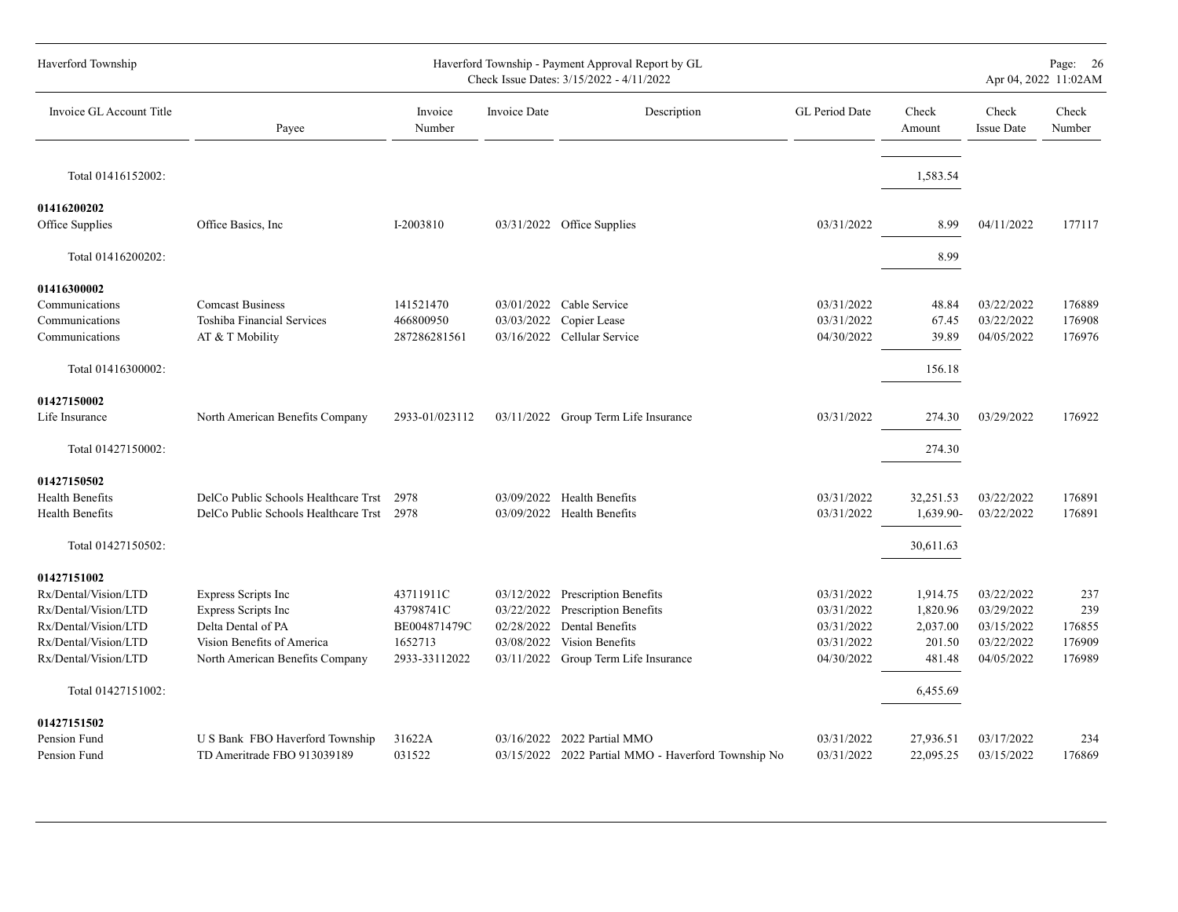| Haverford Township                                                                                                                  |                                                                                                                                   |                                                                    |                                        | Haverford Township - Payment Approval Report by GL<br>Check Issue Dates: 3/15/2022 - 4/11/2022                                          |                                                                    |                                                      | Apr 04, 2022 11:02AM                                               |                                          |  |  |  |  |
|-------------------------------------------------------------------------------------------------------------------------------------|-----------------------------------------------------------------------------------------------------------------------------------|--------------------------------------------------------------------|----------------------------------------|-----------------------------------------------------------------------------------------------------------------------------------------|--------------------------------------------------------------------|------------------------------------------------------|--------------------------------------------------------------------|------------------------------------------|--|--|--|--|
| Invoice GL Account Title                                                                                                            | Payee                                                                                                                             | Invoice<br>Number                                                  | <b>Invoice Date</b>                    | Description                                                                                                                             | GL Period Date                                                     | Check<br>Amount                                      | Check<br><b>Issue Date</b>                                         | Check<br>Number                          |  |  |  |  |
| Total 01416152002:                                                                                                                  |                                                                                                                                   |                                                                    |                                        |                                                                                                                                         |                                                                    | 1,583.54                                             |                                                                    |                                          |  |  |  |  |
| 01416200202<br>Office Supplies                                                                                                      | Office Basics, Inc.                                                                                                               | I-2003810                                                          |                                        | 03/31/2022 Office Supplies                                                                                                              | 03/31/2022                                                         | 8.99                                                 | 04/11/2022                                                         | 177117                                   |  |  |  |  |
| Total 01416200202:                                                                                                                  |                                                                                                                                   |                                                                    |                                        |                                                                                                                                         |                                                                    | 8.99                                                 |                                                                    |                                          |  |  |  |  |
| 01416300002<br>Communications<br>Communications<br>Communications<br>Total 01416300002:                                             | <b>Comcast Business</b><br><b>Toshiba Financial Services</b><br>AT & T Mobility                                                   | 141521470<br>466800950<br>287286281561                             |                                        | 03/01/2022 Cable Service<br>03/03/2022 Copier Lease<br>03/16/2022 Cellular Service                                                      | 03/31/2022<br>03/31/2022<br>04/30/2022                             | 48.84<br>67.45<br>39.89<br>156.18                    | 03/22/2022<br>03/22/2022<br>04/05/2022                             | 176889<br>176908<br>176976               |  |  |  |  |
| 01427150002<br>Life Insurance<br>Total 01427150002:                                                                                 | North American Benefits Company                                                                                                   | 2933-01/023112                                                     |                                        | 03/11/2022 Group Term Life Insurance                                                                                                    | 03/31/2022                                                         | 274.30<br>274.30                                     | 03/29/2022                                                         | 176922                                   |  |  |  |  |
| 01427150502<br><b>Health Benefits</b><br><b>Health Benefits</b><br>Total 01427150502:                                               | DelCo Public Schools Healthcare Trst<br>DelCo Public Schools Healthcare Trst                                                      | 2978<br>2978                                                       |                                        | 03/09/2022 Health Benefits<br>03/09/2022 Health Benefits                                                                                | 03/31/2022<br>03/31/2022                                           | 32,251.53<br>1,639.90-<br>30,611.63                  | 03/22/2022<br>03/22/2022                                           | 176891<br>176891                         |  |  |  |  |
| 01427151002<br>Rx/Dental/Vision/LTD<br>Rx/Dental/Vision/LTD<br>Rx/Dental/Vision/LTD<br>Rx/Dental/Vision/LTD<br>Rx/Dental/Vision/LTD | Express Scripts Inc<br>Express Scripts Inc<br>Delta Dental of PA<br>Vision Benefits of America<br>North American Benefits Company | 43711911C<br>43798741C<br>BE004871479C<br>1652713<br>2933-33112022 | 02/28/2022<br>03/08/2022<br>03/11/2022 | 03/12/2022 Prescription Benefits<br>03/22/2022 Prescription Benefits<br>Dental Benefits<br>Vision Benefits<br>Group Term Life Insurance | 03/31/2022<br>03/31/2022<br>03/31/2022<br>03/31/2022<br>04/30/2022 | 1,914.75<br>1,820.96<br>2,037.00<br>201.50<br>481.48 | 03/22/2022<br>03/29/2022<br>03/15/2022<br>03/22/2022<br>04/05/2022 | 237<br>239<br>176855<br>176909<br>176989 |  |  |  |  |
| Total 01427151002:                                                                                                                  |                                                                                                                                   |                                                                    |                                        |                                                                                                                                         |                                                                    | 6,455.69                                             |                                                                    |                                          |  |  |  |  |
| 01427151502<br>Pension Fund<br>Pension Fund                                                                                         | U S Bank FBO Haverford Township<br>TD Ameritrade FBO 913039189                                                                    | 31622A<br>031522                                                   | 03/16/2022                             | 2022 Partial MMO<br>03/15/2022 2022 Partial MMO - Haverford Township No                                                                 | 03/31/2022<br>03/31/2022                                           | 27,936.51<br>22,095.25                               | 03/17/2022<br>03/15/2022                                           | 234<br>176869                            |  |  |  |  |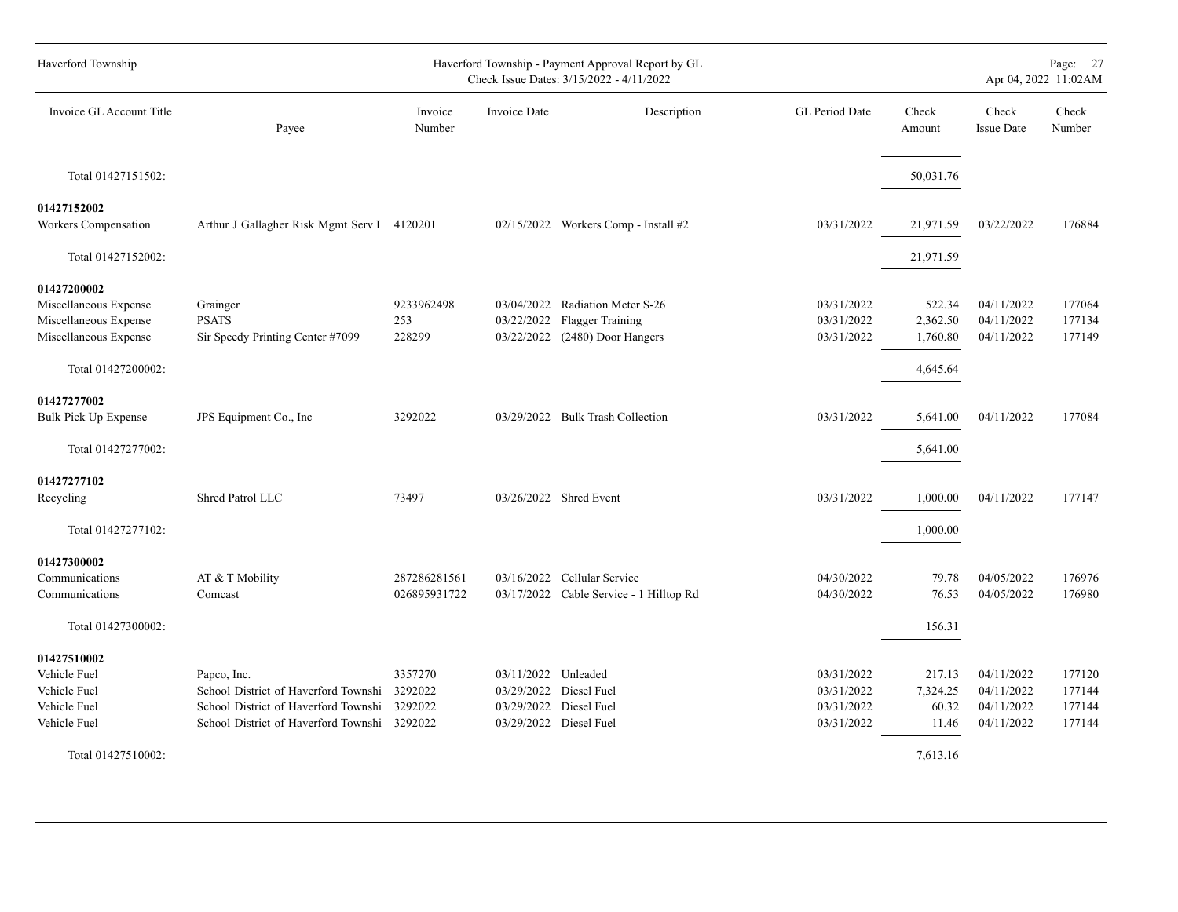| Haverford Township                                                                                           |                                                                                                                                             |                               |                     | Haverford Township - Payment Approval Report by GL<br>Check Issue Dates: 3/15/2022 - 4/11/2022 |                                                      |                                                  | Page: 27<br>Apr 04, 2022 11:02AM                     |                                      |  |  |  |
|--------------------------------------------------------------------------------------------------------------|---------------------------------------------------------------------------------------------------------------------------------------------|-------------------------------|---------------------|------------------------------------------------------------------------------------------------|------------------------------------------------------|--------------------------------------------------|------------------------------------------------------|--------------------------------------|--|--|--|
| Invoice GL Account Title                                                                                     | Payee                                                                                                                                       | Invoice<br>Number             | <b>Invoice Date</b> | Description                                                                                    | GL Period Date                                       | Check<br>Amount                                  | Check<br><b>Issue Date</b>                           | Check<br>Number                      |  |  |  |
| Total 01427151502:                                                                                           |                                                                                                                                             |                               |                     |                                                                                                |                                                      | 50,031.76                                        |                                                      |                                      |  |  |  |
| 01427152002<br>Workers Compensation                                                                          | Arthur J Gallagher Risk Mgmt Serv I 4120201                                                                                                 |                               |                     | 02/15/2022 Workers Comp - Install #2                                                           | 03/31/2022                                           | 21,971.59                                        | 03/22/2022                                           | 176884                               |  |  |  |
| Total 01427152002:                                                                                           |                                                                                                                                             |                               |                     |                                                                                                |                                                      | 21,971.59                                        |                                                      |                                      |  |  |  |
| 01427200002<br>Miscellaneous Expense<br>Miscellaneous Expense<br>Miscellaneous Expense<br>Total 01427200002: | Grainger<br><b>PSATS</b><br>Sir Speedy Printing Center #7099                                                                                | 9233962498<br>253<br>228299   | 03/22/2022          | 03/04/2022 Radiation Meter S-26<br>Flagger Training<br>03/22/2022 (2480) Door Hangers          | 03/31/2022<br>03/31/2022<br>03/31/2022               | 522.34<br>2,362.50<br>1,760.80<br>4,645.64       | 04/11/2022<br>04/11/2022<br>04/11/2022               | 177064<br>177134<br>177149           |  |  |  |
| 01427277002<br>Bulk Pick Up Expense                                                                          | JPS Equipment Co., Inc.                                                                                                                     | 3292022                       |                     | 03/29/2022 Bulk Trash Collection                                                               | 03/31/2022                                           | 5,641.00                                         | 04/11/2022                                           | 177084                               |  |  |  |
| Total 01427277002:<br>01427277102<br>Recycling<br>Total 01427277102:                                         | Shred Patrol LLC                                                                                                                            | 73497                         |                     | 03/26/2022 Shred Event                                                                         | 03/31/2022                                           | 5,641.00<br>1,000.00<br>1,000.00                 | 04/11/2022                                           | 177147                               |  |  |  |
| 01427300002<br>Communications<br>Communications<br>Total 01427300002:                                        | AT & T Mobility<br>Comcast                                                                                                                  | 287286281561<br>026895931722  |                     | 03/16/2022 Cellular Service<br>03/17/2022 Cable Service - 1 Hilltop Rd                         | 04/30/2022<br>04/30/2022                             | 79.78<br>76.53<br>156.31                         | 04/05/2022<br>04/05/2022                             | 176976<br>176980                     |  |  |  |
| 01427510002<br>Vehicle Fuel<br>Vehicle Fuel<br>Vehicle Fuel<br>Vehicle Fuel<br>Total 01427510002:            | Papco, Inc.<br>School District of Haverford Townshi<br>School District of Haverford Townshi<br>School District of Haverford Townshi 3292022 | 3357270<br>3292022<br>3292022 | 03/11/2022 Unleaded | 03/29/2022 Diesel Fuel<br>03/29/2022 Diesel Fuel<br>03/29/2022 Diesel Fuel                     | 03/31/2022<br>03/31/2022<br>03/31/2022<br>03/31/2022 | 217.13<br>7,324.25<br>60.32<br>11.46<br>7,613.16 | 04/11/2022<br>04/11/2022<br>04/11/2022<br>04/11/2022 | 177120<br>177144<br>177144<br>177144 |  |  |  |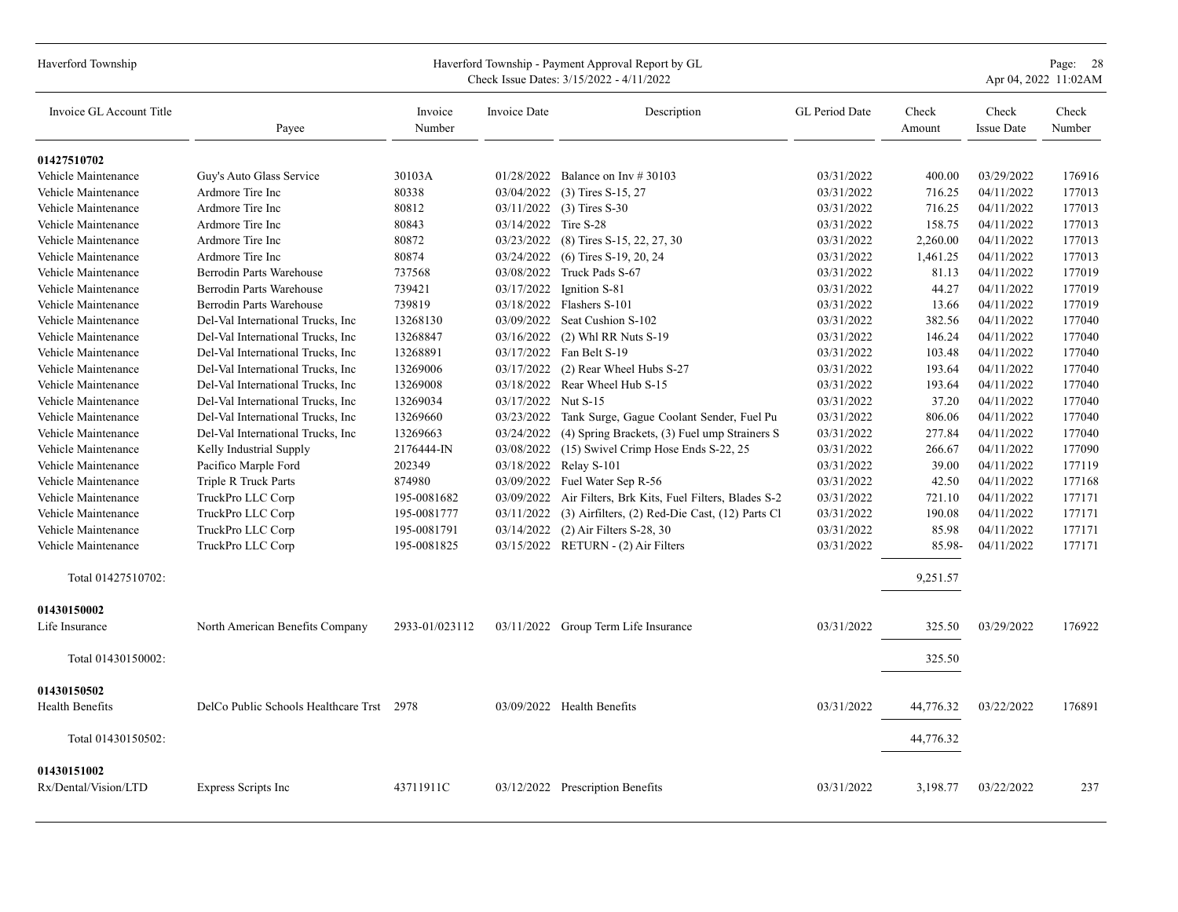| Haverford Township                  |                                           |                   |                      | Haverford Township - Payment Approval Report by GL<br>Check Issue Dates: 3/15/2022 - 4/11/2022 |                |                 |                            | Page: 28<br>Apr 04, 2022 11:02AM |
|-------------------------------------|-------------------------------------------|-------------------|----------------------|------------------------------------------------------------------------------------------------|----------------|-----------------|----------------------------|----------------------------------|
| Invoice GL Account Title            | Payee                                     | Invoice<br>Number | Invoice Date         | Description                                                                                    | GL Period Date | Check<br>Amount | Check<br><b>Issue Date</b> | Check<br>Number                  |
| 01427510702                         |                                           |                   |                      |                                                                                                |                |                 |                            |                                  |
| Vehicle Maintenance                 | Guy's Auto Glass Service                  | 30103A            |                      | 01/28/2022 Balance on Inv # 30103                                                              | 03/31/2022     | 400.00          | 03/29/2022                 | 176916                           |
| Vehicle Maintenance                 | Ardmore Tire Inc                          | 80338             | 03/04/2022           | $(3)$ Tires S-15, 27                                                                           | 03/31/2022     | 716.25          | 04/11/2022                 | 177013                           |
| Vehicle Maintenance                 | Ardmore Tire Inc                          | 80812             | 03/11/2022           | $(3)$ Tires S-30                                                                               | 03/31/2022     | 716.25          | 04/11/2022                 | 177013                           |
| Vehicle Maintenance                 | Ardmore Tire Inc                          | 80843             | 03/14/2022 Tire S-28 |                                                                                                | 03/31/2022     | 158.75          | 04/11/2022                 | 177013                           |
| Vehicle Maintenance                 | Ardmore Tire Inc                          | 80872             |                      | 03/23/2022 (8) Tires S-15, 22, 27, 30                                                          | 03/31/2022     | 2,260.00        | 04/11/2022                 | 177013                           |
| Vehicle Maintenance                 | Ardmore Tire Inc                          | 80874             |                      | 03/24/2022 (6) Tires S-19, 20, 24                                                              | 03/31/2022     | 1,461.25        | 04/11/2022                 | 177013                           |
| Vehicle Maintenance                 | Berrodin Parts Warehouse                  | 737568            |                      | 03/08/2022 Truck Pads S-67                                                                     | 03/31/2022     | 81.13           | 04/11/2022                 | 177019                           |
| Vehicle Maintenance                 | Berrodin Parts Warehouse                  | 739421            | 03/17/2022           | Ignition S-81                                                                                  | 03/31/2022     | 44.27           | 04/11/2022                 | 177019                           |
| Vehicle Maintenance                 | Berrodin Parts Warehouse                  | 739819            |                      | 03/18/2022 Flashers S-101                                                                      | 03/31/2022     | 13.66           | 04/11/2022                 | 177019                           |
| Vehicle Maintenance                 | Del-Val International Trucks, Inc.        | 13268130          |                      | 03/09/2022 Seat Cushion S-102                                                                  | 03/31/2022     | 382.56          | 04/11/2022                 | 177040                           |
| Vehicle Maintenance                 | Del-Val International Trucks, Inc.        | 13268847          | 03/16/2022           | $(2)$ Whl RR Nuts S-19                                                                         | 03/31/2022     | 146.24          | 04/11/2022                 | 177040                           |
| Vehicle Maintenance                 | Del-Val International Trucks, Inc.        | 13268891          |                      | 03/17/2022 Fan Belt S-19                                                                       | 03/31/2022     | 103.48          | 04/11/2022                 | 177040                           |
| Vehicle Maintenance                 | Del-Val International Trucks, Inc.        | 13269006          | 03/17/2022           | (2) Rear Wheel Hubs S-27                                                                       | 03/31/2022     | 193.64          | 04/11/2022                 | 177040                           |
| Vehicle Maintenance                 | Del-Val International Trucks, Inc.        | 13269008          |                      | 03/18/2022 Rear Wheel Hub S-15                                                                 | 03/31/2022     | 193.64          | 04/11/2022                 | 177040                           |
| Vehicle Maintenance                 | Del-Val International Trucks, Inc.        | 13269034          | 03/17/2022 Nut S-15  |                                                                                                | 03/31/2022     | 37.20           | 04/11/2022                 | 177040                           |
| Vehicle Maintenance                 | Del-Val International Trucks, Inc.        | 13269660          | 03/23/2022           | Tank Surge, Gague Coolant Sender, Fuel Pu                                                      | 03/31/2022     | 806.06          | 04/11/2022                 | 177040                           |
| Vehicle Maintenance                 | Del-Val International Trucks, Inc.        | 13269663          | 03/24/2022           | (4) Spring Brackets, (3) Fuel ump Strainers S                                                  | 03/31/2022     | 277.84          | 04/11/2022                 | 177040                           |
| Vehicle Maintenance                 | Kelly Industrial Supply                   | 2176444-IN        | 03/08/2022           | (15) Swivel Crimp Hose Ends S-22, 25                                                           | 03/31/2022     | 266.67          | 04/11/2022                 | 177090                           |
| Vehicle Maintenance                 | Pacifico Marple Ford                      | 202349            |                      | 03/18/2022 Relay S-101                                                                         | 03/31/2022     | 39.00           | 04/11/2022                 | 177119                           |
| Vehicle Maintenance                 | Triple R Truck Parts                      | 874980            |                      | 03/09/2022 Fuel Water Sep R-56                                                                 | 03/31/2022     | 42.50           | 04/11/2022                 | 177168                           |
| Vehicle Maintenance                 | TruckPro LLC Corp                         | 195-0081682       | 03/09/2022           | Air Filters, Brk Kits, Fuel Filters, Blades S-2                                                | 03/31/2022     | 721.10          | 04/11/2022                 | 177171                           |
| Vehicle Maintenance                 | TruckPro LLC Corp                         | 195-0081777       | 03/11/2022           | (3) Airfilters, (2) Red-Die Cast, (12) Parts Cl                                                | 03/31/2022     | 190.08          | 04/11/2022                 | 177171                           |
| Vehicle Maintenance                 | TruckPro LLC Corp                         | 195-0081791       | 03/14/2022           | $(2)$ Air Filters S-28, 30                                                                     | 03/31/2022     | 85.98           | 04/11/2022                 | 177171                           |
| Vehicle Maintenance                 | TruckPro LLC Corp                         | 195-0081825       |                      | 03/15/2022 RETURN - (2) Air Filters                                                            | 03/31/2022     | 85.98-          | 04/11/2022                 | 177171                           |
| Total 01427510702:                  |                                           |                   |                      |                                                                                                |                | 9,251.57        |                            |                                  |
| 01430150002                         |                                           |                   |                      |                                                                                                |                |                 |                            |                                  |
| Life Insurance                      | North American Benefits Company           | 2933-01/023112    |                      | 03/11/2022 Group Term Life Insurance                                                           | 03/31/2022     | 325.50          | 03/29/2022                 | 176922                           |
| Total 01430150002:                  |                                           |                   |                      |                                                                                                |                | 325.50          |                            |                                  |
| 01430150502<br>Health Benefits      | DelCo Public Schools Healthcare Trst 2978 |                   |                      | 03/09/2022 Health Benefits                                                                     | 03/31/2022     | 44,776.32       | 03/22/2022                 | 176891                           |
| Total 01430150502:                  |                                           |                   |                      |                                                                                                |                | 44,776.32       |                            |                                  |
|                                     |                                           |                   |                      |                                                                                                |                |                 |                            |                                  |
| 01430151002<br>Rx/Dental/Vision/LTD | Express Scripts Inc                       | 43711911C         |                      | 03/12/2022 Prescription Benefits                                                               | 03/31/2022     | 3,198.77        | 03/22/2022                 | 237                              |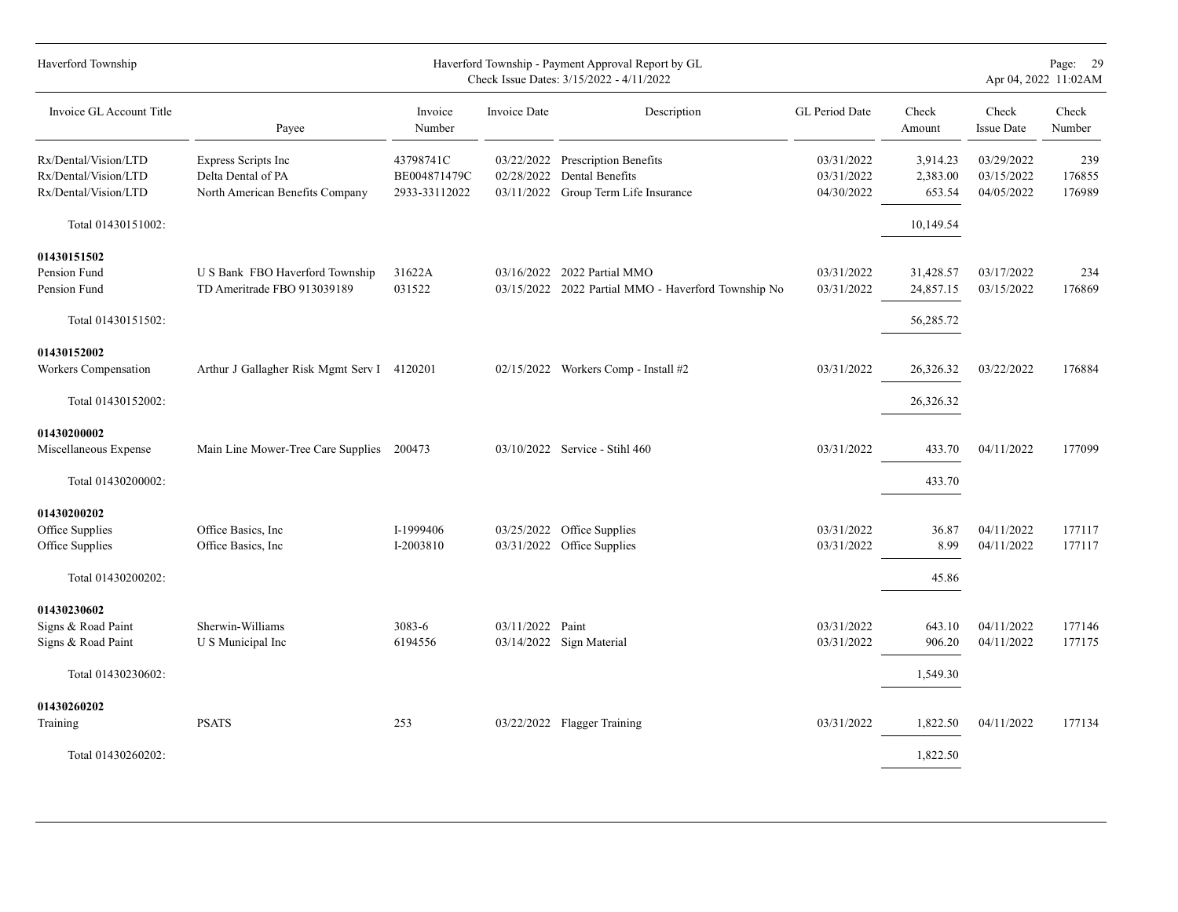| Haverford Township                                                      |                                                                              |                                            |                  | Haverford Township - Payment Approval Report by GL<br>Check Issue Dates: 3/15/2022 - 4/11/2022 |                                        |                                     |                                        | Page: 29<br>Apr 04, 2022 11:02AM |
|-------------------------------------------------------------------------|------------------------------------------------------------------------------|--------------------------------------------|------------------|------------------------------------------------------------------------------------------------|----------------------------------------|-------------------------------------|----------------------------------------|----------------------------------|
| Invoice GL Account Title                                                | Payee                                                                        | Invoice<br>Number                          | Invoice Date     | Description                                                                                    | GL Period Date                         | Check<br>Amount                     | Check<br><b>Issue Date</b>             | Check<br>Number                  |
| Rx/Dental/Vision/LTD<br>Rx/Dental/Vision/LTD<br>Rx/Dental/Vision/LTD    | Express Scripts Inc<br>Delta Dental of PA<br>North American Benefits Company | 43798741C<br>BE004871479C<br>2933-33112022 | 02/28/2022       | 03/22/2022 Prescription Benefits<br>Dental Benefits<br>03/11/2022 Group Term Life Insurance    | 03/31/2022<br>03/31/2022<br>04/30/2022 | 3,914.23<br>2,383.00<br>653.54      | 03/29/2022<br>03/15/2022<br>04/05/2022 | 239<br>176855<br>176989          |
| Total 01430151002:                                                      |                                                                              |                                            |                  |                                                                                                |                                        | 10,149.54                           |                                        |                                  |
| 01430151502<br>Pension Fund<br>Pension Fund<br>Total 01430151502:       | U S Bank FBO Haverford Township<br>TD Ameritrade FBO 913039189               | 31622A<br>031522                           |                  | 03/16/2022 2022 Partial MMO<br>03/15/2022 2022 Partial MMO - Haverford Township No             | 03/31/2022<br>03/31/2022               | 31,428.57<br>24,857.15<br>56,285.72 | 03/17/2022<br>03/15/2022               | 234<br>176869                    |
| 01430152002<br>Workers Compensation<br>Total 01430152002:               | Arthur J Gallagher Risk Mgmt Serv I 4120201                                  |                                            |                  | 02/15/2022 Workers Comp - Install #2                                                           | 03/31/2022                             | 26,326.32<br>26,326.32              | 03/22/2022                             | 176884                           |
| 01430200002<br>Miscellaneous Expense<br>Total 01430200002:              | Main Line Mower-Tree Care Supplies 200473                                    |                                            |                  | 03/10/2022 Service - Stihl 460                                                                 | 03/31/2022                             | 433.70<br>433.70                    | 04/11/2022                             | 177099                           |
| 01430200202<br>Office Supplies<br>Office Supplies<br>Total 01430200202: | Office Basics, Inc.<br>Office Basics, Inc.                                   | I-1999406<br>I-2003810                     | 03/25/2022       | Office Supplies<br>03/31/2022 Office Supplies                                                  | 03/31/2022<br>03/31/2022               | 36.87<br>8.99<br>45.86              | 04/11/2022<br>04/11/2022               | 177117<br>177117                 |
| 01430230602<br>Signs & Road Paint<br>Signs & Road Paint                 | Sherwin-Williams<br>U S Municipal Inc                                        | 3083-6<br>6194556                          | 03/11/2022 Paint | 03/14/2022 Sign Material                                                                       | 03/31/2022<br>03/31/2022               | 643.10<br>906.20                    | 04/11/2022<br>04/11/2022               | 177146<br>177175                 |
| Total 01430230602:<br>01430260202<br>Training<br>Total 01430260202:     | <b>PSATS</b>                                                                 | 253                                        |                  | 03/22/2022 Flagger Training                                                                    | 03/31/2022                             | 1,549.30<br>1,822.50<br>1,822.50    | 04/11/2022                             | 177134                           |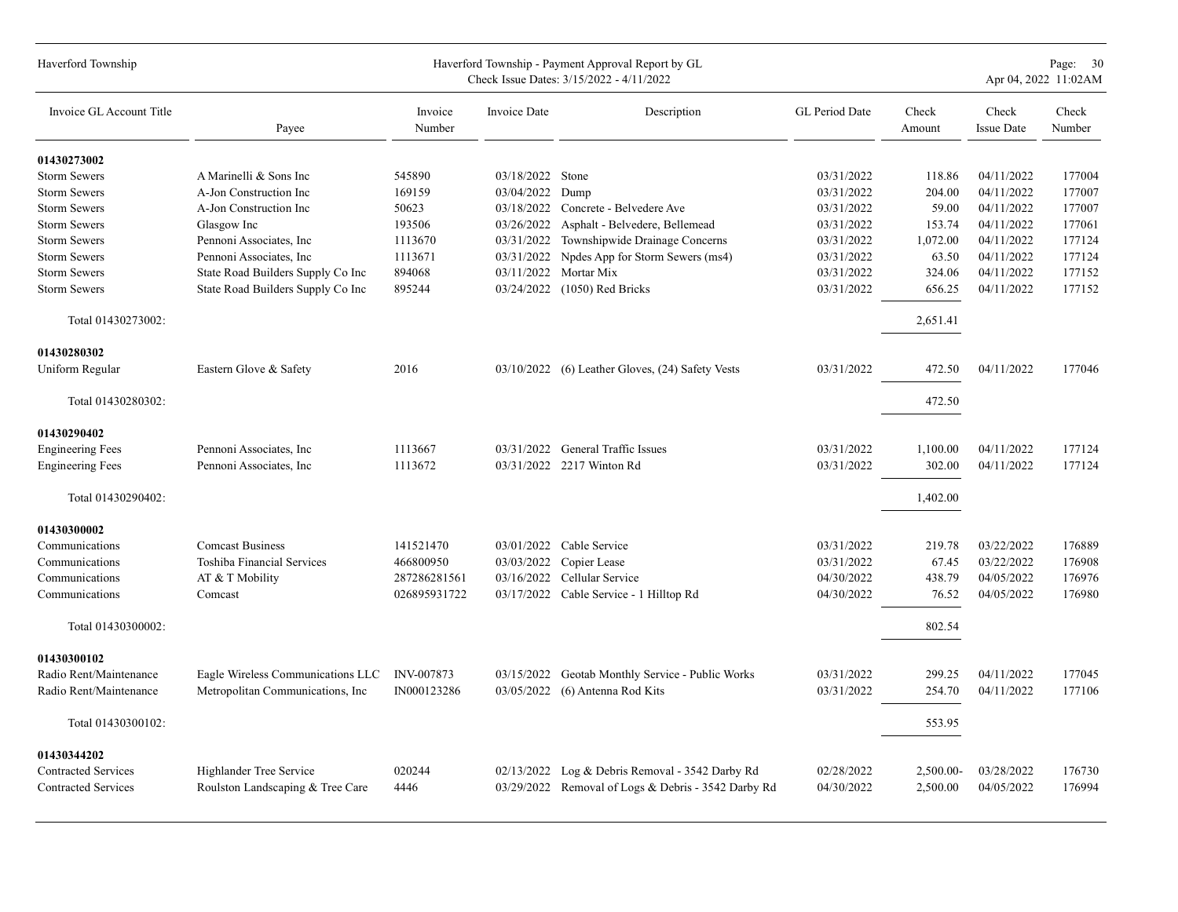| Haverford Township                                       |                                                             |                   |                     | Haverford Township - Payment Approval Report by GL<br>Check Issue Dates: 3/15/2022 - 4/11/2022 |                          |                       | Page: 30<br>Apr 04, 2022 11:02AM |                  |
|----------------------------------------------------------|-------------------------------------------------------------|-------------------|---------------------|------------------------------------------------------------------------------------------------|--------------------------|-----------------------|----------------------------------|------------------|
| Invoice GL Account Title                                 | Payee                                                       | Invoice<br>Number | <b>Invoice Date</b> | Description                                                                                    | GL Period Date           | Check<br>Amount       | Check<br><b>Issue Date</b>       | Check<br>Number  |
| 01430273002                                              |                                                             |                   |                     |                                                                                                |                          |                       |                                  |                  |
| <b>Storm Sewers</b>                                      | A Marinelli & Sons Inc                                      | 545890            | 03/18/2022 Stone    |                                                                                                | 03/31/2022               | 118.86                | 04/11/2022                       | 177004           |
| <b>Storm Sewers</b>                                      | A-Jon Construction Inc                                      | 169159            | 03/04/2022          | Dump                                                                                           | 03/31/2022               | 204.00                | 04/11/2022                       | 177007           |
| <b>Storm Sewers</b>                                      | A-Jon Construction Inc                                      | 50623             | 03/18/2022          | Concrete - Belvedere Ave                                                                       | 03/31/2022               | 59.00                 | 04/11/2022                       | 177007           |
| <b>Storm Sewers</b>                                      | Glasgow Inc                                                 | 193506            | 03/26/2022          | Asphalt - Belvedere, Bellemead                                                                 | 03/31/2022               | 153.74                | 04/11/2022                       | 177061           |
| <b>Storm Sewers</b>                                      | Pennoni Associates, Inc.                                    | 1113670           | 03/31/2022          | Townshipwide Drainage Concerns                                                                 | 03/31/2022               | 1,072.00              | 04/11/2022                       | 177124           |
| <b>Storm Sewers</b>                                      | Pennoni Associates, Inc.                                    | 1113671           | 03/31/2022          | Npdes App for Storm Sewers (ms4)                                                               | 03/31/2022               | 63.50                 | 04/11/2022                       | 177124           |
| <b>Storm Sewers</b>                                      | State Road Builders Supply Co Inc                           | 894068            | 03/11/2022          | Mortar Mix                                                                                     | 03/31/2022               | 324.06                | 04/11/2022                       | 177152           |
| <b>Storm Sewers</b>                                      | State Road Builders Supply Co Inc                           | 895244            | 03/24/2022          | $(1050)$ Red Bricks                                                                            | 03/31/2022               | 656.25                | 04/11/2022                       | 177152           |
| Total 01430273002:                                       |                                                             |                   |                     |                                                                                                |                          | 2,651.41              |                                  |                  |
| 01430280302                                              |                                                             |                   |                     |                                                                                                |                          |                       |                                  |                  |
| Uniform Regular                                          | Eastern Glove & Safety                                      | 2016              |                     | 03/10/2022 (6) Leather Gloves, (24) Safety Vests                                               | 03/31/2022               | 472.50                | 04/11/2022                       | 177046           |
| Total 01430280302:                                       |                                                             |                   |                     |                                                                                                |                          | 472.50                |                                  |                  |
| 01430290402                                              |                                                             |                   |                     |                                                                                                |                          |                       |                                  |                  |
| <b>Engineering Fees</b>                                  | Pennoni Associates, Inc.                                    | 1113667           |                     | 03/31/2022 General Traffic Issues                                                              | 03/31/2022               | 1,100.00              | 04/11/2022                       | 177124           |
| <b>Engineering Fees</b>                                  | Pennoni Associates, Inc.                                    | 1113672           |                     | 03/31/2022 2217 Winton Rd                                                                      | 03/31/2022               | 302.00                | 04/11/2022                       | 177124           |
| Total 01430290402:                                       |                                                             |                   |                     |                                                                                                |                          | 1,402.00              |                                  |                  |
| 01430300002                                              |                                                             |                   |                     |                                                                                                |                          |                       |                                  |                  |
| Communications                                           | <b>Comcast Business</b>                                     | 141521470         |                     | 03/01/2022 Cable Service                                                                       | 03/31/2022               | 219.78                | 03/22/2022                       | 176889           |
| Communications                                           | Toshiba Financial Services                                  | 466800950         | 03/03/2022          | Copier Lease                                                                                   | 03/31/2022               | 67.45                 | 03/22/2022                       | 176908           |
| Communications                                           | AT & T Mobility                                             | 287286281561      |                     | 03/16/2022 Cellular Service                                                                    | 04/30/2022               | 438.79                | 04/05/2022                       | 176976           |
| Communications                                           | Comcast                                                     | 026895931722      |                     | 03/17/2022 Cable Service - 1 Hilltop Rd                                                        | 04/30/2022               | 76.52                 | 04/05/2022                       | 176980           |
| Total 01430300002:                                       |                                                             |                   |                     |                                                                                                |                          | 802.54                |                                  |                  |
| 01430300102                                              |                                                             |                   |                     |                                                                                                |                          |                       |                                  |                  |
| Radio Rent/Maintenance                                   | Eagle Wireless Communications LLC                           | INV-007873        | 03/15/2022          | Geotab Monthly Service - Public Works                                                          | 03/31/2022               | 299.25                | 04/11/2022                       | 177045           |
| Radio Rent/Maintenance                                   | Metropolitan Communications, Inc                            | IN000123286       | 03/05/2022          | (6) Antenna Rod Kits                                                                           | 03/31/2022               | 254.70                | 04/11/2022                       | 177106           |
| Total 01430300102:                                       |                                                             |                   |                     |                                                                                                |                          | 553.95                |                                  |                  |
|                                                          |                                                             |                   |                     |                                                                                                |                          |                       |                                  |                  |
| 01430344202                                              |                                                             |                   |                     |                                                                                                |                          |                       |                                  |                  |
| <b>Contracted Services</b><br><b>Contracted Services</b> | Highlander Tree Service<br>Roulston Landscaping & Tree Care | 020244<br>4446    | 02/13/2022          | Log & Debris Removal - 3542 Darby Rd<br>03/29/2022 Removal of Logs & Debris - 3542 Darby Rd    | 02/28/2022<br>04/30/2022 | 2,500.00-<br>2,500.00 | 03/28/2022<br>04/05/2022         | 176730<br>176994 |
|                                                          |                                                             |                   |                     |                                                                                                |                          |                       |                                  |                  |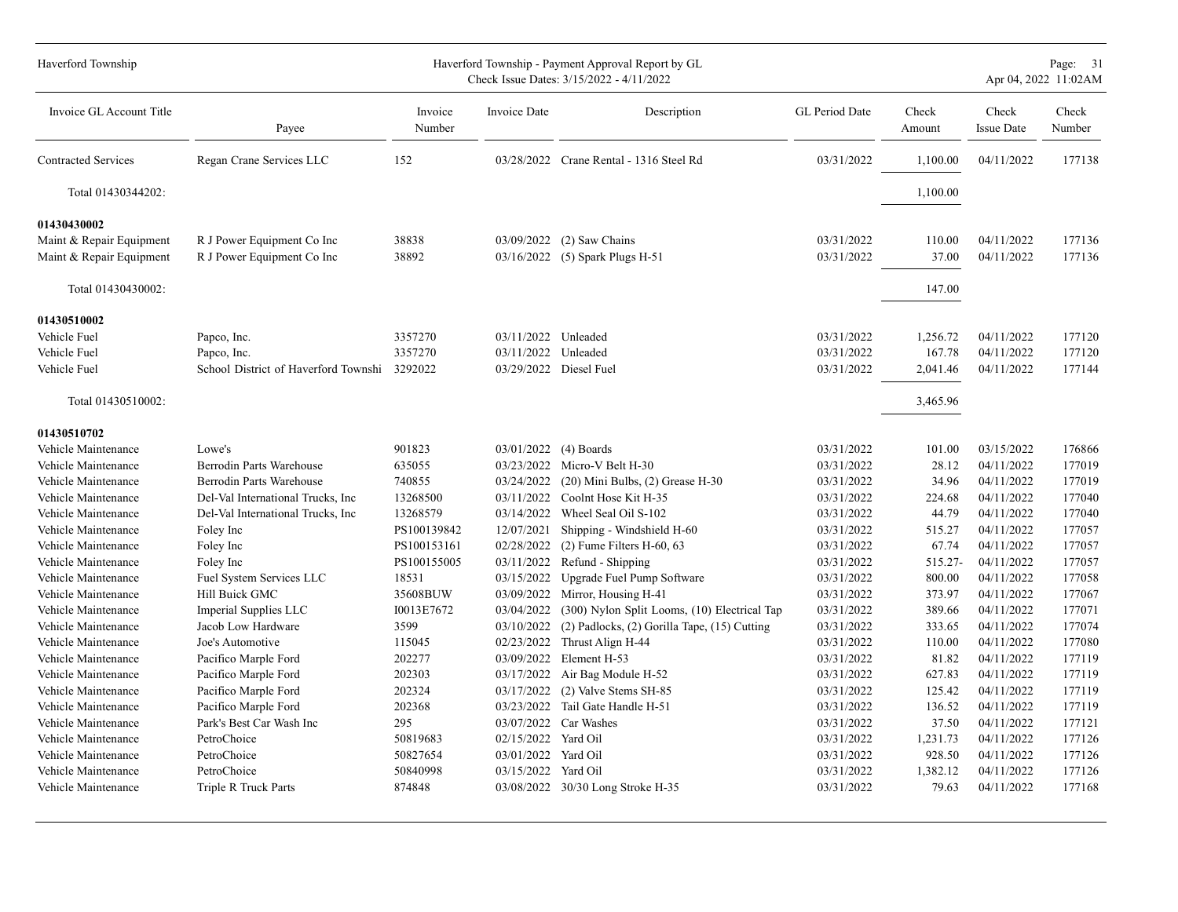| Haverford Township         |                                              |                   |                     | Haverford Township - Payment Approval Report by GL<br>Check Issue Dates: 3/15/2022 - 4/11/2022 |                       |                 |                            | Page: 31<br>Apr 04, 2022 11:02AM |
|----------------------------|----------------------------------------------|-------------------|---------------------|------------------------------------------------------------------------------------------------|-----------------------|-----------------|----------------------------|----------------------------------|
| Invoice GL Account Title   | Payee                                        | Invoice<br>Number | Invoice Date        | Description                                                                                    | <b>GL</b> Period Date | Check<br>Amount | Check<br><b>Issue Date</b> | Check<br>Number                  |
| <b>Contracted Services</b> | Regan Crane Services LLC                     | 152               |                     | 03/28/2022 Crane Rental - 1316 Steel Rd                                                        | 03/31/2022            | 1,100.00        | 04/11/2022                 | 177138                           |
| Total 01430344202:         |                                              |                   |                     |                                                                                                |                       | 1,100.00        |                            |                                  |
| 01430430002                |                                              |                   |                     |                                                                                                |                       |                 |                            |                                  |
| Maint & Repair Equipment   | R J Power Equipment Co Inc                   | 38838             | 03/09/2022          | (2) Saw Chains                                                                                 | 03/31/2022            | 110.00          | 04/11/2022                 | 177136                           |
| Maint & Repair Equipment   | R J Power Equipment Co Inc                   | 38892             | 03/16/2022          | (5) Spark Plugs H-51                                                                           | 03/31/2022            | 37.00           | 04/11/2022                 | 177136                           |
| Total 01430430002:         |                                              |                   |                     |                                                                                                |                       | 147.00          |                            |                                  |
| 01430510002                |                                              |                   |                     |                                                                                                |                       |                 |                            |                                  |
| Vehicle Fuel               | Papco, Inc.                                  | 3357270           | 03/11/2022 Unleaded |                                                                                                | 03/31/2022            | 1,256.72        | 04/11/2022                 | 177120                           |
| Vehicle Fuel               | Papco, Inc.                                  | 3357270           | 03/11/2022          | Unleaded                                                                                       | 03/31/2022            | 167.78          | 04/11/2022                 | 177120                           |
| Vehicle Fuel               | School District of Haverford Townshi 3292022 |                   |                     | 03/29/2022 Diesel Fuel                                                                         | 03/31/2022            | 2,041.46        | 04/11/2022                 | 177144                           |
| Total 01430510002:         |                                              |                   |                     |                                                                                                |                       | 3,465.96        |                            |                                  |
| 01430510702                |                                              |                   |                     |                                                                                                |                       |                 |                            |                                  |
| Vehicle Maintenance        | Lowe's                                       | 901823            | 03/01/2022          | (4) Boards                                                                                     | 03/31/2022            | 101.00          | 03/15/2022                 | 176866                           |
| Vehicle Maintenance        | Berrodin Parts Warehouse                     | 635055            | 03/23/2022          | Micro-V Belt H-30                                                                              | 03/31/2022            | 28.12           | 04/11/2022                 | 177019                           |
| Vehicle Maintenance        | Berrodin Parts Warehouse                     | 740855            | 03/24/2022          | $(20)$ Mini Bulbs, $(2)$ Grease H-30                                                           | 03/31/2022            | 34.96           | 04/11/2022                 | 177019                           |
| Vehicle Maintenance        | Del-Val International Trucks, Inc            | 13268500          | 03/11/2022          | Coolnt Hose Kit H-35                                                                           | 03/31/2022            | 224.68          | 04/11/2022                 | 177040                           |
| Vehicle Maintenance        | Del-Val International Trucks, Inc.           | 13268579          | 03/14/2022          | Wheel Seal Oil S-102                                                                           | 03/31/2022            | 44.79           | 04/11/2022                 | 177040                           |
| Vehicle Maintenance        | Foley Inc                                    | PS100139842       | 12/07/2021          | Shipping - Windshield H-60                                                                     | 03/31/2022            | 515.27          | 04/11/2022                 | 177057                           |
| Vehicle Maintenance        | Foley Inc                                    | PS100153161       | 02/28/2022          | $(2)$ Fume Filters H-60, 63                                                                    | 03/31/2022            | 67.74           | 04/11/2022                 | 177057                           |
| Vehicle Maintenance        | Foley Inc                                    | PS100155005       | 03/11/2022          | Refund - Shipping                                                                              | 03/31/2022            | 515.27-         | 04/11/2022                 | 177057                           |
| Vehicle Maintenance        | Fuel System Services LLC                     | 18531             | 03/15/2022          | Upgrade Fuel Pump Software                                                                     | 03/31/2022            | 800.00          | 04/11/2022                 | 177058                           |
| Vehicle Maintenance        | Hill Buick GMC                               | 35608BUW          | 03/09/2022          | Mirror, Housing H-41                                                                           | 03/31/2022            | 373.97          | 04/11/2022                 | 177067                           |
| Vehicle Maintenance        | Imperial Supplies LLC                        | I0013E7672        | 03/04/2022          | (300) Nylon Split Looms, (10) Electrical Tap                                                   | 03/31/2022            | 389.66          | 04/11/2022                 | 177071                           |
| Vehicle Maintenance        | Jacob Low Hardware                           | 3599              | 03/10/2022          | $(2)$ Padlocks, $(2)$ Gorilla Tape, $(15)$ Cutting                                             | 03/31/2022            | 333.65          | 04/11/2022                 | 177074                           |
| Vehicle Maintenance        | Joe's Automotive                             | 115045            | 02/23/2022          | Thrust Align H-44                                                                              | 03/31/2022            | 110.00          | 04/11/2022                 | 177080                           |
| Vehicle Maintenance        | Pacifico Marple Ford                         | 202277            |                     | 03/09/2022 Element H-53                                                                        | 03/31/2022            | 81.82           | 04/11/2022                 | 177119                           |
| Vehicle Maintenance        | Pacifico Marple Ford                         | 202303            | 03/17/2022          | Air Bag Module H-52                                                                            | 03/31/2022            | 627.83          | 04/11/2022                 | 177119                           |
| Vehicle Maintenance        | Pacifico Marple Ford                         | 202324            | 03/17/2022          | (2) Valve Stems SH-85                                                                          | 03/31/2022            | 125.42          | 04/11/2022                 | 177119                           |
| Vehicle Maintenance        | Pacifico Marple Ford                         | 202368            |                     | 03/23/2022 Tail Gate Handle H-51                                                               | 03/31/2022            | 136.52          | 04/11/2022                 | 177119                           |
| Vehicle Maintenance        | Park's Best Car Wash Inc                     | 295               | 03/07/2022          | Car Washes                                                                                     | 03/31/2022            | 37.50           | 04/11/2022                 | 177121                           |
| Vehicle Maintenance        | PetroChoice                                  | 50819683          | 02/15/2022 Yard Oil |                                                                                                | 03/31/2022            | 1,231.73        | 04/11/2022                 | 177126                           |
| Vehicle Maintenance        | PetroChoice                                  | 50827654          | 03/01/2022 Yard Oil |                                                                                                | 03/31/2022            | 928.50          | 04/11/2022                 | 177126                           |
| Vehicle Maintenance        | PetroChoice                                  | 50840998          | 03/15/2022 Yard Oil |                                                                                                | 03/31/2022            | 1,382.12        | 04/11/2022                 | 177126                           |
| Vehicle Maintenance        | Triple R Truck Parts                         | 874848            |                     | 03/08/2022 30/30 Long Stroke H-35                                                              | 03/31/2022            | 79.63           | 04/11/2022                 | 177168                           |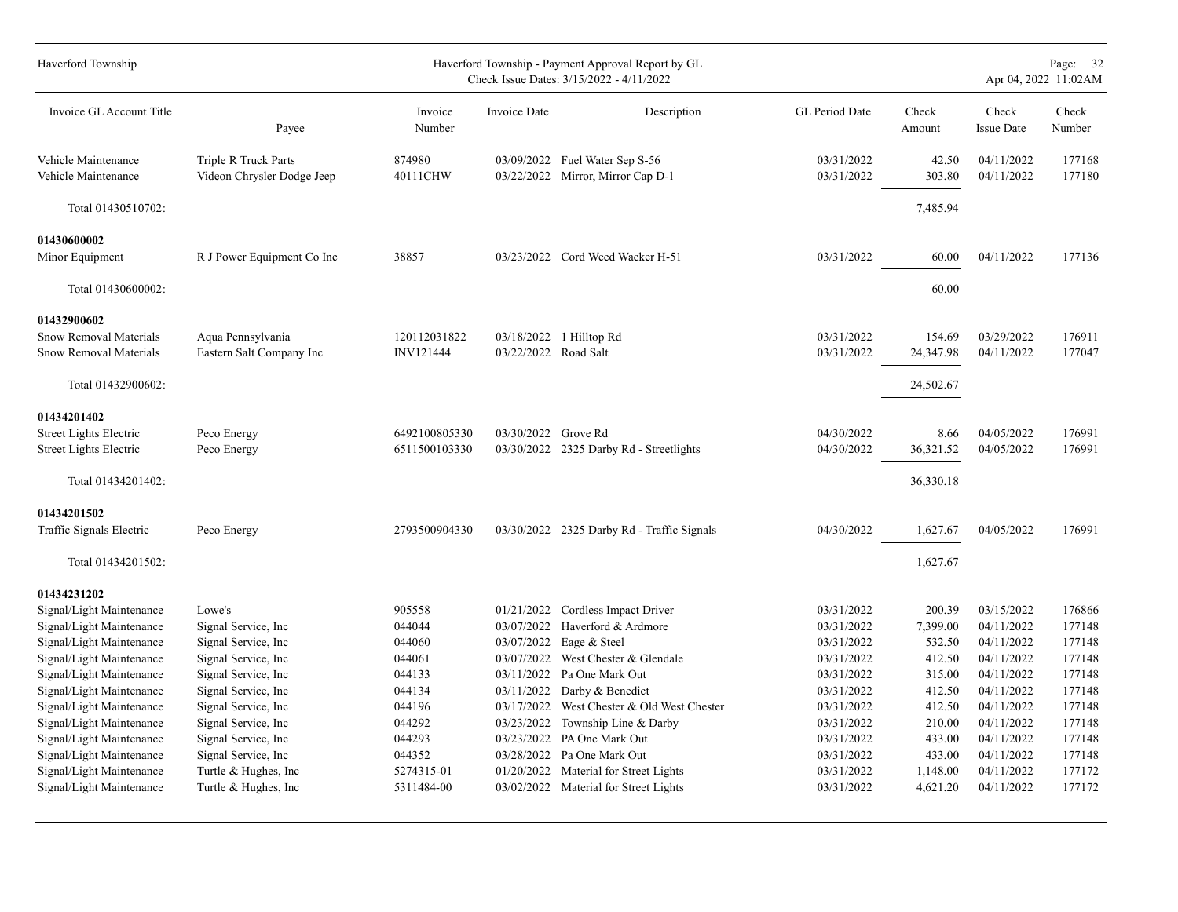| Haverford Township                                                                                                                                                                                                                                                                                               |                                                                                                                                                                                                                                                 |                                                                                                                |                                                                                                                                          | Haverford Township - Payment Approval Report by GL<br>Check Issue Dates: 3/15/2022 - 4/11/2022                                                                                                                                                                             |                                                                                                                                                        |                                                                                                                |                                                                                                                                                        | Page: 32<br>Apr 04, 2022 11:02AM                                                                           |
|------------------------------------------------------------------------------------------------------------------------------------------------------------------------------------------------------------------------------------------------------------------------------------------------------------------|-------------------------------------------------------------------------------------------------------------------------------------------------------------------------------------------------------------------------------------------------|----------------------------------------------------------------------------------------------------------------|------------------------------------------------------------------------------------------------------------------------------------------|----------------------------------------------------------------------------------------------------------------------------------------------------------------------------------------------------------------------------------------------------------------------------|--------------------------------------------------------------------------------------------------------------------------------------------------------|----------------------------------------------------------------------------------------------------------------|--------------------------------------------------------------------------------------------------------------------------------------------------------|------------------------------------------------------------------------------------------------------------|
| Invoice GL Account Title                                                                                                                                                                                                                                                                                         | Payee                                                                                                                                                                                                                                           | Invoice<br>Number                                                                                              | Invoice Date                                                                                                                             | Description                                                                                                                                                                                                                                                                | GL Period Date                                                                                                                                         | Check<br>Amount                                                                                                | Check<br><b>Issue Date</b>                                                                                                                             | Check<br>Number                                                                                            |
| Vehicle Maintenance<br>Vehicle Maintenance                                                                                                                                                                                                                                                                       | Triple R Truck Parts<br>Videon Chrysler Dodge Jeep                                                                                                                                                                                              | 874980<br>40111CHW                                                                                             |                                                                                                                                          | 03/09/2022 Fuel Water Sep S-56<br>03/22/2022 Mirror, Mirror Cap D-1                                                                                                                                                                                                        | 03/31/2022<br>03/31/2022                                                                                                                               | 42.50<br>303.80                                                                                                | 04/11/2022<br>04/11/2022                                                                                                                               | 177168<br>177180                                                                                           |
| Total 01430510702:                                                                                                                                                                                                                                                                                               |                                                                                                                                                                                                                                                 |                                                                                                                |                                                                                                                                          |                                                                                                                                                                                                                                                                            |                                                                                                                                                        | 7,485.94                                                                                                       |                                                                                                                                                        |                                                                                                            |
| 01430600002<br>Minor Equipment                                                                                                                                                                                                                                                                                   | R J Power Equipment Co Inc                                                                                                                                                                                                                      | 38857                                                                                                          |                                                                                                                                          | 03/23/2022 Cord Weed Wacker H-51                                                                                                                                                                                                                                           | 03/31/2022                                                                                                                                             | 60.00                                                                                                          | 04/11/2022                                                                                                                                             | 177136                                                                                                     |
| Total 01430600002:                                                                                                                                                                                                                                                                                               |                                                                                                                                                                                                                                                 |                                                                                                                |                                                                                                                                          |                                                                                                                                                                                                                                                                            |                                                                                                                                                        | 60.00                                                                                                          |                                                                                                                                                        |                                                                                                            |
| 01432900602<br>Snow Removal Materials<br>Snow Removal Materials                                                                                                                                                                                                                                                  | Aqua Pennsylvania<br>Eastern Salt Company Inc                                                                                                                                                                                                   | 120112031822<br>INV121444                                                                                      | 03/22/2022 Road Salt                                                                                                                     | 03/18/2022 1 Hilltop Rd                                                                                                                                                                                                                                                    | 03/31/2022<br>03/31/2022                                                                                                                               | 154.69<br>24,347.98                                                                                            | 03/29/2022<br>04/11/2022                                                                                                                               | 176911<br>177047                                                                                           |
| Total 01432900602:<br>01434201402                                                                                                                                                                                                                                                                                |                                                                                                                                                                                                                                                 |                                                                                                                |                                                                                                                                          |                                                                                                                                                                                                                                                                            |                                                                                                                                                        | 24,502.67                                                                                                      |                                                                                                                                                        |                                                                                                            |
| Street Lights Electric<br><b>Street Lights Electric</b>                                                                                                                                                                                                                                                          | Peco Energy<br>Peco Energy                                                                                                                                                                                                                      | 6492100805330<br>6511500103330                                                                                 | 03/30/2022 Grove Rd                                                                                                                      | 03/30/2022 2325 Darby Rd - Streetlights                                                                                                                                                                                                                                    | 04/30/2022<br>04/30/2022                                                                                                                               | 8.66<br>36,321.52                                                                                              | 04/05/2022<br>04/05/2022                                                                                                                               | 176991<br>176991                                                                                           |
| Total 01434201402:                                                                                                                                                                                                                                                                                               |                                                                                                                                                                                                                                                 |                                                                                                                |                                                                                                                                          |                                                                                                                                                                                                                                                                            |                                                                                                                                                        | 36,330.18                                                                                                      |                                                                                                                                                        |                                                                                                            |
| 01434201502<br>Traffic Signals Electric<br>Total 01434201502:                                                                                                                                                                                                                                                    | Peco Energy                                                                                                                                                                                                                                     | 2793500904330                                                                                                  |                                                                                                                                          | 03/30/2022 2325 Darby Rd - Traffic Signals                                                                                                                                                                                                                                 | 04/30/2022                                                                                                                                             | 1,627.67<br>1,627.67                                                                                           | 04/05/2022                                                                                                                                             | 176991                                                                                                     |
| 01434231202                                                                                                                                                                                                                                                                                                      |                                                                                                                                                                                                                                                 |                                                                                                                |                                                                                                                                          |                                                                                                                                                                                                                                                                            |                                                                                                                                                        |                                                                                                                |                                                                                                                                                        |                                                                                                            |
| Signal/Light Maintenance<br>Signal/Light Maintenance<br>Signal/Light Maintenance<br>Signal/Light Maintenance<br>Signal/Light Maintenance<br>Signal/Light Maintenance<br>Signal/Light Maintenance<br>Signal/Light Maintenance<br>Signal/Light Maintenance<br>Signal/Light Maintenance<br>Signal/Light Maintenance | Lowe's<br>Signal Service, Inc<br>Signal Service, Inc<br>Signal Service, Inc<br>Signal Service, Inc<br>Signal Service, Inc.<br>Signal Service, Inc<br>Signal Service, Inc<br>Signal Service, Inc<br>Signal Service, Inc<br>Turtle & Hughes, Inc. | 905558<br>044044<br>044060<br>044061<br>044133<br>044134<br>044196<br>044292<br>044293<br>044352<br>5274315-01 | 03/07/2022<br>03/07/2022<br>03/07/2022<br>03/11/2022<br>03/11/2022<br>03/17/2022<br>03/23/2022<br>03/23/2022<br>03/28/2022<br>01/20/2022 | 01/21/2022 Cordless Impact Driver<br>Haverford & Ardmore<br>Eage & Steel<br>West Chester & Glendale<br>Pa One Mark Out<br>Darby & Benedict<br>West Chester & Old West Chester<br>Township Line & Darby<br>PA One Mark Out<br>Pa One Mark Out<br>Material for Street Lights | 03/31/2022<br>03/31/2022<br>03/31/2022<br>03/31/2022<br>03/31/2022<br>03/31/2022<br>03/31/2022<br>03/31/2022<br>03/31/2022<br>03/31/2022<br>03/31/2022 | 200.39<br>7,399.00<br>532.50<br>412.50<br>315.00<br>412.50<br>412.50<br>210.00<br>433.00<br>433.00<br>1,148.00 | 03/15/2022<br>04/11/2022<br>04/11/2022<br>04/11/2022<br>04/11/2022<br>04/11/2022<br>04/11/2022<br>04/11/2022<br>04/11/2022<br>04/11/2022<br>04/11/2022 | 176866<br>177148<br>177148<br>177148<br>177148<br>177148<br>177148<br>177148<br>177148<br>177148<br>177172 |
| Signal/Light Maintenance                                                                                                                                                                                                                                                                                         | Turtle & Hughes, Inc                                                                                                                                                                                                                            | 5311484-00                                                                                                     |                                                                                                                                          | 03/02/2022 Material for Street Lights                                                                                                                                                                                                                                      | 03/31/2022                                                                                                                                             | 4,621.20                                                                                                       | 04/11/2022                                                                                                                                             | 177172                                                                                                     |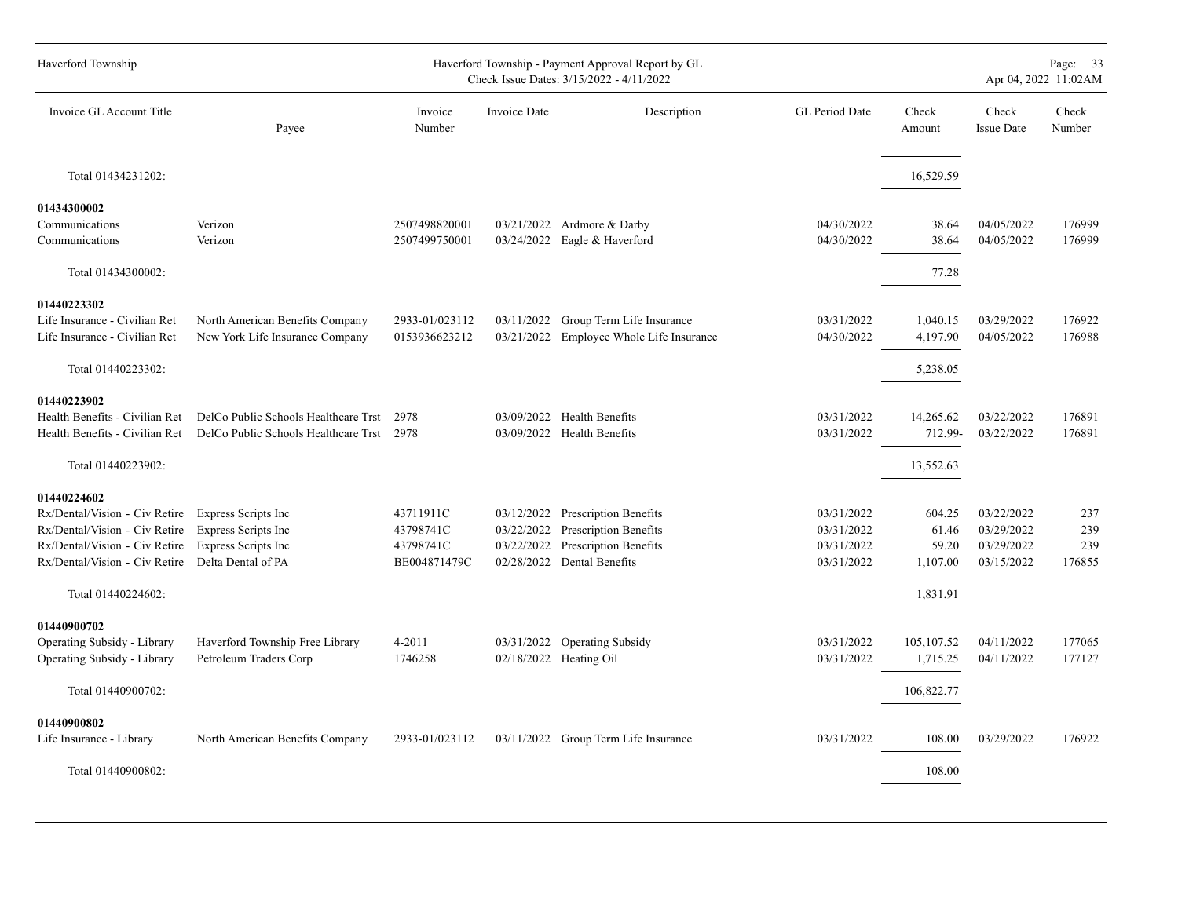| Haverford Township             |                                      |                   |              | Haverford Township - Payment Approval Report by GL<br>Check Issue Dates: 3/15/2022 - 4/11/2022 |                |                 | Page: 33<br>Apr 04, 2022 11:02AM |                 |  |  |  |  |
|--------------------------------|--------------------------------------|-------------------|--------------|------------------------------------------------------------------------------------------------|----------------|-----------------|----------------------------------|-----------------|--|--|--|--|
| Invoice GL Account Title       | Payee                                | Invoice<br>Number | Invoice Date | Description                                                                                    | GL Period Date | Check<br>Amount | Check<br><b>Issue Date</b>       | Check<br>Number |  |  |  |  |
| Total 01434231202:             |                                      |                   |              |                                                                                                |                | 16,529.59       |                                  |                 |  |  |  |  |
| 01434300002                    |                                      |                   |              |                                                                                                |                |                 |                                  |                 |  |  |  |  |
| Communications                 | Verizon                              | 2507498820001     |              | 03/21/2022 Ardmore & Darby                                                                     | 04/30/2022     | 38.64           | 04/05/2022                       | 176999          |  |  |  |  |
| Communications                 | Verizon                              | 2507499750001     |              | 03/24/2022 Eagle & Haverford                                                                   | 04/30/2022     | 38.64           | 04/05/2022                       | 176999          |  |  |  |  |
| Total 01434300002:             |                                      |                   |              |                                                                                                |                | 77.28           |                                  |                 |  |  |  |  |
| 01440223302                    |                                      |                   |              |                                                                                                |                |                 |                                  |                 |  |  |  |  |
| Life Insurance - Civilian Ret  | North American Benefits Company      | 2933-01/023112    |              | 03/11/2022 Group Term Life Insurance                                                           | 03/31/2022     | 1,040.15        | 03/29/2022                       | 176922          |  |  |  |  |
| Life Insurance - Civilian Ret  | New York Life Insurance Company      | 0153936623212     |              | 03/21/2022 Employee Whole Life Insurance                                                       | 04/30/2022     | 4,197.90        | 04/05/2022                       | 176988          |  |  |  |  |
| Total 01440223302:             |                                      |                   |              |                                                                                                |                | 5,238.05        |                                  |                 |  |  |  |  |
| 01440223902                    |                                      |                   |              |                                                                                                |                |                 |                                  |                 |  |  |  |  |
| Health Benefits - Civilian Ret | DelCo Public Schools Healthcare Trst | 2978              |              | 03/09/2022 Health Benefits                                                                     | 03/31/2022     | 14,265.62       | 03/22/2022                       | 176891          |  |  |  |  |
| Health Benefits - Civilian Ret | DelCo Public Schools Healthcare Trst | 2978              |              | 03/09/2022 Health Benefits                                                                     | 03/31/2022     | 712.99-         | 03/22/2022                       | 176891          |  |  |  |  |
| Total 01440223902:             |                                      |                   |              |                                                                                                |                | 13,552.63       |                                  |                 |  |  |  |  |
| 01440224602                    |                                      |                   |              |                                                                                                |                |                 |                                  |                 |  |  |  |  |
| Rx/Dental/Vision - Civ Retire  | Express Scripts Inc                  | 43711911C         |              | 03/12/2022 Prescription Benefits                                                               | 03/31/2022     | 604.25          | 03/22/2022                       | 237             |  |  |  |  |
| Rx/Dental/Vision - Civ Retire  | Express Scripts Inc                  | 43798741C         |              | 03/22/2022 Prescription Benefits                                                               | 03/31/2022     | 61.46           | 03/29/2022                       | 239             |  |  |  |  |
| Rx/Dental/Vision - Civ Retire  | Express Scripts Inc                  | 43798741C         | 03/22/2022   | <b>Prescription Benefits</b>                                                                   | 03/31/2022     | 59.20           | 03/29/2022                       | 239             |  |  |  |  |
| Rx/Dental/Vision - Civ Retire  | Delta Dental of PA                   | BE004871479C      |              | 02/28/2022 Dental Benefits                                                                     | 03/31/2022     | 1,107.00        | 03/15/2022                       | 176855          |  |  |  |  |
| Total 01440224602:             |                                      |                   |              |                                                                                                |                | 1,831.91        |                                  |                 |  |  |  |  |
| 01440900702                    |                                      |                   |              |                                                                                                |                |                 |                                  |                 |  |  |  |  |
| Operating Subsidy - Library    | Haverford Township Free Library      | 4-2011            |              | 03/31/2022 Operating Subsidy                                                                   | 03/31/2022     | 105, 107.52     | 04/11/2022                       | 177065          |  |  |  |  |
| Operating Subsidy - Library    | Petroleum Traders Corp               | 1746258           |              | 02/18/2022 Heating Oil                                                                         | 03/31/2022     | 1,715.25        | 04/11/2022                       | 177127          |  |  |  |  |
| Total 01440900702:             |                                      |                   |              |                                                                                                |                | 106,822.77      |                                  |                 |  |  |  |  |
| 01440900802                    |                                      |                   |              |                                                                                                |                |                 |                                  |                 |  |  |  |  |
| Life Insurance - Library       | North American Benefits Company      | 2933-01/023112    |              | 03/11/2022 Group Term Life Insurance                                                           | 03/31/2022     | 108.00          | 03/29/2022                       | 176922          |  |  |  |  |
|                                |                                      |                   |              |                                                                                                |                |                 |                                  |                 |  |  |  |  |
| Total 01440900802:             |                                      |                   |              |                                                                                                |                | 108.00          |                                  |                 |  |  |  |  |
|                                |                                      |                   |              |                                                                                                |                |                 |                                  |                 |  |  |  |  |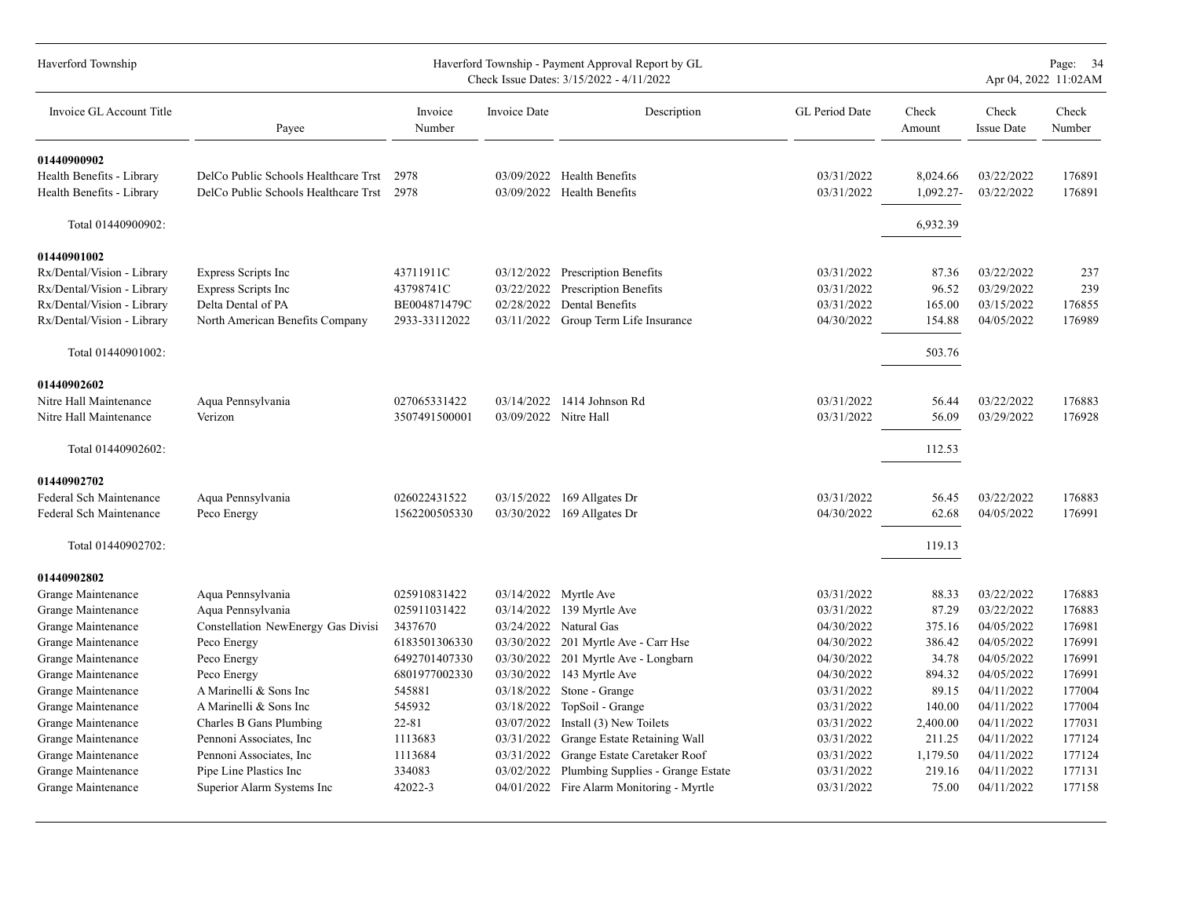| Haverford Township         | Haverford Township - Payment Approval Report by GL<br>Check Issue Dates: 3/15/2022 - 4/11/2022 |                   |                       |                                           |                |                 |                            | Page: 34<br>Apr 04, 2022 11:02AM |
|----------------------------|------------------------------------------------------------------------------------------------|-------------------|-----------------------|-------------------------------------------|----------------|-----------------|----------------------------|----------------------------------|
| Invoice GL Account Title   | Payee                                                                                          | Invoice<br>Number | Invoice Date          | Description                               | GL Period Date | Check<br>Amount | Check<br><b>Issue Date</b> | Check<br>Number                  |
| 01440900902                |                                                                                                |                   |                       |                                           |                |                 |                            |                                  |
| Health Benefits - Library  | DelCo Public Schools Healthcare Trst                                                           | 2978              |                       | 03/09/2022 Health Benefits                | 03/31/2022     | 8,024.66        | 03/22/2022                 | 176891                           |
| Health Benefits - Library  | DelCo Public Schools Healthcare Trst                                                           | 2978              |                       | 03/09/2022 Health Benefits                | 03/31/2022     | 1,092.27-       | 03/22/2022                 | 176891                           |
| Total 01440900902:         |                                                                                                |                   |                       |                                           |                | 6,932.39        |                            |                                  |
| 01440901002                |                                                                                                |                   |                       |                                           |                |                 |                            |                                  |
| Rx/Dental/Vision - Library | Express Scripts Inc                                                                            | 43711911C         | 03/12/2022            | <b>Prescription Benefits</b>              | 03/31/2022     | 87.36           | 03/22/2022                 | 237                              |
| Rx/Dental/Vision - Library | Express Scripts Inc                                                                            | 43798741C         | 03/22/2022            | <b>Prescription Benefits</b>              | 03/31/2022     | 96.52           | 03/29/2022                 | 239                              |
| Rx/Dental/Vision - Library | Delta Dental of PA                                                                             | BE004871479C      | 02/28/2022            | Dental Benefits                           | 03/31/2022     | 165.00          | 03/15/2022                 | 176855                           |
| Rx/Dental/Vision - Library | North American Benefits Company                                                                | 2933-33112022     | 03/11/2022            | Group Term Life Insurance                 | 04/30/2022     | 154.88          | 04/05/2022                 | 176989                           |
| Total 01440901002:         |                                                                                                |                   |                       |                                           |                | 503.76          |                            |                                  |
| 01440902602                |                                                                                                |                   |                       |                                           |                |                 |                            |                                  |
| Nitre Hall Maintenance     | Aqua Pennsylvania                                                                              | 027065331422      | 03/14/2022            | 1414 Johnson Rd                           | 03/31/2022     | 56.44           | 03/22/2022                 | 176883                           |
| Nitre Hall Maintenance     | Verizon                                                                                        | 3507491500001     | 03/09/2022 Nitre Hall |                                           | 03/31/2022     | 56.09           | 03/29/2022                 | 176928                           |
| Total 01440902602:         |                                                                                                |                   |                       |                                           |                | 112.53          |                            |                                  |
| 01440902702                |                                                                                                |                   |                       |                                           |                |                 |                            |                                  |
| Federal Sch Maintenance    | Aqua Pennsylvania                                                                              | 026022431522      |                       | 03/15/2022 169 Allgates Dr                | 03/31/2022     | 56.45           | 03/22/2022                 | 176883                           |
| Federal Sch Maintenance    | Peco Energy                                                                                    | 1562200505330     | 03/30/2022            | 169 Allgates Dr                           | 04/30/2022     | 62.68           | 04/05/2022                 | 176991                           |
| Total 01440902702:         |                                                                                                |                   |                       |                                           |                | 119.13          |                            |                                  |
| 01440902802                |                                                                                                |                   |                       |                                           |                |                 |                            |                                  |
| Grange Maintenance         | Aqua Pennsylvania                                                                              | 025910831422      | 03/14/2022            | Myrtle Ave                                | 03/31/2022     | 88.33           | 03/22/2022                 | 176883                           |
| Grange Maintenance         | Aqua Pennsylvania                                                                              | 025911031422      | 03/14/2022            | 139 Myrtle Ave                            | 03/31/2022     | 87.29           | 03/22/2022                 | 176883                           |
| Grange Maintenance         | Constellation NewEnergy Gas Divisi                                                             | 3437670           | 03/24/2022            | Natural Gas                               | 04/30/2022     | 375.16          | 04/05/2022                 | 176981                           |
| Grange Maintenance         | Peco Energy                                                                                    | 6183501306330     | 03/30/2022            | 201 Myrtle Ave - Carr Hse                 | 04/30/2022     | 386.42          | 04/05/2022                 | 176991                           |
| Grange Maintenance         | Peco Energy                                                                                    | 6492701407330     | 03/30/2022            | 201 Myrtle Ave - Longbarn                 | 04/30/2022     | 34.78           | 04/05/2022                 | 176991                           |
| Grange Maintenance         | Peco Energy                                                                                    | 6801977002330     | 03/30/2022            | 143 Myrtle Ave                            | 04/30/2022     | 894.32          | 04/05/2022                 | 176991                           |
| Grange Maintenance         | A Marinelli & Sons Inc                                                                         | 545881            | 03/18/2022            | Stone - Grange                            | 03/31/2022     | 89.15           | 04/11/2022                 | 177004                           |
| Grange Maintenance         | A Marinelli & Sons Inc                                                                         | 545932            | 03/18/2022            | TopSoil - Grange                          | 03/31/2022     | 140.00          | 04/11/2022                 | 177004                           |
| Grange Maintenance         | Charles B Gans Plumbing                                                                        | 22-81             | 03/07/2022            | Install (3) New Toilets                   | 03/31/2022     | 2,400.00        | 04/11/2022                 | 177031                           |
| Grange Maintenance         | Pennoni Associates, Inc.                                                                       | 1113683           | 03/31/2022            | Grange Estate Retaining Wall              | 03/31/2022     | 211.25          | 04/11/2022                 | 177124                           |
| Grange Maintenance         | Pennoni Associates, Inc.                                                                       | 1113684           | 03/31/2022            | Grange Estate Caretaker Roof              | 03/31/2022     | 1,179.50        | 04/11/2022                 | 177124                           |
| Grange Maintenance         | Pipe Line Plastics Inc                                                                         | 334083            | 03/02/2022            | Plumbing Supplies - Grange Estate         | 03/31/2022     | 219.16          | 04/11/2022                 | 177131                           |
| Grange Maintenance         | Superior Alarm Systems Inc                                                                     | 42022-3           |                       | 04/01/2022 Fire Alarm Monitoring - Myrtle | 03/31/2022     | 75.00           | 04/11/2022                 | 177158                           |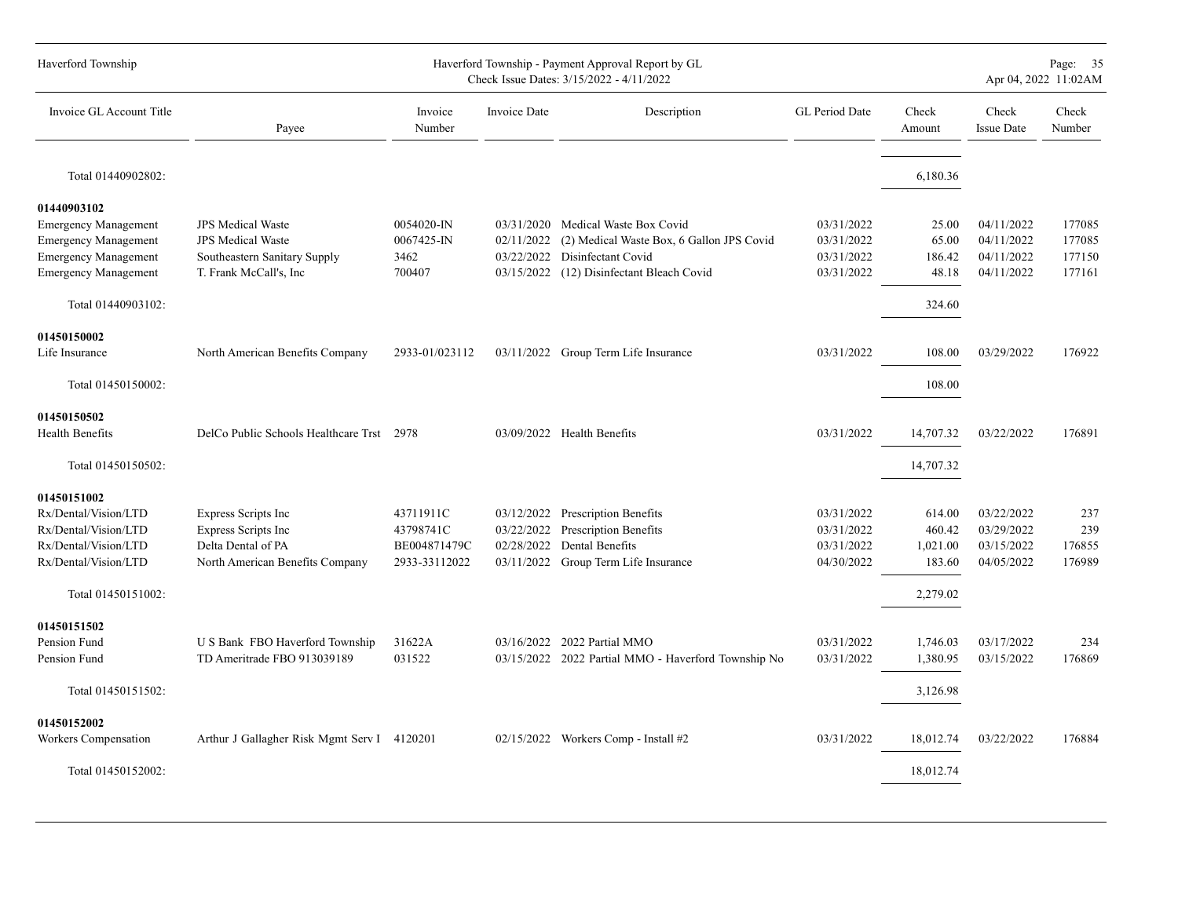| Haverford Township          |                                             |                   |              | Haverford Township - Payment Approval Report by GL<br>Check Issue Dates: 3/15/2022 - 4/11/2022 |                |                 |                            | Page: 35<br>Apr 04, 2022 11:02AM |
|-----------------------------|---------------------------------------------|-------------------|--------------|------------------------------------------------------------------------------------------------|----------------|-----------------|----------------------------|----------------------------------|
| Invoice GL Account Title    | Payee                                       | Invoice<br>Number | Invoice Date | Description                                                                                    | GL Period Date | Check<br>Amount | Check<br><b>Issue Date</b> | Check<br>Number                  |
| Total 01440902802:          |                                             |                   |              |                                                                                                |                | 6,180.36        |                            |                                  |
| 01440903102                 |                                             |                   |              |                                                                                                |                |                 |                            |                                  |
| <b>Emergency Management</b> | <b>JPS</b> Medical Waste                    | 0054020-IN        |              | 03/31/2020 Medical Waste Box Covid                                                             | 03/31/2022     | 25.00           | 04/11/2022                 | 177085                           |
| <b>Emergency Management</b> | <b>JPS</b> Medical Waste                    | $0067425 - N$     | 02/11/2022   | (2) Medical Waste Box, 6 Gallon JPS Covid                                                      | 03/31/2022     | 65.00           | 04/11/2022                 | 177085                           |
| <b>Emergency Management</b> | Southeastern Sanitary Supply                | 3462              | 03/22/2022   | Disinfectant Covid                                                                             | 03/31/2022     | 186.42          | 04/11/2022                 | 177150                           |
| <b>Emergency Management</b> | T. Frank McCall's, Inc.                     | 700407            | 03/15/2022   | (12) Disinfectant Bleach Covid                                                                 | 03/31/2022     | 48.18           | 04/11/2022                 | 177161                           |
| Total 01440903102:          |                                             |                   |              |                                                                                                |                | 324.60          |                            |                                  |
|                             |                                             |                   |              |                                                                                                |                |                 |                            |                                  |
| 01450150002                 |                                             |                   |              |                                                                                                |                |                 |                            |                                  |
| Life Insurance              | North American Benefits Company             | 2933-01/023112    |              | 03/11/2022 Group Term Life Insurance                                                           | 03/31/2022     | 108.00          | 03/29/2022                 | 176922                           |
| Total 01450150002:          |                                             |                   |              |                                                                                                |                | 108.00          |                            |                                  |
| 01450150502                 |                                             |                   |              |                                                                                                |                |                 |                            |                                  |
| <b>Health Benefits</b>      | DelCo Public Schools Healthcare Trst        | 2978              |              | 03/09/2022 Health Benefits                                                                     | 03/31/2022     | 14,707.32       | 03/22/2022                 | 176891                           |
| Total 01450150502:          |                                             |                   |              |                                                                                                |                | 14,707.32       |                            |                                  |
| 01450151002                 |                                             |                   |              |                                                                                                |                |                 |                            |                                  |
| Rx/Dental/Vision/LTD        | Express Scripts Inc                         | 43711911C         |              | 03/12/2022 Prescription Benefits                                                               | 03/31/2022     | 614.00          | 03/22/2022                 | 237                              |
| Rx/Dental/Vision/LTD        | Express Scripts Inc                         | 43798741C         | 03/22/2022   | <b>Prescription Benefits</b>                                                                   | 03/31/2022     | 460.42          | 03/29/2022                 | 239                              |
| Rx/Dental/Vision/LTD        | Delta Dental of PA                          | BE004871479C      | 02/28/2022   | Dental Benefits                                                                                | 03/31/2022     | 1,021.00        | 03/15/2022                 | 176855                           |
| Rx/Dental/Vision/LTD        | North American Benefits Company             | 2933-33112022     |              | 03/11/2022 Group Term Life Insurance                                                           | 04/30/2022     | 183.60          | 04/05/2022                 | 176989                           |
| Total 01450151002:          |                                             |                   |              |                                                                                                |                | 2,279.02        |                            |                                  |
| 01450151502                 |                                             |                   |              |                                                                                                |                |                 |                            |                                  |
| Pension Fund                | U S Bank FBO Haverford Township             | 31622A            |              | 03/16/2022 2022 Partial MMO                                                                    | 03/31/2022     | 1,746.03        | 03/17/2022                 | 234                              |
| Pension Fund                | TD Ameritrade FBO 913039189                 | 031522            |              | 03/15/2022 2022 Partial MMO - Haverford Township No                                            | 03/31/2022     | 1,380.95        | 03/15/2022                 | 176869                           |
| Total 01450151502:          |                                             |                   |              |                                                                                                |                | 3,126.98        |                            |                                  |
|                             |                                             |                   |              |                                                                                                |                |                 |                            |                                  |
| 01450152002                 |                                             |                   |              |                                                                                                |                |                 |                            |                                  |
| Workers Compensation        | Arthur J Gallagher Risk Mgmt Serv I 4120201 |                   |              | 02/15/2022 Workers Comp - Install #2                                                           | 03/31/2022     | 18,012.74       | 03/22/2022                 | 176884                           |
| Total 01450152002:          |                                             |                   |              |                                                                                                |                | 18,012.74       |                            |                                  |
|                             |                                             |                   |              |                                                                                                |                |                 |                            |                                  |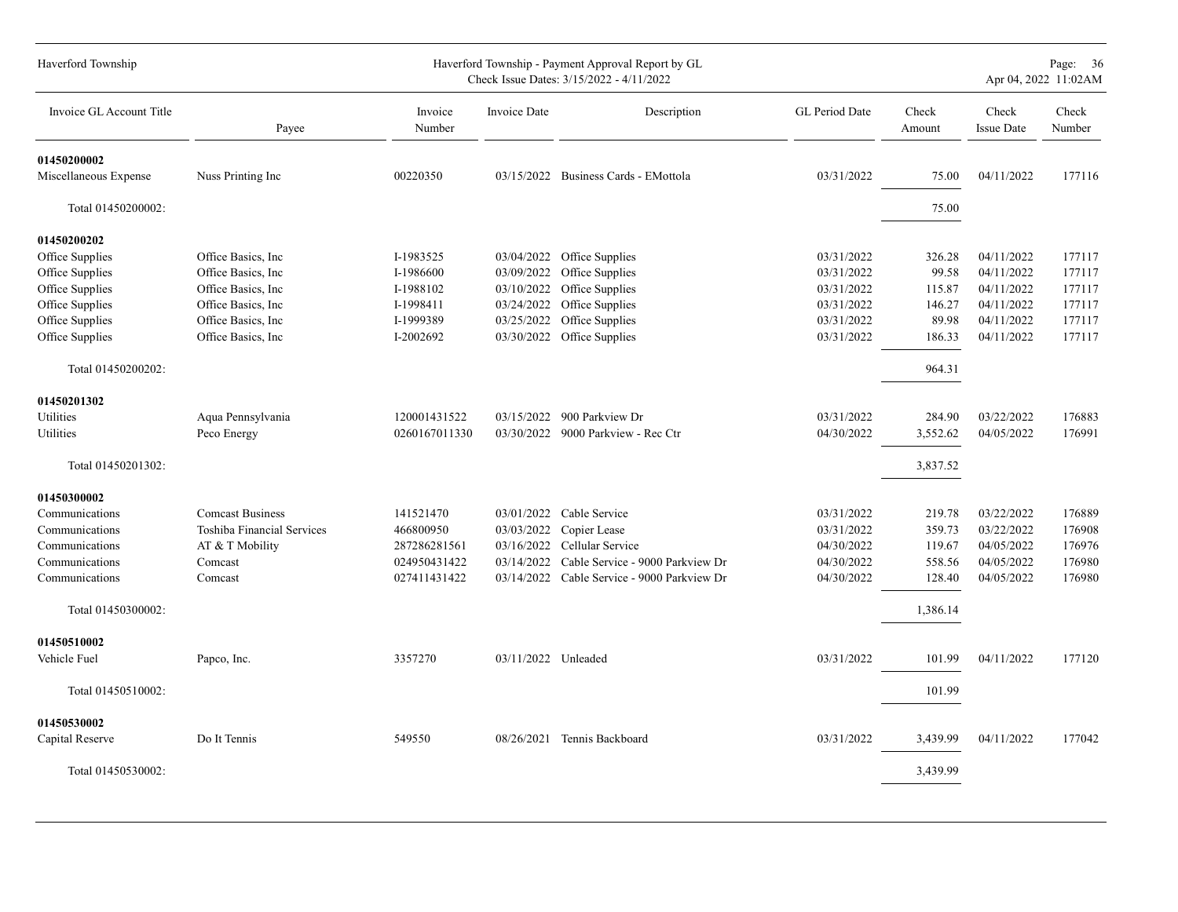| Haverford Township       |                            |                   |                     | Haverford Township - Payment Approval Report by GL<br>Check Issue Dates: 3/15/2022 - 4/11/2022 |                |                 |                            | Page: 36<br>Apr 04, 2022 11:02AM |
|--------------------------|----------------------------|-------------------|---------------------|------------------------------------------------------------------------------------------------|----------------|-----------------|----------------------------|----------------------------------|
| Invoice GL Account Title | Payee                      | Invoice<br>Number | Invoice Date        | Description                                                                                    | GL Period Date | Check<br>Amount | Check<br><b>Issue Date</b> | Check<br>Number                  |
| 01450200002              |                            |                   |                     |                                                                                                |                |                 |                            |                                  |
| Miscellaneous Expense    | Nuss Printing Inc          | 00220350          |                     | 03/15/2022 Business Cards - EMottola                                                           | 03/31/2022     | 75.00           | 04/11/2022                 | 177116                           |
| Total 01450200002:       |                            |                   |                     |                                                                                                |                | 75.00           |                            |                                  |
| 01450200202              |                            |                   |                     |                                                                                                |                |                 |                            |                                  |
| Office Supplies          | Office Basics, Inc.        | I-1983525         | 03/04/2022          | Office Supplies                                                                                | 03/31/2022     | 326.28          | 04/11/2022                 | 177117                           |
| Office Supplies          | Office Basics, Inc.        | I-1986600         | 03/09/2022          | Office Supplies                                                                                | 03/31/2022     | 99.58           | 04/11/2022                 | 177117                           |
| Office Supplies          | Office Basics, Inc.        | I-1988102         | 03/10/2022          | Office Supplies                                                                                | 03/31/2022     | 115.87          | 04/11/2022                 | 177117                           |
| Office Supplies          | Office Basics, Inc.        | I-1998411         | 03/24/2022          | Office Supplies                                                                                | 03/31/2022     | 146.27          | 04/11/2022                 | 177117                           |
| Office Supplies          | Office Basics, Inc.        | I-1999389         | 03/25/2022          | Office Supplies                                                                                | 03/31/2022     | 89.98           | 04/11/2022                 | 177117                           |
| Office Supplies          | Office Basics, Inc.        | I-2002692         | 03/30/2022          | Office Supplies                                                                                | 03/31/2022     | 186.33          | 04/11/2022                 | 177117                           |
| Total 01450200202:       |                            |                   |                     |                                                                                                |                | 964.31          |                            |                                  |
| 01450201302              |                            |                   |                     |                                                                                                |                |                 |                            |                                  |
| Utilities                | Aqua Pennsylvania          | 120001431522      |                     | 03/15/2022 900 Parkview Dr                                                                     | 03/31/2022     | 284.90          | 03/22/2022                 | 176883                           |
| Utilities                | Peco Energy                | 0260167011330     |                     | 03/30/2022 9000 Parkview - Rec Ctr                                                             | 04/30/2022     | 3,552.62        | 04/05/2022                 | 176991                           |
| Total 01450201302:       |                            |                   |                     |                                                                                                |                | 3,837.52        |                            |                                  |
| 01450300002              |                            |                   |                     |                                                                                                |                |                 |                            |                                  |
| Communications           | <b>Comcast Business</b>    | 141521470         |                     | 03/01/2022 Cable Service                                                                       | 03/31/2022     | 219.78          | 03/22/2022                 | 176889                           |
| Communications           | Toshiba Financial Services | 466800950         | 03/03/2022          | Copier Lease                                                                                   | 03/31/2022     | 359.73          | 03/22/2022                 | 176908                           |
| Communications           | AT & T Mobility            | 287286281561      | 03/16/2022          | Cellular Service                                                                               | 04/30/2022     | 119.67          | 04/05/2022                 | 176976                           |
| Communications           | Comcast                    | 024950431422      | 03/14/2022          | Cable Service - 9000 Parkview Dr                                                               | 04/30/2022     | 558.56          | 04/05/2022                 | 176980                           |
| Communications           | Comcast                    | 027411431422      |                     | 03/14/2022 Cable Service - 9000 Parkview Dr                                                    | 04/30/2022     | 128.40          | 04/05/2022                 | 176980                           |
| Total 01450300002:       |                            |                   |                     |                                                                                                |                | 1,386.14        |                            |                                  |
| 01450510002              |                            |                   |                     |                                                                                                |                |                 |                            |                                  |
| Vehicle Fuel             | Papco, Inc.                | 3357270           | 03/11/2022 Unleaded |                                                                                                | 03/31/2022     | 101.99          | 04/11/2022                 | 177120                           |
| Total 01450510002:       |                            |                   |                     |                                                                                                |                | 101.99          |                            |                                  |
| 01450530002              |                            |                   |                     |                                                                                                |                |                 |                            |                                  |
| Capital Reserve          | Do It Tennis               | 549550            | 08/26/2021          | Tennis Backboard                                                                               | 03/31/2022     | 3,439.99        | 04/11/2022                 | 177042                           |
| Total 01450530002:       |                            |                   |                     |                                                                                                |                | 3,439.99        |                            |                                  |
|                          |                            |                   |                     |                                                                                                |                |                 |                            |                                  |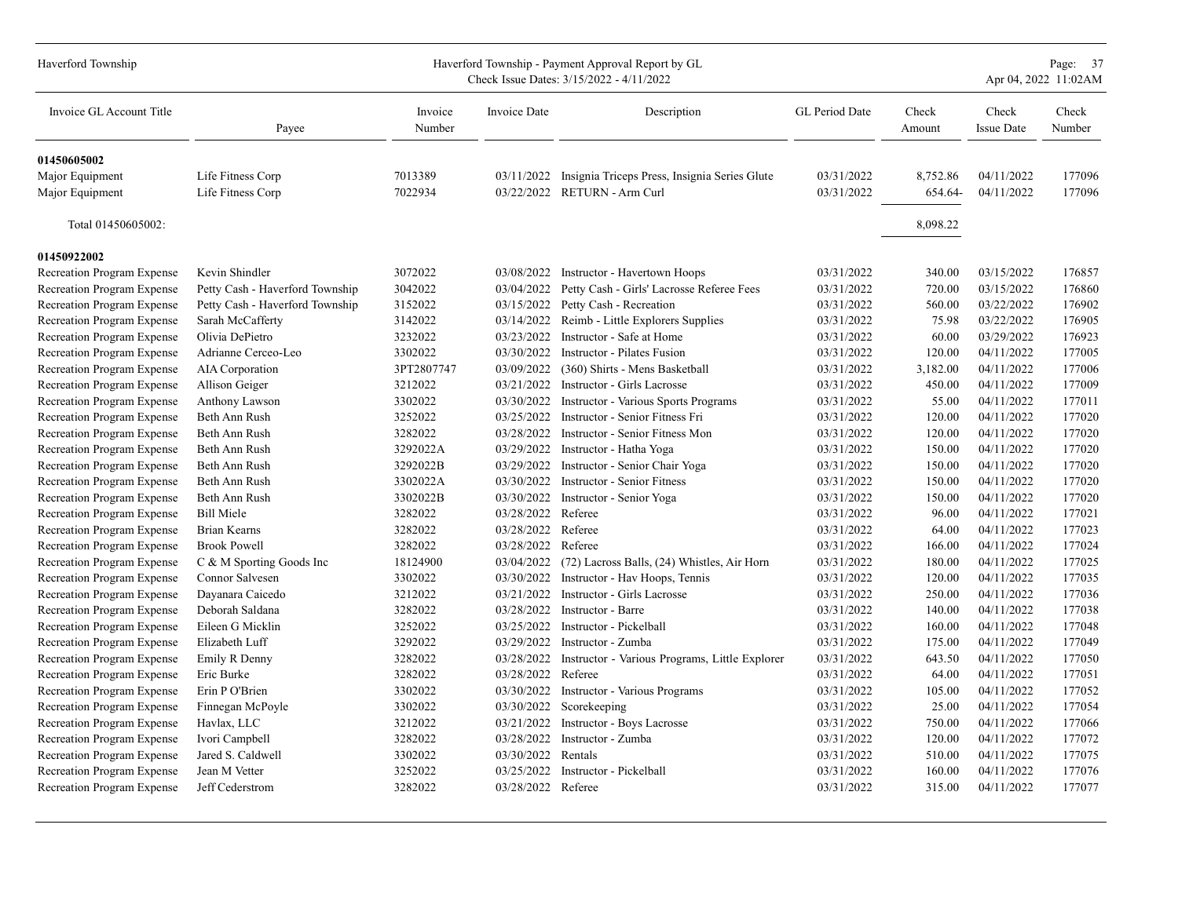| Haverford Township                |                                 |                   |                    | Haverford Township - Payment Approval Report by GL<br>Check Issue Dates: 3/15/2022 - 4/11/2022 |                |                 |                            | Page: 37<br>Apr 04, 2022 11:02AM<br>Check<br>Number |  |  |  |
|-----------------------------------|---------------------------------|-------------------|--------------------|------------------------------------------------------------------------------------------------|----------------|-----------------|----------------------------|-----------------------------------------------------|--|--|--|
| Invoice GL Account Title          | Payee                           | Invoice<br>Number | Invoice Date       | Description                                                                                    | GL Period Date | Check<br>Amount | Check<br><b>Issue Date</b> |                                                     |  |  |  |
| 01450605002                       |                                 |                   |                    |                                                                                                |                |                 |                            |                                                     |  |  |  |
| Major Equipment                   | Life Fitness Corp               | 7013389           |                    | 03/11/2022 Insignia Triceps Press, Insignia Series Glute                                       | 03/31/2022     | 8,752.86        | 04/11/2022                 | 177096                                              |  |  |  |
| Major Equipment                   | Life Fitness Corp               | 7022934           |                    | 03/22/2022 RETURN - Arm Curl                                                                   | 03/31/2022     | 654.64-         | 04/11/2022                 | 177096                                              |  |  |  |
| Total 01450605002:                |                                 |                   |                    |                                                                                                |                | 8,098.22        |                            |                                                     |  |  |  |
| 01450922002                       |                                 |                   |                    |                                                                                                |                |                 |                            |                                                     |  |  |  |
| Recreation Program Expense        | Kevin Shindler                  | 3072022           |                    | 03/08/2022 Instructor - Havertown Hoops                                                        | 03/31/2022     | 340.00          | 03/15/2022                 | 176857                                              |  |  |  |
| <b>Recreation Program Expense</b> | Petty Cash - Haverford Township | 3042022           |                    | 03/04/2022 Petty Cash - Girls' Lacrosse Referee Fees                                           | 03/31/2022     | 720.00          | 03/15/2022                 | 176860                                              |  |  |  |
| Recreation Program Expense        | Petty Cash - Haverford Township | 3152022           | 03/15/2022         | Petty Cash - Recreation                                                                        | 03/31/2022     | 560.00          | 03/22/2022                 | 176902                                              |  |  |  |
| Recreation Program Expense        | Sarah McCafferty                | 3142022           | 03/14/2022         | Reimb - Little Explorers Supplies                                                              | 03/31/2022     | 75.98           | 03/22/2022                 | 176905                                              |  |  |  |
| Recreation Program Expense        | Olivia DePietro                 | 3232022           | 03/23/2022         | Instructor - Safe at Home                                                                      | 03/31/2022     | 60.00           | 03/29/2022                 | 176923                                              |  |  |  |
| Recreation Program Expense        | Adrianne Cerceo-Leo             | 3302022           | 03/30/2022         | Instructor - Pilates Fusion                                                                    | 03/31/2022     | 120.00          | 04/11/2022                 | 177005                                              |  |  |  |
| Recreation Program Expense        | AIA Corporation                 | 3PT2807747        | 03/09/2022         | (360) Shirts - Mens Basketball                                                                 | 03/31/2022     | 3,182.00        | 04/11/2022                 | 177006                                              |  |  |  |
| Recreation Program Expense        | Allison Geiger                  | 3212022           | 03/21/2022         | Instructor - Girls Lacrosse                                                                    | 03/31/2022     | 450.00          | 04/11/2022                 | 177009                                              |  |  |  |
| Recreation Program Expense        | Anthony Lawson                  | 3302022           | 03/30/2022         | <b>Instructor - Various Sports Programs</b>                                                    | 03/31/2022     | 55.00           | 04/11/2022                 | 177011                                              |  |  |  |
| Recreation Program Expense        | Beth Ann Rush                   | 3252022           | 03/25/2022         | Instructor - Senior Fitness Fri                                                                | 03/31/2022     | 120.00          | 04/11/2022                 | 177020                                              |  |  |  |
| Recreation Program Expense        | Beth Ann Rush                   | 3282022           | 03/28/2022         | Instructor - Senior Fitness Mon                                                                | 03/31/2022     | 120.00          | 04/11/2022                 | 177020                                              |  |  |  |
| Recreation Program Expense        | Beth Ann Rush                   | 3292022A          | 03/29/2022         | Instructor - Hatha Yoga                                                                        | 03/31/2022     | 150.00          | 04/11/2022                 | 177020                                              |  |  |  |
| Recreation Program Expense        | Beth Ann Rush                   | 3292022B          | 03/29/2022         | Instructor - Senior Chair Yoga                                                                 | 03/31/2022     | 150.00          | 04/11/2022                 | 177020                                              |  |  |  |
| Recreation Program Expense        | Beth Ann Rush                   | 3302022A          | 03/30/2022         | <b>Instructor - Senior Fitness</b>                                                             | 03/31/2022     | 150.00          | 04/11/2022                 | 177020                                              |  |  |  |
| Recreation Program Expense        | Beth Ann Rush                   | 3302022B          | 03/30/2022         | Instructor - Senior Yoga                                                                       | 03/31/2022     | 150.00          | 04/11/2022                 | 177020                                              |  |  |  |
| Recreation Program Expense        | <b>Bill Miele</b>               | 3282022           | 03/28/2022         | Referee                                                                                        | 03/31/2022     | 96.00           | 04/11/2022                 | 177021                                              |  |  |  |
| Recreation Program Expense        | <b>Brian Kearns</b>             | 3282022           | 03/28/2022 Referee |                                                                                                | 03/31/2022     | 64.00           | 04/11/2022                 | 177023                                              |  |  |  |
| Recreation Program Expense        | <b>Brook Powell</b>             | 3282022           | 03/28/2022         | Referee                                                                                        | 03/31/2022     | 166.00          | 04/11/2022                 | 177024                                              |  |  |  |
| Recreation Program Expense        | C & M Sporting Goods Inc        | 18124900          | 03/04/2022         | (72) Lacross Balls, (24) Whistles, Air Horn                                                    | 03/31/2022     | 180.00          | 04/11/2022                 | 177025                                              |  |  |  |
| Recreation Program Expense        | Connor Salvesen                 | 3302022           | 03/30/2022         | Instructor - Hav Hoops, Tennis                                                                 | 03/31/2022     | 120.00          | 04/11/2022                 | 177035                                              |  |  |  |
| Recreation Program Expense        | Dayanara Caicedo                | 3212022           | 03/21/2022         | Instructor - Girls Lacrosse                                                                    | 03/31/2022     | 250.00          | 04/11/2022                 | 177036                                              |  |  |  |
| Recreation Program Expense        | Deborah Saldana                 | 3282022           | 03/28/2022         | Instructor - Barre                                                                             | 03/31/2022     | 140.00          | 04/11/2022                 | 177038                                              |  |  |  |
| Recreation Program Expense        | Eileen G Micklin                | 3252022           | 03/25/2022         | Instructor - Pickelball                                                                        | 03/31/2022     | 160.00          | 04/11/2022                 | 177048                                              |  |  |  |
| Recreation Program Expense        | Elizabeth Luff                  | 3292022           | 03/29/2022         | Instructor - Zumba                                                                             | 03/31/2022     | 175.00          | 04/11/2022                 | 177049                                              |  |  |  |
| Recreation Program Expense        | Emily R Denny                   | 3282022           | 03/28/2022         | Instructor - Various Programs, Little Explorer                                                 | 03/31/2022     | 643.50          | 04/11/2022                 | 177050                                              |  |  |  |
| Recreation Program Expense        | Eric Burke                      | 3282022           | 03/28/2022         | Referee                                                                                        | 03/31/2022     | 64.00           | 04/11/2022                 | 177051                                              |  |  |  |
| Recreation Program Expense        | Erin P O'Brien                  | 3302022           | 03/30/2022         | <b>Instructor - Various Programs</b>                                                           | 03/31/2022     | 105.00          | 04/11/2022                 | 177052                                              |  |  |  |
| Recreation Program Expense        | Finnegan McPoyle                | 3302022           | 03/30/2022         | Scorekeeping                                                                                   | 03/31/2022     | 25.00           | 04/11/2022                 | 177054                                              |  |  |  |
| Recreation Program Expense        | Havlax, LLC                     | 3212022           | 03/21/2022         | <b>Instructor - Boys Lacrosse</b>                                                              | 03/31/2022     | 750.00          | 04/11/2022                 | 177066                                              |  |  |  |
| Recreation Program Expense        | Ivori Campbell                  | 3282022           | 03/28/2022         | Instructor - Zumba                                                                             | 03/31/2022     | 120.00          | 04/11/2022                 | 177072                                              |  |  |  |
| Recreation Program Expense        | Jared S. Caldwell               | 3302022           | 03/30/2022         | Rentals                                                                                        | 03/31/2022     | 510.00          | 04/11/2022                 | 177075                                              |  |  |  |
| Recreation Program Expense        | Jean M Vetter                   | 3252022           | 03/25/2022         | Instructor - Pickelball                                                                        | 03/31/2022     | 160.00          | 04/11/2022                 | 177076                                              |  |  |  |
| Recreation Program Expense        | Jeff Cederstrom                 | 3282022           | 03/28/2022 Referee |                                                                                                | 03/31/2022     | 315.00          | 04/11/2022                 | 177077                                              |  |  |  |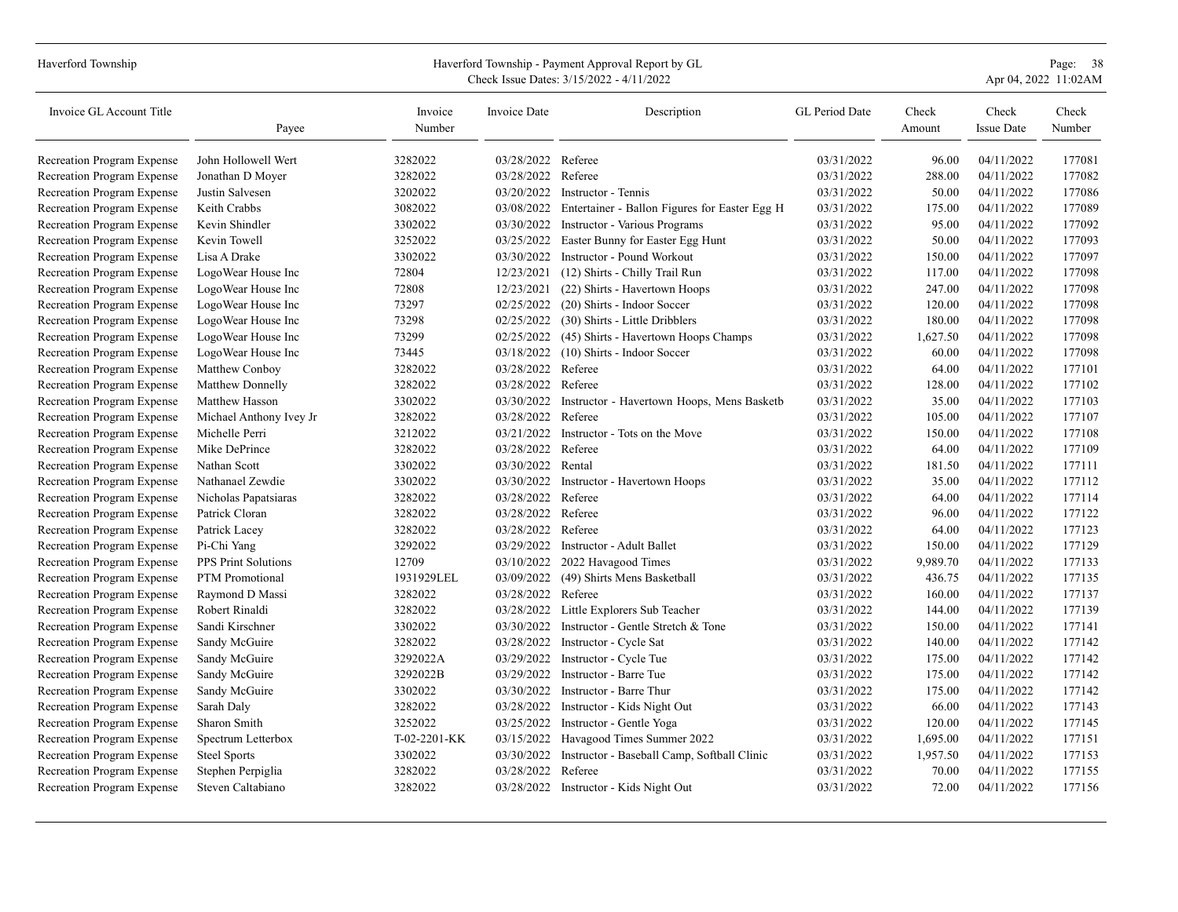| Haverford Township         |                         | Haverford Township - Payment Approval Report by GL<br>Check Issue Dates: 3/15/2022 - 4/11/2022 |                    |                                                 |                |                 |                            |                 |
|----------------------------|-------------------------|------------------------------------------------------------------------------------------------|--------------------|-------------------------------------------------|----------------|-----------------|----------------------------|-----------------|
| Invoice GL Account Title   | Payee                   | Invoice<br>Number                                                                              | Invoice Date       | Description                                     | GL Period Date | Check<br>Amount | Check<br><b>Issue Date</b> | Check<br>Number |
| Recreation Program Expense | John Hollowell Wert     | 3282022                                                                                        | 03/28/2022 Referee |                                                 | 03/31/2022     | 96.00           | 04/11/2022                 | 177081          |
| Recreation Program Expense | Jonathan D Moyer        | 3282022                                                                                        | 03/28/2022 Referee |                                                 | 03/31/2022     | 288.00          | 04/11/2022                 | 177082          |
| Recreation Program Expense | Justin Salvesen         | 3202022                                                                                        | 03/20/2022         | Instructor - Tennis                             | 03/31/2022     | 50.00           | 04/11/2022                 | 177086          |
| Recreation Program Expense | Keith Crabbs            | 3082022                                                                                        | 03/08/2022         | Entertainer - Ballon Figures for Easter Egg H   | 03/31/2022     | 175.00          | 04/11/2022                 | 177089          |
| Recreation Program Expense | Kevin Shindler          | 3302022                                                                                        | 03/30/2022         | <b>Instructor - Various Programs</b>            | 03/31/2022     | 95.00           | 04/11/2022                 | 177092          |
| Recreation Program Expense | Kevin Towell            | 3252022                                                                                        | 03/25/2022         | Easter Bunny for Easter Egg Hunt                | 03/31/2022     | 50.00           | 04/11/2022                 | 177093          |
| Recreation Program Expense | Lisa A Drake            | 3302022                                                                                        |                    | 03/30/2022 Instructor - Pound Workout           | 03/31/2022     | 150.00          | 04/11/2022                 | 177097          |
| Recreation Program Expense | LogoWear House Inc      | 72804                                                                                          | 12/23/2021         | (12) Shirts - Chilly Trail Run                  | 03/31/2022     | 117.00          | 04/11/2022                 | 177098          |
| Recreation Program Expense | LogoWear House Inc      | 72808                                                                                          | 12/23/2021         | (22) Shirts - Havertown Hoops                   | 03/31/2022     | 247.00          | 04/11/2022                 | 177098          |
| Recreation Program Expense | LogoWear House Inc      | 73297                                                                                          | 02/25/2022         | (20) Shirts - Indoor Soccer                     | 03/31/2022     | 120.00          | 04/11/2022                 | 177098          |
| Recreation Program Expense | LogoWear House Inc      | 73298                                                                                          | 02/25/2022         | (30) Shirts - Little Dribblers                  | 03/31/2022     | 180.00          | 04/11/2022                 | 177098          |
| Recreation Program Expense | LogoWear House Inc      | 73299                                                                                          |                    | 02/25/2022 (45) Shirts - Havertown Hoops Champs | 03/31/2022     | 1,627.50        | 04/11/2022                 | 177098          |
| Recreation Program Expense | LogoWear House Inc      | 73445                                                                                          | 03/18/2022         | (10) Shirts - Indoor Soccer                     | 03/31/2022     | 60.00           | 04/11/2022                 | 177098          |
| Recreation Program Expense | Matthew Conboy          | 3282022                                                                                        | 03/28/2022         | Referee                                         | 03/31/2022     | 64.00           | 04/11/2022                 | 177101          |
| Recreation Program Expense | Matthew Donnelly        | 3282022                                                                                        | 03/28/2022         | Referee                                         | 03/31/2022     | 128.00          | 04/11/2022                 | 177102          |
| Recreation Program Expense | Matthew Hasson          | 3302022                                                                                        | 03/30/2022         | Instructor - Havertown Hoops, Mens Basketb      | 03/31/2022     | 35.00           | 04/11/2022                 | 177103          |
| Recreation Program Expense | Michael Anthony Ivey Jr | 3282022                                                                                        | 03/28/2022 Referee |                                                 | 03/31/2022     | 105.00          | 04/11/2022                 | 177107          |
| Recreation Program Expense | Michelle Perri          | 3212022                                                                                        | 03/21/2022         | Instructor - Tots on the Move                   | 03/31/2022     | 150.00          | 04/11/2022                 | 177108          |
| Recreation Program Expense | Mike DePrince           | 3282022                                                                                        | 03/28/2022         | Referee                                         | 03/31/2022     | 64.00           | 04/11/2022                 | 177109          |
| Recreation Program Expense | Nathan Scott            | 3302022                                                                                        | 03/30/2022         | Rental                                          | 03/31/2022     | 181.50          | 04/11/2022                 | 177111          |
| Recreation Program Expense | Nathanael Zewdie        | 3302022                                                                                        | 03/30/2022         | Instructor - Havertown Hoops                    | 03/31/2022     | 35.00           | 04/11/2022                 | 177112          |
| Recreation Program Expense | Nicholas Papatsiaras    | 3282022                                                                                        | 03/28/2022 Referee |                                                 | 03/31/2022     | 64.00           | 04/11/2022                 | 177114          |
| Recreation Program Expense | Patrick Cloran          | 3282022                                                                                        | 03/28/2022         | Referee                                         | 03/31/2022     | 96.00           | 04/11/2022                 | 177122          |
| Recreation Program Expense | Patrick Lacey           | 3282022                                                                                        | 03/28/2022 Referee |                                                 | 03/31/2022     | 64.00           | 04/11/2022                 | 177123          |
| Recreation Program Expense | Pi-Chi Yang             | 3292022                                                                                        | 03/29/2022         | Instructor - Adult Ballet                       | 03/31/2022     | 150.00          | 04/11/2022                 | 177129          |
| Recreation Program Expense | PPS Print Solutions     | 12709                                                                                          | 03/10/2022         | 2022 Havagood Times                             | 03/31/2022     | 9,989.70        | 04/11/2022                 | 177133          |
| Recreation Program Expense | <b>PTM</b> Promotional  | 1931929LEL                                                                                     | 03/09/2022         | (49) Shirts Mens Basketball                     | 03/31/2022     | 436.75          | 04/11/2022                 | 177135          |
| Recreation Program Expense | Raymond D Massi         | 3282022                                                                                        | 03/28/2022         | Referee                                         | 03/31/2022     | 160.00          | 04/11/2022                 | 177137          |
| Recreation Program Expense | Robert Rinaldi          | 3282022                                                                                        |                    | 03/28/2022 Little Explorers Sub Teacher         | 03/31/2022     | 144.00          | 04/11/2022                 | 177139          |
| Recreation Program Expense | Sandi Kirschner         | 3302022                                                                                        | 03/30/2022         | Instructor - Gentle Stretch & Tone              | 03/31/2022     | 150.00          | 04/11/2022                 | 177141          |
| Recreation Program Expense | Sandy McGuire           | 3282022                                                                                        | 03/28/2022         | Instructor - Cycle Sat                          | 03/31/2022     | 140.00          | 04/11/2022                 | 177142          |
| Recreation Program Expense | Sandy McGuire           | 3292022A                                                                                       | 03/29/2022         | Instructor - Cycle Tue                          | 03/31/2022     | 175.00          | 04/11/2022                 | 177142          |
| Recreation Program Expense | Sandy McGuire           | 3292022B                                                                                       | 03/29/2022         | Instructor - Barre Tue                          | 03/31/2022     | 175.00          | 04/11/2022                 | 177142          |
| Recreation Program Expense | Sandy McGuire           | 3302022                                                                                        | 03/30/2022         | Instructor - Barre Thur                         | 03/31/2022     | 175.00          | 04/11/2022                 | 177142          |
| Recreation Program Expense | Sarah Daly              | 3282022                                                                                        | 03/28/2022         | Instructor - Kids Night Out                     | 03/31/2022     | 66.00           | 04/11/2022                 | 177143          |
| Recreation Program Expense | Sharon Smith            | 3252022                                                                                        | 03/25/2022         | Instructor - Gentle Yoga                        | 03/31/2022     | 120.00          | 04/11/2022                 | 177145          |
| Recreation Program Expense | Spectrum Letterbox      | T-02-2201-KK                                                                                   | 03/15/2022         | Havagood Times Summer 2022                      | 03/31/2022     | 1,695.00        | 04/11/2022                 | 177151          |
| Recreation Program Expense | <b>Steel Sports</b>     | 3302022                                                                                        | 03/30/2022         | Instructor - Baseball Camp, Softball Clinic     | 03/31/2022     | 1,957.50        | 04/11/2022                 | 177153          |
| Recreation Program Expense | Stephen Perpiglia       | 3282022                                                                                        | 03/28/2022 Referee |                                                 | 03/31/2022     | 70.00           | 04/11/2022                 | 177155          |
| Recreation Program Expense | Steven Caltabiano       | 3282022                                                                                        |                    | 03/28/2022 Instructor - Kids Night Out          | 03/31/2022     | 72.00           | 04/11/2022                 | 177156          |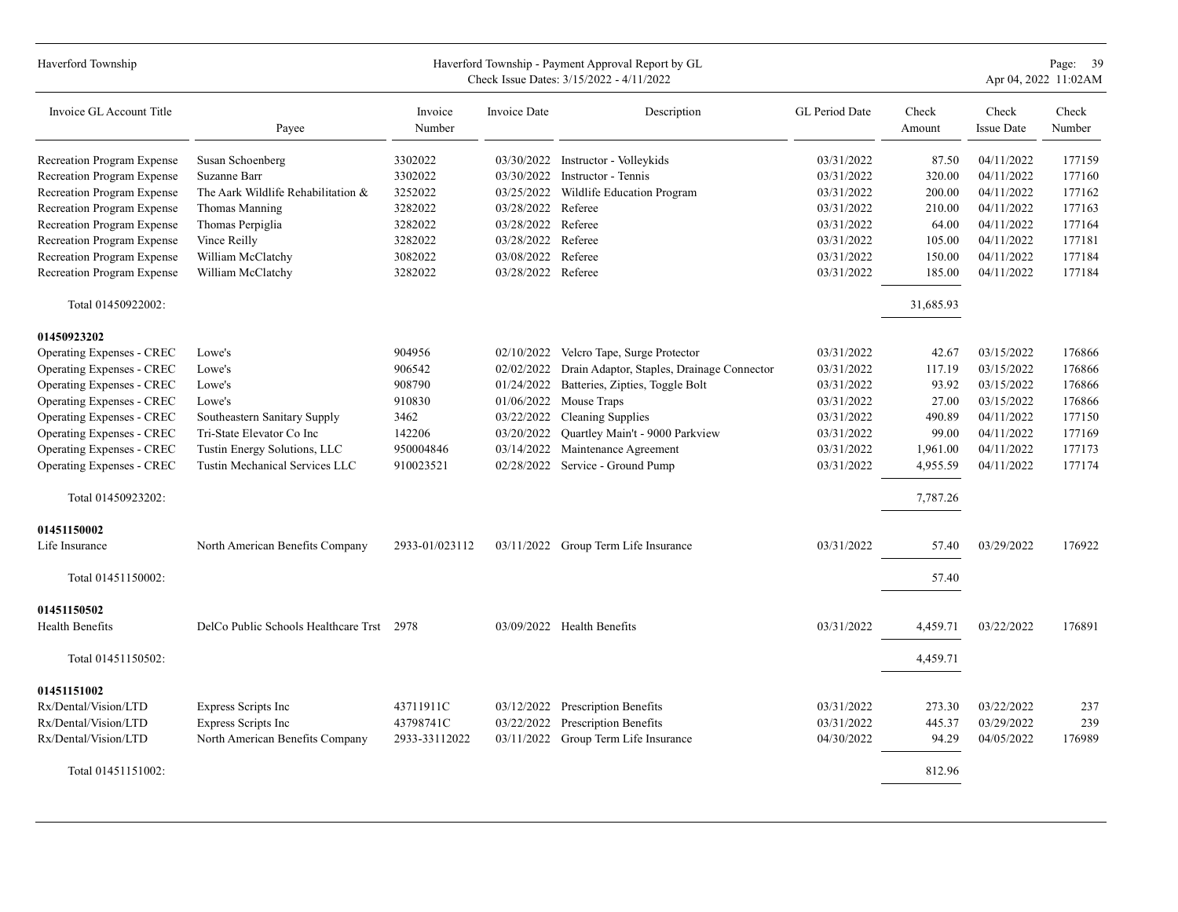| Haverford Township                    |                                           |                   |                    | Haverford Township - Payment Approval Report by GL<br>Check Issue Dates: 3/15/2022 - 4/11/2022 |                |                 |                            | Page: 39<br>Apr 04, 2022 11:02AM |
|---------------------------------------|-------------------------------------------|-------------------|--------------------|------------------------------------------------------------------------------------------------|----------------|-----------------|----------------------------|----------------------------------|
| Invoice GL Account Title              | Payee                                     | Invoice<br>Number | Invoice Date       | Description                                                                                    | GL Period Date | Check<br>Amount | Check<br><b>Issue Date</b> | Check<br>Number                  |
| Recreation Program Expense            | Susan Schoenberg                          | 3302022           |                    | 03/30/2022 Instructor - Volleykids                                                             | 03/31/2022     | 87.50           | 04/11/2022                 | 177159                           |
| Recreation Program Expense            | Suzanne Barr                              | 3302022           | 03/30/2022         | Instructor - Tennis                                                                            | 03/31/2022     | 320.00          | 04/11/2022                 | 177160                           |
| Recreation Program Expense            | The Aark Wildlife Rehabilitation &        | 3252022           |                    | 03/25/2022 Wildlife Education Program                                                          | 03/31/2022     | 200.00          | 04/11/2022                 | 177162                           |
| <b>Recreation Program Expense</b>     | Thomas Manning                            | 3282022           | 03/28/2022         | Referee                                                                                        | 03/31/2022     | 210.00          | 04/11/2022                 | 177163                           |
| Recreation Program Expense            | Thomas Perpiglia                          | 3282022           | 03/28/2022         | Referee                                                                                        | 03/31/2022     | 64.00           | 04/11/2022                 | 177164                           |
| Recreation Program Expense            | Vince Reilly                              | 3282022           | 03/28/2022 Referee |                                                                                                | 03/31/2022     | 105.00          | 04/11/2022                 | 177181                           |
| Recreation Program Expense            | William McClatchy                         | 3082022           | 03/08/2022 Referee |                                                                                                | 03/31/2022     | 150.00          | 04/11/2022                 | 177184                           |
| Recreation Program Expense            | William McClatchy                         | 3282022           | 03/28/2022 Referee |                                                                                                | 03/31/2022     | 185.00          | 04/11/2022                 | 177184                           |
| Total 01450922002:                    |                                           |                   |                    |                                                                                                |                | 31,685.93       |                            |                                  |
| 01450923202                           |                                           |                   |                    |                                                                                                |                |                 |                            |                                  |
| Operating Expenses - CREC             | Lowe's                                    | 904956            | 02/10/2022         | Velcro Tape, Surge Protector                                                                   | 03/31/2022     | 42.67           | 03/15/2022                 | 176866                           |
| Operating Expenses - CREC             | Lowe's                                    | 906542            | 02/02/2022         | Drain Adaptor, Staples, Drainage Connector                                                     | 03/31/2022     | 117.19          | 03/15/2022                 | 176866                           |
| <b>Operating Expenses - CREC</b>      | Lowe's                                    | 908790            | 01/24/2022         | Batteries, Zipties, Toggle Bolt                                                                | 03/31/2022     | 93.92           | 03/15/2022                 | 176866                           |
| <b>Operating Expenses - CREC</b>      | Lowe's                                    | 910830            |                    | 01/06/2022 Mouse Traps                                                                         | 03/31/2022     | 27.00           | 03/15/2022                 | 176866                           |
| <b>Operating Expenses - CREC</b>      | Southeastern Sanitary Supply              | 3462              | 03/22/2022         | <b>Cleaning Supplies</b>                                                                       | 03/31/2022     | 490.89          | 04/11/2022                 | 177150                           |
| Operating Expenses - CREC             | Tri-State Elevator Co Inc                 | 142206            | 03/20/2022         | Quartley Main't - 9000 Parkview                                                                | 03/31/2022     | 99.00           | 04/11/2022                 | 177169                           |
| <b>Operating Expenses - CREC</b>      | Tustin Energy Solutions, LLC              | 950004846         | 03/14/2022         | Maintenance Agreement                                                                          | 03/31/2022     | 1,961.00        | 04/11/2022                 | 177173                           |
| <b>Operating Expenses - CREC</b>      | Tustin Mechanical Services LLC            | 910023521         | 02/28/2022         | Service - Ground Pump                                                                          | 03/31/2022     | 4,955.59        | 04/11/2022                 | 177174                           |
| Total 01450923202:                    |                                           |                   |                    |                                                                                                |                | 7,787.26        |                            |                                  |
| 01451150002                           |                                           |                   |                    |                                                                                                |                |                 |                            |                                  |
| Life Insurance                        | North American Benefits Company           | 2933-01/023112    |                    | 03/11/2022 Group Term Life Insurance                                                           | 03/31/2022     | 57.40           | 03/29/2022                 | 176922                           |
| Total 01451150002:                    |                                           |                   |                    |                                                                                                |                | 57.40           |                            |                                  |
| 01451150502<br><b>Health Benefits</b> | DelCo Public Schools Healthcare Trst 2978 |                   |                    | 03/09/2022 Health Benefits                                                                     | 03/31/2022     | 4,459.71        | 03/22/2022                 | 176891                           |
|                                       |                                           |                   |                    |                                                                                                |                |                 |                            |                                  |
| Total 01451150502:                    |                                           |                   |                    |                                                                                                |                | 4,459.71        |                            |                                  |
| 01451151002                           |                                           |                   |                    |                                                                                                |                |                 |                            |                                  |
| Rx/Dental/Vision/LTD                  | Express Scripts Inc                       | 43711911C         | 03/12/2022         | Prescription Benefits                                                                          | 03/31/2022     | 273.30          | 03/22/2022                 | 237                              |
| Rx/Dental/Vision/LTD                  | Express Scripts Inc                       | 43798741C         | 03/22/2022         | Prescription Benefits                                                                          | 03/31/2022     | 445.37          | 03/29/2022                 | 239                              |
| Rx/Dental/Vision/LTD                  | North American Benefits Company           | 2933-33112022     |                    | 03/11/2022 Group Term Life Insurance                                                           | 04/30/2022     | 94.29           | 04/05/2022                 | 176989                           |
| Total 01451151002:                    |                                           |                   |                    |                                                                                                |                | 812.96          |                            |                                  |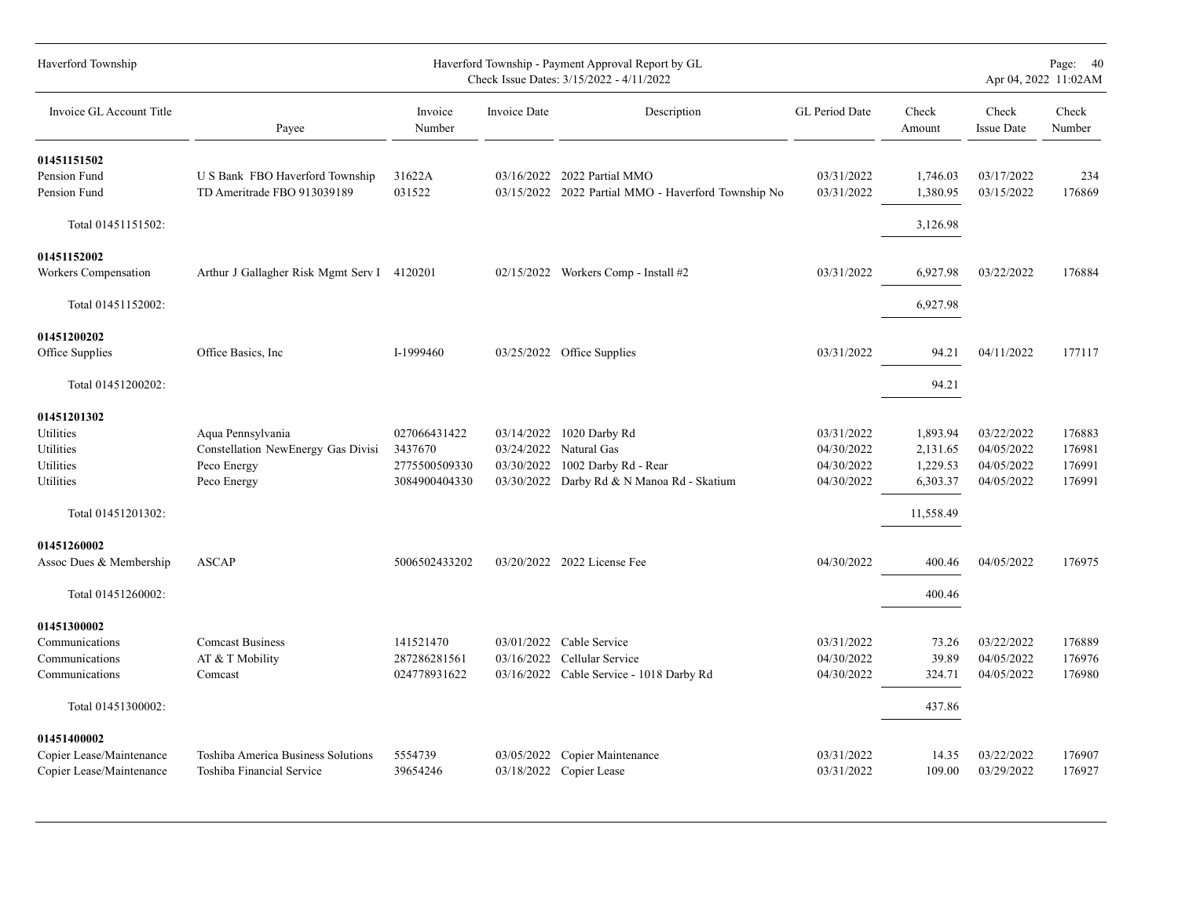| Haverford Township                                                  |                                                                                       |                                                           |                          | Haverford Township - Payment Approval Report by GL<br>Check Issue Dates: 3/15/2022 - 4/11/2022                |                                                      |                                              |                                                      | Page: 40<br>Apr 04, 2022 11:02AM     |
|---------------------------------------------------------------------|---------------------------------------------------------------------------------------|-----------------------------------------------------------|--------------------------|---------------------------------------------------------------------------------------------------------------|------------------------------------------------------|----------------------------------------------|------------------------------------------------------|--------------------------------------|
| Invoice GL Account Title                                            | Payee                                                                                 | Invoice<br>Number                                         | Invoice Date             | Description                                                                                                   | GL Period Date                                       | Check<br>Amount                              | Check<br><b>Issue Date</b>                           | Check<br>Number                      |
| 01451151502<br>Pension Fund<br>Pension Fund                         | U S Bank FBO Haverford Township<br>TD Ameritrade FBO 913039189                        | 31622A<br>031522                                          |                          | 03/16/2022 2022 Partial MMO<br>03/15/2022 2022 Partial MMO - Haverford Township No                            | 03/31/2022<br>03/31/2022                             | 1,746.03<br>1,380.95                         | 03/17/2022<br>03/15/2022                             | 234<br>176869                        |
| Total 01451151502:                                                  |                                                                                       |                                                           |                          |                                                                                                               |                                                      | 3,126.98                                     |                                                      |                                      |
| 01451152002<br>Workers Compensation                                 | Arthur J Gallagher Risk Mgmt Serv I 4120201                                           |                                                           |                          | 02/15/2022 Workers Comp - Install #2                                                                          | 03/31/2022                                           | 6,927.98                                     | 03/22/2022                                           | 176884                               |
| Total 01451152002:                                                  |                                                                                       |                                                           |                          |                                                                                                               |                                                      | 6,927.98                                     |                                                      |                                      |
| 01451200202<br>Office Supplies                                      | Office Basics, Inc.                                                                   | I-1999460                                                 |                          | 03/25/2022 Office Supplies                                                                                    | 03/31/2022                                           | 94.21                                        | 04/11/2022                                           | 177117                               |
| Total 01451200202:                                                  |                                                                                       |                                                           |                          |                                                                                                               |                                                      | 94.21                                        |                                                      |                                      |
| 01451201302<br>Utilities<br>Utilities<br>Utilities<br>Utilities     | Aqua Pennsylvania<br>Constellation NewEnergy Gas Divisi<br>Peco Energy<br>Peco Energy | 027066431422<br>3437670<br>2775500509330<br>3084900404330 | 03/14/2022<br>03/30/2022 | 1020 Darby Rd<br>03/24/2022 Natural Gas<br>1002 Darby Rd - Rear<br>03/30/2022 Darby Rd & N Manoa Rd - Skatium | 03/31/2022<br>04/30/2022<br>04/30/2022<br>04/30/2022 | 1,893.94<br>2,131.65<br>1,229.53<br>6,303.37 | 03/22/2022<br>04/05/2022<br>04/05/2022<br>04/05/2022 | 176883<br>176981<br>176991<br>176991 |
| Total 01451201302:                                                  |                                                                                       |                                                           |                          |                                                                                                               |                                                      | 11,558.49                                    |                                                      |                                      |
| 01451260002<br>Assoc Dues & Membership                              | <b>ASCAP</b>                                                                          | 5006502433202                                             |                          | 03/20/2022 2022 License Fee                                                                                   | 04/30/2022                                           | 400.46                                       | 04/05/2022                                           | 176975                               |
| Total 01451260002:                                                  |                                                                                       |                                                           |                          |                                                                                                               |                                                      | 400.46                                       |                                                      |                                      |
| 01451300002<br>Communications<br>Communications<br>Communications   | <b>Comcast Business</b><br>AT & T Mobility<br>Comcast                                 | 141521470<br>287286281561<br>024778931622                 | 03/01/2022<br>03/16/2022 | Cable Service<br>Cellular Service<br>03/16/2022 Cable Service - 1018 Darby Rd                                 | 03/31/2022<br>04/30/2022<br>04/30/2022               | 73.26<br>39.89<br>324.71                     | 03/22/2022<br>04/05/2022<br>04/05/2022               | 176889<br>176976<br>176980           |
| Total 01451300002:                                                  |                                                                                       |                                                           |                          |                                                                                                               |                                                      | 437.86                                       |                                                      |                                      |
| 01451400002<br>Copier Lease/Maintenance<br>Copier Lease/Maintenance | Toshiba America Business Solutions<br>Toshiba Financial Service                       | 5554739<br>39654246                                       | 03/05/2022               | Copier Maintenance<br>03/18/2022 Copier Lease                                                                 | 03/31/2022<br>03/31/2022                             | 14.35<br>109.00                              | 03/22/2022<br>03/29/2022                             | 176907<br>176927                     |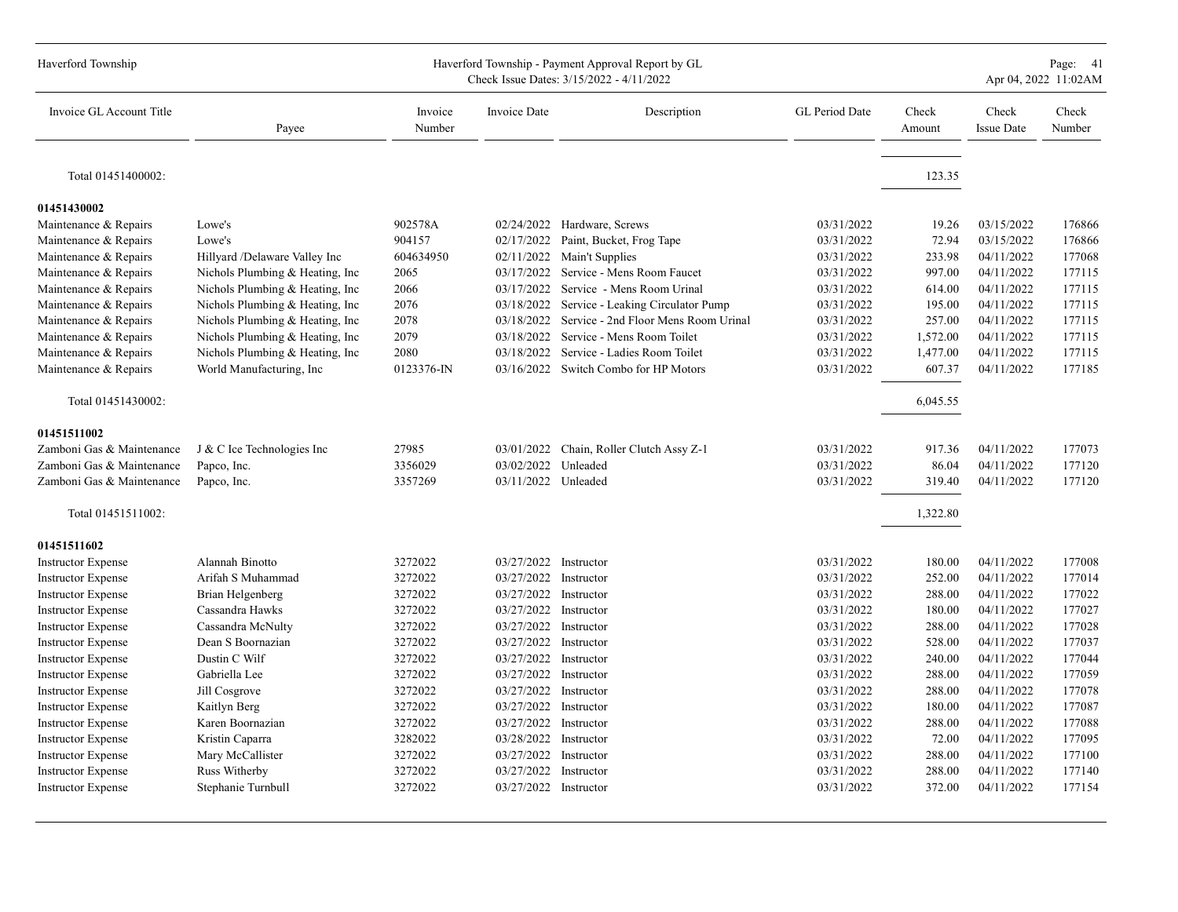| Haverford Township        |                                  |                   |                       | Haverford Township - Payment Approval Report by GL<br>Check Issue Dates: 3/15/2022 - 4/11/2022 |                |                 |                            | Page: 41<br>Apr 04, 2022 11:02AM |
|---------------------------|----------------------------------|-------------------|-----------------------|------------------------------------------------------------------------------------------------|----------------|-----------------|----------------------------|----------------------------------|
| Invoice GL Account Title  | Payee                            | Invoice<br>Number | <b>Invoice Date</b>   | Description                                                                                    | GL Period Date | Check<br>Amount | Check<br><b>Issue Date</b> | Check<br>Number                  |
| Total 01451400002:        |                                  |                   |                       |                                                                                                |                | 123.35          |                            |                                  |
| 01451430002               |                                  |                   |                       |                                                                                                |                |                 |                            |                                  |
| Maintenance & Repairs     | Lowe's                           | 902578A           |                       | 02/24/2022 Hardware, Screws                                                                    | 03/31/2022     | 19.26           | 03/15/2022                 | 176866                           |
| Maintenance & Repairs     | Lowe's                           | 904157            | 02/17/2022            | Paint, Bucket, Frog Tape                                                                       | 03/31/2022     | 72.94           | 03/15/2022                 | 176866                           |
| Maintenance & Repairs     | Hillyard /Delaware Valley Inc    | 604634950         |                       | 02/11/2022 Main't Supplies                                                                     | 03/31/2022     | 233.98          | 04/11/2022                 | 177068                           |
| Maintenance & Repairs     | Nichols Plumbing & Heating, Inc  | 2065              | 03/17/2022            | Service - Mens Room Faucet                                                                     | 03/31/2022     | 997.00          | 04/11/2022                 | 177115                           |
| Maintenance & Repairs     | Nichols Plumbing & Heating, Inc. | 2066              | 03/17/2022            | Service - Mens Room Urinal                                                                     | 03/31/2022     | 614.00          | 04/11/2022                 | 177115                           |
| Maintenance & Repairs     | Nichols Plumbing & Heating, Inc. | 2076              | 03/18/2022            | Service - Leaking Circulator Pump                                                              | 03/31/2022     | 195.00          | 04/11/2022                 | 177115                           |
| Maintenance & Repairs     | Nichols Plumbing & Heating, Inc. | 2078              | 03/18/2022            | Service - 2nd Floor Mens Room Urinal                                                           | 03/31/2022     | 257.00          | 04/11/2022                 | 177115                           |
| Maintenance & Repairs     | Nichols Plumbing & Heating, Inc  | 2079              |                       | 03/18/2022 Service - Mens Room Toilet                                                          | 03/31/2022     | 1,572.00        | 04/11/2022                 | 177115                           |
| Maintenance & Repairs     | Nichols Plumbing & Heating, Inc. | 2080              | 03/18/2022            | Service - Ladies Room Toilet                                                                   | 03/31/2022     | 1,477.00        | 04/11/2022                 | 177115                           |
| Maintenance & Repairs     | World Manufacturing, Inc.        | 0123376-IN        | 03/16/2022            | Switch Combo for HP Motors                                                                     | 03/31/2022     | 607.37          | 04/11/2022                 | 177185                           |
| Total 01451430002:        |                                  |                   |                       |                                                                                                |                | 6,045.55        |                            |                                  |
| 01451511002               |                                  |                   |                       |                                                                                                |                |                 |                            |                                  |
| Zamboni Gas & Maintenance | J & C Ice Technologies Inc       | 27985             |                       | 03/01/2022 Chain, Roller Clutch Assy Z-1                                                       | 03/31/2022     | 917.36          | 04/11/2022                 | 177073                           |
| Zamboni Gas & Maintenance | Papco, Inc.                      | 3356029           | 03/02/2022            | Unleaded                                                                                       | 03/31/2022     | 86.04           | 04/11/2022                 | 177120                           |
| Zamboni Gas & Maintenance | Papco, Inc.                      | 3357269           | 03/11/2022 Unleaded   |                                                                                                | 03/31/2022     | 319.40          | 04/11/2022                 | 177120                           |
| Total 01451511002:        |                                  |                   |                       |                                                                                                |                | 1,322.80        |                            |                                  |
| 01451511602               |                                  |                   |                       |                                                                                                |                |                 |                            |                                  |
| <b>Instructor Expense</b> | Alannah Binotto                  | 3272022           | 03/27/2022            | Instructor                                                                                     | 03/31/2022     | 180.00          | 04/11/2022                 | 177008                           |
| <b>Instructor Expense</b> | Arifah S Muhammad                | 3272022           | 03/27/2022            | Instructor                                                                                     | 03/31/2022     | 252.00          | 04/11/2022                 | 177014                           |
| <b>Instructor Expense</b> | Brian Helgenberg                 | 3272022           | 03/27/2022 Instructor |                                                                                                | 03/31/2022     | 288.00          | 04/11/2022                 | 177022                           |
| <b>Instructor Expense</b> | Cassandra Hawks                  | 3272022           | 03/27/2022 Instructor |                                                                                                | 03/31/2022     | 180.00          | 04/11/2022                 | 177027                           |
| <b>Instructor Expense</b> | Cassandra McNulty                | 3272022           | 03/27/2022            | Instructor                                                                                     | 03/31/2022     | 288.00          | 04/11/2022                 | 177028                           |
| <b>Instructor Expense</b> | Dean S Boornazian                | 3272022           | 03/27/2022            | Instructor                                                                                     | 03/31/2022     | 528.00          | 04/11/2022                 | 177037                           |
| <b>Instructor Expense</b> | Dustin C Wilf                    | 3272022           | 03/27/2022            | Instructor                                                                                     | 03/31/2022     | 240.00          | 04/11/2022                 | 177044                           |
| <b>Instructor Expense</b> | Gabriella Lee                    | 3272022           | 03/27/2022            | Instructor                                                                                     | 03/31/2022     | 288.00          | 04/11/2022                 | 177059                           |
| <b>Instructor Expense</b> | Jill Cosgrove                    | 3272022           | 03/27/2022 Instructor |                                                                                                | 03/31/2022     | 288.00          | 04/11/2022                 | 177078                           |
| <b>Instructor Expense</b> | Kaitlyn Berg                     | 3272022           | 03/27/2022            | Instructor                                                                                     | 03/31/2022     | 180.00          | 04/11/2022                 | 177087                           |
| <b>Instructor Expense</b> | Karen Boornazian                 | 3272022           | 03/27/2022 Instructor |                                                                                                | 03/31/2022     | 288.00          | 04/11/2022                 | 177088                           |
| <b>Instructor Expense</b> | Kristin Caparra                  | 3282022           | 03/28/2022            | Instructor                                                                                     | 03/31/2022     | 72.00           | 04/11/2022                 | 177095                           |
| <b>Instructor Expense</b> | Mary McCallister                 | 3272022           | 03/27/2022            | Instructor                                                                                     | 03/31/2022     | 288.00          | 04/11/2022                 | 177100                           |
| <b>Instructor Expense</b> | Russ Witherby                    | 3272022           | 03/27/2022            | Instructor                                                                                     | 03/31/2022     | 288.00          | 04/11/2022                 | 177140                           |
| <b>Instructor Expense</b> | Stephanie Turnbull               | 3272022           | 03/27/2022 Instructor |                                                                                                | 03/31/2022     | 372.00          | 04/11/2022                 | 177154                           |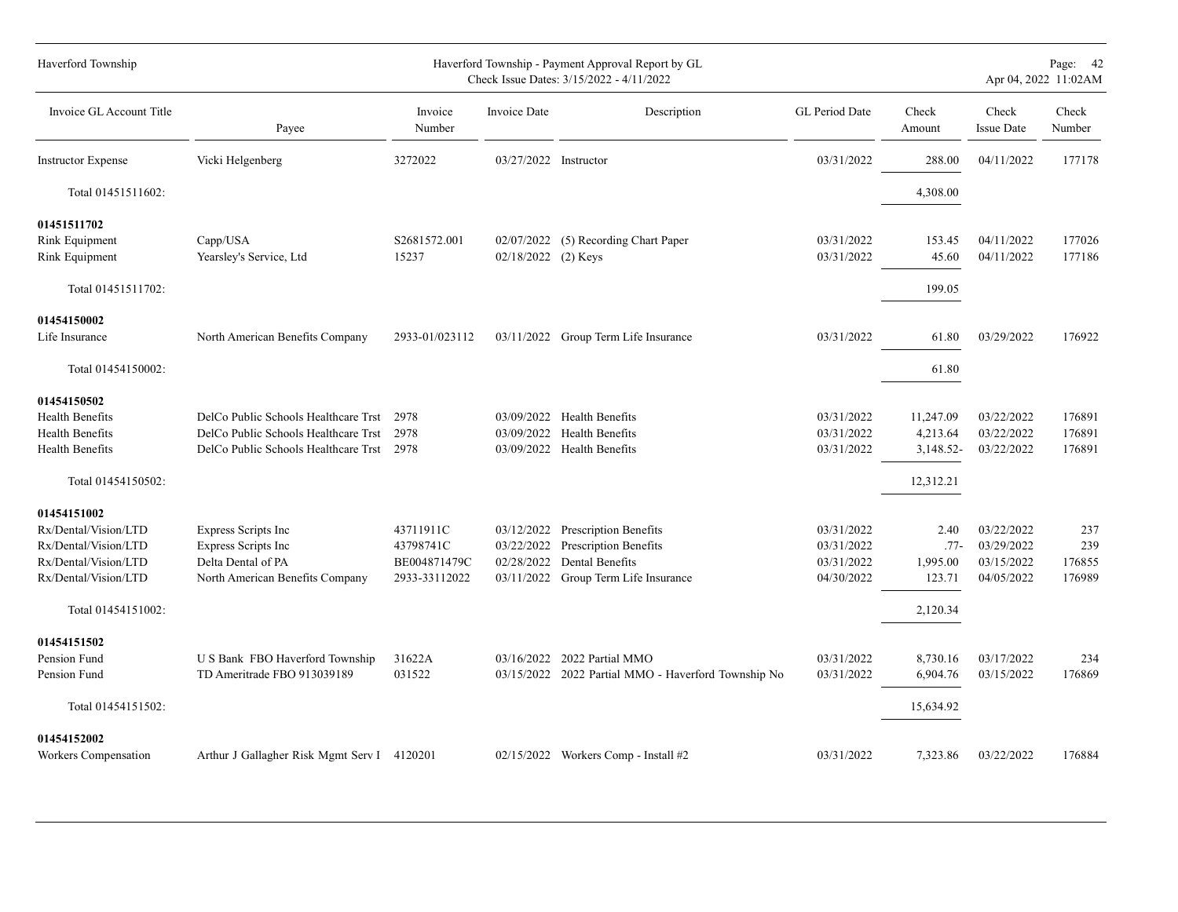| Haverford Township        |                                             |                   |                       | Haverford Township - Payment Approval Report by GL<br>Check Issue Dates: 3/15/2022 - 4/11/2022 |                |                 |                            | Page: 42<br>Apr 04, 2022 11:02AM |
|---------------------------|---------------------------------------------|-------------------|-----------------------|------------------------------------------------------------------------------------------------|----------------|-----------------|----------------------------|----------------------------------|
| Invoice GL Account Title  | Payee                                       | Invoice<br>Number | Invoice Date          | Description                                                                                    | GL Period Date | Check<br>Amount | Check<br><b>Issue Date</b> | Check<br>Number                  |
| <b>Instructor Expense</b> | Vicki Helgenberg                            | 3272022           | 03/27/2022 Instructor |                                                                                                | 03/31/2022     | 288.00          | 04/11/2022                 | 177178                           |
| Total 01451511602:        |                                             |                   |                       |                                                                                                |                | 4,308.00        |                            |                                  |
| 01451511702               |                                             |                   |                       |                                                                                                |                |                 |                            |                                  |
| Rink Equipment            | Capp/USA                                    | S2681572.001      |                       | 02/07/2022 (5) Recording Chart Paper                                                           | 03/31/2022     | 153.45          | 04/11/2022                 | 177026                           |
| Rink Equipment            | Yearsley's Service, Ltd                     | 15237             | 02/18/2022 (2) Keys   |                                                                                                | 03/31/2022     | 45.60           | 04/11/2022                 | 177186                           |
| Total 01451511702:        |                                             |                   |                       |                                                                                                |                | 199.05          |                            |                                  |
| 01454150002               |                                             |                   |                       |                                                                                                |                |                 |                            |                                  |
| Life Insurance            | North American Benefits Company             | 2933-01/023112    |                       | 03/11/2022 Group Term Life Insurance                                                           | 03/31/2022     | 61.80           | 03/29/2022                 | 176922                           |
| Total 01454150002:        |                                             |                   |                       |                                                                                                |                | 61.80           |                            |                                  |
| 01454150502               |                                             |                   |                       |                                                                                                |                |                 |                            |                                  |
| Health Benefits           | DelCo Public Schools Healthcare Trst        | 2978              |                       | 03/09/2022 Health Benefits                                                                     | 03/31/2022     | 11,247.09       | 03/22/2022                 | 176891                           |
| <b>Health Benefits</b>    | DelCo Public Schools Healthcare Trst        | 2978              | 03/09/2022            | <b>Health Benefits</b>                                                                         | 03/31/2022     | 4,213.64        | 03/22/2022                 | 176891                           |
| <b>Health Benefits</b>    | DelCo Public Schools Healthcare Trst        | 2978              |                       | 03/09/2022 Health Benefits                                                                     | 03/31/2022     | 3,148.52-       | 03/22/2022                 | 176891                           |
| Total 01454150502:        |                                             |                   |                       |                                                                                                |                | 12,312.21       |                            |                                  |
| 01454151002               |                                             |                   |                       |                                                                                                |                |                 |                            |                                  |
| Rx/Dental/Vision/LTD      | Express Scripts Inc                         | 43711911C         | 03/12/2022            | <b>Prescription Benefits</b>                                                                   | 03/31/2022     | 2.40            | 03/22/2022                 | 237                              |
| Rx/Dental/Vision/LTD      | Express Scripts Inc                         | 43798741C         | 03/22/2022            | Prescription Benefits                                                                          | 03/31/2022     | $.77-$          | 03/29/2022                 | 239                              |
| Rx/Dental/Vision/LTD      | Delta Dental of PA                          | BE004871479C      | 02/28/2022            | Dental Benefits                                                                                | 03/31/2022     | 1,995.00        | 03/15/2022                 | 176855                           |
| Rx/Dental/Vision/LTD      | North American Benefits Company             | 2933-33112022     |                       | 03/11/2022 Group Term Life Insurance                                                           | 04/30/2022     | 123.71          | 04/05/2022                 | 176989                           |
| Total 01454151002:        |                                             |                   |                       |                                                                                                |                | 2,120.34        |                            |                                  |
| 01454151502               |                                             |                   |                       |                                                                                                |                |                 |                            |                                  |
| Pension Fund              | U S Bank FBO Haverford Township             | 31622A            |                       | 03/16/2022 2022 Partial MMO                                                                    | 03/31/2022     | 8,730.16        | 03/17/2022                 | 234                              |
| Pension Fund              | TD Ameritrade FBO 913039189                 | 031522            |                       | 03/15/2022 2022 Partial MMO - Haverford Township No                                            | 03/31/2022     | 6,904.76        | 03/15/2022                 | 176869                           |
| Total 01454151502:        |                                             |                   |                       |                                                                                                |                | 15,634.92       |                            |                                  |
| 01454152002               |                                             |                   |                       |                                                                                                |                |                 |                            |                                  |
| Workers Compensation      | Arthur J Gallagher Risk Mgmt Serv I 4120201 |                   |                       | 02/15/2022 Workers Comp - Install #2                                                           | 03/31/2022     | 7,323.86        | 03/22/2022                 | 176884                           |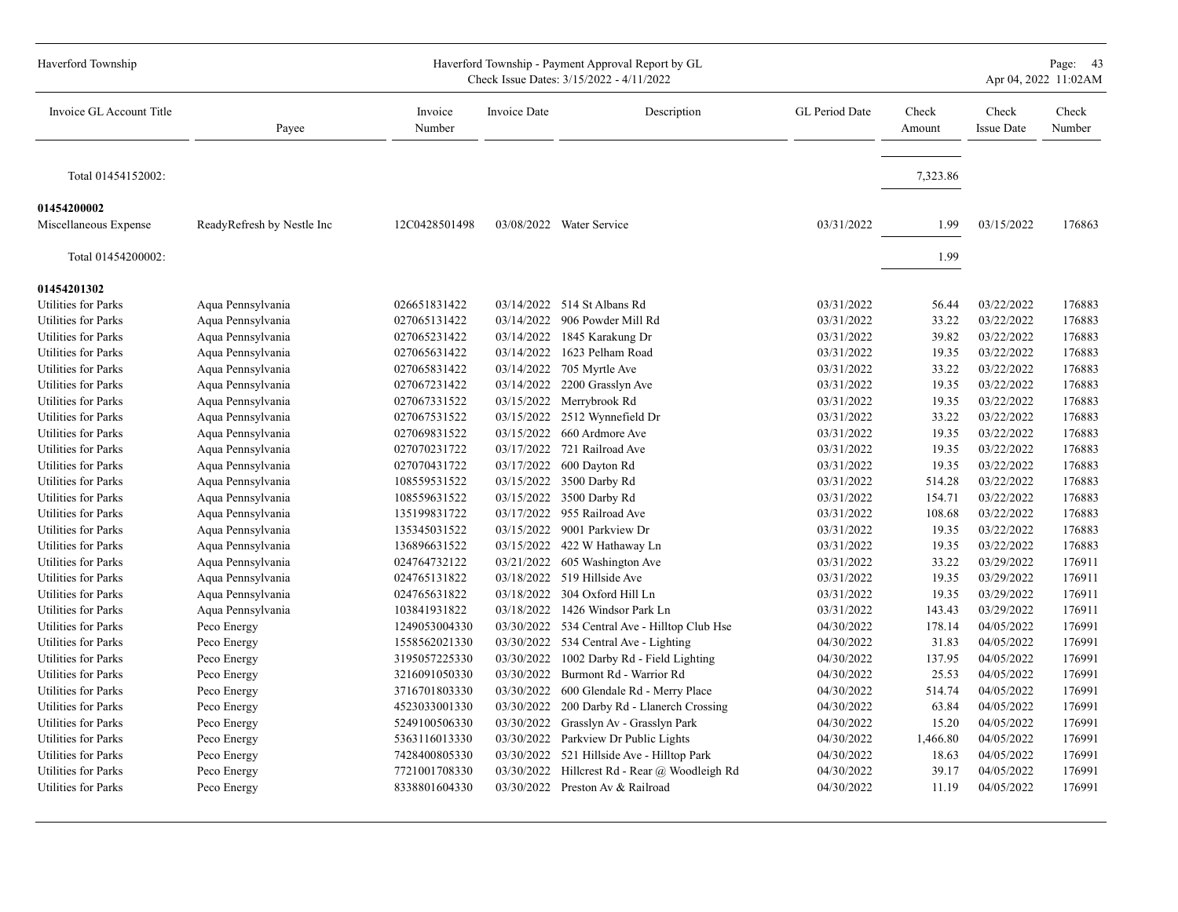| Haverford Township         |                            |                   |              | Haverford Township - Payment Approval Report by GL<br>Check Issue Dates: 3/15/2022 - 4/11/2022 |                |                 |                            | Page: 43<br>Apr 04, 2022 11:02AM |
|----------------------------|----------------------------|-------------------|--------------|------------------------------------------------------------------------------------------------|----------------|-----------------|----------------------------|----------------------------------|
| Invoice GL Account Title   | Payee                      | Invoice<br>Number | Invoice Date | Description                                                                                    | GL Period Date | Check<br>Amount | Check<br><b>Issue Date</b> | Check<br>Number                  |
| Total 01454152002:         |                            |                   |              |                                                                                                |                | 7,323.86        |                            |                                  |
| 01454200002                |                            |                   |              |                                                                                                |                |                 |                            |                                  |
| Miscellaneous Expense      | ReadyRefresh by Nestle Inc | 12C0428501498     |              | 03/08/2022 Water Service                                                                       | 03/31/2022     | 1.99            | 03/15/2022                 | 176863                           |
| Total 01454200002:         |                            |                   |              |                                                                                                |                | 1.99            |                            |                                  |
| 01454201302                |                            |                   |              |                                                                                                |                |                 |                            |                                  |
| Utilities for Parks        | Aqua Pennsylvania          | 026651831422      |              | 03/14/2022 514 St Albans Rd                                                                    | 03/31/2022     | 56.44           | 03/22/2022                 | 176883                           |
| Utilities for Parks        | Aqua Pennsylvania          | 027065131422      |              | 03/14/2022 906 Powder Mill Rd                                                                  | 03/31/2022     | 33.22           | 03/22/2022                 | 176883                           |
| Utilities for Parks        | Aqua Pennsylvania          | 027065231422      |              | 03/14/2022 1845 Karakung Dr                                                                    | 03/31/2022     | 39.82           | 03/22/2022                 | 176883                           |
| Utilities for Parks        | Aqua Pennsylvania          | 027065631422      | 03/14/2022   | 1623 Pelham Road                                                                               | 03/31/2022     | 19.35           | 03/22/2022                 | 176883                           |
| <b>Utilities for Parks</b> | Aqua Pennsylvania          | 027065831422      | 03/14/2022   | 705 Myrtle Ave                                                                                 | 03/31/2022     | 33.22           | 03/22/2022                 | 176883                           |
| Utilities for Parks        | Aqua Pennsylvania          | 027067231422      | 03/14/2022   | 2200 Grasslyn Ave                                                                              | 03/31/2022     | 19.35           | 03/22/2022                 | 176883                           |
| Utilities for Parks        | Aqua Pennsylvania          | 027067331522      |              | 03/15/2022 Merrybrook Rd                                                                       | 03/31/2022     | 19.35           | 03/22/2022                 | 176883                           |
| <b>Utilities for Parks</b> | Aqua Pennsylvania          | 027067531522      | 03/15/2022   | 2512 Wynnefield Dr                                                                             | 03/31/2022     | 33.22           | 03/22/2022                 | 176883                           |
| Utilities for Parks        | Aqua Pennsylvania          | 027069831522      | 03/15/2022   | 660 Ardmore Ave                                                                                | 03/31/2022     | 19.35           | 03/22/2022                 | 176883                           |
| Utilities for Parks        | Aqua Pennsylvania          | 027070231722      | 03/17/2022   | 721 Railroad Ave                                                                               | 03/31/2022     | 19.35           | 03/22/2022                 | 176883                           |
| Utilities for Parks        | Aqua Pennsylvania          | 027070431722      |              | 03/17/2022 600 Dayton Rd                                                                       | 03/31/2022     | 19.35           | 03/22/2022                 | 176883                           |
| Utilities for Parks        | Aqua Pennsylvania          | 108559531522      |              | 03/15/2022 3500 Darby Rd                                                                       | 03/31/2022     | 514.28          | 03/22/2022                 | 176883                           |
| <b>Utilities for Parks</b> | Aqua Pennsylvania          | 108559631522      |              | 03/15/2022 3500 Darby Rd                                                                       | 03/31/2022     | 154.71          | 03/22/2022                 | 176883                           |
| Utilities for Parks        | Aqua Pennsylvania          | 135199831722      | 03/17/2022   | 955 Railroad Ave                                                                               | 03/31/2022     | 108.68          | 03/22/2022                 | 176883                           |
| <b>Utilities for Parks</b> | Aqua Pennsylvania          | 135345031522      | 03/15/2022   | 9001 Parkview Dr                                                                               | 03/31/2022     | 19.35           | 03/22/2022                 | 176883                           |
| Utilities for Parks        | Aqua Pennsylvania          | 136896631522      |              | 03/15/2022 422 W Hathaway Ln                                                                   | 03/31/2022     | 19.35           | 03/22/2022                 | 176883                           |
| Utilities for Parks        | Aqua Pennsylvania          | 024764732122      | 03/21/2022   | 605 Washington Ave                                                                             | 03/31/2022     | 33.22           | 03/29/2022                 | 176911                           |
| Utilities for Parks        | Aqua Pennsylvania          | 024765131822      |              | 03/18/2022 519 Hillside Ave                                                                    | 03/31/2022     | 19.35           | 03/29/2022                 | 176911                           |
| Utilities for Parks        | Aqua Pennsylvania          | 024765631822      | 03/18/2022   | 304 Oxford Hill Ln                                                                             | 03/31/2022     | 19.35           | 03/29/2022                 | 176911                           |
| <b>Utilities for Parks</b> | Aqua Pennsylvania          | 103841931822      | 03/18/2022   | 1426 Windsor Park Ln                                                                           | 03/31/2022     | 143.43          | 03/29/2022                 | 176911                           |
| Utilities for Parks        | Peco Energy                | 1249053004330     |              | 03/30/2022 534 Central Ave - Hilltop Club Hse                                                  | 04/30/2022     | 178.14          | 04/05/2022                 | 176991                           |
| Utilities for Parks        | Peco Energy                | 1558562021330     |              | 03/30/2022 534 Central Ave - Lighting                                                          | 04/30/2022     | 31.83           | 04/05/2022                 | 176991                           |
| <b>Utilities for Parks</b> | Peco Energy                | 3195057225330     | 03/30/2022   | 1002 Darby Rd - Field Lighting                                                                 | 04/30/2022     | 137.95          | 04/05/2022                 | 176991                           |
| Utilities for Parks        | Peco Energy                | 3216091050330     | 03/30/2022   | Burmont Rd - Warrior Rd                                                                        | 04/30/2022     | 25.53           | 04/05/2022                 | 176991                           |
| Utilities for Parks        | Peco Energy                | 3716701803330     | 03/30/2022   | 600 Glendale Rd - Merry Place                                                                  | 04/30/2022     | 514.74          | 04/05/2022                 | 176991                           |
| <b>Utilities for Parks</b> | Peco Energy                | 4523033001330     | 03/30/2022   | 200 Darby Rd - Llanerch Crossing                                                               | 04/30/2022     | 63.84           | 04/05/2022                 | 176991                           |
| Utilities for Parks        | Peco Energy                | 5249100506330     | 03/30/2022   | Grasslyn Av - Grasslyn Park                                                                    | 04/30/2022     | 15.20           | 04/05/2022                 | 176991                           |
| <b>Utilities for Parks</b> | Peco Energy                | 5363116013330     |              | 03/30/2022 Parkview Dr Public Lights                                                           | 04/30/2022     | 1,466.80        | 04/05/2022                 | 176991                           |
| Utilities for Parks        | Peco Energy                | 7428400805330     | 03/30/2022   | 521 Hillside Ave - Hilltop Park                                                                | 04/30/2022     | 18.63           | 04/05/2022                 | 176991                           |
| <b>Utilities for Parks</b> | Peco Energy                | 7721001708330     | 03/30/2022   | Hillcrest Rd - Rear @ Woodleigh Rd                                                             | 04/30/2022     | 39.17           | 04/05/2022                 | 176991                           |
| Utilities for Parks        | Peco Energy                | 8338801604330     |              | 03/30/2022 Preston Av & Railroad                                                               | 04/30/2022     | 11.19           | 04/05/2022                 | 176991                           |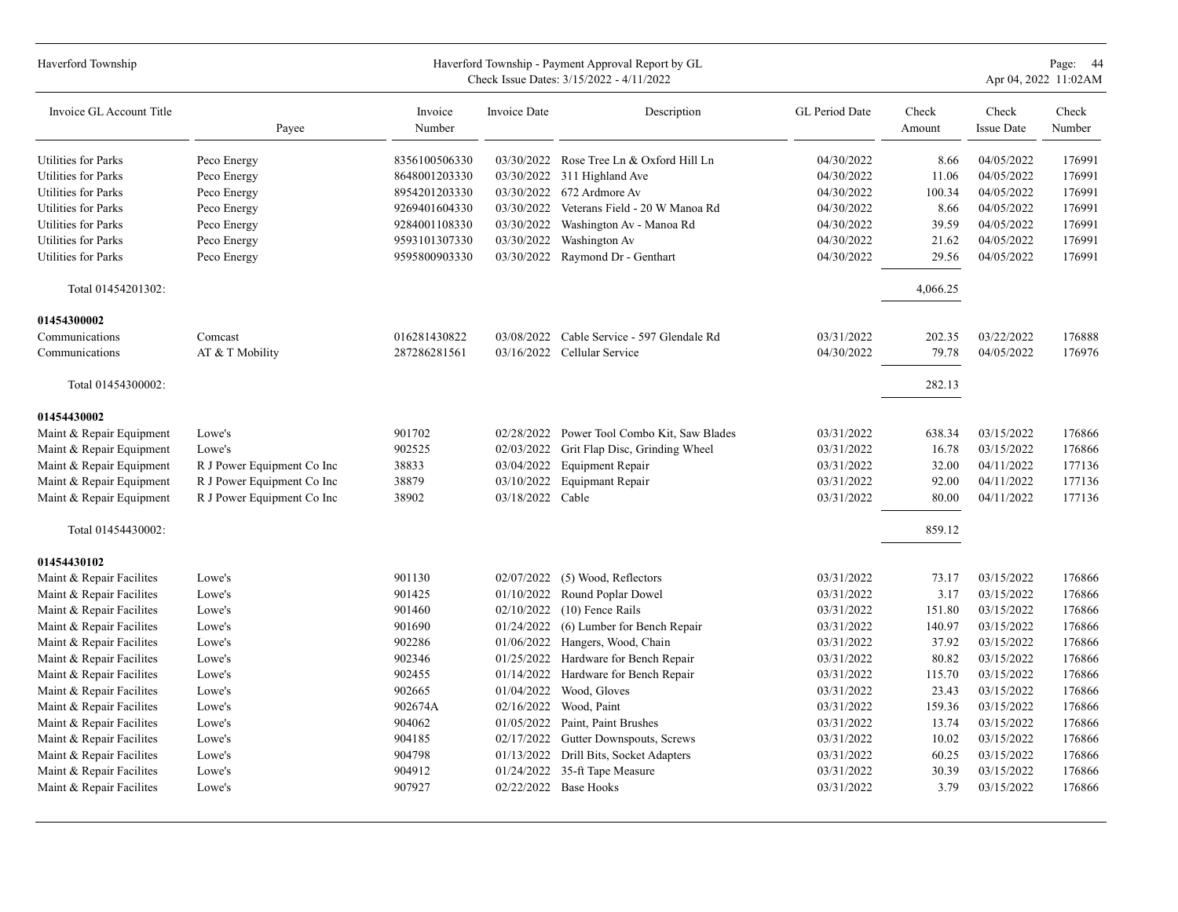| Haverford Township         |                            |                   |                  | Haverford Township - Payment Approval Report by GL<br>Check Issue Dates: 3/15/2022 - 4/11/2022 |                |                 |                            | Page: 44<br>Apr 04, 2022 11:02AM |
|----------------------------|----------------------------|-------------------|------------------|------------------------------------------------------------------------------------------------|----------------|-----------------|----------------------------|----------------------------------|
| Invoice GL Account Title   | Payee                      | Invoice<br>Number | Invoice Date     | Description                                                                                    | GL Period Date | Check<br>Amount | Check<br><b>Issue Date</b> | Check<br>Number                  |
| Utilities for Parks        | Peco Energy                | 8356100506330     |                  | 03/30/2022 Rose Tree Ln & Oxford Hill Ln                                                       | 04/30/2022     | 8.66            | 04/05/2022                 | 176991                           |
| Utilities for Parks        | Peco Energy                | 8648001203330     |                  | 03/30/2022 311 Highland Ave                                                                    | 04/30/2022     | 11.06           | 04/05/2022                 | 176991                           |
| <b>Utilities for Parks</b> | Peco Energy                | 8954201203330     |                  | 03/30/2022 672 Ardmore Av                                                                      | 04/30/2022     | 100.34          | 04/05/2022                 | 176991                           |
| Utilities for Parks        | Peco Energy                | 9269401604330     | 03/30/2022       | Veterans Field - 20 W Manoa Rd                                                                 | 04/30/2022     | 8.66            | 04/05/2022                 | 176991                           |
| Utilities for Parks        | Peco Energy                | 9284001108330     | 03/30/2022       | Washington Av - Manoa Rd                                                                       | 04/30/2022     | 39.59           | 04/05/2022                 | 176991                           |
| Utilities for Parks        | Peco Energy                | 9593101307330     | 03/30/2022       | Washington Av                                                                                  | 04/30/2022     | 21.62           | 04/05/2022                 | 176991                           |
| Utilities for Parks        | Peco Energy                | 9595800903330     | 03/30/2022       | Raymond Dr - Genthart                                                                          | 04/30/2022     | 29.56           | 04/05/2022                 | 176991                           |
| Total 01454201302:         |                            |                   |                  |                                                                                                |                | 4,066.25        |                            |                                  |
| 01454300002                |                            |                   |                  |                                                                                                |                |                 |                            |                                  |
| Communications             | Comcast                    | 016281430822      | 03/08/2022       | Cable Service - 597 Glendale Rd                                                                | 03/31/2022     | 202.35          | 03/22/2022                 | 176888                           |
| Communications             | AT & T Mobility            | 287286281561      |                  | 03/16/2022 Cellular Service                                                                    | 04/30/2022     | 79.78           | 04/05/2022                 | 176976                           |
| Total 01454300002:         |                            |                   |                  |                                                                                                |                | 282.13          |                            |                                  |
| 01454430002                |                            |                   |                  |                                                                                                |                |                 |                            |                                  |
| Maint & Repair Equipment   | Lowe's                     | 901702            | 02/28/2022       | Power Tool Combo Kit, Saw Blades                                                               | 03/31/2022     | 638.34          | 03/15/2022                 | 176866                           |
| Maint & Repair Equipment   | Lowe's                     | 902525            | 02/03/2022       | Grit Flap Disc, Grinding Wheel                                                                 | 03/31/2022     | 16.78           | 03/15/2022                 | 176866                           |
| Maint & Repair Equipment   | R J Power Equipment Co Inc | 38833             | 03/04/2022       | <b>Equipment Repair</b>                                                                        | 03/31/2022     | 32.00           | 04/11/2022                 | 177136                           |
| Maint & Repair Equipment   | R J Power Equipment Co Inc | 38879             | 03/10/2022       | <b>Equipmant Repair</b>                                                                        | 03/31/2022     | 92.00           | 04/11/2022                 | 177136                           |
| Maint & Repair Equipment   | R J Power Equipment Co Inc | 38902             | 03/18/2022 Cable |                                                                                                | 03/31/2022     | 80.00           | 04/11/2022                 | 177136                           |
| Total 01454430002:         |                            |                   |                  |                                                                                                |                | 859.12          |                            |                                  |
| 01454430102                |                            |                   |                  |                                                                                                |                |                 |                            |                                  |
| Maint & Repair Facilites   | Lowe's                     | 901130            | 02/07/2022       | (5) Wood, Reflectors                                                                           | 03/31/2022     | 73.17           | 03/15/2022                 | 176866                           |
| Maint & Repair Facilites   | Lowe's                     | 901425            | 01/10/2022       | Round Poplar Dowel                                                                             | 03/31/2022     | 3.17            | 03/15/2022                 | 176866                           |
| Maint & Repair Facilites   | Lowe's                     | 901460            | 02/10/2022       | $(10)$ Fence Rails                                                                             | 03/31/2022     | 151.80          | 03/15/2022                 | 176866                           |
| Maint & Repair Facilites   | Lowe's                     | 901690            | 01/24/2022       | (6) Lumber for Bench Repair                                                                    | 03/31/2022     | 140.97          | 03/15/2022                 | 176866                           |
| Maint & Repair Facilites   | Lowe's                     | 902286            | 01/06/2022       | Hangers, Wood, Chain                                                                           | 03/31/2022     | 37.92           | 03/15/2022                 | 176866                           |
| Maint & Repair Facilites   | Lowe's                     | 902346            | 01/25/2022       | Hardware for Bench Repair                                                                      | 03/31/2022     | 80.82           | 03/15/2022                 | 176866                           |
| Maint & Repair Facilites   | Lowe's                     | 902455            | 01/14/2022       | Hardware for Bench Repair                                                                      | 03/31/2022     | 115.70          | 03/15/2022                 | 176866                           |
| Maint & Repair Facilites   | Lowe's                     | 902665            | 01/04/2022       | Wood, Gloves                                                                                   | 03/31/2022     | 23.43           | 03/15/2022                 | 176866                           |
| Maint & Repair Facilites   | Lowe's                     | 902674A           | 02/16/2022       | Wood, Paint                                                                                    | 03/31/2022     | 159.36          | 03/15/2022                 | 176866                           |
| Maint & Repair Facilites   | Lowe's                     | 904062            | 01/05/2022       | Paint, Paint Brushes                                                                           | 03/31/2022     | 13.74           | 03/15/2022                 | 176866                           |
| Maint & Repair Facilites   | Lowe's                     | 904185            | 02/17/2022       | Gutter Downspouts, Screws                                                                      | 03/31/2022     | 10.02           | 03/15/2022                 | 176866                           |
| Maint & Repair Facilites   | Lowe's                     | 904798            | 01/13/2022       | Drill Bits, Socket Adapters                                                                    | 03/31/2022     | 60.25           | 03/15/2022                 | 176866                           |
| Maint & Repair Facilites   | Lowe's                     | 904912            | 01/24/2022       | 35-ft Tape Measure                                                                             | 03/31/2022     | 30.39           | 03/15/2022                 | 176866                           |
| Maint & Repair Facilites   | Lowe's                     | 907927            |                  | 02/22/2022 Base Hooks                                                                          | 03/31/2022     | 3.79            | 03/15/2022                 | 176866                           |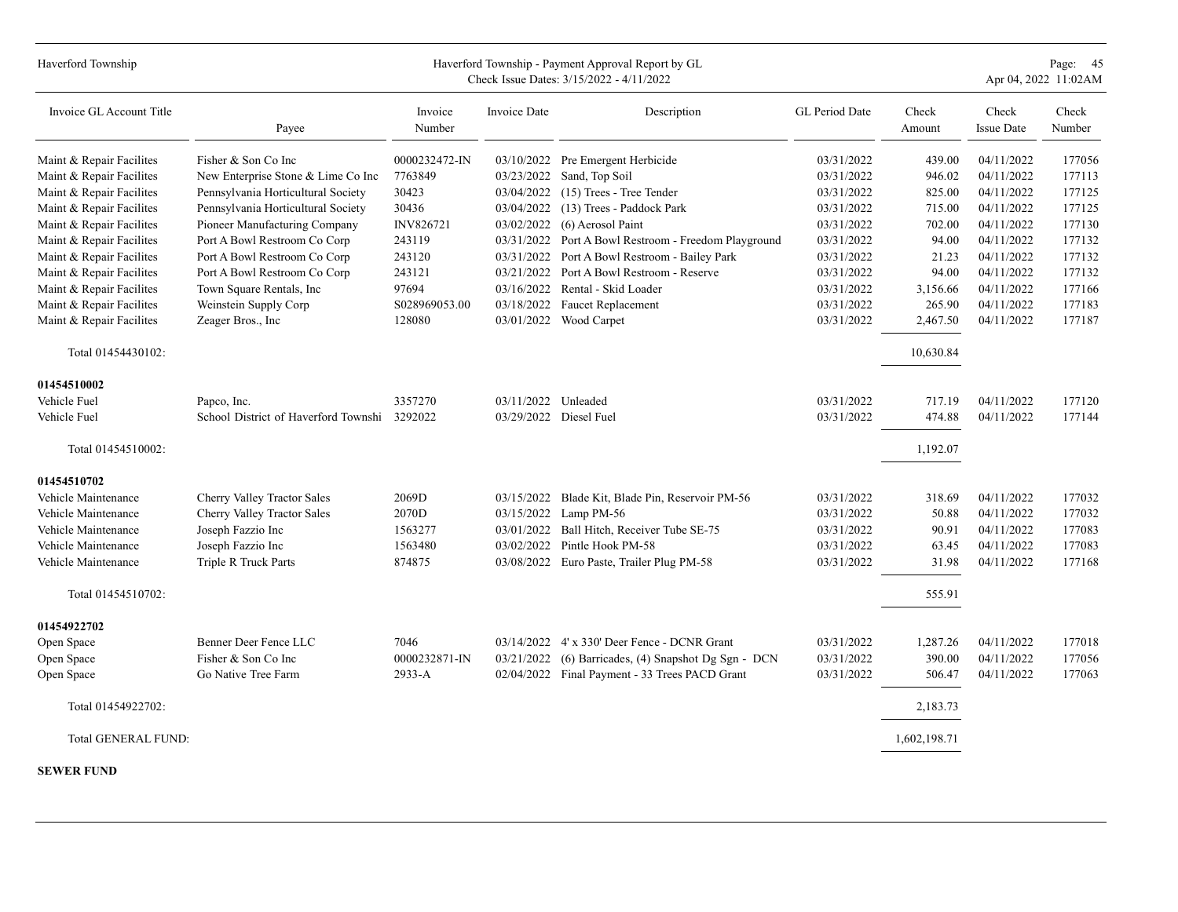| Haverford Township         |                                              |                   |                     | Haverford Township - Payment Approval Report by GL<br>Check Issue Dates: 3/15/2022 - 4/11/2022 |                |                 |                            | Page: 45<br>Apr 04, 2022 11:02AM |
|----------------------------|----------------------------------------------|-------------------|---------------------|------------------------------------------------------------------------------------------------|----------------|-----------------|----------------------------|----------------------------------|
| Invoice GL Account Title   | Payee                                        | Invoice<br>Number | Invoice Date        | Description                                                                                    | GL Period Date | Check<br>Amount | Check<br><b>Issue Date</b> | Check<br>Number                  |
| Maint & Repair Facilites   | Fisher & Son Co Inc                          | 0000232472-IN     |                     | 03/10/2022 Pre Emergent Herbicide                                                              | 03/31/2022     | 439.00          | 04/11/2022                 | 177056                           |
| Maint & Repair Facilites   | New Enterprise Stone & Lime Co Inc           | 7763849           | 03/23/2022          | Sand, Top Soil                                                                                 | 03/31/2022     | 946.02          | 04/11/2022                 | 177113                           |
| Maint & Repair Facilites   | Pennsylvania Horticultural Society           | 30423             | 03/04/2022          | (15) Trees - Tree Tender                                                                       | 03/31/2022     | 825.00          | 04/11/2022                 | 177125                           |
| Maint & Repair Facilites   | Pennsylvania Horticultural Society           | 30436             | 03/04/2022          | (13) Trees - Paddock Park                                                                      | 03/31/2022     | 715.00          | 04/11/2022                 | 177125                           |
| Maint & Repair Facilites   | Pioneer Manufacturing Company                | INV826721         | 03/02/2022          | (6) Aerosol Paint                                                                              | 03/31/2022     | 702.00          | 04/11/2022                 | 177130                           |
| Maint & Repair Facilites   | Port A Bowl Restroom Co Corp                 | 243119            |                     | 03/31/2022 Port A Bowl Restroom - Freedom Playground                                           | 03/31/2022     | 94.00           | 04/11/2022                 | 177132                           |
| Maint & Repair Facilites   | Port A Bowl Restroom Co Corp                 | 243120            |                     | 03/31/2022 Port A Bowl Restroom - Bailey Park                                                  | 03/31/2022     | 21.23           | 04/11/2022                 | 177132                           |
| Maint & Repair Facilites   | Port A Bowl Restroom Co Corp                 | 243121            |                     | 03/21/2022 Port A Bowl Restroom - Reserve                                                      | 03/31/2022     | 94.00           | 04/11/2022                 | 177132                           |
| Maint & Repair Facilites   | Town Square Rentals, Inc                     | 97694             |                     | 03/16/2022 Rental - Skid Loader                                                                | 03/31/2022     | 3,156.66        | 04/11/2022                 | 177166                           |
| Maint & Repair Facilites   | Weinstein Supply Corp                        | S028969053.00     |                     | 03/18/2022 Faucet Replacement                                                                  | 03/31/2022     | 265.90          | 04/11/2022                 | 177183                           |
| Maint & Repair Facilites   | Zeager Bros., Inc                            | 128080            |                     | 03/01/2022 Wood Carpet                                                                         | 03/31/2022     | 2,467.50        | 04/11/2022                 | 177187                           |
| Total 01454430102:         |                                              |                   |                     |                                                                                                |                | 10,630.84       |                            |                                  |
| 01454510002                |                                              |                   |                     |                                                                                                |                |                 |                            |                                  |
| Vehicle Fuel               | Papco, Inc.                                  | 3357270           | 03/11/2022 Unleaded |                                                                                                | 03/31/2022     | 717.19          | 04/11/2022                 | 177120                           |
| Vehicle Fuel               | School District of Haverford Townshi 3292022 |                   |                     | 03/29/2022 Diesel Fuel                                                                         | 03/31/2022     | 474.88          | 04/11/2022                 | 177144                           |
| Total 01454510002:         |                                              |                   |                     |                                                                                                |                | 1,192.07        |                            |                                  |
| 01454510702                |                                              |                   |                     |                                                                                                |                |                 |                            |                                  |
| Vehicle Maintenance        | Cherry Valley Tractor Sales                  | 2069D             |                     | 03/15/2022 Blade Kit, Blade Pin, Reservoir PM-56                                               | 03/31/2022     | 318.69          | 04/11/2022                 | 177032                           |
| Vehicle Maintenance        | Cherry Valley Tractor Sales                  | 2070D             |                     | 03/15/2022 Lamp PM-56                                                                          | 03/31/2022     | 50.88           | 04/11/2022                 | 177032                           |
| Vehicle Maintenance        | Joseph Fazzio Inc                            | 1563277           | 03/01/2022          | Ball Hitch, Receiver Tube SE-75                                                                | 03/31/2022     | 90.91           | 04/11/2022                 | 177083                           |
| Vehicle Maintenance        | Joseph Fazzio Inc                            | 1563480           | 03/02/2022          | Pintle Hook PM-58                                                                              | 03/31/2022     | 63.45           | 04/11/2022                 | 177083                           |
| Vehicle Maintenance        | Triple R Truck Parts                         | 874875            |                     | 03/08/2022 Euro Paste, Trailer Plug PM-58                                                      | 03/31/2022     | 31.98           | 04/11/2022                 | 177168                           |
| Total 01454510702:         |                                              |                   |                     |                                                                                                |                | 555.91          |                            |                                  |
| 01454922702                |                                              |                   |                     |                                                                                                |                |                 |                            |                                  |
| Open Space                 | Benner Deer Fence LLC                        | 7046              |                     | 03/14/2022 4' x 330' Deer Fence - DCNR Grant                                                   | 03/31/2022     | 1,287.26        | 04/11/2022                 | 177018                           |
| Open Space                 | Fisher & Son Co Inc                          | 0000232871-IN     | 03/21/2022          | (6) Barricades, (4) Snapshot Dg Sgn - DCN                                                      | 03/31/2022     | 390.00          | 04/11/2022                 | 177056                           |
| Open Space                 | Go Native Tree Farm                          | $2933 - A$        |                     | 02/04/2022 Final Payment - 33 Trees PACD Grant                                                 | 03/31/2022     | 506.47          | 04/11/2022                 | 177063                           |
| Total 01454922702:         |                                              |                   |                     |                                                                                                |                | 2,183.73        |                            |                                  |
| <b>Total GENERAL FUND:</b> |                                              |                   |                     |                                                                                                |                | 1,602,198.71    |                            |                                  |

**SEWER FUND**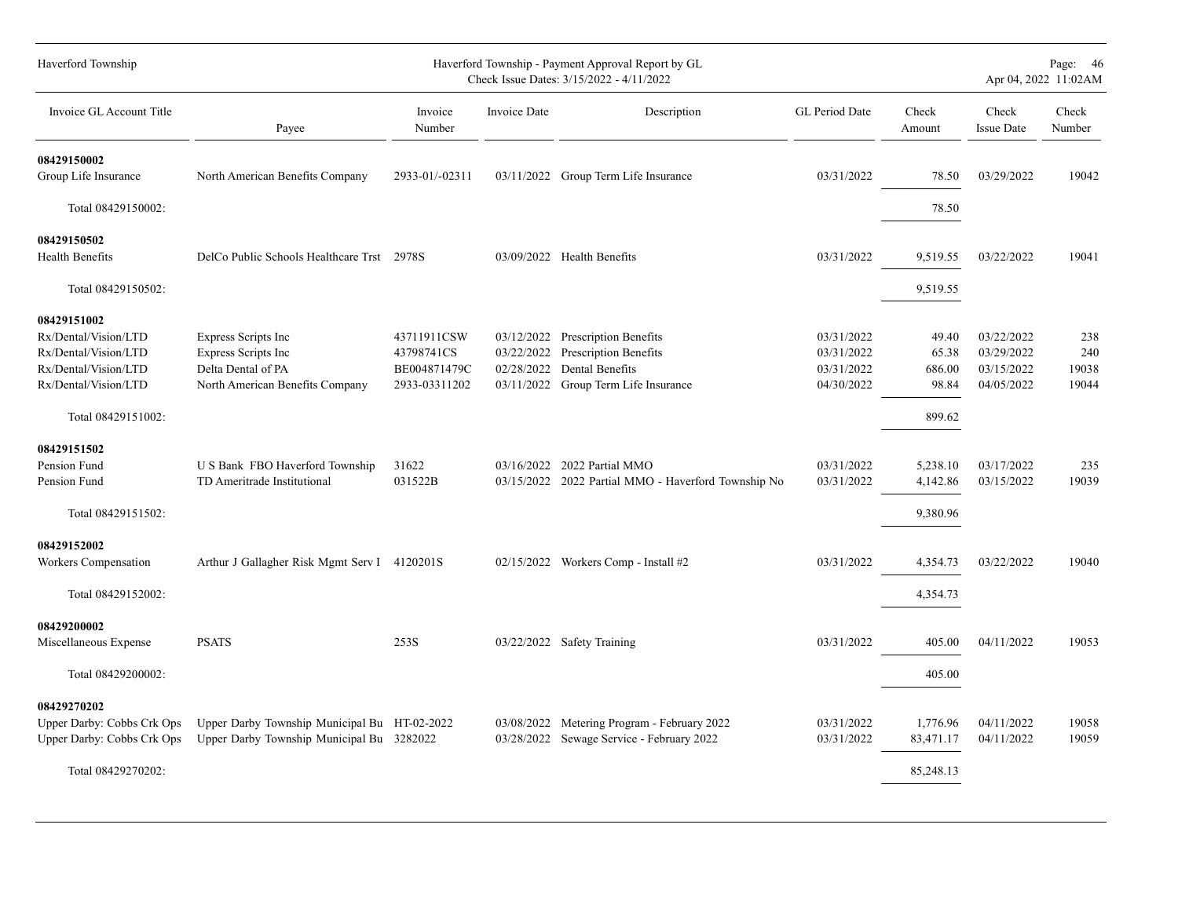| Haverford Township         |                                              |                   |              | Haverford Township - Payment Approval Report by GL<br>Check Issue Dates: 3/15/2022 - 4/11/2022 |                |                 |                            | Page: 46<br>Apr 04, 2022 11:02AM |
|----------------------------|----------------------------------------------|-------------------|--------------|------------------------------------------------------------------------------------------------|----------------|-----------------|----------------------------|----------------------------------|
| Invoice GL Account Title   | Payee                                        | Invoice<br>Number | Invoice Date | Description                                                                                    | GL Period Date | Check<br>Amount | Check<br><b>Issue Date</b> | Check<br>Number                  |
| 08429150002                |                                              |                   |              |                                                                                                |                |                 |                            |                                  |
| Group Life Insurance       | North American Benefits Company              | 2933-01/-02311    |              | 03/11/2022 Group Term Life Insurance                                                           | 03/31/2022     | 78.50           | 03/29/2022                 | 19042                            |
| Total 08429150002:         |                                              |                   |              |                                                                                                |                | 78.50           |                            |                                  |
| 08429150502                |                                              |                   |              |                                                                                                |                |                 |                            |                                  |
| Health Benefits            | DelCo Public Schools Healthcare Trst 2978S   |                   |              | 03/09/2022 Health Benefits                                                                     | 03/31/2022     | 9,519.55        | 03/22/2022                 | 19041                            |
| Total 08429150502:         |                                              |                   |              |                                                                                                |                | 9,519.55        |                            |                                  |
| 08429151002                |                                              |                   |              |                                                                                                |                |                 |                            |                                  |
| Rx/Dental/Vision/LTD       | <b>Express Scripts Inc</b>                   | 43711911CSW       |              | 03/12/2022 Prescription Benefits                                                               | 03/31/2022     | 49.40           | 03/22/2022                 | 238                              |
| Rx/Dental/Vision/LTD       | <b>Express Scripts Inc</b>                   | 43798741CS        |              | 03/22/2022 Prescription Benefits                                                               | 03/31/2022     | 65.38           | 03/29/2022                 | 240                              |
| Rx/Dental/Vision/LTD       | Delta Dental of PA                           | BE004871479C      |              | 02/28/2022 Dental Benefits                                                                     | 03/31/2022     | 686.00          | 03/15/2022                 | 19038                            |
| Rx/Dental/Vision/LTD       | North American Benefits Company              | 2933-03311202     |              | 03/11/2022 Group Term Life Insurance                                                           | 04/30/2022     | 98.84           | 04/05/2022                 | 19044                            |
| Total 08429151002:         |                                              |                   |              |                                                                                                |                | 899.62          |                            |                                  |
| 08429151502                |                                              |                   |              |                                                                                                |                |                 |                            |                                  |
| Pension Fund               | U S Bank FBO Haverford Township              | 31622             |              | 03/16/2022 2022 Partial MMO                                                                    | 03/31/2022     | 5,238.10        | 03/17/2022                 | 235                              |
| Pension Fund               | TD Ameritrade Institutional                  | 031522B           |              | 03/15/2022 2022 Partial MMO - Haverford Township No                                            | 03/31/2022     | 4,142.86        | 03/15/2022                 | 19039                            |
| Total 08429151502:         |                                              |                   |              |                                                                                                |                | 9,380.96        |                            |                                  |
| 08429152002                |                                              |                   |              |                                                                                                |                |                 |                            |                                  |
| Workers Compensation       | Arthur J Gallagher Risk Mgmt Serv I 4120201S |                   |              | 02/15/2022 Workers Comp - Install #2                                                           | 03/31/2022     | 4,354.73        | 03/22/2022                 | 19040                            |
| Total 08429152002:         |                                              |                   |              |                                                                                                |                | 4,354.73        |                            |                                  |
| 08429200002                |                                              |                   |              |                                                                                                |                |                 |                            |                                  |
| Miscellaneous Expense      | <b>PSATS</b>                                 | 253S              |              | 03/22/2022 Safety Training                                                                     | 03/31/2022     | 405.00          | 04/11/2022                 | 19053                            |
| Total 08429200002:         |                                              |                   |              |                                                                                                |                | 405.00          |                            |                                  |
| 08429270202                |                                              |                   |              |                                                                                                |                |                 |                            |                                  |
| Upper Darby: Cobbs Crk Ops | Upper Darby Township Municipal Bu HT-02-2022 |                   |              | 03/08/2022 Metering Program - February 2022                                                    | 03/31/2022     | 1,776.96        | 04/11/2022                 | 19058                            |
| Upper Darby: Cobbs Crk Ops | Upper Darby Township Municipal Bu 3282022    |                   |              | 03/28/2022 Sewage Service - February 2022                                                      | 03/31/2022     | 83,471.17       | 04/11/2022                 | 19059                            |
| Total 08429270202:         |                                              |                   |              |                                                                                                |                | 85,248.13       |                            |                                  |
|                            |                                              |                   |              |                                                                                                |                |                 |                            |                                  |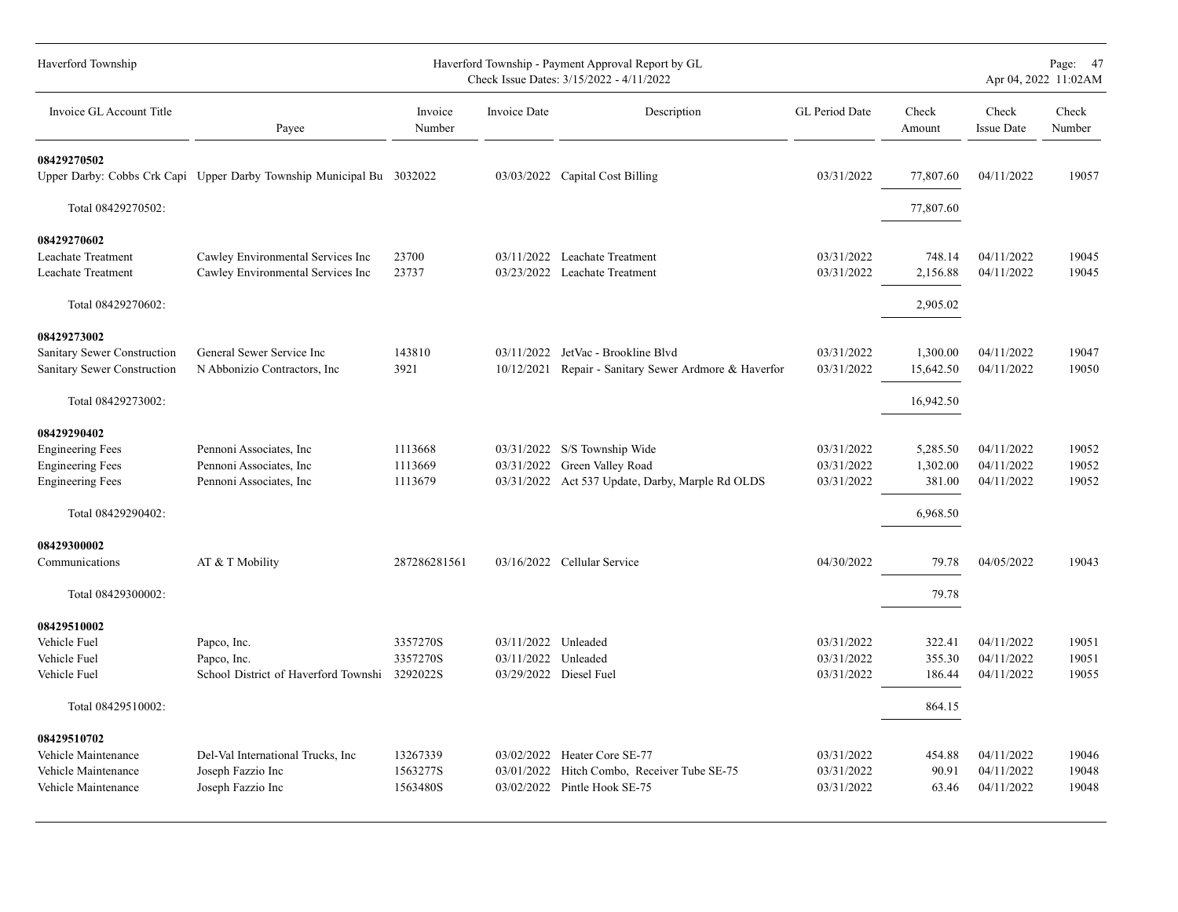| Haverford Township                                         |                                                                        |                    |                     | Haverford Township - Payment Approval Report by GL<br>Check Issue Dates: 3/15/2022 - 4/11/2022 |                          |                       |                            | Page: 47<br>Apr 04, 2022 11:02AM |
|------------------------------------------------------------|------------------------------------------------------------------------|--------------------|---------------------|------------------------------------------------------------------------------------------------|--------------------------|-----------------------|----------------------------|----------------------------------|
| Invoice GL Account Title                                   | Payee                                                                  | Invoice<br>Number  | <b>Invoice Date</b> | Description                                                                                    | <b>GL</b> Period Date    | Check<br>Amount       | Check<br><b>Issue Date</b> | Check<br>Number                  |
| 08429270502                                                | Upper Darby: Cobbs Crk Capi Upper Darby Township Municipal Bu 3032022  |                    |                     | 03/03/2022 Capital Cost Billing                                                                | 03/31/2022               | 77,807.60             | 04/11/2022                 | 19057                            |
| Total 08429270502:                                         |                                                                        |                    |                     |                                                                                                |                          | 77,807.60             |                            |                                  |
| 08429270602                                                |                                                                        |                    |                     |                                                                                                |                          |                       |                            |                                  |
| <b>Leachate Treatment</b><br>Leachate Treatment            | Cawley Environmental Services Inc<br>Cawley Environmental Services Inc | 23700<br>23737     |                     | 03/11/2022 Leachate Treatment<br>03/23/2022 Leachate Treatment                                 | 03/31/2022<br>03/31/2022 | 748.14<br>2,156.88    | 04/11/2022<br>04/11/2022   | 19045<br>19045                   |
| Total 08429270602:                                         |                                                                        |                    |                     |                                                                                                |                          | 2,905.02              |                            |                                  |
| 08429273002                                                |                                                                        |                    |                     |                                                                                                |                          |                       |                            |                                  |
| Sanitary Sewer Construction<br>Sanitary Sewer Construction | General Sewer Service Inc<br>N Abbonizio Contractors, Inc.             | 143810<br>3921     | 10/12/2021          | 03/11/2022 JetVac - Brookline Blvd<br>Repair - Sanitary Sewer Ardmore & Haverfor               | 03/31/2022<br>03/31/2022 | 1,300.00<br>15,642.50 | 04/11/2022<br>04/11/2022   | 19047<br>19050                   |
| Total 08429273002:                                         |                                                                        |                    |                     |                                                                                                |                          | 16,942.50             |                            |                                  |
| 08429290402                                                |                                                                        |                    |                     |                                                                                                |                          |                       |                            |                                  |
| <b>Engineering Fees</b>                                    | Pennoni Associates, Inc.                                               | 1113668            |                     | 03/31/2022 S/S Township Wide                                                                   | 03/31/2022               | 5,285.50              | 04/11/2022                 | 19052                            |
| <b>Engineering Fees</b><br><b>Engineering Fees</b>         | Pennoni Associates, Inc.<br>Pennoni Associates, Inc.                   | 1113669<br>1113679 |                     | 03/31/2022 Green Valley Road<br>03/31/2022 Act 537 Update, Darby, Marple Rd OLDS               | 03/31/2022<br>03/31/2022 | 1,302.00<br>381.00    | 04/11/2022<br>04/11/2022   | 19052<br>19052                   |
| Total 08429290402:                                         |                                                                        |                    |                     |                                                                                                |                          | 6,968.50              |                            |                                  |
| 08429300002                                                |                                                                        |                    |                     |                                                                                                |                          |                       |                            |                                  |
| Communications                                             | AT & T Mobility                                                        | 287286281561       |                     | 03/16/2022 Cellular Service                                                                    | 04/30/2022               | 79.78                 | 04/05/2022                 | 19043                            |
| Total 08429300002:                                         |                                                                        |                    |                     |                                                                                                |                          | 79.78                 |                            |                                  |
| 08429510002                                                |                                                                        |                    |                     |                                                                                                |                          |                       |                            |                                  |
| Vehicle Fuel                                               | Papco, Inc.                                                            | 3357270S           | 03/11/2022 Unleaded |                                                                                                | 03/31/2022               | 322.41                | 04/11/2022                 | 19051                            |
| Vehicle Fuel                                               | Papco, Inc.                                                            | 3357270S           | 03/11/2022 Unleaded |                                                                                                | 03/31/2022               | 355.30                | 04/11/2022                 | 19051                            |
| Vehicle Fuel                                               | School District of Haverford Townshi 3292022S                          |                    |                     | 03/29/2022 Diesel Fuel                                                                         | 03/31/2022               | 186.44                | 04/11/2022                 | 19055                            |
| Total 08429510002:                                         |                                                                        |                    |                     |                                                                                                |                          | 864.15                |                            |                                  |
| 08429510702                                                |                                                                        |                    |                     |                                                                                                |                          |                       |                            |                                  |
| Vehicle Maintenance                                        | Del-Val International Trucks, Inc                                      | 13267339           |                     | 03/02/2022 Heater Core SE-77                                                                   | 03/31/2022               | 454.88                | 04/11/2022                 | 19046                            |
| Vehicle Maintenance                                        | Joseph Fazzio Inc                                                      | 1563277S           | 03/01/2022          | Hitch Combo, Receiver Tube SE-75                                                               | 03/31/2022               | 90.91                 | 04/11/2022                 | 19048                            |
| Vehicle Maintenance                                        | Joseph Fazzio Inc                                                      | 1563480S           |                     | 03/02/2022 Pintle Hook SE-75                                                                   | 03/31/2022               | 63.46                 | 04/11/2022                 | 19048                            |